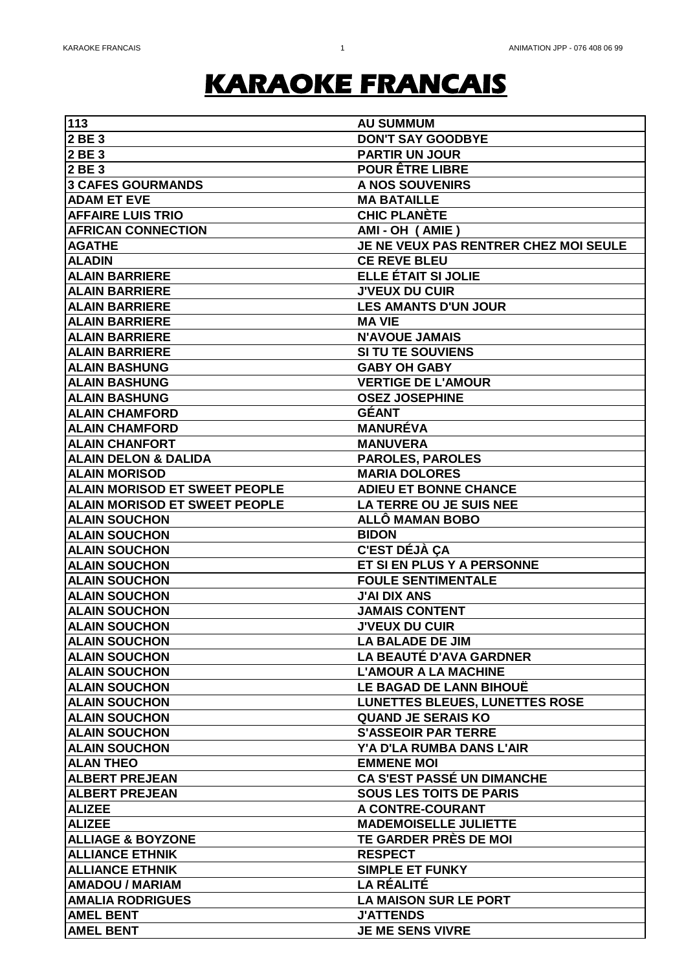## **KARAOKE FRANCAIS**

| 113                                  | <b>AU SUMMUM</b>                             |
|--------------------------------------|----------------------------------------------|
| 2 BE 3                               | <b>DON'T SAY GOODBYE</b>                     |
| 2 BE 3                               | <b>PARTIR UN JOUR</b>                        |
| 2 BE 3                               | <b>POUR ÊTRE LIBRE</b>                       |
| <b>3 CAFES GOURMANDS</b>             | <b>A NOS SOUVENIRS</b>                       |
| <b>ADAM ET EVE</b>                   | <b>MA BATAILLE</b>                           |
| <b>AFFAIRE LUIS TRIO</b>             | <b>CHIC PLANETE</b>                          |
| <b>AFRICAN CONNECTION</b>            | AMI-OH (AMIE)                                |
| <b>AGATHE</b>                        | <b>JE NE VEUX PAS RENTRER CHEZ MOI SEULE</b> |
| <b>ALADIN</b>                        | <b>CE REVE BLEU</b>                          |
| <b>ALAIN BARRIERE</b>                | ELLE ÉTAIT SI JOLIE                          |
| <b>ALAIN BARRIERE</b>                | <b>J'VEUX DU CUIR</b>                        |
| <b>ALAIN BARRIERE</b>                | <b>LES AMANTS D'UN JOUR</b>                  |
| <b>ALAIN BARRIERE</b>                | <b>MA VIE</b>                                |
| <b>ALAIN BARRIERE</b>                | <b>N'AVOUE JAMAIS</b>                        |
| <b>ALAIN BARRIERE</b>                | <b>SI TU TE SOUVIENS</b>                     |
| <b>ALAIN BASHUNG</b>                 | <b>GABY OH GABY</b>                          |
| <b>ALAIN BASHUNG</b>                 | <b>VERTIGE DE L'AMOUR</b>                    |
| <b>ALAIN BASHUNG</b>                 | <b>OSEZ JOSEPHINE</b>                        |
| <b>ALAIN CHAMFORD</b>                | <b>GEANT</b>                                 |
|                                      | <b>MANURÉVA</b>                              |
| <b>ALAIN CHAMFORD</b>                |                                              |
| <b>ALAIN CHANFORT</b>                | <b>MANUVERA</b>                              |
| <b>ALAIN DELON &amp; DALIDA</b>      | <b>PAROLES, PAROLES</b>                      |
| <b>ALAIN MORISOD</b>                 | <b>MARIA DOLORES</b>                         |
| <b>ALAIN MORISOD ET SWEET PEOPLE</b> | <b>ADIEU ET BONNE CHANCE</b>                 |
| <b>ALAIN MORISOD ET SWEET PEOPLE</b> | <b>LA TERRE OU JE SUIS NEE</b>               |
| <b>ALAIN SOUCHON</b>                 | <b>ALLÔ MAMAN BOBO</b>                       |
| <b>ALAIN SOUCHON</b>                 | <b>BIDON</b>                                 |
| <b>ALAIN SOUCHON</b>                 | <b>C'EST DÉJÀ CA</b>                         |
| <b>ALAIN SOUCHON</b>                 | ET SI EN PLUS Y A PERSONNE                   |
| <b>ALAIN SOUCHON</b>                 | <b>FOULE SENTIMENTALE</b>                    |
| <b>ALAIN SOUCHON</b>                 | <b>J'AI DIX ANS</b>                          |
| <b>ALAIN SOUCHON</b>                 | <b>JAMAIS CONTENT</b>                        |
| <b>ALAIN SOUCHON</b>                 | <b>J'VEUX DU CUIR</b>                        |
| <b>ALAIN SOUCHON</b>                 | <b>LA BALADE DE JIM</b>                      |
| <b>ALAIN SOUCHON</b>                 | <b>LA BEAUTÉ D'AVA GARDNER</b>               |
| <b>ALAIN SOUCHON</b>                 | <b>L'AMOUR A LA MACHINE</b>                  |
| <b>ALAIN SOUCHON</b>                 | LE BAGAD DE LANN BIHOUË                      |
| <b>ALAIN SOUCHON</b>                 | <b>LUNETTES BLEUES, LUNETTES ROSE</b>        |
| <b>ALAIN SOUCHON</b>                 | <b>QUAND JE SERAIS KO</b>                    |
| <b>ALAIN SOUCHON</b>                 | <b>S'ASSEOIR PAR TERRE</b>                   |
| <b>ALAIN SOUCHON</b>                 | Y'A D'LA RUMBA DANS L'AIR                    |
| <b>ALAN THEO</b>                     | <b>EMMENE MOI</b>                            |
| <b>ALBERT PREJEAN</b>                | <b>CA S'EST PASSÉ UN DIMANCHE</b>            |
| <b>ALBERT PREJEAN</b>                | <b>SOUS LES TOITS DE PARIS</b>               |
| <b>ALIZEE</b>                        | A CONTRE-COURANT                             |
| <b>ALIZEE</b>                        | <b>MADEMOISELLE JULIETTE</b>                 |
| <b>ALLIAGE &amp; BOYZONE</b>         | TE GARDER PRÈS DE MOI                        |
| <b>ALLIANCE ETHNIK</b>               | <b>RESPECT</b>                               |
| <b>ALLIANCE ETHNIK</b>               | <b>SIMPLE ET FUNKY</b>                       |
| <b>AMADOU / MARIAM</b>               | <b>LA RÉALITÉ</b>                            |
| <b>AMALIA RODRIGUES</b>              | <b>LA MAISON SUR LE PORT</b>                 |
| <b>AMEL BENT</b>                     | <b>J'ATTENDS</b>                             |
| <b>AMEL BENT</b>                     | <b>JE ME SENS VIVRE</b>                      |
|                                      |                                              |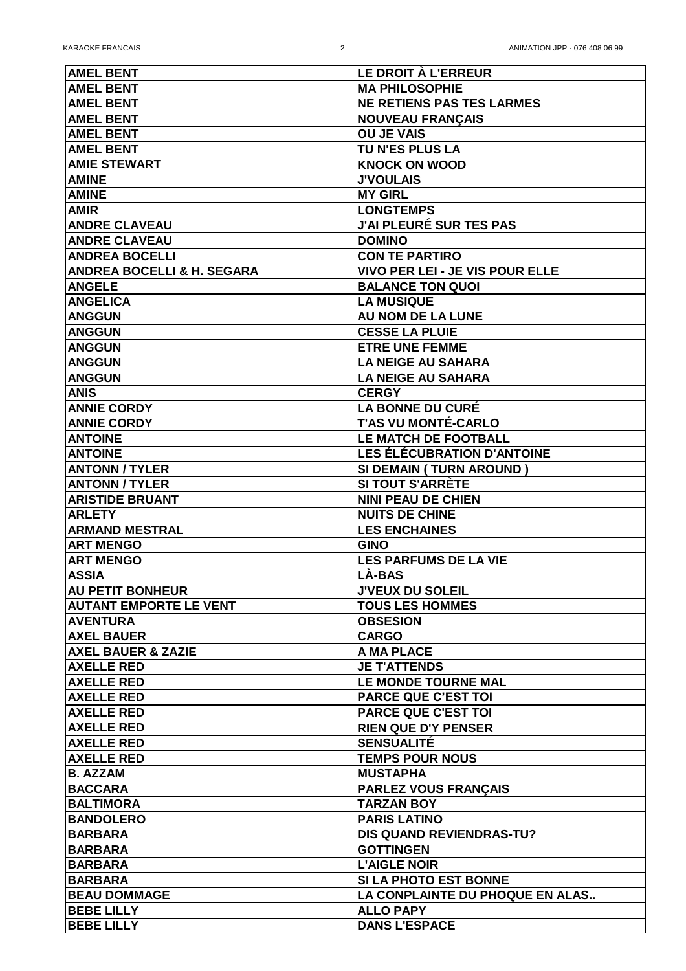| <b>AMEL BENT</b>                      | <b>LE DROIT À L'ERREUR</b>             |
|---------------------------------------|----------------------------------------|
| <b>AMEL BENT</b>                      | <b>MA PHILOSOPHIE</b>                  |
| <b>AMEL BENT</b>                      | <b>NE RETIENS PAS TES LARMES</b>       |
| <b>AMEL BENT</b>                      | <b>NOUVEAU FRANÇAIS</b>                |
| <b>AMEL BENT</b>                      | <b>OU JE VAIS</b>                      |
| <b>AMEL BENT</b>                      | <b>TU N'ES PLUS LA</b>                 |
| <b>AMIE STEWART</b>                   | <b>KNOCK ON WOOD</b>                   |
| <b>AMINE</b>                          | <b>J'VOULAIS</b>                       |
| <b>AMINE</b>                          | <b>MY GIRL</b>                         |
| <b>AMIR</b>                           | <b>LONGTEMPS</b>                       |
| <b>ANDRE CLAVEAU</b>                  | <b>J'AI PLEURÉ SUR TES PAS</b>         |
| <b>ANDRE CLAVEAU</b>                  | <b>DOMINO</b>                          |
| <b>ANDREA BOCELLI</b>                 | <b>CON TE PARTIRO</b>                  |
| <b>ANDREA BOCELLI &amp; H. SEGARA</b> | <b>VIVO PER LEI - JE VIS POUR ELLE</b> |
| <b>ANGELE</b>                         | <b>BALANCE TON QUOI</b>                |
| <b>ANGELICA</b>                       | <b>LA MUSIQUE</b>                      |
| <b>ANGGUN</b>                         | <b>AU NOM DE LA LUNE</b>               |
| <b>ANGGUN</b>                         | <b>CESSE LA PLUIE</b>                  |
| <b>ANGGUN</b>                         | <b>ETRE UNE FEMME</b>                  |
| <b>ANGGUN</b>                         | <b>LA NEIGE AU SAHARA</b>              |
| <b>ANGGUN</b>                         | <b>LA NEIGE AU SAHARA</b>              |
| <b>ANIS</b>                           | <b>CERGY</b>                           |
| <b>ANNIE CORDY</b>                    | LA BONNE DU CURÉ                       |
| <b>ANNIE CORDY</b>                    | <b>T'AS VU MONTÉ-CARLO</b>             |
| <b>ANTOINE</b>                        | LE MATCH DE FOOTBALL                   |
| <b>ANTOINE</b>                        | <b>LES ÉLÉCUBRATION D'ANTOINE</b>      |
| <b>ANTONN / TYLER</b>                 | SI DEMAIN (TURN AROUND)                |
| <b>ANTONN / TYLER</b>                 | <b>SI TOUT S'ARRÈTE</b>                |
| <b>ARISTIDE BRUANT</b>                | <b>NINI PEAU DE CHIEN</b>              |
| <b>ARLETY</b>                         | <b>NUITS DE CHINE</b>                  |
| <b>ARMAND MESTRAL</b>                 | <b>LES ENCHAINES</b>                   |
| <b>ART MENGO</b>                      | <b>GINO</b>                            |
| <b>ART MENGO</b>                      | <b>LES PARFUMS DE LA VIE</b>           |
| <b>ASSIA</b>                          | <b>LÀ-BAS</b>                          |
| <b>AU PETIT BONHEUR</b>               | <b>J'VEUX DU SOLEIL</b>                |
| <b>AUTANT EMPORTE LE VENT</b>         | <b>TOUS LES HOMMES</b>                 |
| <b>AVENTURA</b>                       | <b>OBSESION</b>                        |
| <b>AXEL BAUER</b>                     | <b>CARGO</b>                           |
| <b>AXEL BAUER &amp; ZAZIE</b>         | A MA PLACE                             |
| <b>AXELLE RED</b>                     | <b>JE T'ATTENDS</b>                    |
| <b>AXELLE RED</b>                     | LE MONDE TOURNE MAL                    |
| <b>AXELLE RED</b>                     | <b>PARCE QUE C'EST TOI</b>             |
| <b>AXELLE RED</b>                     | <b>PARCE QUE C'EST TOI</b>             |
| <b>AXELLE RED</b>                     | <b>RIEN QUE D'Y PENSER</b>             |
| <b>AXELLE RED</b>                     | <b>SENSUALITÉ</b>                      |
| <b>AXELLE RED</b>                     | <b>TEMPS POUR NOUS</b>                 |
| <b>B. AZZAM</b>                       | <b>MUSTAPHA</b>                        |
| <b>BACCARA</b>                        | <b>PARLEZ VOUS FRANÇAIS</b>            |
| <b>BALTIMORA</b>                      | <b>TARZAN BOY</b>                      |
| <b>BANDOLERO</b>                      | <b>PARIS LATINO</b>                    |
| <b>BARBARA</b>                        | <b>DIS QUAND REVIENDRAS-TU?</b>        |
| <b>BARBARA</b>                        | <b>GOTTINGEN</b>                       |
| <b>BARBARA</b>                        | <b>L'AIGLE NOIR</b>                    |
| <b>BARBARA</b>                        | <b>SI LA PHOTO EST BONNE</b>           |
| <b>BEAU DOMMAGE</b>                   | <b>LA CONPLAINTE DU PHOQUE EN ALAS</b> |
| <b>BEBE LILLY</b>                     | <b>ALLO PAPY</b>                       |
| <b>BEBE LILLY</b>                     | <b>DANS L'ESPACE</b>                   |
|                                       |                                        |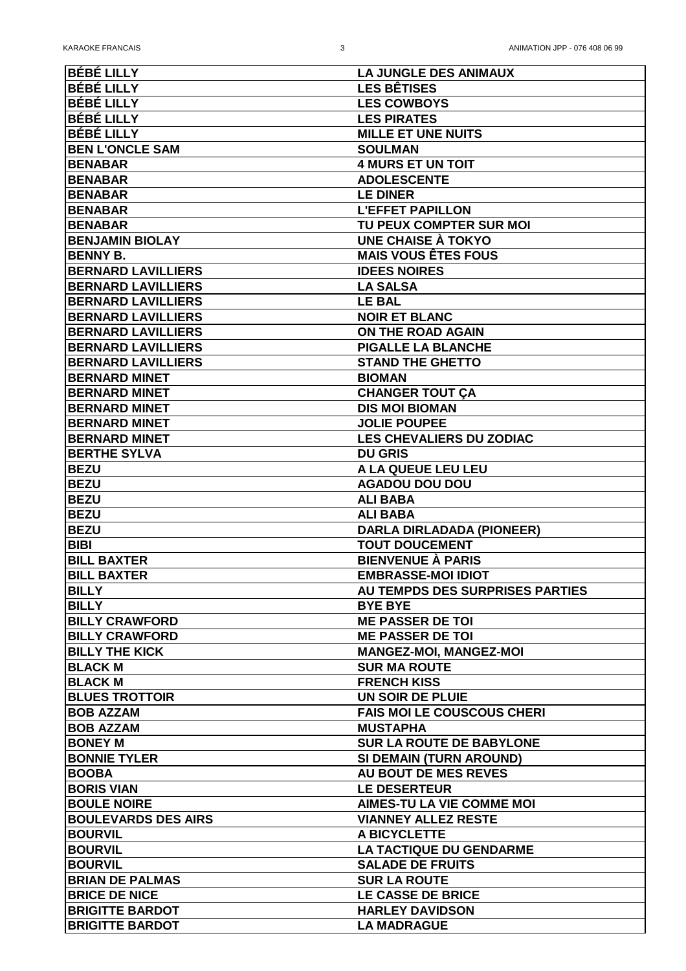| <b>BÉBÉ LILLY</b>          | <b>LA JUNGLE DES ANIMAUX</b>      |
|----------------------------|-----------------------------------|
| <b>BÉBÉ LILLY</b>          | <b>LES BÊTISES</b>                |
| <b>BÉBÉ LILLY</b>          | <b>LES COWBOYS</b>                |
| <b>BÉBÉ LILLY</b>          | <b>LES PIRATES</b>                |
| <b>BÉBÉ LILLY</b>          | <b>MILLE ET UNE NUITS</b>         |
| <b>BEN L'ONCLE SAM</b>     | <b>SOULMAN</b>                    |
| <b>BENABAR</b>             | <b>4 MURS ET UN TOIT</b>          |
| <b>BENABAR</b>             | <b>ADOLESCENTE</b>                |
| <b>BENABAR</b>             | <b>LE DINER</b>                   |
| <b>BENABAR</b>             | <b>L'EFFET PAPILLON</b>           |
| <b>BENABAR</b>             | TU PEUX COMPTER SUR MOI           |
| <b>BENJAMIN BIOLAY</b>     | UNE CHAISE À TOKYO                |
| <b>BENNY B.</b>            | <b>MAIS VOUS ÊTES FOUS</b>        |
| <b>BERNARD LAVILLIERS</b>  | <b>IDEES NOIRES</b>               |
| <b>BERNARD LAVILLIERS</b>  | <b>LA SALSA</b>                   |
| <b>BERNARD LAVILLIERS</b>  | <b>LE BAL</b>                     |
| <b>BERNARD LAVILLIERS</b>  | <b>NOIR ET BLANC</b>              |
| <b>BERNARD LAVILLIERS</b>  | <b>ON THE ROAD AGAIN</b>          |
| <b>BERNARD LAVILLIERS</b>  | <b>PIGALLE LA BLANCHE</b>         |
| <b>BERNARD LAVILLIERS</b>  | <b>STAND THE GHETTO</b>           |
| <b>BERNARD MINET</b>       | <b>BIOMAN</b>                     |
| <b>BERNARD MINET</b>       | <b>CHANGER TOUT ÇA</b>            |
| IBERNARD MINET             | <b>DIS MOI BIOMAN</b>             |
| <b>BERNARD MINET</b>       | <b>JOLIE POUPEE</b>               |
| <b>BERNARD MINET</b>       | <b>LES CHEVALIERS DU ZODIAC</b>   |
| <b>BERTHE SYLVA</b>        | <b>DU GRIS</b>                    |
| <b>BEZU</b>                | A LA QUEUE LEU LEU                |
| <b>BEZU</b>                | <b>AGADOU DOU DOU</b>             |
| <b>BEZU</b>                | <b>ALI BABA</b>                   |
| <b>BEZU</b>                | <b>ALI BABA</b>                   |
| <b>BEZU</b>                | DARLA DIRLADADA (PIONEER)         |
| <b>BIBI</b>                | <b>TOUT DOUCEMENT</b>             |
| <b>BILL BAXTER</b>         | <b>BIENVENUE À PARIS</b>          |
| <b>BILL BAXTER</b>         | <b>EMBRASSE-MOI IDIOT</b>         |
| <b>BILLY</b>               | AU TEMPDS DES SURPRISES PARTIES   |
| <b>BILLY</b>               | <b>BYE BYE</b>                    |
| <b>BILLY CRAWFORD</b>      | <b>ME PASSER DE TOI</b>           |
| <b>BILLY CRAWFORD</b>      | <b>ME PASSER DE TOI</b>           |
| <b>BILLY THE KICK</b>      | <b>MANGEZ-MOI, MANGEZ-MOI</b>     |
| <b>BLACK M</b>             | <b>SUR MA ROUTE</b>               |
| <b>BLACK M</b>             | <b>FRENCH KISS</b>                |
| <b>BLUES TROTTOIR</b>      | <b>UN SOIR DE PLUIE</b>           |
| <b>BOB AZZAM</b>           | <b>FAIS MOI LE COUSCOUS CHERI</b> |
| <b>BOB AZZAM</b>           | <b>MUSTAPHA</b>                   |
| <b>BONEY M</b>             | <b>SUR LA ROUTE DE BABYLONE</b>   |
| <b>BONNIE TYLER</b>        | <b>SI DEMAIN (TURN AROUND)</b>    |
| <b>BOOBA</b>               | <b>AU BOUT DE MES REVES</b>       |
| <b>BORIS VIAN</b>          | <b>LE DESERTEUR</b>               |
| <b>BOULE NOIRE</b>         | <b>AIMES-TU LA VIE COMME MOI</b>  |
| <b>BOULEVARDS DES AIRS</b> | <b>VIANNEY ALLEZ RESTE</b>        |
| <b>BOURVIL</b>             | A BICYCLETTE                      |
| <b>BOURVIL</b>             | <b>LA TACTIQUE DU GENDARME</b>    |
| <b>BOURVIL</b>             | <b>SALADE DE FRUITS</b>           |
| <b>BRIAN DE PALMAS</b>     | <b>SUR LA ROUTE</b>               |
| <b>BRICE DE NICE</b>       | LE CASSE DE BRICE                 |
| <b>BRIGITTE BARDOT</b>     | <b>HARLEY DAVIDSON</b>            |
| <b>BRIGITTE BARDOT</b>     | <b>LA MADRAGUE</b>                |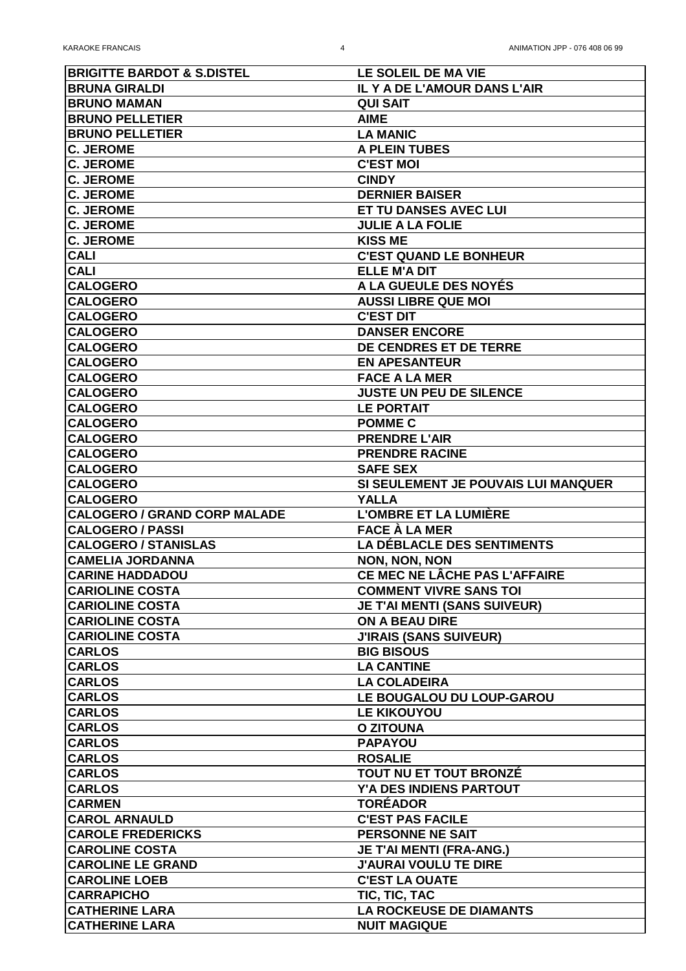| <b>BRIGITTE BARDOT &amp; S.DISTEL</b>          | LE SOLEIL DE MA VIE                                   |
|------------------------------------------------|-------------------------------------------------------|
| <b>BRUNA GIRALDI</b>                           | IL Y A DE L'AMOUR DANS L'AIR                          |
| <b>BRUNO MAMAN</b>                             | <b>QUI SAIT</b>                                       |
| <b>BRUNO PELLETIER</b>                         | <b>AIME</b>                                           |
| <b>BRUNO PELLETIER</b>                         | <b>LA MANIC</b>                                       |
| <b>C. JEROME</b>                               | <b>A PLEIN TUBES</b>                                  |
| <b>C. JEROME</b>                               | <b>C'EST MOI</b>                                      |
| <b>C. JEROME</b>                               | <b>CINDY</b>                                          |
| <b>C. JEROME</b>                               | <b>DERNIER BAISER</b>                                 |
| <b>C. JEROME</b>                               | ET TU DANSES AVEC LUI                                 |
| <b>C. JEROME</b>                               | <b>JULIE A LA FOLIE</b>                               |
| <b>C. JEROME</b>                               | <b>KISS ME</b>                                        |
| <b>CALI</b>                                    | <b>C'EST QUAND LE BONHEUR</b>                         |
| <b>CALI</b>                                    | <b>ELLE M'A DIT</b>                                   |
| <b>CALOGERO</b>                                | A LA GUEULE DES NOYES                                 |
| <b>CALOGERO</b>                                | <b>AUSSI LIBRE QUE MOI</b>                            |
| <b>CALOGERO</b>                                | <b>C'EST DIT</b>                                      |
| <b>CALOGERO</b>                                | <b>DANSER ENCORE</b>                                  |
| <b>CALOGERO</b>                                | DE CENDRES ET DE TERRE                                |
| <b>CALOGERO</b>                                | <b>EN APESANTEUR</b>                                  |
| <b>CALOGERO</b>                                | <b>FACE A LA MER</b>                                  |
| <b>CALOGERO</b>                                | <b>JUSTE UN PEU DE SILENCE</b>                        |
| <b>CALOGERO</b>                                | <b>LE PORTAIT</b>                                     |
| <b>CALOGERO</b>                                | <b>POMME C</b>                                        |
| <b>CALOGERO</b>                                | <b>PRENDRE L'AIR</b>                                  |
| <b>CALOGERO</b>                                | <b>PRENDRE RACINE</b>                                 |
| <b>CALOGERO</b>                                | <b>SAFE SEX</b>                                       |
| <b>CALOGERO</b>                                | SI SEULEMENT JE POUVAIS LUI MANQUER                   |
| <b>CALOGERO</b>                                | <b>YALLA</b>                                          |
|                                                |                                                       |
|                                                |                                                       |
| <b>CALOGERO / GRAND CORP MALADE</b>            | <b>L'OMBRE ET LA LUMIÈRE</b>                          |
| <b>CALOGERO / PASSI</b>                        | <b>FACE À LA MER</b>                                  |
| <b>CALOGERO / STANISLAS</b>                    | <b>LA DÉBLACLE DES SENTIMENTS</b>                     |
| <b>CAMELIA JORDANNA</b>                        | <b>NON, NON, NON</b>                                  |
| <b>CARINE HADDADOU</b>                         | CE MEC NE LÂCHE PAS L'AFFAIRE                         |
| <b>CARIOLINE COSTA</b>                         | <b>COMMENT VIVRE SANS TOI</b>                         |
| <b>CARIOLINE COSTA</b>                         | <b>JE T'AI MENTI (SANS SUIVEUR)</b>                   |
| <b>CARIOLINE COSTA</b>                         | <b>ON A BEAU DIRE</b>                                 |
| <b>CARIOLINE COSTA</b>                         | <b>J'IRAIS (SANS SUIVEUR)</b>                         |
| <b>CARLOS</b>                                  | <b>BIG BISOUS</b>                                     |
| <b>CARLOS</b>                                  | <b>LA CANTINE</b>                                     |
| <b>CARLOS</b>                                  | <b>LA COLADEIRA</b>                                   |
| <b>CARLOS</b>                                  | LE BOUGALOU DU LOUP-GAROU                             |
| <b>CARLOS</b>                                  | <b>LE KIKOUYOU</b>                                    |
| <b>CARLOS</b>                                  | <b>O ZITOUNA</b>                                      |
| <b>CARLOS</b>                                  | <b>PAPAYOU</b>                                        |
| <b>CARLOS</b>                                  | <b>ROSALIE</b>                                        |
| <b>CARLOS</b>                                  | <b>TOUT NU ET TOUT BRONZE</b>                         |
| <b>CARLOS</b>                                  | Y'A DES INDIENS PARTOUT                               |
| <b>CARMEN</b>                                  | <b>TORÉADOR</b>                                       |
| <b>CAROL ARNAULD</b>                           | <b>C'EST PAS FACILE</b>                               |
| <b>CAROLE FREDERICKS</b>                       | <b>PERSONNE NE SAIT</b>                               |
| <b>CAROLINE COSTA</b>                          | <b>JE T'AI MENTI (FRA-ANG.)</b>                       |
| <b>CAROLINE LE GRAND</b>                       | <b>J'AURAI VOULU TE DIRE</b>                          |
| <b>CAROLINE LOEB</b>                           | <b>C'EST LA OUATE</b>                                 |
| <b>CARRAPICHO</b>                              | TIC, TIC, TAC                                         |
| <b>CATHERINE LARA</b><br><b>CATHERINE LARA</b> | <b>LA ROCKEUSE DE DIAMANTS</b><br><b>NUIT MAGIQUE</b> |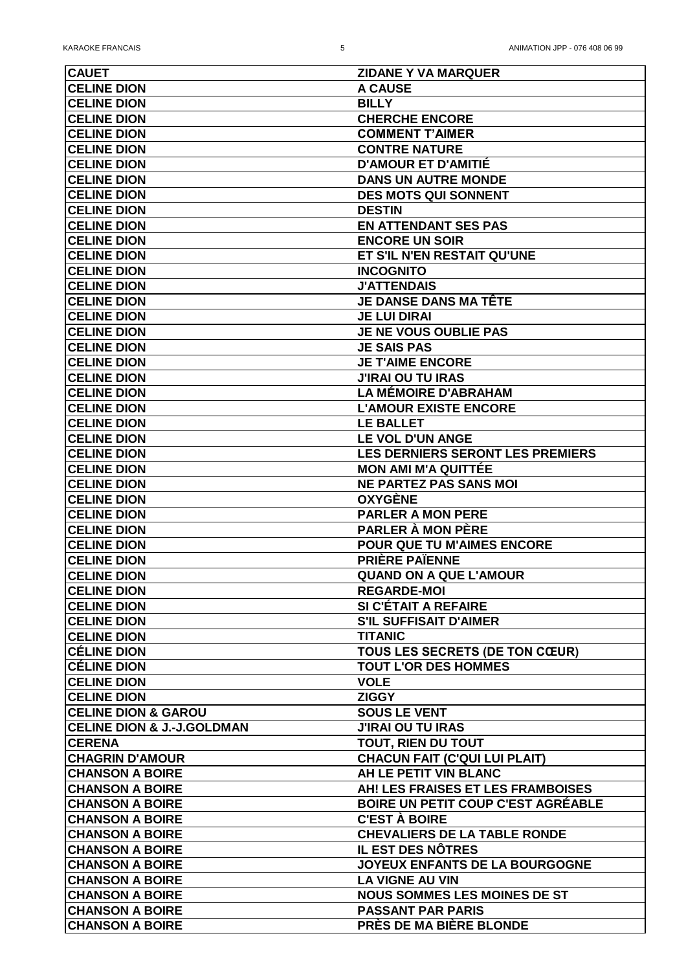| <b>CAUET</b>                             | <b>ZIDANE Y VA MARQUER</b>                |
|------------------------------------------|-------------------------------------------|
| <b>CELINE DION</b>                       | <b>A CAUSE</b>                            |
| <b>CELINE DION</b>                       | <b>BILLY</b>                              |
| <b>CELINE DION</b>                       | <b>CHERCHE ENCORE</b>                     |
| <b>CELINE DION</b>                       | <b>COMMENT T'AIMER</b>                    |
| <b>CELINE DION</b>                       | <b>CONTRE NATURE</b>                      |
| <b>CELINE DION</b>                       | <b>D'AMOUR ET D'AMITIÉ</b>                |
| <b>CELINE DION</b>                       | <b>DANS UN AUTRE MONDE</b>                |
| <b>CELINE DION</b>                       | <b>DES MOTS QUI SONNENT</b>               |
| <b>CELINE DION</b>                       | <b>DESTIN</b>                             |
| <b>CELINE DION</b>                       | <b>EN ATTENDANT SES PAS</b>               |
| <b>CELINE DION</b>                       | <b>ENCORE UN SOIR</b>                     |
| <b>CELINE DION</b>                       | ET S'IL N'EN RESTAIT QU'UNE               |
| <b>CELINE DION</b>                       | <b>INCOGNITO</b>                          |
| <b>CELINE DION</b>                       | <b>J'ATTENDAIS</b>                        |
| <b>CELINE DION</b>                       | <b>JE DANSE DANS MA TÊTE</b>              |
| <b>CELINE DION</b>                       | <b>JE LUI DIRAI</b>                       |
| <b>CELINE DION</b>                       | <b>JE NE VOUS OUBLIE PAS</b>              |
| <b>CELINE DION</b>                       | <b>JE SAIS PAS</b>                        |
| <b>CELINE DION</b>                       | <b>JE T'AIME ENCORE</b>                   |
| <b>CELINE DION</b>                       | <b>J'IRAI OU TU IRAS</b>                  |
| <b>CELINE DION</b>                       | <b>LA MÉMOIRE D'ABRAHAM</b>               |
| <b>CELINE DION</b>                       | <b>L'AMOUR EXISTE ENCORE</b>              |
| <b>CELINE DION</b>                       | <b>LE BALLET</b>                          |
| <b>CELINE DION</b>                       | <b>LE VOL D'UN ANGE</b>                   |
| <b>CELINE DION</b>                       | <b>LES DERNIERS SERONT LES PREMIERS</b>   |
| <b>CELINE DION</b>                       | <b>MON AMI M'A QUITTÉE</b>                |
| <b>CELINE DION</b>                       | <b>NE PARTEZ PAS SANS MOI</b>             |
| <b>CELINE DION</b>                       | <b>OXYGÈNE</b>                            |
| <b>CELINE DION</b>                       | <b>PARLER A MON PERE</b>                  |
| <b>CELINE DION</b>                       | <b>PARLER À MON PÈRE</b>                  |
| <b>CELINE DION</b>                       | <b>POUR QUE TU M'AIMES ENCORE</b>         |
| <b>CELINE DION</b>                       | <b>PRIÈRE PAÏENNE</b>                     |
| <b>CELINE DION</b>                       | <b>QUAND ON A QUE L'AMOUR</b>             |
| <b>CELINE DION</b>                       | <b>REGARDE-MOI</b>                        |
| <b>CELINE DION</b>                       | <b>SI C'ÉTAIT A REFAIRE</b>               |
| <b>CELINE DION</b>                       | <b>S'IL SUFFISAIT D'AIMER</b>             |
| <b>CELINE DION</b>                       | <b>TITANIC</b>                            |
| <b>CÉLINE DION</b>                       | <b>TOUS LES SECRETS (DE TON CŒUR)</b>     |
| <b>CÉLINE DION</b>                       | <b>TOUT L'OR DES HOMMES</b>               |
| <b>CELINE DION</b><br><b>CELINE DION</b> | <b>VOLE</b>                               |
| <b>CELINE DION &amp; GAROU</b>           | <b>ZIGGY</b><br><b>SOUS LE VENT</b>       |
| <b>CELINE DION &amp; J.-J.GOLDMAN</b>    | <b>J'IRAI OU TU IRAS</b>                  |
| <b>CERENA</b>                            | <b>TOUT, RIEN DU TOUT</b>                 |
| <b>CHAGRIN D'AMOUR</b>                   | <b>CHACUN FAIT (C'QUI LUI PLAIT)</b>      |
| <b>CHANSON A BOIRE</b>                   | AH LE PETIT VIN BLANC                     |
| <b>CHANSON A BOIRE</b>                   | AH! LES FRAISES ET LES FRAMBOISES         |
| <b>CHANSON A BOIRE</b>                   | <b>BOIRE UN PETIT COUP C'EST AGRÉABLE</b> |
| <b>CHANSON A BOIRE</b>                   | <b>C'EST À BOIRE</b>                      |
| <b>CHANSON A BOIRE</b>                   | <b>CHEVALIERS DE LA TABLE RONDE</b>       |
| <b>CHANSON A BOIRE</b>                   | <b>IL EST DES NOTRES</b>                  |
| <b>CHANSON A BOIRE</b>                   | <b>JOYEUX ENFANTS DE LA BOURGOGNE</b>     |
| <b>CHANSON A BOIRE</b>                   | <b>LA VIGNE AU VIN</b>                    |
| <b>CHANSON A BOIRE</b>                   | <b>NOUS SOMMES LES MOINES DE ST</b>       |
| <b>CHANSON A BOIRE</b>                   | <b>PASSANT PAR PARIS</b>                  |
| <b>CHANSON A BOIRE</b>                   | <b>PRÈS DE MA BIÈRE BLONDE</b>            |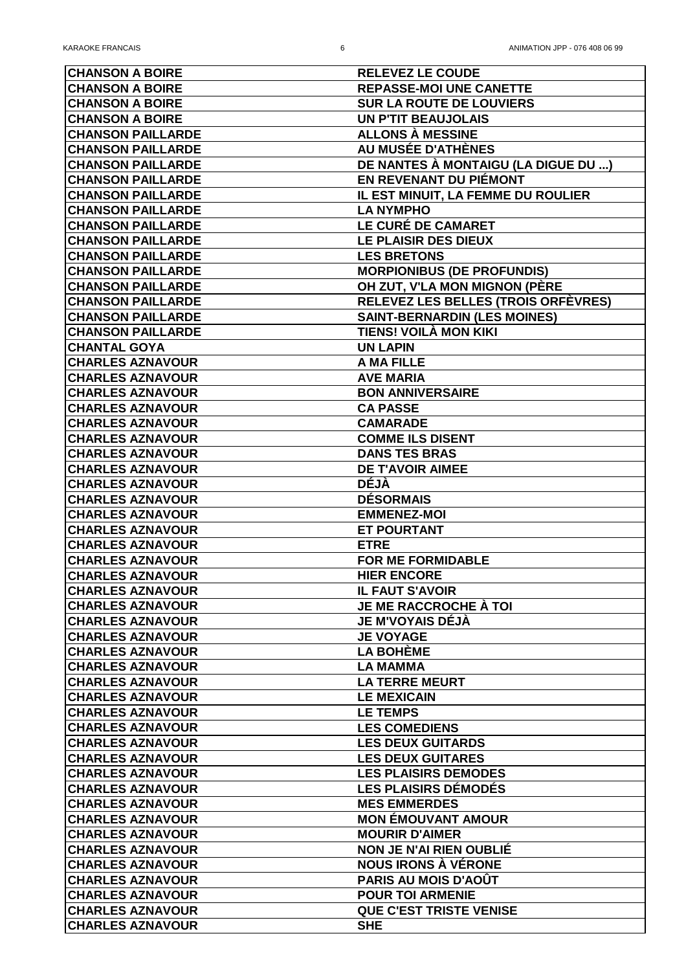| <b>CHANSON A BOIRE</b>   | <b>RELEVEZ LE COUDE</b>             |
|--------------------------|-------------------------------------|
| <b>CHANSON A BOIRE</b>   | <b>REPASSE-MOI UNE CANETTE</b>      |
| <b>CHANSON A BOIRE</b>   | <b>SUR LA ROUTE DE LOUVIERS</b>     |
| <b>CHANSON A BOIRE</b>   | <b>UN P'TIT BEAUJOLAIS</b>          |
| <b>CHANSON PAILLARDE</b> | <b>ALLONS À MESSINE</b>             |
| <b>CHANSON PAILLARDE</b> | <b>AU MUSÉE D'ATHÈNES</b>           |
| <b>CHANSON PAILLARDE</b> | DE NANTES À MONTAIGU (LA DIGUE DU ) |
| <b>CHANSON PAILLARDE</b> | EN REVENANT DU PIÉMONT              |
| <b>CHANSON PAILLARDE</b> | IL EST MINUIT, LA FEMME DU ROULIER  |
| <b>CHANSON PAILLARDE</b> | <b>LA NYMPHO</b>                    |
| <b>CHANSON PAILLARDE</b> | LE CURÉ DE CAMARET                  |
| <b>CHANSON PAILLARDE</b> | <b>LE PLAISIR DES DIEUX</b>         |
| <b>CHANSON PAILLARDE</b> | <b>LES BRETONS</b>                  |
| <b>CHANSON PAILLARDE</b> | <b>MORPIONIBUS (DE PROFUNDIS)</b>   |
| <b>CHANSON PAILLARDE</b> | OH ZUT, V'LA MON MIGNON (PÈRE       |
| <b>CHANSON PAILLARDE</b> | RELEVEZ LES BELLES (TROIS ORFÈVRES) |
| <b>CHANSON PAILLARDE</b> | <b>SAINT-BERNARDIN (LES MOINES)</b> |
| <b>CHANSON PAILLARDE</b> | TIENS! VOILÀ MON KIKI               |
| <b>CHANTAL GOYA</b>      | <b>UN LAPIN</b>                     |
| <b>CHARLES AZNAVOUR</b>  | <b>A MA FILLE</b>                   |
| <b>CHARLES AZNAVOUR</b>  | <b>AVE MARIA</b>                    |
| <b>CHARLES AZNAVOUR</b>  | <b>BON ANNIVERSAIRE</b>             |
|                          |                                     |
| <b> CHARLES AZNAVOUR</b> | <b>CA PASSE</b>                     |
| <b>CHARLES AZNAVOUR</b>  | <b>CAMARADE</b>                     |
| <b>CHARLES AZNAVOUR</b>  | <b>COMME ILS DISENT</b>             |
| <b>CHARLES AZNAVOUR</b>  | <b>DANS TES BRAS</b>                |
| <b>CHARLES AZNAVOUR</b>  | <b>DE T'AVOIR AIMEE</b>             |
| <b>CHARLES AZNAVOUR</b>  | <b>DÉJA</b>                         |
| <b>CHARLES AZNAVOUR</b>  | <b>DESORMAIS</b>                    |
| <b>CHARLES AZNAVOUR</b>  | <b>EMMENEZ-MOI</b>                  |
| <b>CHARLES AZNAVOUR</b>  | <b>ET POURTANT</b>                  |
| <b>CHARLES AZNAVOUR</b>  | <b>ETRE</b>                         |
| <b>CHARLES AZNAVOUR</b>  | <b>FOR ME FORMIDABLE</b>            |
| <b>CHARLES AZNAVOUR</b>  | <b>HIER ENCORE</b>                  |
| <b>CHARLES AZNAVOUR</b>  | <b>IL FAUT S'AVOIR</b>              |
| <b>CHARLES AZNAVOUR</b>  | <b>JE ME RACCROCHE À TOI</b>        |
| <b>CHARLES AZNAVOUR</b>  | <b>JE M'VOYAIS DÉJÀ</b>             |
| <b>CHARLES AZNAVOUR</b>  | <b>JE VOYAGE</b>                    |
| <b>CHARLES AZNAVOUR</b>  | <b>LA BOHÈME</b>                    |
| <b>CHARLES AZNAVOUR</b>  | <b>LA MAMMA</b>                     |
| <b>CHARLES AZNAVOUR</b>  | <b>LA TERRE MEURT</b>               |
| <b>CHARLES AZNAVOUR</b>  | <b>LE MEXICAIN</b>                  |
| <b>CHARLES AZNAVOUR</b>  | <b>LE TEMPS</b>                     |
| <b>CHARLES AZNAVOUR</b>  | <b>LES COMEDIENS</b>                |
| <b>CHARLES AZNAVOUR</b>  | <b>ES DEUX GUITARDS</b>             |
| <b>ICHARLES AZNAVOUR</b> | <b>LES DEUX GUITARES</b>            |
| <b>ICHARLES AZNAVOUR</b> | <b>LES PLAISIRS DEMODES</b>         |
| <b>CHARLES AZNAVOUR</b>  | <b>LES PLAISIRS DÉMODÉS</b>         |
| <b>CHARLES AZNAVOUR</b>  | <b>MES EMMERDES</b>                 |
| <b>CHARLES AZNAVOUR</b>  | <b>MON ÉMOUVANT AMOUR</b>           |
| <b>CHARLES AZNAVOUR</b>  | <b>MOURIR D'AIMER</b>               |
| <b>CHARLES AZNAVOUR</b>  | <b>NON JE N'AI RIEN OUBLIÉ</b>      |
| <b>CHARLES AZNAVOUR</b>  | <b>NOUS IRONS À VÉRONE</b>          |
| <b>CHARLES AZNAVOUR</b>  | <b>PARIS AU MOIS D'AOUT</b>         |
| <b>CHARLES AZNAVOUR</b>  | <b>POUR TOI ARMENIE</b>             |
| <b>CHARLES AZNAVOUR</b>  | <b>QUE C'EST TRISTE VENISE</b>      |
|                          |                                     |
| <b>CHARLES AZNAVOUR</b>  | <b>SHE</b>                          |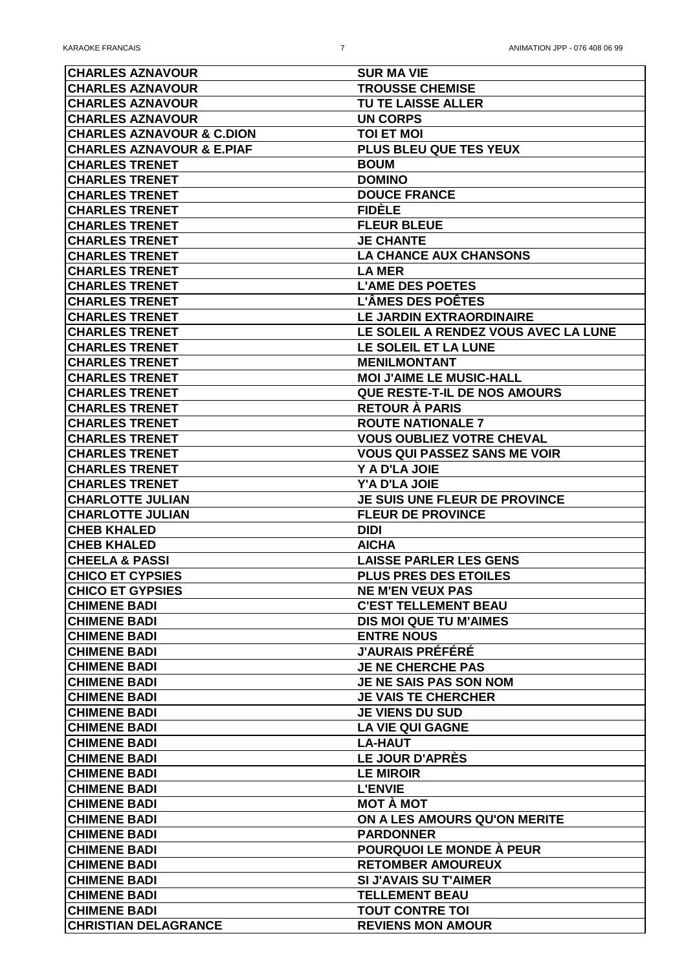| <b>CHARLES AZNAVOUR</b>                        | <b>SUR MA VIE</b>                                      |
|------------------------------------------------|--------------------------------------------------------|
| <b>CHARLES AZNAVOUR</b>                        | <b>TROUSSE CHEMISE</b>                                 |
| <b>CHARLES AZNAVOUR</b>                        | <b>TU TE LAISSE ALLER</b>                              |
| <b>CHARLES AZNAVOUR</b>                        | <b>UN CORPS</b>                                        |
| <b>CHARLES AZNAVOUR &amp; C.DION</b>           | <b>TOI ET MOI</b>                                      |
| <b>CHARLES AZNAVOUR &amp; E.PIAF</b>           | <b>PLUS BLEU QUE TES YEUX</b>                          |
| <b>CHARLES TRENET</b>                          | <b>BOUM</b>                                            |
| <b>CHARLES TRENET</b>                          | <b>DOMINO</b>                                          |
| <b>CHARLES TRENET</b>                          | <b>DOUCE FRANCE</b>                                    |
| <b>CHARLES TRENET</b>                          | <b>FIDÈLE</b>                                          |
| <b>CHARLES TRENET</b>                          | <b>FLEUR BLEUE</b>                                     |
| <b>CHARLES TRENET</b>                          | <b>JE CHANTE</b>                                       |
| <b>CHARLES TRENET</b>                          | <b>LA CHANCE AUX CHANSONS</b>                          |
| <b>CHARLES TRENET</b>                          | <b>LA MER</b>                                          |
| <b>CHARLES TRENET</b>                          | <b>L'AME DES POETES</b>                                |
| <b>CHARLES TRENET</b>                          | <b>L'ÂMES DES POÊTES</b>                               |
| <b>CHARLES TRENET</b>                          | LE JARDIN EXTRAORDINAIRE                               |
| <b>CHARLES TRENET</b>                          | LE SOLEIL A RENDEZ VOUS AVEC LA LUNE                   |
| <b>CHARLES TRENET</b>                          | LE SOLEIL ET LA LUNE                                   |
| <b>CHARLES TRENET</b>                          | <b>MENILMONTANT</b>                                    |
| <b>CHARLES TRENET</b>                          | <b>MOI J'AIME LE MUSIC-HALL</b>                        |
| <b>CHARLES TRENET</b>                          | <b>QUE RESTE-T-IL DE NOS AMOURS</b>                    |
| <b>CHARLES TRENET</b>                          | <b>RETOUR À PARIS</b>                                  |
| <b>CHARLES TRENET</b>                          | <b>ROUTE NATIONALE 7</b>                               |
| <b>CHARLES TRENET</b>                          | <b>VOUS OUBLIEZ VOTRE CHEVAL</b>                       |
| <b>CHARLES TRENET</b>                          | <b>VOUS QUI PASSEZ SANS ME VOIR</b>                    |
| <b>CHARLES TRENET</b>                          | Y A D'LA JOIE                                          |
| <b>CHARLES TRENET</b>                          | Y'A D'LA JOIE                                          |
| <b>CHARLOTTE JULIAN</b>                        | <b>JE SUIS UNE FLEUR DE PROVINCE</b>                   |
| <b>CHARLOTTE JULIAN</b>                        | <b>FLEUR DE PROVINCE</b>                               |
| <b>CHEB KHALED</b>                             | <b>DIDI</b>                                            |
| <b>CHEB KHALED</b>                             | <b>AICHA</b>                                           |
| <b>CHEELA &amp; PASSI</b>                      | <b>LAISSE PARLER LES GENS</b>                          |
| <b>CHICO ET CYPSIES</b>                        |                                                        |
|                                                | <b>PLUS PRES DES ETOILES</b>                           |
| <b>CHICO ET GYPSIES</b><br><b>CHIMENE BADI</b> | <b>NE M'EN VEUX PAS</b><br><b>C'EST TELLEMENT BEAU</b> |
| <b>CHIMENE BADI</b>                            | <b>DIS MOI QUE TU M'AIMES</b>                          |
|                                                |                                                        |
| <b>CHIMENE BADI</b><br><b>CHIMENE BADI</b>     | <b>ENTRE NOUS</b><br><b>J'AURAIS PRÉFÉRÉ</b>           |
| <b>CHIMENE BADI</b>                            |                                                        |
|                                                | <b>JE NE CHERCHE PAS</b>                               |
| <b>CHIMENE BADI</b>                            | <b>JE NE SAIS PAS SON NOM</b>                          |
| <b>CHIMENE BADI</b><br><b>CHIMENE BADI</b>     | <b>JE VAIS TE CHERCHER</b>                             |
|                                                | <b>JE VIENS DU SUD</b>                                 |
| <b>CHIMENE BADI</b>                            | <b>LA VIE QUI GAGNE</b>                                |
| <b>CHIMENE BADI</b>                            | <b>LA-HAUT</b>                                         |
| <b>CHIMENE BADI</b>                            | <b>LE JOUR D'APRÈS</b>                                 |
| <b>CHIMENE BADI</b>                            | <b>LE MIROIR</b>                                       |
| <b>CHIMENE BADI</b>                            | <b>L'ENVIE</b>                                         |
| <b>CHIMENE BADI</b>                            | <b>MOT À MOT</b>                                       |
| <b>CHIMENE BADI</b>                            | ON A LES AMOURS QU'ON MERITE                           |
| <b>CHIMENE BADI</b>                            | <b>PARDONNER</b>                                       |
| <b>CHIMENE BADI</b>                            | <b>POURQUOI LE MONDE À PEUR</b>                        |
| <b>CHIMENE BADI</b>                            | <b>RETOMBER AMOUREUX</b>                               |
| <b>CHIMENE BADI</b>                            | <b>SI J'AVAIS SU T'AIMER</b>                           |
| <b>CHIMENE BADI</b>                            | <b>TELLEMENT BEAU</b>                                  |
| <b>CHIMENE BADI</b>                            | <b>TOUT CONTRE TOI</b>                                 |
| <b>CHRISTIAN DELAGRANCE</b>                    | <b>REVIENS MON AMOUR</b>                               |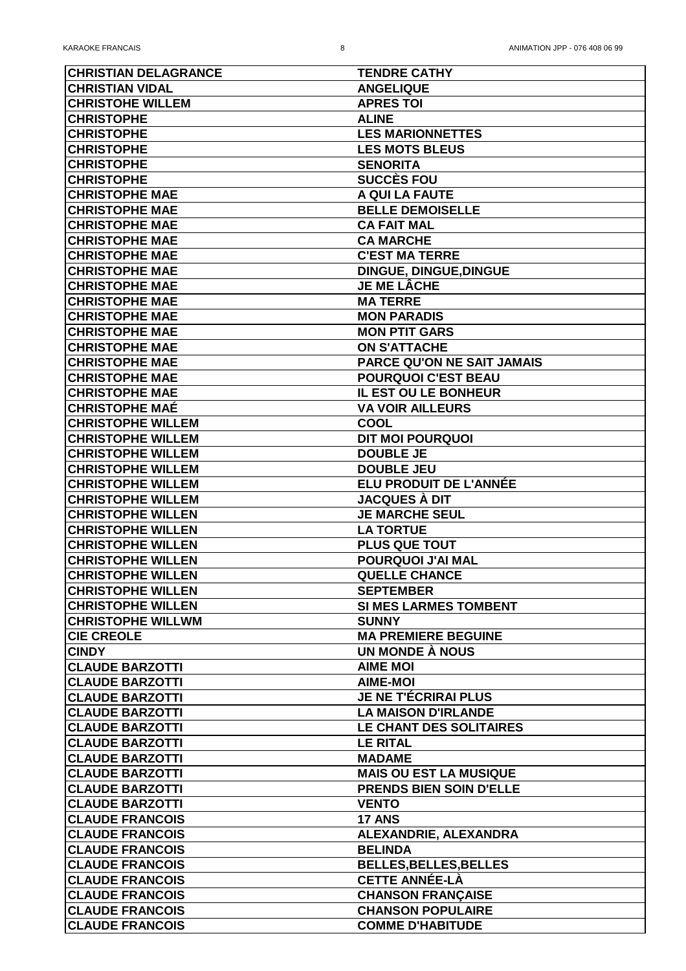| <b>CHRISTIAN DELAGRANCE</b>                      | <b>TENDRE CATHY</b>                            |
|--------------------------------------------------|------------------------------------------------|
| <b>CHRISTIAN VIDAL</b>                           | <b>ANGELIQUE</b>                               |
| <b>CHRISTOHE WILLEM</b>                          | <b>APRES TOI</b>                               |
| <b>CHRISTOPHE</b>                                | <b>ALINE</b>                                   |
| <b>CHRISTOPHE</b>                                | <b>LES MARIONNETTES</b>                        |
| <b>CHRISTOPHE</b>                                | <b>LES MOTS BLEUS</b>                          |
| <b>CHRISTOPHE</b>                                | <b>SENORITA</b>                                |
| <b>CHRISTOPHE</b>                                | <b>SUCCES FOU</b>                              |
| <b>CHRISTOPHE MAE</b>                            | A QUI LA FAUTE                                 |
| <b>CHRISTOPHE MAE</b>                            | <b>BELLE DEMOISELLE</b>                        |
| <b>CHRISTOPHE MAE</b>                            | <b>CA FAIT MAL</b>                             |
| <b>CHRISTOPHE MAE</b>                            | <b>CA MARCHE</b>                               |
| <b>CHRISTOPHE MAE</b>                            | <b>C'EST MA TERRE</b>                          |
| <b>CHRISTOPHE MAE</b>                            | <b>DINGUE, DINGUE, DINGUE</b>                  |
| <b>CHRISTOPHE MAE</b>                            | <b>JE ME LÂCHE</b>                             |
| <b>CHRISTOPHE MAE</b>                            | <b>MATERRE</b>                                 |
| <b>CHRISTOPHE MAE</b>                            | <b>MON PARADIS</b>                             |
| <b>CHRISTOPHE MAE</b>                            | <b>MON PTIT GARS</b>                           |
| <b>CHRISTOPHE MAE</b>                            | <b>ON S'ATTACHE</b>                            |
| <b>CHRISTOPHE MAE</b>                            | <b>PARCE QU'ON NE SAIT JAMAIS</b>              |
| <b>CHRISTOPHE MAE</b>                            | <b>POURQUOI C'EST BEAU</b>                     |
| <b>CHRISTOPHE MAE</b>                            | <b>IL EST OU LE BONHEUR</b>                    |
| <b> CHRISTOPHE MAE</b>                           | <b>VA VOIR AILLEURS</b>                        |
| <b>CHRISTOPHE WILLEM</b>                         | <b>COOL</b>                                    |
| <b>CHRISTOPHE WILLEM</b>                         | <b>DIT MOI POURQUOI</b>                        |
| <b>CHRISTOPHE WILLEM</b>                         | <b>DOUBLE JE</b>                               |
| <b>CHRISTOPHE WILLEM</b>                         | <b>DOUBLE JEU</b>                              |
| <b>CHRISTOPHE WILLEM</b>                         | ELU PRODUIT DE L'ANNÉE                         |
| <b>CHRISTOPHE WILLEM</b>                         | <b>JACQUES À DIT</b>                           |
| <b>CHRISTOPHE WILLEN</b>                         | <b>JE MARCHE SEUL</b>                          |
| <b>CHRISTOPHE WILLEN</b>                         | <b>LA TORTUE</b>                               |
| <b>CHRISTOPHE WILLEN</b>                         | <b>PLUS QUE TOUT</b>                           |
| <b>CHRISTOPHE WILLEN</b>                         | <b>POURQUOI J'AI MAL</b>                       |
| <b>CHRISTOPHE WILLEN</b>                         | <b>QUELLE CHANCE</b>                           |
| <b>CHRISTOPHE WILLEN</b>                         | <b>SEPTEMBER</b>                               |
| <b>CHRISTOPHE WILLEN</b>                         | <b>SI MES LARMES TOMBENT</b>                   |
| <b>CHRISTOPHE WILLWM</b>                         | <b>SUNNY</b>                                   |
| <b>CIE CREOLE</b>                                | <b>MA PREMIERE BEGUINE</b>                     |
| <b>CINDY</b>                                     | UN MONDE À NOUS                                |
| <b>CLAUDE BARZOTTI</b>                           | <b>AIME MOI</b>                                |
| <b>CLAUDE BARZOTTI</b><br><b>CLAUDE BARZOTTI</b> | <b>AIME-MOI</b><br><b>JE NE T'ÉCRIRAI PLUS</b> |
| <b>CLAUDE BARZOTTI</b>                           | <b>LA MAISON D'IRLANDE</b>                     |
| <b>CLAUDE BARZOTTI</b>                           | <b>LE CHANT DES SOLITAIRES</b>                 |
| <b>CLAUDE BARZOTTI</b>                           | <b>LE RITAL</b>                                |
| <b>CLAUDE BARZOTTI</b>                           | <b>MADAME</b>                                  |
| <b>CLAUDE BARZOTTI</b>                           | <b>MAIS OU EST LA MUSIQUE</b>                  |
| <b>CLAUDE BARZOTTI</b>                           | <b>PRENDS BIEN SOIN D'ELLE</b>                 |
| <b>CLAUDE BARZOTTI</b>                           | <b>VENTO</b>                                   |
| <b>CLAUDE FRANCOIS</b>                           | <b>17 ANS</b>                                  |
| <b>CLAUDE FRANCOIS</b>                           | ALEXANDRIE, ALEXANDRA                          |
| <b>CLAUDE FRANCOIS</b>                           | <b>BELINDA</b>                                 |
| <b>CLAUDE FRANCOIS</b>                           | <b>BELLES, BELLES, BELLES</b>                  |
| <b>CLAUDE FRANCOIS</b>                           | <b>CETTE ANNÉE-LÀ</b>                          |
| <b>CLAUDE FRANCOIS</b>                           | <b>CHANSON FRANÇAISE</b>                       |
| <b>CLAUDE FRANCOIS</b>                           | <b>CHANSON POPULAIRE</b>                       |
| <b>CLAUDE FRANCOIS</b>                           | <b>COMME D'HABITUDE</b>                        |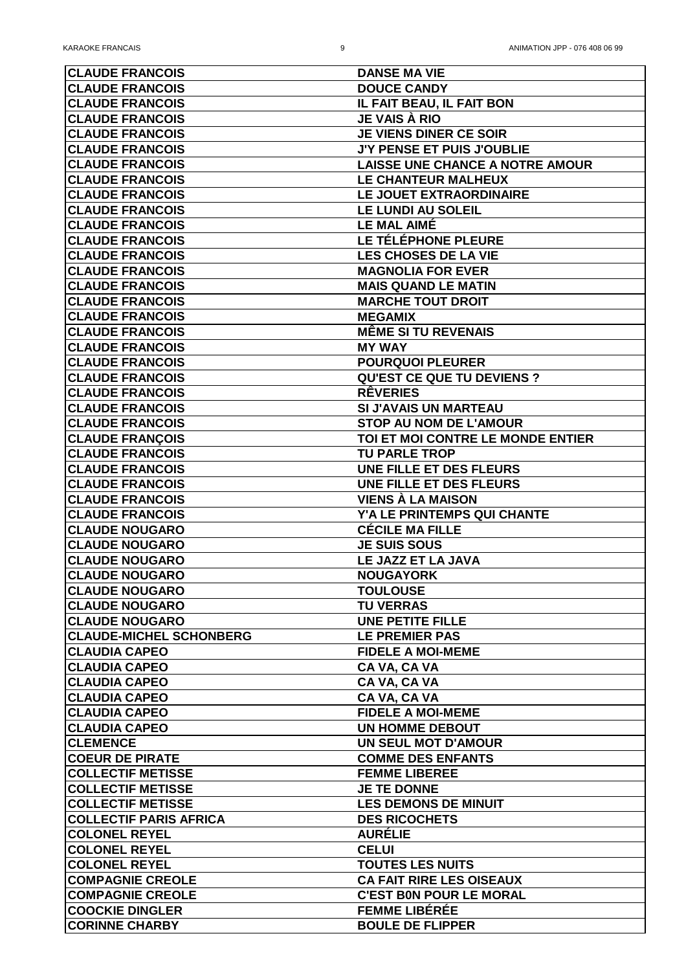| <b>CLAUDE FRANCOIS</b>         | <b>DANSE MA VIE</b>                    |
|--------------------------------|----------------------------------------|
| <b>CLAUDE FRANCOIS</b>         | <b>DOUCE CANDY</b>                     |
| <b>CLAUDE FRANCOIS</b>         | IL FAIT BEAU, IL FAIT BON              |
| <b>CLAUDE FRANCOIS</b>         | <b>JE VAIS À RIO</b>                   |
| <b>CLAUDE FRANCOIS</b>         | <b>JE VIENS DINER CE SOIR</b>          |
| <b>CLAUDE FRANCOIS</b>         | J'Y PENSE ET PUIS J'OUBLIE             |
| <b>CLAUDE FRANCOIS</b>         | <b>LAISSE UNE CHANCE A NOTRE AMOUR</b> |
| <b>CLAUDE FRANCOIS</b>         | <b>LE CHANTEUR MALHEUX</b>             |
| <b>CLAUDE FRANCOIS</b>         | LE JOUET EXTRAORDINAIRE                |
| <b>CLAUDE FRANCOIS</b>         | LE LUNDI AU SOLEIL                     |
| <b>CLAUDE FRANCOIS</b>         | <b>LE MAL AIMÉ</b>                     |
| <b>CLAUDE FRANCOIS</b>         | LE TÉLÉPHONE PLEURE                    |
| <b>CLAUDE FRANCOIS</b>         | <b>LES CHOSES DE LA VIE</b>            |
| <b>CLAUDE FRANCOIS</b>         | <b>MAGNOLIA FOR EVER</b>               |
| <b>CLAUDE FRANCOIS</b>         |                                        |
|                                | <b>MAIS QUAND LE MATIN</b>             |
| <b>CLAUDE FRANCOIS</b>         | <b>MARCHE TOUT DROIT</b>               |
| <b>CLAUDE FRANCOIS</b>         | <b>MEGAMIX</b>                         |
| <b>CLAUDE FRANCOIS</b>         | <b>MÊME SI TU REVENAIS</b>             |
| <b>CLAUDE FRANCOIS</b>         | <b>MY WAY</b>                          |
| <b>CLAUDE FRANCOIS</b>         | <b>POURQUOI PLEURER</b>                |
| <b>CLAUDE FRANCOIS</b>         | <b>QU'EST CE QUE TU DEVIENS ?</b>      |
| <b>CLAUDE FRANCOIS</b>         | <b>REVERIES</b>                        |
| <b>CLAUDE FRANCOIS</b>         | <b>SI J'AVAIS UN MARTEAU</b>           |
| <b>CLAUDE FRANCOIS</b>         | <b>STOP AU NOM DE L'AMOUR</b>          |
| <b>CLAUDE FRANÇOIS</b>         | TOI ET MOI CONTRE LE MONDE ENTIER      |
| <b>CLAUDE FRANCOIS</b>         | <b>TU PARLE TROP</b>                   |
| <b>CLAUDE FRANCOIS</b>         | UNE FILLE ET DES FLEURS                |
| <b>CLAUDE FRANCOIS</b>         | UNE FILLE ET DES FLEURS                |
| <b>CLAUDE FRANCOIS</b>         | <b>VIENS À LA MAISON</b>               |
| <b>CLAUDE FRANCOIS</b>         | <b>Y'A LE PRINTEMPS QUI CHANTE</b>     |
| <b>CLAUDE NOUGARO</b>          | <b>CÉCILE MA FILLE</b>                 |
| <b>CLAUDE NOUGARO</b>          | <b>JE SUIS SOUS</b>                    |
| <b>CLAUDE NOUGARO</b>          | LE JAZZ ET LA JAVA                     |
| <b>CLAUDE NOUGARO</b>          | <b>NOUGAYORK</b>                       |
| <b>CLAUDE NOUGARO</b>          | <b>TOULOUSE</b>                        |
| <b>CLAUDE NOUGARO</b>          | <b>TU VERRAS</b>                       |
| <b>CLAUDE NOUGARO</b>          | <b>UNE PETITE FILLE</b>                |
| <b>CLAUDE-MICHEL SCHONBERG</b> | <b>LE PREMIER PAS</b>                  |
| <b>CLAUDIA CAPEO</b>           | <b>FIDELE A MOI-MEME</b>               |
| <b>CLAUDIA CAPEO</b>           | CA VA, CA VA                           |
| <b>CLAUDIA CAPEO</b>           | CA VA, CA VA                           |
| <b>CLAUDIA CAPEO</b>           | CA VA, CA VA                           |
| <b>CLAUDIA CAPEO</b>           | <b>FIDELE A MOI-MEME</b>               |
| <b>CLAUDIA CAPEO</b>           | <b>UN HOMME DEBOUT</b>                 |
| <b>CLEMENCE</b>                | <b>UN SEUL MOT D'AMOUR</b>             |
| <b>ICOEUR DE PIRATE</b>        | <b>COMME DES ENFANTS</b>               |
| <b>COLLECTIF METISSE</b>       | <b>FEMME LIBEREE</b>                   |
| <b>COLLECTIF METISSE</b>       | <b>JE TE DONNE</b>                     |
| <b>COLLECTIF METISSE</b>       | <b>LES DEMONS DE MINUIT</b>            |
| <b>COLLECTIF PARIS AFRICA</b>  | <b>DES RICOCHETS</b>                   |
| <b>COLONEL REYEL</b>           | <b>AURÉLIE</b>                         |
| <b>COLONEL REYEL</b>           | <b>CELUI</b>                           |
| <b>COLONEL REYEL</b>           | <b>TOUTES LES NUITS</b>                |
| <b>COMPAGNIE CREOLE</b>        | <b>CA FAIT RIRE LES OISEAUX</b>        |
| <b>COMPAGNIE CREOLE</b>        | <b>C'EST BON POUR LE MORAL</b>         |
| <b>COOCKIE DINGLER</b>         | <b>FEMME LIBÉRÉE</b>                   |
| <b>CORINNE CHARBY</b>          | <b>BOULE DE FLIPPER</b>                |
|                                |                                        |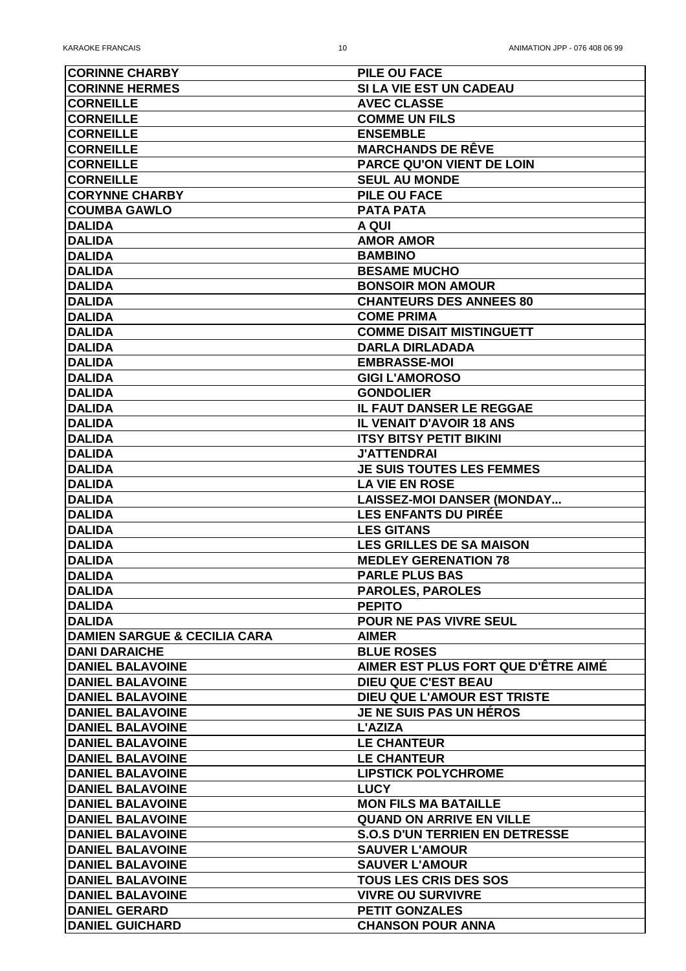| <b>CORINNE CHARBY</b>                              | <b>PILE OU FACE</b>                                   |
|----------------------------------------------------|-------------------------------------------------------|
| <b>CORINNE HERMES</b>                              | SI LA VIE EST UN CADEAU                               |
| <b>CORNEILLE</b>                                   | <b>AVEC CLASSE</b>                                    |
| <b>CORNEILLE</b>                                   | <b>COMME UN FILS</b>                                  |
| <b>CORNEILLE</b>                                   | <b>ENSEMBLE</b>                                       |
| <b>CORNEILLE</b>                                   | <b>MARCHANDS DE RÊVE</b>                              |
| <b>CORNEILLE</b>                                   | <b>PARCE QU'ON VIENT DE LOIN</b>                      |
| <b>CORNEILLE</b>                                   | <b>SEUL AU MONDE</b>                                  |
| <b>CORYNNE CHARBY</b>                              | PILE OU FACE                                          |
| <b>COUMBA GAWLO</b>                                | <b>PATA PATA</b>                                      |
| <b>DALIDA</b>                                      | A QUI                                                 |
| <b>DALIDA</b>                                      | <b>AMOR AMOR</b>                                      |
| <b>DALIDA</b>                                      | <b>BAMBINO</b>                                        |
| <b>DALIDA</b>                                      | <b>BESAME MUCHO</b>                                   |
| <b>DALIDA</b>                                      | <b>BONSOIR MON AMOUR</b>                              |
| <b>DALIDA</b>                                      | <b>CHANTEURS DES ANNEES 80</b>                        |
| <b>DALIDA</b>                                      | <b>COME PRIMA</b>                                     |
| <b>DALIDA</b>                                      | <b>COMME DISAIT MISTINGUETT</b>                       |
| <b>DALIDA</b>                                      | <b>DARLA DIRLADADA</b>                                |
| <b>DALIDA</b>                                      | <b>EMBRASSE-MOI</b>                                   |
| <b>DALIDA</b>                                      | <b>GIGI L'AMOROSO</b>                                 |
| <b>DALIDA</b>                                      | <b>GONDOLIER</b>                                      |
| <b>DALIDA</b>                                      | <b>IL FAUT DANSER LE REGGAE</b>                       |
| <b>DALIDA</b>                                      | <b>IL VENAIT D'AVOIR 18 ANS</b>                       |
| <b>DALIDA</b>                                      | <b>ITSY BITSY PETIT BIKINI</b>                        |
| <b>DALIDA</b>                                      | <b>J'ATTENDRAI</b>                                    |
| <b>DALIDA</b>                                      | <b>JE SUIS TOUTES LES FEMMES</b>                      |
| <b>DALIDA</b>                                      | <b>LA VIE EN ROSE</b>                                 |
| <b>DALIDA</b>                                      | <b>LAISSEZ-MOI DANSER (MONDAY</b>                     |
| <b>DALIDA</b>                                      | <b>LES ENFANTS DU PIRÉE</b>                           |
| <b>DALIDA</b>                                      | <b>LES GITANS</b>                                     |
| <b>DALIDA</b>                                      | <b>LES GRILLES DE SA MAISON</b>                       |
| <b>DALIDA</b>                                      | <b>MEDLEY GERENATION 78</b>                           |
| <b>DALIDA</b>                                      | <b>PARLE PLUS BAS</b>                                 |
| <b>DALIDA</b>                                      | <b>PAROLES, PAROLES</b>                               |
| <b>DALIDA</b>                                      | <b>PEPITO</b>                                         |
| <b>DALIDA</b>                                      | <b>POUR NE PAS VIVRE SEUL</b>                         |
| <b>DAMIEN SARGUE &amp; CECILIA CARA</b>            | <b>AIMER</b>                                          |
| <b>DANI DARAICHE</b>                               | <b>BLUE ROSES</b>                                     |
| <b>DANIEL BALAVOINE</b>                            | AIMER EST PLUS FORT QUE D'ÊTRE AIMÉ                   |
| <b>DANIEL BALAVOINE</b>                            | <b>DIEU QUE C'EST BEAU</b>                            |
| <b>DANIEL BALAVOINE</b>                            | <b>DIEU QUE L'AMOUR EST TRISTE</b>                    |
| <b>DANIEL BALAVOINE</b>                            | <b>JE NE SUIS PAS UN HÉROS</b>                        |
| <b>DANIEL BALAVOINE</b>                            | L'AZIZA                                               |
| <b>DANIEL BALAVOINE</b>                            | <b>LE CHANTEUR</b>                                    |
| <b>DANIEL BALAVOINE</b>                            | <b>LE CHANTEUR</b>                                    |
| <b>DANIEL BALAVOINE</b>                            | <b>LIPSTICK POLYCHROME</b>                            |
| <b>DANIEL BALAVOINE</b>                            | <b>LUCY</b>                                           |
| <b>DANIEL BALAVOINE</b>                            | <b>MON FILS MA BATAILLE</b>                           |
| <b>DANIEL BALAVOINE</b>                            | <b>QUAND ON ARRIVE EN VILLE</b>                       |
| <b>DANIEL BALAVOINE</b>                            | <b>S.O.S D'UN TERRIEN EN DETRESSE</b>                 |
| <b>DANIEL BALAVOINE</b>                            |                                                       |
|                                                    | <b>SAUVER L'AMOUR</b>                                 |
| <b>DANIEL BALAVOINE</b><br><b>DANIEL BALAVOINE</b> | <b>SAUVER L'AMOUR</b><br><b>TOUS LES CRIS DES SOS</b> |
|                                                    |                                                       |
| <b>DANIEL BALAVOINE</b>                            | <b>VIVRE OU SURVIVRE</b>                              |
| <b>DANIEL GERARD</b>                               | <b>PETIT GONZALES</b>                                 |
| <b>DANIEL GUICHARD</b>                             | <b>CHANSON POUR ANNA</b>                              |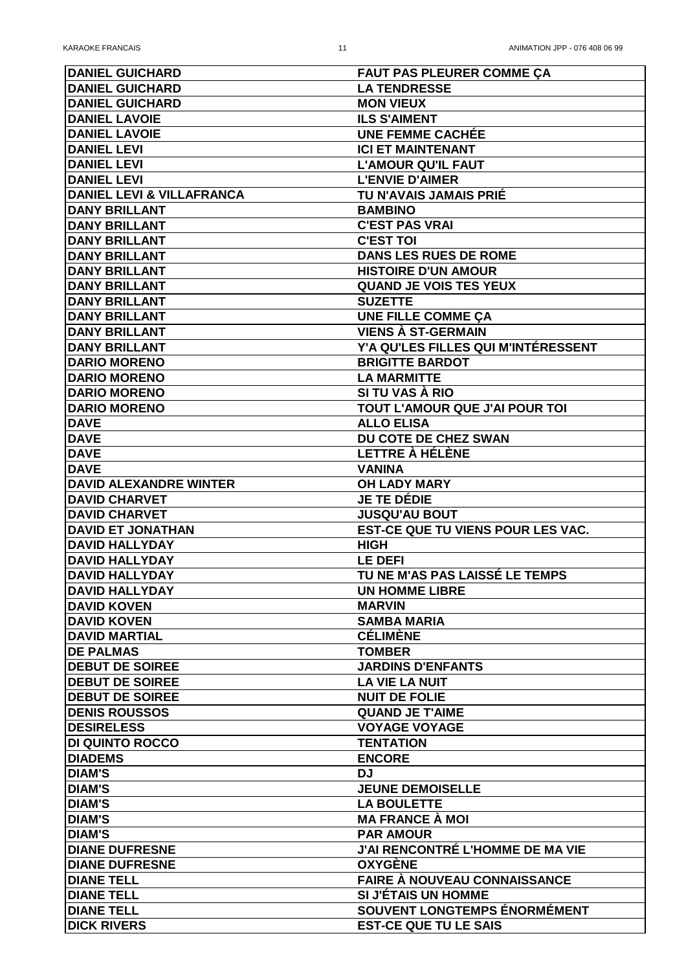| <b>DANIEL GUICHARD</b>               | <b>FAUT PAS PLEURER COMME ÇA</b>           |
|--------------------------------------|--------------------------------------------|
| <b>DANIEL GUICHARD</b>               | <b>LA TENDRESSE</b>                        |
| <b>DANIEL GUICHARD</b>               | <b>MON VIEUX</b>                           |
| <b>DANIEL LAVOIE</b>                 | <b>ILS S'AIMENT</b>                        |
| <b>DANIEL LAVOIE</b>                 | <b>UNE FEMME CACHÉE</b>                    |
| <b>DANIEL LEVI</b>                   | <b>ICI ET MAINTENANT</b>                   |
| <b>DANIEL LEVI</b>                   | <b>L'AMOUR QU'IL FAUT</b>                  |
| <b>DANIEL LEVI</b>                   | <b>L'ENVIE D'AIMER</b>                     |
| <b>DANIEL LEVI &amp; VILLAFRANCA</b> | TU N'AVAIS JAMAIS PRIÉ                     |
| <b>DANY BRILLANT</b>                 | <b>BAMBINO</b>                             |
| <b>DANY BRILLANT</b>                 | <b>C'EST PAS VRAI</b>                      |
| <b>DANY BRILLANT</b>                 | <b>C'EST TOI</b>                           |
| <b>DANY BRILLANT</b>                 | <b>DANS LES RUES DE ROME</b>               |
| <b>DANY BRILLANT</b>                 | <b>HISTOIRE D'UN AMOUR</b>                 |
| <b>DANY BRILLANT</b>                 | <b>QUAND JE VOIS TES YEUX</b>              |
| <b>DANY BRILLANT</b>                 | <b>SUZETTE</b>                             |
| <b>DANY BRILLANT</b>                 | UNE FILLE COMME ÇA                         |
| <b>DANY BRILLANT</b>                 | <b>VIENS À ST-GERMAIN</b>                  |
| <b>DANY BRILLANT</b>                 | <b>Y'A QU'LES FILLES QUI M'INTÉRESSENT</b> |
| <b>DARIO MORENO</b>                  | <b>BRIGITTE BARDOT</b>                     |
| <b>DARIO MORENO</b>                  | <b>LA MARMITTE</b>                         |
| <b>DARIO MORENO</b>                  | SI TU VAS À RIO                            |
| <b>DARIO MORENO</b>                  | <b>TOUT L'AMOUR QUE J'AI POUR TOI</b>      |
| <b>DAVE</b>                          | <b>ALLO ELISA</b>                          |
| <b>DAVE</b>                          | DU COTE DE CHEZ SWAN                       |
| <b>DAVE</b>                          | LETTRE À HÉLÈNE                            |
| <b>DAVE</b>                          | <b>VANINA</b>                              |
| <b>DAVID ALEXANDRE WINTER</b>        | <b>OH LADY MARY</b>                        |
| <b>DAVID CHARVET</b>                 | <b>JE TE DÉDIE</b>                         |
| <b>DAVID CHARVET</b>                 | <b>JUSQU'AU BOUT</b>                       |
| <b>DAVID ET JONATHAN</b>             | <b>EST-CE QUE TU VIENS POUR LES VAC.</b>   |
| <b>DAVID HALLYDAY</b>                | <b>HIGH</b>                                |
| <b>DAVID HALLYDAY</b>                | <b>LE DEFI</b>                             |
| <b>DAVID HALLYDAY</b>                | TU NE M'AS PAS LAISSÉ LE TEMPS             |
| <b>DAVID HALLYDAY</b>                | <b>UN HOMME LIBRE</b>                      |
| <b>DAVID KOVEN</b>                   | <b>MARVIN</b>                              |
| <b>DAVID KOVEN</b>                   | <b>SAMBA MARIA</b>                         |
| <b>DAVID MARTIAL</b>                 | <b>CÉLIMÈNE</b>                            |
| <b>DE PALMAS</b>                     | <b>TOMBER</b>                              |
| <b>DEBUT DE SOIREE</b>               | <b>JARDINS D'ENFANTS</b>                   |
| <b>DEBUT DE SOIREE</b>               | <b>LA VIE LA NUIT</b>                      |
| <b>DEBUT DE SOIREE</b>               | <b>NUIT DE FOLIE</b>                       |
| <b>DENIS ROUSSOS</b>                 | <b>QUAND JE T'AIME</b>                     |
| <b>DESIRELESS</b>                    | <b>VOYAGE VOYAGE</b>                       |
| <b>DI QUINTO ROCCO</b>               | <b>TENTATION</b>                           |
| <b>DIADEMS</b>                       | <b>ENCORE</b>                              |
| <b>DIAM'S</b>                        | <b>DJ</b>                                  |
| <b>DIAM'S</b>                        | <b>JEUNE DEMOISELLE</b>                    |
| <b>DIAM'S</b>                        | <b>LA BOULETTE</b>                         |
| <b>DIAM'S</b>                        | <b>MA FRANCE À MOI</b>                     |
| <b>DIAM'S</b>                        | <b>PAR AMOUR</b>                           |
| <b>DIANE DUFRESNE</b>                | <b>J'AI RENCONTRÉ L'HOMME DE MA VIE</b>    |
| <b>DIANE DUFRESNE</b>                | <b>OXYGÈNE</b>                             |
| <b>DIANE TELL</b>                    | <b>FAIRE À NOUVEAU CONNAISSANCE</b>        |
| <b>DIANE TELL</b>                    | SI J'ÉTAIS UN HOMME                        |
| <b>DIANE TELL</b>                    | <b>SOUVENT LONGTEMPS ENORMEMENT</b>        |
| <b>DICK RIVERS</b>                   | <b>EST-CE QUE TU LE SAIS</b>               |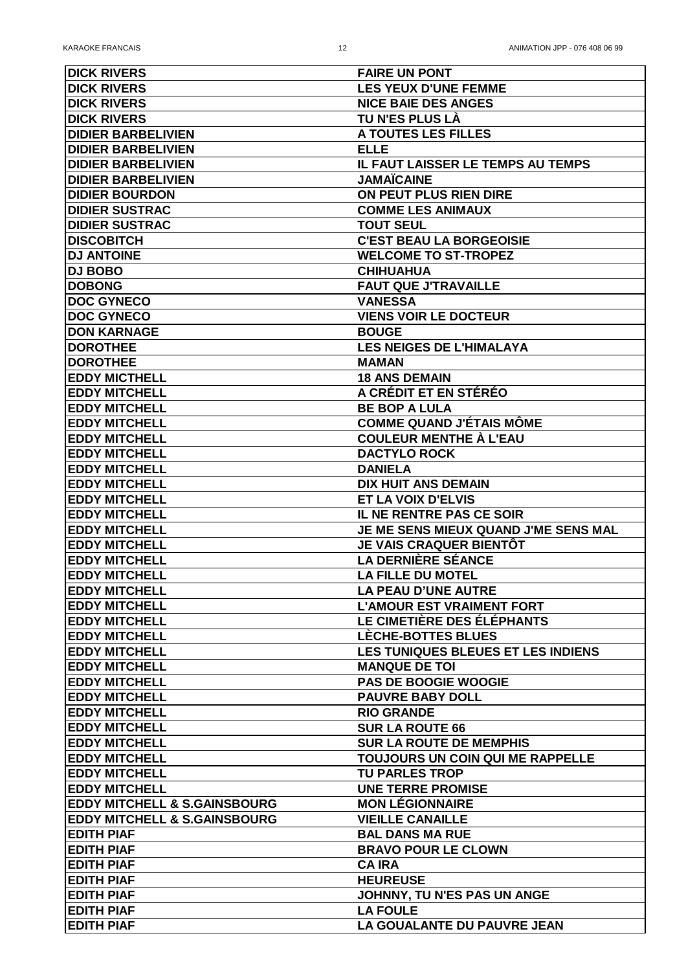| <b>DICK RIVERS</b>                      | <b>FAIRE UN PONT</b>                      |
|-----------------------------------------|-------------------------------------------|
| <b>DICK RIVERS</b>                      | <b>LES YEUX D'UNE FEMME</b>               |
| <b>DICK RIVERS</b>                      | <b>NICE BAIE DES ANGES</b>                |
| <b>DICK RIVERS</b>                      | TU N'ES PLUS LÀ                           |
| <b>DIDIER BARBELIVIEN</b>               | A TOUTES LES FILLES                       |
| <b>DIDIER BARBELIVIEN</b>               | <b>ELLE</b>                               |
| <b>DIDIER BARBELIVIEN</b>               | <b>IL FAUT LAISSER LE TEMPS AU TEMPS</b>  |
| <b>DIDIER BARBELIVIEN</b>               | <b>JAMAÏCAINE</b>                         |
| <b>DIDIER BOURDON</b>                   | ON PEUT PLUS RIEN DIRE                    |
| <b>DIDIER SUSTRAC</b>                   | <b>COMME LES ANIMAUX</b>                  |
| <b>DIDIER SUSTRAC</b>                   | <b>TOUT SEUL</b>                          |
| <b>DISCOBITCH</b>                       | <b>C'EST BEAU LA BORGEOISIE</b>           |
| <b>DJ ANTOINE</b>                       | <b>WELCOME TO ST-TROPEZ</b>               |
| <b>DJ BOBO</b>                          | <b>CHIHUAHUA</b>                          |
| <b>DOBONG</b>                           | <b>FAUT QUE J'TRAVAILLE</b>               |
| <b>DOC GYNECO</b>                       | <b>VANESSA</b>                            |
| <b>DOC GYNECO</b>                       | <b>VIENS VOIR LE DOCTEUR</b>              |
|                                         |                                           |
| <b>DON KARNAGE</b>                      | <b>BOUGE</b>                              |
| <b>DOROTHEE</b>                         | <b>LES NEIGES DE L'HIMALAYA</b>           |
| <b>DOROTHEE</b>                         | <b>MAMAN</b>                              |
| <b>EDDY MICTHELL</b>                    | <b>18 ANS DEMAIN</b>                      |
| <b>EDDY MITCHELL</b>                    | A CRÉDIT ET EN STÉRÉO                     |
| <b>EDDY MITCHELL</b>                    | <b>BE BOP A LULA</b>                      |
| <b>EDDY MITCHELL</b>                    | <b>COMME QUAND J'ÉTAIS MÔME</b>           |
| <b>EDDY MITCHELL</b>                    | <b>COULEUR MENTHE À L'EAU</b>             |
| <b>EDDY MITCHELL</b>                    | <b>DACTYLO ROCK</b>                       |
| <b>EDDY MITCHELL</b>                    | <b>DANIELA</b>                            |
| <b>EDDY MITCHELL</b>                    | <b>DIX HUIT ANS DEMAIN</b>                |
| <b>EDDY MITCHELL</b>                    | ET LA VOIX D'ELVIS                        |
| <b>EDDY MITCHELL</b>                    | IL NE RENTRE PAS CE SOIR                  |
| <b>EDDY MITCHELL</b>                    | JE ME SENS MIEUX QUAND J'ME SENS MAL      |
| <b>EDDY MITCHELL</b>                    | <b>JE VAIS CRAQUER BIENTÔT</b>            |
| <b>EDDY MITCHELL</b>                    | <b>LA DERNIÈRE SÉANCE</b>                 |
| <b>EDDY MITCHELL</b>                    | <b>LA FILLE DU MOTEL</b>                  |
| <b>EDDY MITCHELL</b>                    | <b>LA PEAU D'UNE AUTRE</b>                |
| <b>EDDY MITCHELL</b>                    | <b>L'AMOUR EST VRAIMENT FORT</b>          |
| <b>EDDY MITCHELL</b>                    | LE CIMETIÈRE DES ÉLÉPHANTS                |
| <b>EDDY MITCHELL</b>                    | <b>LECHE-BOTTES BLUES</b>                 |
| <b>EDDY MITCHELL</b>                    | <b>LES TUNIQUES BLEUES ET LES INDIENS</b> |
| <b>EDDY MITCHELL</b>                    | <b>MANQUE DE TOI</b>                      |
| <b>EDDY MITCHELL</b>                    | <b>PAS DE BOOGIE WOOGIE</b>               |
| <b>EDDY MITCHELL</b>                    | <b>PAUVRE BABY DOLL</b>                   |
| <b>EDDY MITCHELL</b>                    | <b>RIO GRANDE</b>                         |
| <b>EDDY MITCHELL</b>                    | <b>SUR LA ROUTE 66</b>                    |
| <b>EDDY MITCHELL</b>                    | <b>SUR LA ROUTE DE MEMPHIS</b>            |
| <b>EDDY MITCHELL</b>                    | TOUJOURS UN COIN QUI ME RAPPELLE          |
| <b>EDDY MITCHELL</b>                    | <b>TU PARLES TROP</b>                     |
| <b>EDDY MITCHELL</b>                    | <b>UNE TERRE PROMISE</b>                  |
| <b>EDDY MITCHELL &amp; S.GAINSBOURG</b> | <b>MON LÉGIONNAIRE</b>                    |
| <b>EDDY MITCHELL &amp; S.GAINSBOURG</b> | <b>VIEILLE CANAILLE</b>                   |
| <b>EDITH PIAF</b>                       | <b>BAL DANS MA RUE</b>                    |
| <b>EDITH PIAF</b>                       | <b>BRAVO POUR LE CLOWN</b>                |
| <b>EDITH PIAF</b>                       | <b>CA IRA</b>                             |
| <b>EDITH PIAF</b>                       | <b>HEUREUSE</b>                           |
| <b>EDITH PIAF</b>                       | <b>JOHNNY, TU N'ES PAS UN ANGE</b>        |
| <b>EDITH PIAF</b>                       | <b>LA FOULE</b>                           |
| <b>EDITH PIAF</b>                       | LA GOUALANTE DU PAUVRE JEAN               |
|                                         |                                           |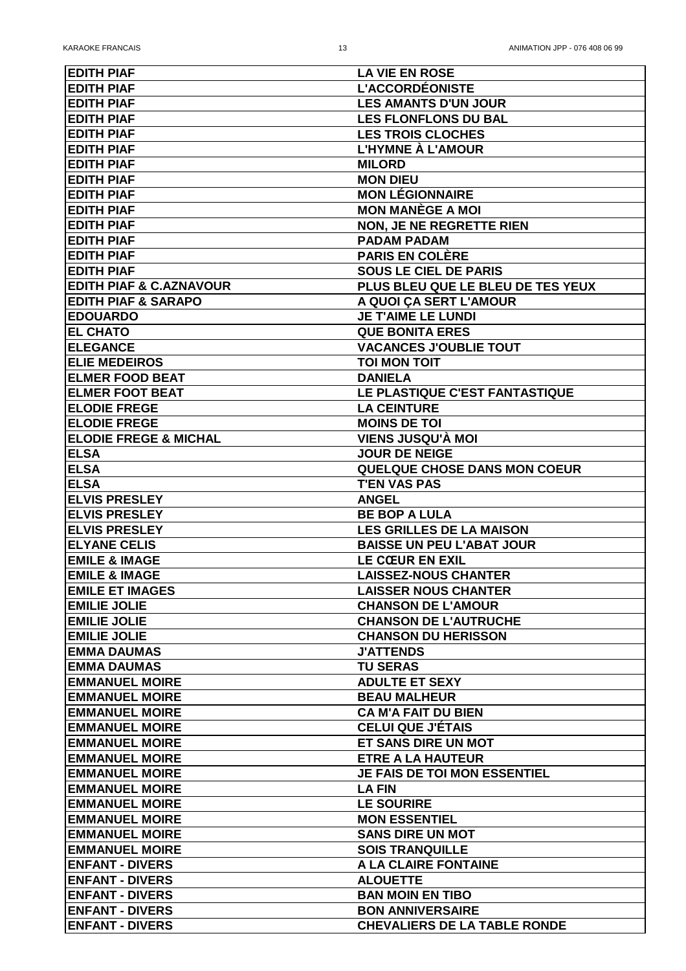| <b>EDITH PIAF</b>                           | <b>LA VIE EN ROSE</b>                        |
|---------------------------------------------|----------------------------------------------|
| <b>EDITH PIAF</b>                           | <b>L'ACCORDÉONISTE</b>                       |
| <b>EDITH PIAF</b>                           | <b>LES AMANTS D'UN JOUR</b>                  |
| <b>EDITH PIAF</b>                           | <b>LES FLONFLONS DU BAL</b>                  |
| <b>EDITH PIAF</b>                           | <b>LES TROIS CLOCHES</b>                     |
| <b>EDITH PIAF</b>                           | L'HYMNE À L'AMOUR                            |
| <b>EDITH PIAF</b>                           | <b>MILORD</b>                                |
| <b>EDITH PIAF</b>                           | <b>MON DIEU</b>                              |
| <b>EDITH PIAF</b>                           | <b>MON LÉGIONNAIRE</b>                       |
| <b>EDITH PIAF</b>                           | <b>MON MANÈGE A MOI</b>                      |
| <b>EDITH PIAF</b>                           | <b>NON, JE NE REGRETTE RIEN</b>              |
| <b>EDITH PIAF</b>                           | <b>PADAM PADAM</b>                           |
| <b>EDITH PIAF</b>                           | <b>PARIS EN COLÈRE</b>                       |
| <b>EDITH PIAF</b>                           | <b>SOUS LE CIEL DE PARIS</b>                 |
| <b>EDITH PIAF &amp; C.AZNAVOUR</b>          | PLUS BLEU QUE LE BLEU DE TES YEUX            |
| <b>EDITH PIAF &amp; SARAPO</b>              | A QUOI ÇA SERT L'AMOUR                       |
| <b>EDOUARDO</b>                             | <b>JE T'AIME LE LUNDI</b>                    |
| <b>EL CHATO</b>                             | <b>QUE BONITA ERES</b>                       |
| <b>ELEGANCE</b>                             | <b>VACANCES J'OUBLIE TOUT</b>                |
| <b>ELIE MEDEIROS</b>                        | <b>TOI MON TOIT</b>                          |
| <b>ELMER FOOD BEAT</b>                      | <b>DANIELA</b>                               |
| <b>ELMER FOOT BEAT</b>                      | LE PLASTIQUE C'EST FANTASTIQUE               |
| <b>ELODIE FREGE</b>                         | <b>LA CEINTURE</b>                           |
| <b>ELODIE FREGE</b>                         | <b>MOINS DE TOI</b>                          |
| <b>ELODIE FREGE &amp; MICHAL</b>            | <b>VIENS JUSQU'À MOI</b>                     |
| <b>ELSA</b>                                 | <b>JOUR DE NEIGE</b>                         |
| <b>ELSA</b>                                 | <b>QUELQUE CHOSE DANS MON COEUR</b>          |
| <b>ELSA</b>                                 | <b>T'EN VAS PAS</b>                          |
| <b>ELVIS PRESLEY</b>                        | <b>ANGEL</b>                                 |
| <b>ELVIS PRESLEY</b>                        | <b>BE BOP A LULA</b>                         |
| <b>ELVIS PRESLEY</b>                        | <b>LES GRILLES DE LA MAISON</b>              |
| <b>ELYANE CELIS</b>                         | <b>BAISSE UN PEU L'ABAT JOUR</b>             |
| <b>EMILE &amp; IMAGE</b>                    | <b>LE CŒUR EN EXIL</b>                       |
| <b>EMILE &amp; IMAGE</b>                    | <b>LAISSEZ-NOUS CHANTER</b>                  |
| <b>EMILE ET IMAGES</b>                      | <b>LAISSER NOUS CHANTER</b>                  |
| <b>EMILIE JOLIE</b>                         | <b>CHANSON DE L'AMOUR</b>                    |
| <b>EMILIE JOLIE</b>                         | <b>CHANSON DE L'AUTRUCHE</b>                 |
| <b>EMILIE JOLIE</b>                         | <b>CHANSON DU HERISSON</b>                   |
| <b>EMMA DAUMAS</b>                          | <b>J'ATTENDS</b>                             |
| <b>EMMA DAUMAS</b><br><b>EMMANUEL MOIRE</b> | <b>TU SERAS</b>                              |
| <b>EMMANUEL MOIRE</b>                       | <b>ADULTE ET SEXY</b><br><b>BEAU MALHEUR</b> |
| <b>EMMANUEL MOIRE</b>                       | <b>CA M'A FAIT DU BIEN</b>                   |
| <b>EMMANUEL MOIRE</b>                       | <b>CELUI QUE J'ÉTAIS</b>                     |
| <b>EMMANUEL MOIRE</b>                       | ET SANS DIRE UN MOT                          |
| <b>EMMANUEL MOIRE</b>                       | <b>ETRE A LA HAUTEUR</b>                     |
| <b>EMMANUEL MOIRE</b>                       | <b>JE FAIS DE TOI MON ESSENTIEL</b>          |
| <b>EMMANUEL MOIRE</b>                       | <b>LA FIN</b>                                |
| <b>EMMANUEL MOIRE</b>                       | <b>LE SOURIRE</b>                            |
| <b>EMMANUEL MOIRE</b>                       | <b>MON ESSENTIEL</b>                         |
| <b>EMMANUEL MOIRE</b>                       | <b>SANS DIRE UN MOT</b>                      |
| <b>EMMANUEL MOIRE</b>                       | <b>SOIS TRANQUILLE</b>                       |
| <b>ENFANT - DIVERS</b>                      | A LA CLAIRE FONTAINE                         |
| <b>ENFANT - DIVERS</b>                      | <b>ALOUETTE</b>                              |
| <b>ENFANT - DIVERS</b>                      | <b>BAN MOIN EN TIBO</b>                      |
| <b>ENFANT - DIVERS</b>                      | <b>BON ANNIVERSAIRE</b>                      |
| <b>ENFANT - DIVERS</b>                      | <b>CHEVALIERS DE LA TABLE RONDE</b>          |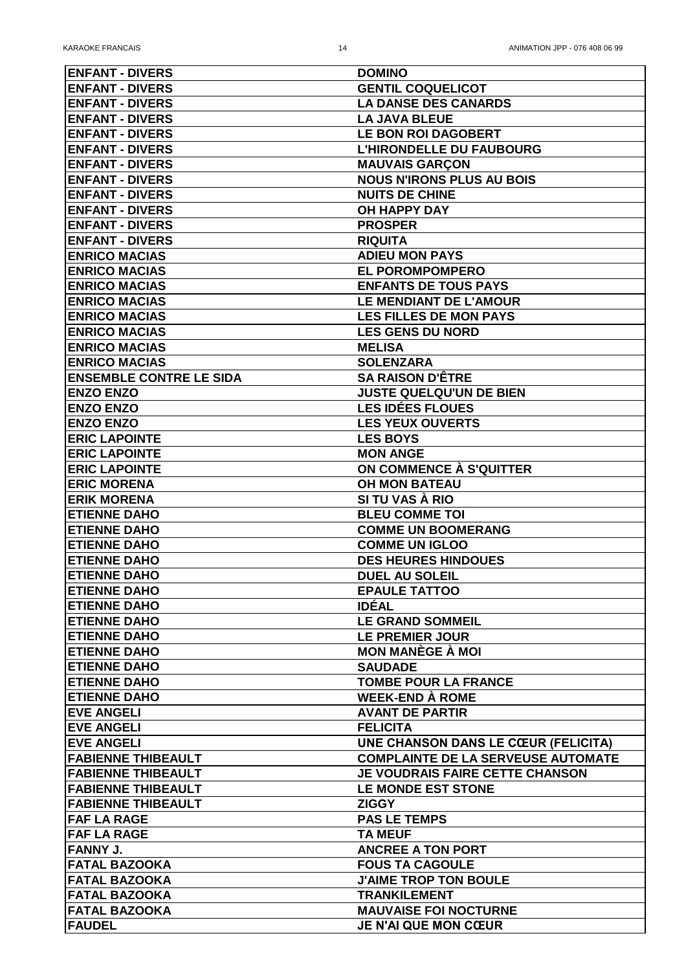| <b>ENFANT - DIVERS</b>         | <b>DOMINO</b>                             |
|--------------------------------|-------------------------------------------|
| <b>ENFANT - DIVERS</b>         | <b>GENTIL COQUELICOT</b>                  |
| <b>ENFANT - DIVERS</b>         | <b>LA DANSE DES CANARDS</b>               |
| <b>ENFANT - DIVERS</b>         | <b>LA JAVA BLEUE</b>                      |
| <b>ENFANT - DIVERS</b>         | <b>LE BON ROI DAGOBERT</b>                |
| <b>ENFANT - DIVERS</b>         | <b>L'HIRONDELLE DU FAUBOURG</b>           |
| <b>ENFANT - DIVERS</b>         | <b>MAUVAIS GARÇON</b>                     |
| <b>ENFANT - DIVERS</b>         | <b>NOUS N'IRONS PLUS AU BOIS</b>          |
| <b>ENFANT - DIVERS</b>         | <b>NUITS DE CHINE</b>                     |
| <b>ENFANT - DIVERS</b>         | <b>OH HAPPY DAY</b>                       |
| <b>ENFANT - DIVERS</b>         | <b>PROSPER</b>                            |
| <b>ENFANT - DIVERS</b>         | <b>RIQUITA</b>                            |
| <b>ENRICO MACIAS</b>           | <b>ADIEU MON PAYS</b>                     |
| <b>ENRICO MACIAS</b>           | <b>EL POROMPOMPERO</b>                    |
| <b>ENRICO MACIAS</b>           | <b>ENFANTS DE TOUS PAYS</b>               |
| <b>ENRICO MACIAS</b>           | LE MENDIANT DE L'AMOUR                    |
| <b>ENRICO MACIAS</b>           | <b>LES FILLES DE MON PAYS</b>             |
| <b>ENRICO MACIAS</b>           | <b>LES GENS DU NORD</b>                   |
| <b>ENRICO MACIAS</b>           | <b>MELISA</b>                             |
| <b>ENRICO MACIAS</b>           |                                           |
|                                | <b>SOLENZARA</b>                          |
| <b>ENSEMBLE CONTRE LE SIDA</b> | <b>SA RAISON D'ÊTRE</b>                   |
| <b>ENZO ENZO</b>               | <b>JUSTE QUELQU'UN DE BIEN</b>            |
| <b>ENZO ENZO</b>               | <b>LES IDÉES FLOUES</b>                   |
| <b>ENZO ENZO</b>               | <b>LES YEUX OUVERTS</b>                   |
| <b>ERIC LAPOINTE</b>           | <b>LES BOYS</b>                           |
| <b>ERIC LAPOINTE</b>           | <b>MON ANGE</b>                           |
| <b>ERIC LAPOINTE</b>           | ON COMMENCE A S'QUITTER                   |
| <b>ERIC MORENA</b>             | <b>OH MON BATEAU</b>                      |
| <b>ERIK MORENA</b>             | SI TU VAS À RIO                           |
| <b>ETIENNE DAHO</b>            | <b>BLEU COMME TOI</b>                     |
| <b>ETIENNE DAHO</b>            | <b>COMME UN BOOMERANG</b>                 |
| <b>ETIENNE DAHO</b>            | <b>COMME UN IGLOO</b>                     |
| <b>ETIENNE DAHO</b>            | <b>DES HEURES HINDOUES</b>                |
| <b>ETIENNE DAHO</b>            | <b>DUEL AU SOLEIL</b>                     |
| <b>ETIENNE DAHO</b>            | <b>EPAULE TATTOO</b>                      |
| <b>ETIENNE DAHO</b>            | <b>IDÉAL</b>                              |
| <b>ETIENNE DAHO</b>            | <b>LE GRAND SOMMEIL</b>                   |
| <b>ETIENNE DAHO</b>            | <b>LE PREMIER JOUR</b>                    |
| <b>ETIENNE DAHO</b>            | <b>MON MANÈGE À MOI</b>                   |
| <b>ETIENNE DAHO</b>            | <b>SAUDADE</b>                            |
| <b>ETIENNE DAHO</b>            | <b>TOMBE POUR LA FRANCE</b>               |
| <b>ETIENNE DAHO</b>            | <b>WEEK-END A ROME</b>                    |
| <b>EVE ANGELI</b>              | <b>AVANT DE PARTIR</b>                    |
| <b>EVE ANGELI</b>              | <b>FELICITA</b>                           |
| <b>EVE ANGELI</b>              | UNE CHANSON DANS LE CŒUR (FELICITA)       |
| <b>FABIENNE THIBEAULT</b>      | <b>COMPLAINTE DE LA SERVEUSE AUTOMATE</b> |
| <b>FABIENNE THIBEAULT</b>      | <b>JE VOUDRAIS FAIRE CETTE CHANSON</b>    |
| <b>FABIENNE THIBEAULT</b>      | <b>LE MONDE EST STONE</b>                 |
| <b>FABIENNE THIBEAULT</b>      | <b>ZIGGY</b>                              |
| <b>FAF LA RAGE</b>             | <b>PAS LE TEMPS</b>                       |
| <b>FAF LA RAGE</b>             | <b>TA MEUF</b>                            |
| <b>FANNY J.</b>                | <b>ANCREE A TON PORT</b>                  |
| <b>FATAL BAZOOKA</b>           | <b>FOUS TA CAGOULE</b>                    |
| <b>FATAL BAZOOKA</b>           | <b>J'AIME TROP TON BOULE</b>              |
| <b>FATAL BAZOOKA</b>           | <b>TRANKILEMENT</b>                       |
| <b>FATAL BAZOOKA</b>           | <b>MAUVAISE FOI NOCTURNE</b>              |
| <b>FAUDEL</b>                  | <b>JE N'AI QUE MON CŒUR</b>               |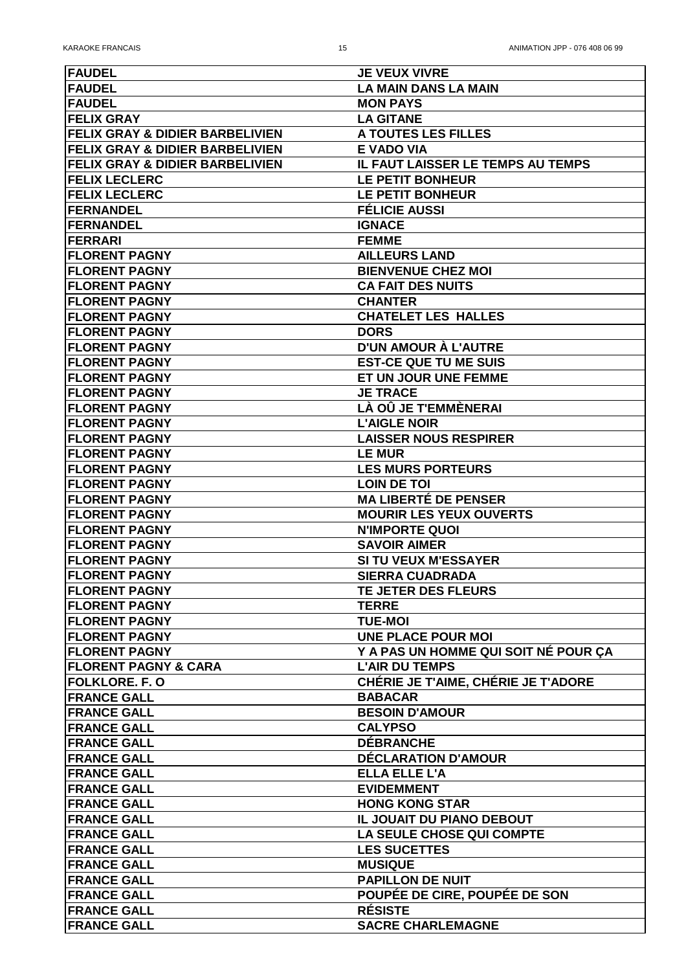| <b>LA MAIN DANS LA MAIN</b><br><b>FAUDEL</b><br><b>FAUDEL</b><br><b>MON PAYS</b><br><b>FELIX GRAY</b><br><b>LA GITANE</b><br><b>FELIX GRAY &amp; DIDIER BARBELIVIEN</b><br>A TOUTES LES FILLES<br><b>FELIX GRAY &amp; DIDIER BARBELIVIEN</b><br><b>E VADO VIA</b><br><b>FELIX GRAY &amp; DIDIER BARBELIVIEN</b><br><b>IL FAUT LAISSER LE TEMPS AU TEMPS</b><br><b>FELIX LECLERC</b><br><b>LE PETIT BONHEUR</b><br><b>FELIX LECLERC</b><br><b>LE PETIT BONHEUR</b><br><b>FÉLICIE AUSSI</b><br><b>FERNANDEL</b><br><b>IGNACE</b><br><b>IFERNANDEL</b><br><b>IFERRARI</b><br><b>FEMME</b><br><b>FLORENT PAGNY</b><br><b>AILLEURS LAND</b><br><b>BIENVENUE CHEZ MOI</b><br><b>FLORENT PAGNY</b><br><b>FLORENT PAGNY</b><br><b>CA FAIT DES NUITS</b><br><b>FLORENT PAGNY</b><br><b>CHANTER</b><br><b>CHATELET LES HALLES</b><br><b>FLORENT PAGNY</b><br><b>FLORENT PAGNY</b><br><b>DORS</b><br><b>D'UN AMOUR À L'AUTRE</b><br><b>FLORENT PAGNY</b><br><b>FLORENT PAGNY</b><br><b>EST-CE QUE TU ME SUIS</b><br><b>FLORENT PAGNY</b><br>ET UN JOUR UNE FEMME<br><b>FLORENT PAGNY</b><br><b>JE TRACE</b><br>LÀ OÛ JE T'EMMÈNERAI<br><b>FLORENT PAGNY</b><br><b>IFLORENT PAGNY</b><br><b>L'AIGLE NOIR</b><br><b>FLORENT PAGNY</b><br><b>LAISSER NOUS RESPIRER</b><br><b>FLORENT PAGNY</b><br><b>LE MUR</b><br><b>FLORENT PAGNY</b><br><b>LES MURS PORTEURS</b><br><b>FLORENT PAGNY</b><br><b>LOIN DE TOI</b><br><b>FLORENT PAGNY</b><br><b>MA LIBERTÉ DE PENSER</b><br><b>MOURIR LES YEUX OUVERTS</b><br><b>FLORENT PAGNY</b><br><b>FLORENT PAGNY</b><br><b>N'IMPORTE QUOI</b><br><b>FLORENT PAGNY</b><br><b>SAVOIR AIMER</b><br><b>FLORENT PAGNY</b><br><b>SI TU VEUX M'ESSAYER</b><br><b>FLORENT PAGNY</b><br><b>SIERRA CUADRADA</b><br><b>FLORENT PAGNY</b><br><b>TE JETER DES FLEURS</b><br><b>FLORENT PAGNY</b><br><b>TERRE</b><br><b>TUE-MOI</b><br><b>FLORENT PAGNY</b><br><b>FLORENT PAGNY</b><br><b>UNE PLACE POUR MOI</b><br>Y A PAS UN HOMME QUI SOIT NÉ POUR ÇA<br><b>FLORENT PAGNY</b><br><b>L'AIR DU TEMPS</b><br><b>FLORENT PAGNY &amp; CARA</b><br>CHÊRIE JE T'AIME, CHÊRIE JE T'ADORE<br><b>FOLKLORE. F. O</b><br><b>BABACAR</b><br><b>FRANCE GALL</b><br><b>FRANCE GALL</b><br><b>BESOIN D'AMOUR</b><br><b>FRANCE GALL</b><br><b>CALYPSO</b><br><b>DÉBRANCHE</b><br><b>FRANCE GALL</b><br><b>DÉCLARATION D'AMOUR</b><br><b>FRANCE GALL</b><br><b>FRANCE GALL</b><br>ELLA ELLE L'A<br><b>FRANCE GALL</b><br><b>EVIDEMMENT</b> | <b>FAUDEL</b>      | <b>JE VEUX VIVRE</b>  |
|---------------------------------------------------------------------------------------------------------------------------------------------------------------------------------------------------------------------------------------------------------------------------------------------------------------------------------------------------------------------------------------------------------------------------------------------------------------------------------------------------------------------------------------------------------------------------------------------------------------------------------------------------------------------------------------------------------------------------------------------------------------------------------------------------------------------------------------------------------------------------------------------------------------------------------------------------------------------------------------------------------------------------------------------------------------------------------------------------------------------------------------------------------------------------------------------------------------------------------------------------------------------------------------------------------------------------------------------------------------------------------------------------------------------------------------------------------------------------------------------------------------------------------------------------------------------------------------------------------------------------------------------------------------------------------------------------------------------------------------------------------------------------------------------------------------------------------------------------------------------------------------------------------------------------------------------------------------------------------------------------------------------------------------------------------------------------------------------------------------------------------------------------------------------------------------------------------------------------------------------------------------------------------------------------------------------------------------------------------------------------------------------------------------------------------------|--------------------|-----------------------|
|                                                                                                                                                                                                                                                                                                                                                                                                                                                                                                                                                                                                                                                                                                                                                                                                                                                                                                                                                                                                                                                                                                                                                                                                                                                                                                                                                                                                                                                                                                                                                                                                                                                                                                                                                                                                                                                                                                                                                                                                                                                                                                                                                                                                                                                                                                                                                                                                                                       |                    |                       |
|                                                                                                                                                                                                                                                                                                                                                                                                                                                                                                                                                                                                                                                                                                                                                                                                                                                                                                                                                                                                                                                                                                                                                                                                                                                                                                                                                                                                                                                                                                                                                                                                                                                                                                                                                                                                                                                                                                                                                                                                                                                                                                                                                                                                                                                                                                                                                                                                                                       |                    |                       |
|                                                                                                                                                                                                                                                                                                                                                                                                                                                                                                                                                                                                                                                                                                                                                                                                                                                                                                                                                                                                                                                                                                                                                                                                                                                                                                                                                                                                                                                                                                                                                                                                                                                                                                                                                                                                                                                                                                                                                                                                                                                                                                                                                                                                                                                                                                                                                                                                                                       |                    |                       |
|                                                                                                                                                                                                                                                                                                                                                                                                                                                                                                                                                                                                                                                                                                                                                                                                                                                                                                                                                                                                                                                                                                                                                                                                                                                                                                                                                                                                                                                                                                                                                                                                                                                                                                                                                                                                                                                                                                                                                                                                                                                                                                                                                                                                                                                                                                                                                                                                                                       |                    |                       |
|                                                                                                                                                                                                                                                                                                                                                                                                                                                                                                                                                                                                                                                                                                                                                                                                                                                                                                                                                                                                                                                                                                                                                                                                                                                                                                                                                                                                                                                                                                                                                                                                                                                                                                                                                                                                                                                                                                                                                                                                                                                                                                                                                                                                                                                                                                                                                                                                                                       |                    |                       |
|                                                                                                                                                                                                                                                                                                                                                                                                                                                                                                                                                                                                                                                                                                                                                                                                                                                                                                                                                                                                                                                                                                                                                                                                                                                                                                                                                                                                                                                                                                                                                                                                                                                                                                                                                                                                                                                                                                                                                                                                                                                                                                                                                                                                                                                                                                                                                                                                                                       |                    |                       |
|                                                                                                                                                                                                                                                                                                                                                                                                                                                                                                                                                                                                                                                                                                                                                                                                                                                                                                                                                                                                                                                                                                                                                                                                                                                                                                                                                                                                                                                                                                                                                                                                                                                                                                                                                                                                                                                                                                                                                                                                                                                                                                                                                                                                                                                                                                                                                                                                                                       |                    |                       |
|                                                                                                                                                                                                                                                                                                                                                                                                                                                                                                                                                                                                                                                                                                                                                                                                                                                                                                                                                                                                                                                                                                                                                                                                                                                                                                                                                                                                                                                                                                                                                                                                                                                                                                                                                                                                                                                                                                                                                                                                                                                                                                                                                                                                                                                                                                                                                                                                                                       |                    |                       |
|                                                                                                                                                                                                                                                                                                                                                                                                                                                                                                                                                                                                                                                                                                                                                                                                                                                                                                                                                                                                                                                                                                                                                                                                                                                                                                                                                                                                                                                                                                                                                                                                                                                                                                                                                                                                                                                                                                                                                                                                                                                                                                                                                                                                                                                                                                                                                                                                                                       |                    |                       |
|                                                                                                                                                                                                                                                                                                                                                                                                                                                                                                                                                                                                                                                                                                                                                                                                                                                                                                                                                                                                                                                                                                                                                                                                                                                                                                                                                                                                                                                                                                                                                                                                                                                                                                                                                                                                                                                                                                                                                                                                                                                                                                                                                                                                                                                                                                                                                                                                                                       |                    |                       |
|                                                                                                                                                                                                                                                                                                                                                                                                                                                                                                                                                                                                                                                                                                                                                                                                                                                                                                                                                                                                                                                                                                                                                                                                                                                                                                                                                                                                                                                                                                                                                                                                                                                                                                                                                                                                                                                                                                                                                                                                                                                                                                                                                                                                                                                                                                                                                                                                                                       |                    |                       |
|                                                                                                                                                                                                                                                                                                                                                                                                                                                                                                                                                                                                                                                                                                                                                                                                                                                                                                                                                                                                                                                                                                                                                                                                                                                                                                                                                                                                                                                                                                                                                                                                                                                                                                                                                                                                                                                                                                                                                                                                                                                                                                                                                                                                                                                                                                                                                                                                                                       |                    |                       |
|                                                                                                                                                                                                                                                                                                                                                                                                                                                                                                                                                                                                                                                                                                                                                                                                                                                                                                                                                                                                                                                                                                                                                                                                                                                                                                                                                                                                                                                                                                                                                                                                                                                                                                                                                                                                                                                                                                                                                                                                                                                                                                                                                                                                                                                                                                                                                                                                                                       |                    |                       |
|                                                                                                                                                                                                                                                                                                                                                                                                                                                                                                                                                                                                                                                                                                                                                                                                                                                                                                                                                                                                                                                                                                                                                                                                                                                                                                                                                                                                                                                                                                                                                                                                                                                                                                                                                                                                                                                                                                                                                                                                                                                                                                                                                                                                                                                                                                                                                                                                                                       |                    |                       |
|                                                                                                                                                                                                                                                                                                                                                                                                                                                                                                                                                                                                                                                                                                                                                                                                                                                                                                                                                                                                                                                                                                                                                                                                                                                                                                                                                                                                                                                                                                                                                                                                                                                                                                                                                                                                                                                                                                                                                                                                                                                                                                                                                                                                                                                                                                                                                                                                                                       |                    |                       |
|                                                                                                                                                                                                                                                                                                                                                                                                                                                                                                                                                                                                                                                                                                                                                                                                                                                                                                                                                                                                                                                                                                                                                                                                                                                                                                                                                                                                                                                                                                                                                                                                                                                                                                                                                                                                                                                                                                                                                                                                                                                                                                                                                                                                                                                                                                                                                                                                                                       |                    |                       |
|                                                                                                                                                                                                                                                                                                                                                                                                                                                                                                                                                                                                                                                                                                                                                                                                                                                                                                                                                                                                                                                                                                                                                                                                                                                                                                                                                                                                                                                                                                                                                                                                                                                                                                                                                                                                                                                                                                                                                                                                                                                                                                                                                                                                                                                                                                                                                                                                                                       |                    |                       |
|                                                                                                                                                                                                                                                                                                                                                                                                                                                                                                                                                                                                                                                                                                                                                                                                                                                                                                                                                                                                                                                                                                                                                                                                                                                                                                                                                                                                                                                                                                                                                                                                                                                                                                                                                                                                                                                                                                                                                                                                                                                                                                                                                                                                                                                                                                                                                                                                                                       |                    |                       |
|                                                                                                                                                                                                                                                                                                                                                                                                                                                                                                                                                                                                                                                                                                                                                                                                                                                                                                                                                                                                                                                                                                                                                                                                                                                                                                                                                                                                                                                                                                                                                                                                                                                                                                                                                                                                                                                                                                                                                                                                                                                                                                                                                                                                                                                                                                                                                                                                                                       |                    |                       |
|                                                                                                                                                                                                                                                                                                                                                                                                                                                                                                                                                                                                                                                                                                                                                                                                                                                                                                                                                                                                                                                                                                                                                                                                                                                                                                                                                                                                                                                                                                                                                                                                                                                                                                                                                                                                                                                                                                                                                                                                                                                                                                                                                                                                                                                                                                                                                                                                                                       |                    |                       |
|                                                                                                                                                                                                                                                                                                                                                                                                                                                                                                                                                                                                                                                                                                                                                                                                                                                                                                                                                                                                                                                                                                                                                                                                                                                                                                                                                                                                                                                                                                                                                                                                                                                                                                                                                                                                                                                                                                                                                                                                                                                                                                                                                                                                                                                                                                                                                                                                                                       |                    |                       |
|                                                                                                                                                                                                                                                                                                                                                                                                                                                                                                                                                                                                                                                                                                                                                                                                                                                                                                                                                                                                                                                                                                                                                                                                                                                                                                                                                                                                                                                                                                                                                                                                                                                                                                                                                                                                                                                                                                                                                                                                                                                                                                                                                                                                                                                                                                                                                                                                                                       |                    |                       |
|                                                                                                                                                                                                                                                                                                                                                                                                                                                                                                                                                                                                                                                                                                                                                                                                                                                                                                                                                                                                                                                                                                                                                                                                                                                                                                                                                                                                                                                                                                                                                                                                                                                                                                                                                                                                                                                                                                                                                                                                                                                                                                                                                                                                                                                                                                                                                                                                                                       |                    |                       |
|                                                                                                                                                                                                                                                                                                                                                                                                                                                                                                                                                                                                                                                                                                                                                                                                                                                                                                                                                                                                                                                                                                                                                                                                                                                                                                                                                                                                                                                                                                                                                                                                                                                                                                                                                                                                                                                                                                                                                                                                                                                                                                                                                                                                                                                                                                                                                                                                                                       |                    |                       |
|                                                                                                                                                                                                                                                                                                                                                                                                                                                                                                                                                                                                                                                                                                                                                                                                                                                                                                                                                                                                                                                                                                                                                                                                                                                                                                                                                                                                                                                                                                                                                                                                                                                                                                                                                                                                                                                                                                                                                                                                                                                                                                                                                                                                                                                                                                                                                                                                                                       |                    |                       |
|                                                                                                                                                                                                                                                                                                                                                                                                                                                                                                                                                                                                                                                                                                                                                                                                                                                                                                                                                                                                                                                                                                                                                                                                                                                                                                                                                                                                                                                                                                                                                                                                                                                                                                                                                                                                                                                                                                                                                                                                                                                                                                                                                                                                                                                                                                                                                                                                                                       |                    |                       |
|                                                                                                                                                                                                                                                                                                                                                                                                                                                                                                                                                                                                                                                                                                                                                                                                                                                                                                                                                                                                                                                                                                                                                                                                                                                                                                                                                                                                                                                                                                                                                                                                                                                                                                                                                                                                                                                                                                                                                                                                                                                                                                                                                                                                                                                                                                                                                                                                                                       |                    |                       |
|                                                                                                                                                                                                                                                                                                                                                                                                                                                                                                                                                                                                                                                                                                                                                                                                                                                                                                                                                                                                                                                                                                                                                                                                                                                                                                                                                                                                                                                                                                                                                                                                                                                                                                                                                                                                                                                                                                                                                                                                                                                                                                                                                                                                                                                                                                                                                                                                                                       |                    |                       |
|                                                                                                                                                                                                                                                                                                                                                                                                                                                                                                                                                                                                                                                                                                                                                                                                                                                                                                                                                                                                                                                                                                                                                                                                                                                                                                                                                                                                                                                                                                                                                                                                                                                                                                                                                                                                                                                                                                                                                                                                                                                                                                                                                                                                                                                                                                                                                                                                                                       |                    |                       |
|                                                                                                                                                                                                                                                                                                                                                                                                                                                                                                                                                                                                                                                                                                                                                                                                                                                                                                                                                                                                                                                                                                                                                                                                                                                                                                                                                                                                                                                                                                                                                                                                                                                                                                                                                                                                                                                                                                                                                                                                                                                                                                                                                                                                                                                                                                                                                                                                                                       |                    |                       |
|                                                                                                                                                                                                                                                                                                                                                                                                                                                                                                                                                                                                                                                                                                                                                                                                                                                                                                                                                                                                                                                                                                                                                                                                                                                                                                                                                                                                                                                                                                                                                                                                                                                                                                                                                                                                                                                                                                                                                                                                                                                                                                                                                                                                                                                                                                                                                                                                                                       |                    |                       |
|                                                                                                                                                                                                                                                                                                                                                                                                                                                                                                                                                                                                                                                                                                                                                                                                                                                                                                                                                                                                                                                                                                                                                                                                                                                                                                                                                                                                                                                                                                                                                                                                                                                                                                                                                                                                                                                                                                                                                                                                                                                                                                                                                                                                                                                                                                                                                                                                                                       |                    |                       |
|                                                                                                                                                                                                                                                                                                                                                                                                                                                                                                                                                                                                                                                                                                                                                                                                                                                                                                                                                                                                                                                                                                                                                                                                                                                                                                                                                                                                                                                                                                                                                                                                                                                                                                                                                                                                                                                                                                                                                                                                                                                                                                                                                                                                                                                                                                                                                                                                                                       |                    |                       |
|                                                                                                                                                                                                                                                                                                                                                                                                                                                                                                                                                                                                                                                                                                                                                                                                                                                                                                                                                                                                                                                                                                                                                                                                                                                                                                                                                                                                                                                                                                                                                                                                                                                                                                                                                                                                                                                                                                                                                                                                                                                                                                                                                                                                                                                                                                                                                                                                                                       |                    |                       |
|                                                                                                                                                                                                                                                                                                                                                                                                                                                                                                                                                                                                                                                                                                                                                                                                                                                                                                                                                                                                                                                                                                                                                                                                                                                                                                                                                                                                                                                                                                                                                                                                                                                                                                                                                                                                                                                                                                                                                                                                                                                                                                                                                                                                                                                                                                                                                                                                                                       |                    |                       |
|                                                                                                                                                                                                                                                                                                                                                                                                                                                                                                                                                                                                                                                                                                                                                                                                                                                                                                                                                                                                                                                                                                                                                                                                                                                                                                                                                                                                                                                                                                                                                                                                                                                                                                                                                                                                                                                                                                                                                                                                                                                                                                                                                                                                                                                                                                                                                                                                                                       |                    |                       |
|                                                                                                                                                                                                                                                                                                                                                                                                                                                                                                                                                                                                                                                                                                                                                                                                                                                                                                                                                                                                                                                                                                                                                                                                                                                                                                                                                                                                                                                                                                                                                                                                                                                                                                                                                                                                                                                                                                                                                                                                                                                                                                                                                                                                                                                                                                                                                                                                                                       |                    |                       |
|                                                                                                                                                                                                                                                                                                                                                                                                                                                                                                                                                                                                                                                                                                                                                                                                                                                                                                                                                                                                                                                                                                                                                                                                                                                                                                                                                                                                                                                                                                                                                                                                                                                                                                                                                                                                                                                                                                                                                                                                                                                                                                                                                                                                                                                                                                                                                                                                                                       |                    |                       |
|                                                                                                                                                                                                                                                                                                                                                                                                                                                                                                                                                                                                                                                                                                                                                                                                                                                                                                                                                                                                                                                                                                                                                                                                                                                                                                                                                                                                                                                                                                                                                                                                                                                                                                                                                                                                                                                                                                                                                                                                                                                                                                                                                                                                                                                                                                                                                                                                                                       |                    |                       |
|                                                                                                                                                                                                                                                                                                                                                                                                                                                                                                                                                                                                                                                                                                                                                                                                                                                                                                                                                                                                                                                                                                                                                                                                                                                                                                                                                                                                                                                                                                                                                                                                                                                                                                                                                                                                                                                                                                                                                                                                                                                                                                                                                                                                                                                                                                                                                                                                                                       |                    |                       |
|                                                                                                                                                                                                                                                                                                                                                                                                                                                                                                                                                                                                                                                                                                                                                                                                                                                                                                                                                                                                                                                                                                                                                                                                                                                                                                                                                                                                                                                                                                                                                                                                                                                                                                                                                                                                                                                                                                                                                                                                                                                                                                                                                                                                                                                                                                                                                                                                                                       |                    |                       |
|                                                                                                                                                                                                                                                                                                                                                                                                                                                                                                                                                                                                                                                                                                                                                                                                                                                                                                                                                                                                                                                                                                                                                                                                                                                                                                                                                                                                                                                                                                                                                                                                                                                                                                                                                                                                                                                                                                                                                                                                                                                                                                                                                                                                                                                                                                                                                                                                                                       |                    |                       |
|                                                                                                                                                                                                                                                                                                                                                                                                                                                                                                                                                                                                                                                                                                                                                                                                                                                                                                                                                                                                                                                                                                                                                                                                                                                                                                                                                                                                                                                                                                                                                                                                                                                                                                                                                                                                                                                                                                                                                                                                                                                                                                                                                                                                                                                                                                                                                                                                                                       |                    |                       |
|                                                                                                                                                                                                                                                                                                                                                                                                                                                                                                                                                                                                                                                                                                                                                                                                                                                                                                                                                                                                                                                                                                                                                                                                                                                                                                                                                                                                                                                                                                                                                                                                                                                                                                                                                                                                                                                                                                                                                                                                                                                                                                                                                                                                                                                                                                                                                                                                                                       |                    |                       |
|                                                                                                                                                                                                                                                                                                                                                                                                                                                                                                                                                                                                                                                                                                                                                                                                                                                                                                                                                                                                                                                                                                                                                                                                                                                                                                                                                                                                                                                                                                                                                                                                                                                                                                                                                                                                                                                                                                                                                                                                                                                                                                                                                                                                                                                                                                                                                                                                                                       |                    |                       |
|                                                                                                                                                                                                                                                                                                                                                                                                                                                                                                                                                                                                                                                                                                                                                                                                                                                                                                                                                                                                                                                                                                                                                                                                                                                                                                                                                                                                                                                                                                                                                                                                                                                                                                                                                                                                                                                                                                                                                                                                                                                                                                                                                                                                                                                                                                                                                                                                                                       |                    |                       |
|                                                                                                                                                                                                                                                                                                                                                                                                                                                                                                                                                                                                                                                                                                                                                                                                                                                                                                                                                                                                                                                                                                                                                                                                                                                                                                                                                                                                                                                                                                                                                                                                                                                                                                                                                                                                                                                                                                                                                                                                                                                                                                                                                                                                                                                                                                                                                                                                                                       |                    |                       |
|                                                                                                                                                                                                                                                                                                                                                                                                                                                                                                                                                                                                                                                                                                                                                                                                                                                                                                                                                                                                                                                                                                                                                                                                                                                                                                                                                                                                                                                                                                                                                                                                                                                                                                                                                                                                                                                                                                                                                                                                                                                                                                                                                                                                                                                                                                                                                                                                                                       |                    |                       |
|                                                                                                                                                                                                                                                                                                                                                                                                                                                                                                                                                                                                                                                                                                                                                                                                                                                                                                                                                                                                                                                                                                                                                                                                                                                                                                                                                                                                                                                                                                                                                                                                                                                                                                                                                                                                                                                                                                                                                                                                                                                                                                                                                                                                                                                                                                                                                                                                                                       | <b>FRANCE GALL</b> | <b>HONG KONG STAR</b> |
| <b>FRANCE GALL</b><br><b>IL JOUAIT DU PIANO DEBOUT</b>                                                                                                                                                                                                                                                                                                                                                                                                                                                                                                                                                                                                                                                                                                                                                                                                                                                                                                                                                                                                                                                                                                                                                                                                                                                                                                                                                                                                                                                                                                                                                                                                                                                                                                                                                                                                                                                                                                                                                                                                                                                                                                                                                                                                                                                                                                                                                                                |                    |                       |
| <b>FRANCE GALL</b><br><b>LA SEULE CHOSE QUI COMPTE</b>                                                                                                                                                                                                                                                                                                                                                                                                                                                                                                                                                                                                                                                                                                                                                                                                                                                                                                                                                                                                                                                                                                                                                                                                                                                                                                                                                                                                                                                                                                                                                                                                                                                                                                                                                                                                                                                                                                                                                                                                                                                                                                                                                                                                                                                                                                                                                                                |                    |                       |
| <b>FRANCE GALL</b><br><b>LES SUCETTES</b>                                                                                                                                                                                                                                                                                                                                                                                                                                                                                                                                                                                                                                                                                                                                                                                                                                                                                                                                                                                                                                                                                                                                                                                                                                                                                                                                                                                                                                                                                                                                                                                                                                                                                                                                                                                                                                                                                                                                                                                                                                                                                                                                                                                                                                                                                                                                                                                             |                    |                       |
| <b>FRANCE GALL</b><br><b>MUSIQUE</b>                                                                                                                                                                                                                                                                                                                                                                                                                                                                                                                                                                                                                                                                                                                                                                                                                                                                                                                                                                                                                                                                                                                                                                                                                                                                                                                                                                                                                                                                                                                                                                                                                                                                                                                                                                                                                                                                                                                                                                                                                                                                                                                                                                                                                                                                                                                                                                                                  |                    |                       |
| <b>FRANCE GALL</b><br><b>PAPILLON DE NUIT</b>                                                                                                                                                                                                                                                                                                                                                                                                                                                                                                                                                                                                                                                                                                                                                                                                                                                                                                                                                                                                                                                                                                                                                                                                                                                                                                                                                                                                                                                                                                                                                                                                                                                                                                                                                                                                                                                                                                                                                                                                                                                                                                                                                                                                                                                                                                                                                                                         |                    |                       |
| POUPÉE DE CIRE, POUPÉE DE SON<br><b>FRANCE GALL</b>                                                                                                                                                                                                                                                                                                                                                                                                                                                                                                                                                                                                                                                                                                                                                                                                                                                                                                                                                                                                                                                                                                                                                                                                                                                                                                                                                                                                                                                                                                                                                                                                                                                                                                                                                                                                                                                                                                                                                                                                                                                                                                                                                                                                                                                                                                                                                                                   |                    |                       |
| <b>RÉSISTE</b><br><b>FRANCE GALL</b>                                                                                                                                                                                                                                                                                                                                                                                                                                                                                                                                                                                                                                                                                                                                                                                                                                                                                                                                                                                                                                                                                                                                                                                                                                                                                                                                                                                                                                                                                                                                                                                                                                                                                                                                                                                                                                                                                                                                                                                                                                                                                                                                                                                                                                                                                                                                                                                                  |                    |                       |
| <b>FRANCE GALL</b><br><b>SACRE CHARLEMAGNE</b>                                                                                                                                                                                                                                                                                                                                                                                                                                                                                                                                                                                                                                                                                                                                                                                                                                                                                                                                                                                                                                                                                                                                                                                                                                                                                                                                                                                                                                                                                                                                                                                                                                                                                                                                                                                                                                                                                                                                                                                                                                                                                                                                                                                                                                                                                                                                                                                        |                    |                       |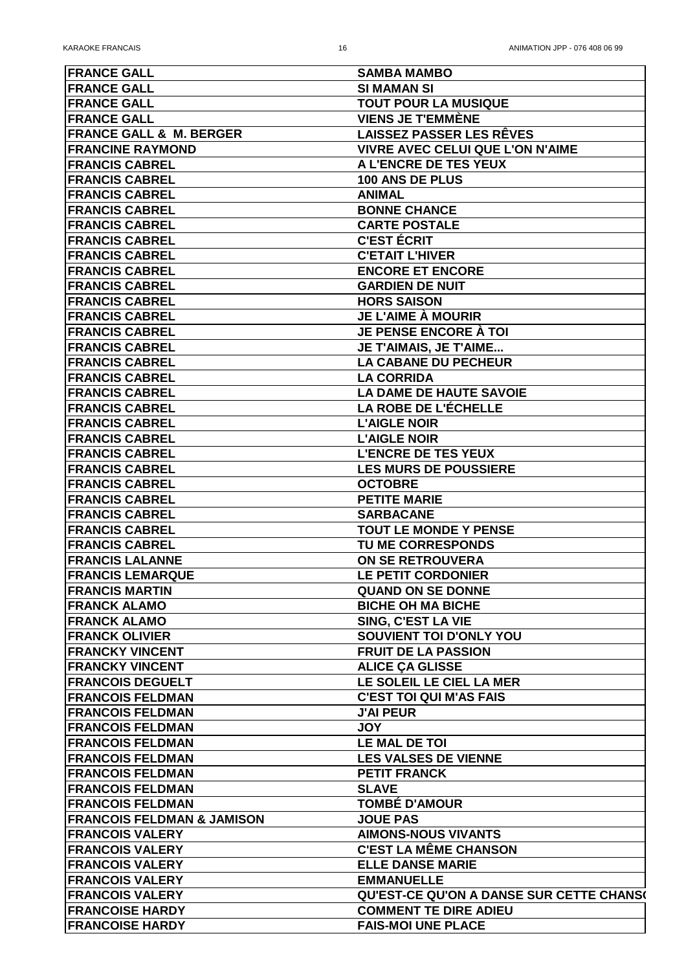| <b>FRANCE GALL</b>                    | <b>SAMBA MAMBO</b>                              |
|---------------------------------------|-------------------------------------------------|
| <b>FRANCE GALL</b>                    | <b>SI MAMAN SI</b>                              |
| <b>FRANCE GALL</b>                    | <b>TOUT POUR LA MUSIQUE</b>                     |
| <b>FRANCE GALL</b>                    | <b>VIENS JE T'EMMÈNE</b>                        |
| <b>FRANCE GALL &amp; M. BERGER</b>    | <b>LAISSEZ PASSER LES RÊVES</b>                 |
| <b>FRANCINE RAYMOND</b>               | <b>VIVRE AVEC CELUI QUE L'ON N'AIME</b>         |
| <b>FRANCIS CABREL</b>                 | A L'ENCRE DE TES YEUX                           |
| <b>FRANCIS CABREL</b>                 | <b>100 ANS DE PLUS</b>                          |
| <b>FRANCIS CABREL</b>                 | <b>ANIMAL</b>                                   |
| <b>FRANCIS CABREL</b>                 | <b>BONNE CHANCE</b>                             |
| <b>FRANCIS CABREL</b>                 | <b>CARTE POSTALE</b>                            |
| <b>FRANCIS CABREL</b>                 | <b>C'EST ÉCRIT</b>                              |
| <b>FRANCIS CABREL</b>                 | <b>C'ETAIT L'HIVER</b>                          |
| <b>FRANCIS CABREL</b>                 | <b>ENCORE ET ENCORE</b>                         |
| <b>FRANCIS CABREL</b>                 | <b>GARDIEN DE NUIT</b>                          |
| <b>FRANCIS CABREL</b>                 | <b>HORS SAISON</b>                              |
| <b>FRANCIS CABREL</b>                 | <b>JE L'AIME À MOURIR</b>                       |
| <b>FRANCIS CABREL</b>                 | <b>JE PENSE ENCORE À TOI</b>                    |
| <b>FRANCIS CABREL</b>                 | <b>JE T'AIMAIS, JE T'AIME</b>                   |
|                                       |                                                 |
| <b>FRANCIS CABREL</b>                 | <b>LA CABANE DU PECHEUR</b>                     |
| <b>FRANCIS CABREL</b>                 | <b>LA CORRIDA</b>                               |
| <b>FRANCIS CABREL</b>                 | <b>LA DAME DE HAUTE SAVOIE</b>                  |
| <b>IFRANCIS CABREL</b>                | <b>LA ROBE DE L'ÉCHELLE</b>                     |
| <b>IFRANCIS CABREL</b>                | <b>L'AIGLE NOIR</b>                             |
| <b>FRANCIS CABREL</b>                 | <b>L'AIGLE NOIR</b>                             |
| <b>FRANCIS CABREL</b>                 | <b>L'ENCRE DE TES YEUX</b>                      |
| <b>FRANCIS CABREL</b>                 | <b>LES MURS DE POUSSIERE</b>                    |
| <b>FRANCIS CABREL</b>                 | <b>OCTOBRE</b>                                  |
| <b>FRANCIS CABREL</b>                 | <b>PETITE MARIE</b>                             |
| <b>FRANCIS CABREL</b>                 | <b>SARBACANE</b>                                |
| <b>FRANCIS CABREL</b>                 | <b>TOUT LE MONDE Y PENSE</b>                    |
| <b>FRANCIS CABREL</b>                 | TU ME CORRESPONDS                               |
| <b>IFRANCIS LALANNE</b>               | <b>ON SE RETROUVERA</b>                         |
| <b>FRANCIS LEMARQUE</b>               | <b>LE PETIT CORDONIER</b>                       |
| <b>FRANCIS MARTIN</b>                 | <b>QUAND ON SE DONNE</b>                        |
| <b>FRANCK ALAMO</b>                   | <b>BICHE OH MA BICHE</b>                        |
| <b>FRANCK ALAMO</b>                   | <b>SING, C'EST LA VIE</b>                       |
| <b>FRANCK OLIVIER</b>                 | SOUVIENT TOI D'ONLY YOU                         |
| <b>FRANCKY VINCENT</b>                | <b>FRUIT DE LA PASSION</b>                      |
| <b>FRANCKY VINCENT</b>                | <b>ALICE ÇA GLISSE</b>                          |
| <b>FRANCOIS DEGUELT</b>               | LE SOLEIL LE CIEL LA MER                        |
| <b>FRANCOIS FELDMAN</b>               | <b>C'EST TOI QUI M'AS FAIS</b>                  |
| <b>FRANCOIS FELDMAN</b>               | <b>J'AI PEUR</b>                                |
| <b>FRANCOIS FELDMAN</b>               | <b>JOY</b>                                      |
| <b>FRANCOIS FELDMAN</b>               | LE MAL DE TOI                                   |
| <b>FRANCOIS FELDMAN</b>               | <b>LES VALSES DE VIENNE</b>                     |
| <b>FRANCOIS FELDMAN</b>               | <b>PETIT FRANCK</b>                             |
| <b>FRANCOIS FELDMAN</b>               | <b>SLAVE</b>                                    |
| <b>FRANCOIS FELDMAN</b>               | <b>TOMBÉ D'AMOUR</b>                            |
| <b>FRANCOIS FELDMAN &amp; JAMISON</b> | <b>JOUE PAS</b>                                 |
| <b>FRANCOIS VALERY</b>                | <b>AIMONS-NOUS VIVANTS</b>                      |
| <b>FRANCOIS VALERY</b>                | <b>C'EST LA MÊME CHANSON</b>                    |
| <b>FRANCOIS VALERY</b>                | <b>ELLE DANSE MARIE</b>                         |
| <b>FRANCOIS VALERY</b>                | <b>EMMANUELLE</b>                               |
| <b>FRANCOIS VALERY</b>                | <b>QU'EST-CE QU'ON A DANSE SUR CETTE CHANS(</b> |
| <b>FRANCOISE HARDY</b>                | <b>COMMENT TE DIRE ADIEU</b>                    |
|                                       |                                                 |
| <b>FRANCOISE HARDY</b>                | <b>FAIS-MOI UNE PLACE</b>                       |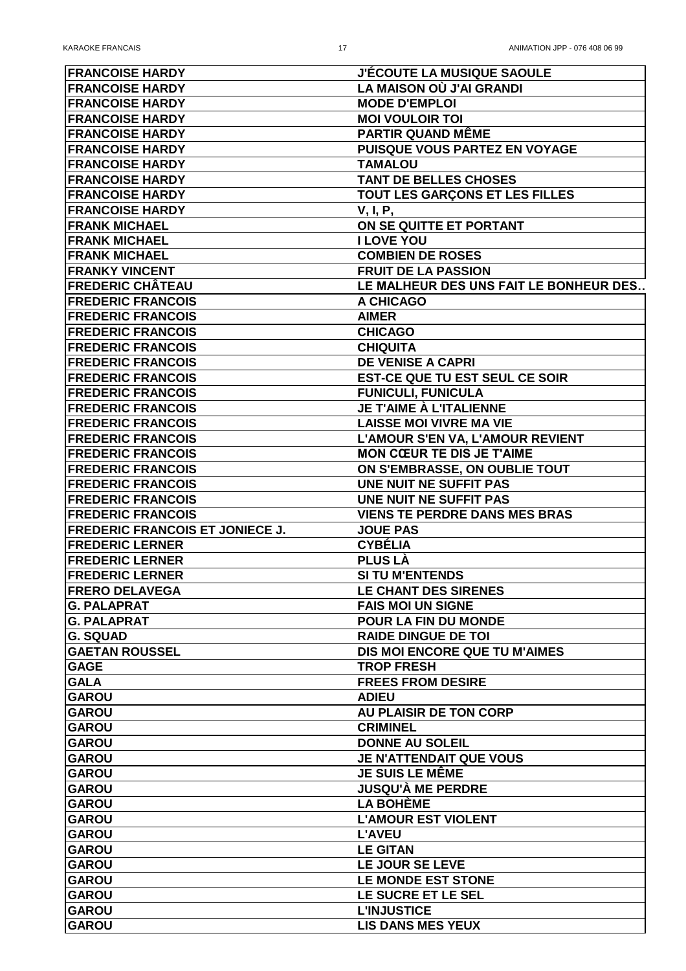| <b>FRANCOISE HARDY</b>                 | <b>J'ÉCOUTE LA MUSIQUE SAOULE</b>              |
|----------------------------------------|------------------------------------------------|
| <b>FRANCOISE HARDY</b>                 | LA MAISON OÙ J'AI GRANDI                       |
| <b>FRANCOISE HARDY</b>                 | <b>MODE D'EMPLOI</b>                           |
| <b>FRANCOISE HARDY</b>                 | <b>MOI VOULOIR TOI</b>                         |
| <b>FRANCOISE HARDY</b>                 | <b>PARTIR QUAND MÊME</b>                       |
| <b>FRANCOISE HARDY</b>                 | <b>PUISQUE VOUS PARTEZ EN VOYAGE</b>           |
| <b>FRANCOISE HARDY</b>                 | <b>TAMALOU</b>                                 |
| <b>FRANCOISE HARDY</b>                 | <b>TANT DE BELLES CHOSES</b>                   |
| <b>FRANCOISE HARDY</b>                 | TOUT LES GARÇONS ET LES FILLES                 |
| <b>FRANCOISE HARDY</b>                 | <b>V</b> , I, P,                               |
| <b>FRANK MICHAEL</b>                   | ON SE QUITTE ET PORTANT                        |
| <b>FRANK MICHAEL</b>                   | <b>I LOVE YOU</b>                              |
| <b>FRANK MICHAEL</b>                   | <b>COMBIEN DE ROSES</b>                        |
| <b>FRANKY VINCENT</b>                  | <b>FRUIT DE LA PASSION</b>                     |
| <b>FREDERIC CHÂTEAU</b>                | LE MALHEUR DES UNS FAIT LE BONHEUR DES.        |
| <b>FREDERIC FRANCOIS</b>               | <b>A CHICAGO</b>                               |
| <b>FREDERIC FRANCOIS</b>               | <b>AIMER</b>                                   |
| <b>FREDERIC FRANCOIS</b>               | <b>CHICAGO</b>                                 |
| <b>FREDERIC FRANCOIS</b>               | <b>CHIQUITA</b>                                |
| <b>FREDERIC FRANCOIS</b>               | <b>DE VENISE A CAPRI</b>                       |
| <b>FREDERIC FRANCOIS</b>               | <b>EST-CE QUE TU EST SEUL CE SOIR</b>          |
| <b>FREDERIC FRANCOIS</b>               | <b>FUNICULI, FUNICULA</b>                      |
| <b>FREDERIC FRANCOIS</b>               | <b>JE T'AIME À L'ITALIENNE</b>                 |
| <b>FREDERIC FRANCOIS</b>               | <b>LAISSE MOI VIVRE MA VIE</b>                 |
| <b>FREDERIC FRANCOIS</b>               | L'AMOUR S'EN VA, L'AMOUR REVIENT               |
| <b>FREDERIC FRANCOIS</b>               | <b>MON CŒUR TE DIS JE T'AIME</b>               |
| <b>FREDERIC FRANCOIS</b>               | ON S'EMBRASSE, ON OUBLIE TOUT                  |
| <b>FREDERIC FRANCOIS</b>               | UNE NUIT NE SUFFIT PAS                         |
| <b>FREDERIC FRANCOIS</b>               | UNE NUIT NE SUFFIT PAS                         |
| <b>FREDERIC FRANCOIS</b>               | <b>VIENS TE PERDRE DANS MES BRAS</b>           |
| <b>FREDERIC FRANCOIS ET JONIECE J.</b> | <b>JOUE PAS</b>                                |
| <b>FREDERIC LERNER</b>                 | <b>CYBÉLIA</b>                                 |
| <b>FREDERIC LERNER</b>                 | <b>PLUS LÀ</b>                                 |
|                                        |                                                |
| <b>FREDERIC LERNER</b>                 | <b>SI TU M'ENTENDS</b>                         |
| <b>FRERO DELAVEGA</b>                  | <b>LE CHANT DES SIRENES</b>                    |
| <b>G. PALAPRAT</b>                     | <b>FAIS MOI UN SIGNE</b>                       |
| <b>G. PALAPRAT</b>                     | <b>POUR LA FIN DU MONDE</b>                    |
| <b>G. SQUAD</b>                        | <b>RAIDE DINGUE DE TOI</b>                     |
| <b>GAETAN ROUSSEL</b>                  | DIS MOI ENCORE QUE TU M'AIMES                  |
| <b>GAGE</b>                            | <b>TROP FRESH</b>                              |
| <b>GALA</b>                            | <b>FREES FROM DESIRE</b>                       |
| <b>GAROU</b>                           | <b>ADIEU</b>                                   |
| <b>GAROU</b>                           | <b>AU PLAISIR DE TON CORP</b>                  |
| <b>GAROU</b>                           | <b>CRIMINEL</b>                                |
| <b>GAROU</b>                           | <b>DONNE AU SOLEIL</b>                         |
| <b>GAROU</b>                           | <b>JE N'ATTENDAIT QUE VOUS</b>                 |
| <b>GAROU</b>                           | <b>JE SUIS LE MÊME</b>                         |
| <b>GAROU</b>                           | <b>JUSQU'À ME PERDRE</b>                       |
| <b>GAROU</b>                           | <b>LA BOHÈME</b>                               |
| <b>GAROU</b>                           | <b>L'AMOUR EST VIOLENT</b>                     |
| <b>GAROU</b>                           | <b>L'AVEU</b>                                  |
| <b>GAROU</b>                           | <b>LE GITAN</b>                                |
| <b>GAROU</b>                           | LE JOUR SE LEVE                                |
| <b>GAROU</b>                           | <b>LE MONDE EST STONE</b>                      |
| <b>GAROU</b>                           | LE SUCRE ET LE SEL                             |
| <b>GAROU</b><br><b>GAROU</b>           | <b>L'INJUSTICE</b><br><b>LIS DANS MES YEUX</b> |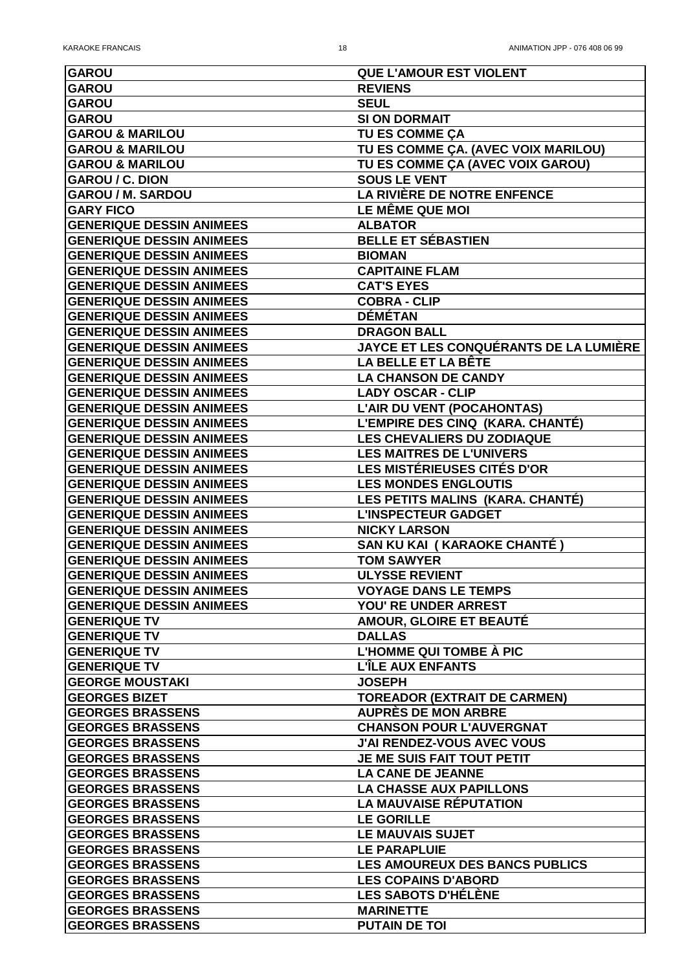| <b>GAROU</b>                                       | <b>QUE L'AMOUR EST VIOLENT</b>                                  |
|----------------------------------------------------|-----------------------------------------------------------------|
| <b>GAROU</b>                                       | <b>REVIENS</b>                                                  |
| <b>GAROU</b>                                       | <b>SEUL</b>                                                     |
| <b>GAROU</b>                                       | <b>SI ON DORMAIT</b>                                            |
| <b>GAROU &amp; MARILOU</b>                         | <b>TU ES COMME ÇA</b>                                           |
| <b>GAROU &amp; MARILOU</b>                         | TU ES COMME ÇA. (AVEC VOIX MARILOU)                             |
| <b>GAROU &amp; MARILOU</b>                         | TU ES COMME ÇA (AVEC VOIX GAROU)                                |
| <b>GAROU / C. DION</b>                             | <b>SOUS LE VENT</b>                                             |
| <b>GAROU / M. SARDOU</b>                           | <b>LA RIVIÈRE DE NOTRE ENFENCE</b>                              |
| <b>GARY FICO</b>                                   | LE MÊME QUE MOI                                                 |
| <b>GENERIQUE DESSIN ANIMEES</b>                    | <b>ALBATOR</b>                                                  |
| <b>GENERIQUE DESSIN ANIMEES</b>                    | <b>BELLE ET SÉBASTIEN</b>                                       |
| <b>GENERIQUE DESSIN ANIMEES</b>                    | <b>BIOMAN</b>                                                   |
| <b>GENERIQUE DESSIN ANIMEES</b>                    | <b>CAPITAINE FLAM</b>                                           |
| <b>GENERIQUE DESSIN ANIMEES</b>                    | <b>CAT'S EYES</b>                                               |
| <b>GENERIQUE DESSIN ANIMEES</b>                    | <b>COBRA - CLIP</b>                                             |
| <b>GENERIQUE DESSIN ANIMEES</b>                    | <b>DÉMÉTAN</b>                                                  |
| <b>GENERIQUE DESSIN ANIMEES</b>                    | <b>DRAGON BALL</b>                                              |
| <b>GENERIQUE DESSIN ANIMEES</b>                    | <b>JAYCE ET LES CONQUÉRANTS DE LA LUMIÈRE</b>                   |
| <b>GENERIQUE DESSIN ANIMEES</b>                    | LA BELLE ET LA BÊTE                                             |
| <b>GENERIQUE DESSIN ANIMEES</b>                    | <b>LA CHANSON DE CANDY</b>                                      |
| <b>GENERIQUE DESSIN ANIMEES</b>                    | <b>LADY OSCAR - CLIP</b>                                        |
| <b>GENERIQUE DESSIN ANIMEES</b>                    | <b>L'AIR DU VENT (POCAHONTAS)</b>                               |
| <b>GENERIQUE DESSIN ANIMEES</b>                    | L'EMPIRE DES CINQ (KARA. CHANTÉ)                                |
| <b>GENERIQUE DESSIN ANIMEES</b>                    | <b>LES CHEVALIERS DU ZODIAQUE</b>                               |
| <b>GENERIQUE DESSIN ANIMEES</b>                    | <b>LES MAITRES DE L'UNIVERS</b>                                 |
| <b>GENERIQUE DESSIN ANIMEES</b>                    | <b>LES MISTÉRIEUSES CITÉS D'OR</b>                              |
| <b>GENERIQUE DESSIN ANIMEES</b>                    | <b>LES MONDES ENGLOUTIS</b>                                     |
| <b>GENERIQUE DESSIN ANIMEES</b>                    | LES PETITS MALINS (KARA. CHANTÉ)                                |
| <b>GENERIQUE DESSIN ANIMEES</b>                    | <b>L'INSPECTEUR GADGET</b>                                      |
| <b>GENERIQUE DESSIN ANIMEES</b>                    | <b>NICKY LARSON</b>                                             |
| <b>GENERIQUE DESSIN ANIMEES</b>                    | <b>SAN KU KAI (KARAOKE CHANTÉ)</b>                              |
| <b>GENERIQUE DESSIN ANIMEES</b>                    | <b>TOM SAWYER</b>                                               |
| <b>GENERIQUE DESSIN ANIMEES</b>                    | <b>ULYSSE REVIENT</b>                                           |
| <b>GENERIQUE DESSIN ANIMEES</b>                    | <b>VOYAGE DANS LE TEMPS</b>                                     |
| <b>GENERIQUE DESSIN ANIMEES</b>                    | YOU' RE UNDER ARREST                                            |
| <b>GENERIQUE TV</b>                                | <b>AMOUR, GLOIRE ET BEAUTÉ</b>                                  |
| <b>GENERIQUE TV</b>                                | <b>DALLAS</b>                                                   |
| <b>GENERIQUE TV</b>                                | <b>L'HOMME QUI TOMBE À PIC</b>                                  |
| <b>GENERIQUE TV</b>                                | <b>L'ÎLE AUX ENFANTS</b>                                        |
| <b>GEORGE MOUSTAKI</b>                             | <b>JOSEPH</b>                                                   |
| <b>GEORGES BIZET</b>                               | <b>TOREADOR (EXTRAIT DE CARMEN)</b>                             |
| <b>GEORGES BRASSENS</b>                            | <b>AUPRÈS DE MON ARBRE</b>                                      |
| <b>GEORGES BRASSENS</b>                            | <b>CHANSON POUR L'AUVERGNAT</b>                                 |
| <b>GEORGES BRASSENS</b>                            | <b>J'AI RENDEZ-VOUS AVEC VOUS</b>                               |
| <b>GEORGES BRASSENS</b>                            | <b>JE ME SUIS FAIT TOUT PETIT</b>                               |
| <b>GEORGES BRASSENS</b>                            | <b>LA CANE DE JEANNE</b>                                        |
| <b>GEORGES BRASSENS</b>                            | <b>LA CHASSE AUX PAPILLONS</b><br><b>LA MAUVAISE RÉPUTATION</b> |
| <b>GEORGES BRASSENS</b><br><b>GEORGES BRASSENS</b> | <b>LE GORILLE</b>                                               |
| <b>GEORGES BRASSENS</b>                            | <b>LE MAUVAIS SUJET</b>                                         |
| <b>GEORGES BRASSENS</b>                            | <b>LE PARAPLUIE</b>                                             |
| <b>GEORGES BRASSENS</b>                            | <b>LES AMOUREUX DES BANCS PUBLICS</b>                           |
| <b>GEORGES BRASSENS</b>                            | <b>LES COPAINS D'ABORD</b>                                      |
| <b>GEORGES BRASSENS</b>                            | <b>LES SABOTS D'HÉLÈNE</b>                                      |
| <b>GEORGES BRASSENS</b>                            | <b>MARINETTE</b>                                                |
| <b>GEORGES BRASSENS</b>                            | <b>PUTAIN DE TOI</b>                                            |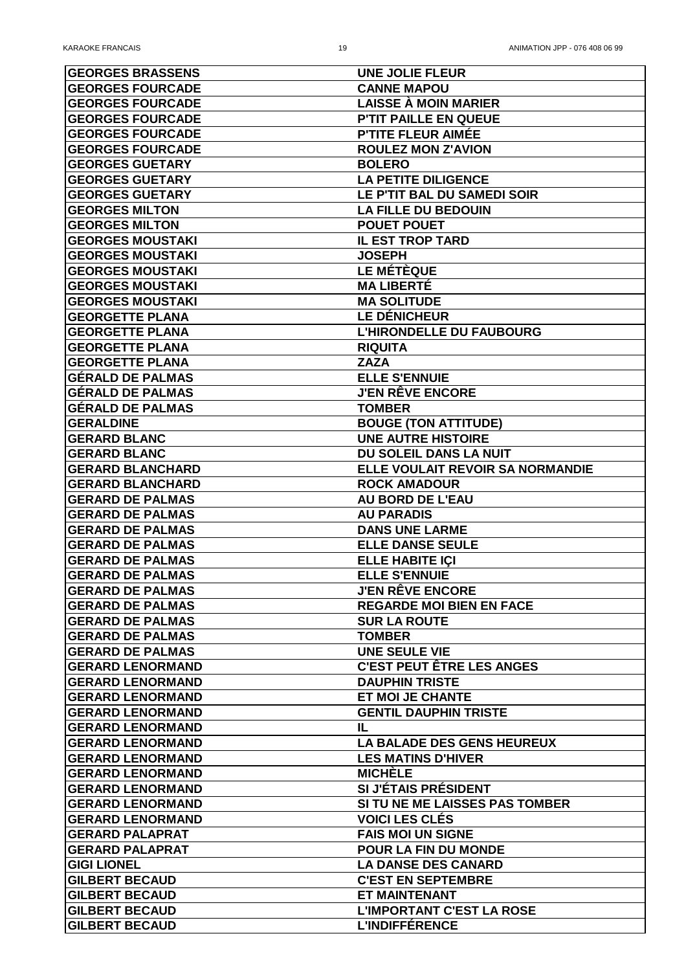| <b>GEORGES BRASSENS</b> | <b>UNE JOLIE FLEUR</b>             |
|-------------------------|------------------------------------|
| <b>GEORGES FOURCADE</b> | <b>CANNE MAPOU</b>                 |
| <b>GEORGES FOURCADE</b> | <b>LAISSE À MOIN MARIER</b>        |
| <b>GEORGES FOURCADE</b> | <b>P'TIT PAILLE EN QUEUE</b>       |
| <b>GEORGES FOURCADE</b> | <b>P'TITE FLEUR AIMÉE</b>          |
| <b>GEORGES FOURCADE</b> | <b>ROULEZ MON Z'AVION</b>          |
| <b>GEORGES GUETARY</b>  | <b>BOLERO</b>                      |
| <b>GEORGES GUETARY</b>  | <b>LA PETITE DILIGENCE</b>         |
| <b>GEORGES GUETARY</b>  | <b>LE P'TIT BAL DU SAMEDI SOIR</b> |
| <b>GEORGES MILTON</b>   | <b>LA FILLE DU BEDOUIN</b>         |
| <b>GEORGES MILTON</b>   | <b>POUET POUET</b>                 |
| <b>GEORGES MOUSTAKI</b> | <b>IL EST TROP TARD</b>            |
| <b>GEORGES MOUSTAKI</b> | <b>JOSEPH</b>                      |
| <b>GEORGES MOUSTAKI</b> | <b>LE MÉTÈQUE</b>                  |
| <b>GEORGES MOUSTAKI</b> | <b>MA LIBERTÉ</b>                  |
| <b>GEORGES MOUSTAKI</b> | <b>MA SOLITUDE</b>                 |
| <b>GEORGETTE PLANA</b>  | <b>LE DÉNICHEUR</b>                |
| <b>GEORGETTE PLANA</b>  | <b>L'HIRONDELLE DU FAUBOURG</b>    |
| <b>GEORGETTE PLANA</b>  | <b>RIQUITA</b>                     |
| <b>GEORGETTE PLANA</b>  | <b>ZAZA</b>                        |
| <b>GÉRALD DE PALMAS</b> | <b>ELLE S'ENNUIE</b>               |
| <b>GÉRALD DE PALMAS</b> | <b>J'EN RÊVE ENCORE</b>            |
| <b>GERALD DE PALMAS</b> | <b>TOMBER</b>                      |
| <b>GERALDINE</b>        | <b>BOUGE (TON ATTITUDE)</b>        |
| <b>GERARD BLANC</b>     | <b>UNE AUTRE HISTOIRE</b>          |
| <b>GERARD BLANC</b>     | <b>DU SOLEIL DANS LA NUIT</b>      |
| <b>GERARD BLANCHARD</b> | ELLE VOULAIT REVOIR SA NORMANDIE   |
| <b>GERARD BLANCHARD</b> | <b>ROCK AMADOUR</b>                |
| <b>GERARD DE PALMAS</b> | <b>AU BORD DE L'EAU</b>            |
| <b>GERARD DE PALMAS</b> | <b>AU PARADIS</b>                  |
| <b>GERARD DE PALMAS</b> | <b>DANS UNE LARME</b>              |
| <b>GERARD DE PALMAS</b> | <b>ELLE DANSE SEULE</b>            |
| <b>GERARD DE PALMAS</b> |                                    |
|                         | <b>ELLE HABITE IÇI</b>             |
| <b>GERARD DE PALMAS</b> | <b>ELLE S'ENNUIE</b>               |
| <b>GERARD DE PALMAS</b> | <b>J'EN RÊVE ENCORE</b>            |
| <b>GERARD DE PALMAS</b> | <b>REGARDE MOI BIEN EN FACE</b>    |
| <b>GERARD DE PALMAS</b> | <b>SUR LA ROUTE</b>                |
| <b>GERARD DE PALMAS</b> | <b>TOMBER</b>                      |
| <b>GERARD DE PALMAS</b> | <b>UNE SEULE VIE</b>               |
| <b>GERARD LENORMAND</b> | <b>C'EST PEUT ÊTRE LES ANGES</b>   |
| <b>GERARD LENORMAND</b> | <b>DAUPHIN TRISTE</b>              |
| <b>GERARD LENORMAND</b> | <b>ET MOI JE CHANTE</b>            |
| <b>GERARD LENORMAND</b> | <b>GENTIL DAUPHIN TRISTE</b>       |
| <b>GERARD LENORMAND</b> | IL                                 |
| <b>GERARD LENORMAND</b> | LA BALADE DES GENS HEUREUX         |
| <b>GERARD LENORMAND</b> | <b>LES MATINS D'HIVER</b>          |
| <b>GERARD LENORMAND</b> | <b>MICHÈLE</b>                     |
| <b>GERARD LENORMAND</b> | <b>SI J'ÉTAIS PRÉSIDENT</b>        |
| <b>GERARD LENORMAND</b> | SI TU NE ME LAISSES PAS TOMBER     |
| <b>GERARD LENORMAND</b> | <b>VOICI LES CLES</b>              |
| <b>GERARD PALAPRAT</b>  | <b>FAIS MOI UN SIGNE</b>           |
| <b>GERARD PALAPRAT</b>  | <b>POUR LA FIN DU MONDE</b>        |
| <b>GIGI LIONEL</b>      | <b>LA DANSE DES CANARD</b>         |
| <b>GILBERT BECAUD</b>   | <b>C'EST EN SEPTEMBRE</b>          |
| <b>GILBERT BECAUD</b>   | <b>ET MAINTENANT</b>               |
| <b>GILBERT BECAUD</b>   | <b>L'IMPORTANT C'EST LA ROSE</b>   |
| <b>GILBERT BECAUD</b>   | <b>L'INDIFFÉRENCE</b>              |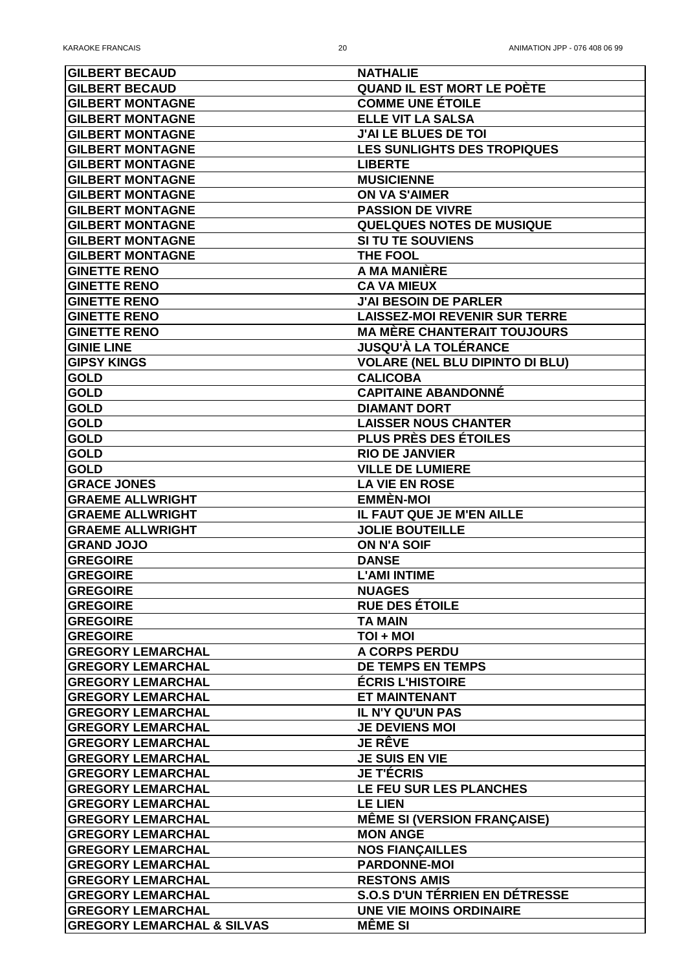| <b>GILBERT BECAUD</b>                                | <b>NATHALIE</b>                                  |
|------------------------------------------------------|--------------------------------------------------|
| <b>GILBERT BECAUD</b>                                | <b>QUAND IL EST MORT LE POÈTE</b>                |
| <b>GILBERT MONTAGNE</b>                              | <b>COMME UNE ÉTOILE</b>                          |
| <b>GILBERT MONTAGNE</b>                              | <b>ELLE VIT LA SALSA</b>                         |
| <b>GILBERT MONTAGNE</b>                              | <b>J'AI LE BLUES DE TOI</b>                      |
| <b>GILBERT MONTAGNE</b>                              | <b>LES SUNLIGHTS DES TROPIQUES</b>               |
| <b>GILBERT MONTAGNE</b>                              | <b>LIBERTE</b>                                   |
| <b>GILBERT MONTAGNE</b>                              | <b>MUSICIENNE</b>                                |
| <b>GILBERT MONTAGNE</b>                              | <b>ON VA S'AIMER</b>                             |
| <b>GILBERT MONTAGNE</b>                              | <b>PASSION DE VIVRE</b>                          |
| <b>GILBERT MONTAGNE</b>                              | <b>QUELQUES NOTES DE MUSIQUE</b>                 |
| <b>GILBERT MONTAGNE</b>                              | <b>SI TU TE SOUVIENS</b>                         |
| <b>GILBERT MONTAGNE</b>                              | THE FOOL                                         |
| <b>GINETTE RENO</b>                                  | A MA MANIÈRE                                     |
| <b>GINETTE RENO</b>                                  | <b>CA VA MIEUX</b>                               |
| <b>GINETTE RENO</b>                                  | <b>J'AI BESOIN DE PARLER</b>                     |
| <b>GINETTE RENO</b>                                  | <b>LAISSEZ-MOI REVENIR SUR TERRE</b>             |
| <b>GINETTE RENO</b>                                  | <b>MA MERE CHANTERAIT TOUJOURS</b>               |
| <b>GINIE LINE</b>                                    | <b>JUSQU'À LA TOLÉRANCE</b>                      |
| <b>GIPSY KINGS</b>                                   | <b>VOLARE (NEL BLU DIPINTO DI BLU)</b>           |
| <b>GOLD</b>                                          | <b>CALICOBA</b>                                  |
| <b>GOLD</b>                                          | <b>CAPITAINE ABANDONNÉ</b>                       |
| <b>GOLD</b>                                          | <b>DIAMANT DORT</b>                              |
| <b>GOLD</b>                                          | <b>LAISSER NOUS CHANTER</b>                      |
| <b>GOLD</b>                                          | PLUS PRÈS DES ÉTOILES                            |
| <b>GOLD</b>                                          | <b>RIO DE JANVIER</b>                            |
| <b>GOLD</b>                                          | <b>VILLE DE LUMIERE</b>                          |
| <b>GRACE JONES</b>                                   | <b>LA VIE EN ROSE</b>                            |
| <b>GRAEME ALLWRIGHT</b>                              | <b>EMMÈN-MOI</b>                                 |
| <b>GRAEME ALLWRIGHT</b>                              | IL FAUT QUE JE M'EN AILLE                        |
| <b>GRAEME ALLWRIGHT</b>                              | <b>JOLIE BOUTEILLE</b>                           |
| <b>GRAND JOJO</b>                                    | <b>ON N'A SOIF</b>                               |
| <b>GREGOIRE</b>                                      | <b>DANSE</b>                                     |
| <b>GREGOIRE</b>                                      | <b>L'AMI INTIME</b>                              |
| <b>GREGOIRE</b>                                      | <b>NUAGES</b><br><b>RUE DES ÉTOILE</b>           |
| <b>GREGOIRE</b><br><b>GREGOIRE</b>                   | <b>TA MAIN</b>                                   |
| <b>GREGOIRE</b>                                      | TOI + MOI                                        |
|                                                      |                                                  |
| <b>GREGORY LEMARCHAL</b>                             | <b>A CORPS PERDU</b><br><b>DE TEMPS EN TEMPS</b> |
| <b>GREGORY LEMARCHAL</b><br><b>GREGORY LEMARCHAL</b> | <b>ÉCRIS L'HISTOIRE</b>                          |
| <b>GREGORY LEMARCHAL</b>                             | <b>ET MAINTENANT</b>                             |
| <b>GREGORY LEMARCHAL</b>                             | <b>IL N'Y QU'UN PAS</b>                          |
| <b>GREGORY LEMARCHAL</b>                             | <b>JE DEVIENS MOI</b>                            |
| <b>GREGORY LEMARCHAL</b>                             | <b>JE RÊVE</b>                                   |
| <b>GREGORY LEMARCHAL</b>                             | <b>JE SUIS EN VIE</b>                            |
| <b>GREGORY LEMARCHAL</b>                             | <b>JE T'ÉCRIS</b>                                |
| <b>GREGORY LEMARCHAL</b>                             | LE FEU SUR LES PLANCHES                          |
| <b>GREGORY LEMARCHAL</b>                             | <b>LE LIEN</b>                                   |
| <b>GREGORY LEMARCHAL</b>                             | <b>MÊME SI (VERSION FRANÇAISE)</b>               |
| <b>GREGORY LEMARCHAL</b>                             | <b>MON ANGE</b>                                  |
| <b>GREGORY LEMARCHAL</b>                             | <b>NOS FIANCAILLES</b>                           |
| <b>GREGORY LEMARCHAL</b>                             | <b>PARDONNE-MOI</b>                              |
| <b>GREGORY LEMARCHAL</b>                             | <b>RESTONS AMIS</b>                              |
| <b>GREGORY LEMARCHAL</b>                             | <b>S.O.S D'UN TÉRRIEN EN DÉTRESSE</b>            |
| <b>GREGORY LEMARCHAL</b>                             | <b>UNE VIE MOINS ORDINAIRE</b>                   |
| <b>GREGORY LEMARCHAL &amp; SILVAS</b>                | <b>MÊME SI</b>                                   |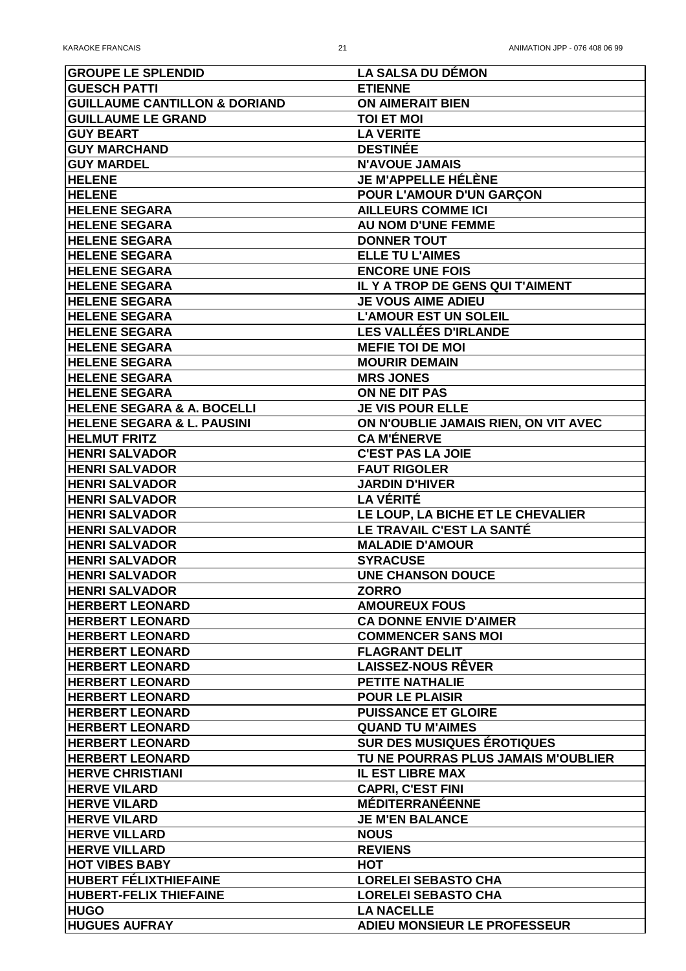| <b>GROUPE LE SPLENDID</b>                | <b>LA SALSA DU DÉMON</b>                |
|------------------------------------------|-----------------------------------------|
| <b>GUESCH PATTI</b>                      | <b>ETIENNE</b>                          |
| <b>GUILLAUME CANTILLON &amp; DORIAND</b> | <b>ON AIMERAIT BIEN</b>                 |
| <b>GUILLAUME LE GRAND</b>                | <b>TOI ET MOI</b>                       |
| <b>GUY BEART</b>                         | <b>LA VERITE</b>                        |
| <b>GUY MARCHAND</b>                      | <b>DESTINÉE</b>                         |
| <b>GUY MARDEL</b>                        | <b>N'AVOUE JAMAIS</b>                   |
| <b>HELENE</b>                            | <b>JE M'APPELLE HÉLÈNE</b>              |
| <b>HELENE</b>                            | POUR L'AMOUR D'UN GARÇON                |
| <b>HELENE SEGARA</b>                     | <b>AILLEURS COMME ICI</b>               |
| <b>HELENE SEGARA</b>                     | <b>AU NOM D'UNE FEMME</b>               |
| <b>HELENE SEGARA</b>                     | <b>DONNER TOUT</b>                      |
| <b>HELENE SEGARA</b>                     | <b>ELLE TU L'AIMES</b>                  |
| <b>HELENE SEGARA</b>                     | <b>ENCORE UNE FOIS</b>                  |
| <b>HELENE SEGARA</b>                     | <b>IL Y A TROP DE GENS QUI T'AIMENT</b> |
| <b>HELENE SEGARA</b>                     | <b>JE VOUS AIME ADIEU</b>               |
|                                          |                                         |
| <b>HELENE SEGARA</b>                     | <b>L'AMOUR EST UN SOLEIL</b>            |
| <b>HELENE SEGARA</b>                     | <b>LES VALLÉES D'IRLANDE</b>            |
| <b>HELENE SEGARA</b>                     | <b>MEFIE TOI DE MOI</b>                 |
| <b>HELENE SEGARA</b>                     | <b>MOURIR DEMAIN</b>                    |
| <b>HELENE SEGARA</b>                     | <b>MRS JONES</b>                        |
| <b>HELENE SEGARA</b>                     | ON NE DIT PAS                           |
| <b>HELENE SEGARA &amp; A. BOCELLI</b>    | <b>JE VIS POUR ELLE</b>                 |
| <b>HELENE SEGARA &amp; L. PAUSINI</b>    | ON N'OUBLIE JAMAIS RIEN, ON VIT AVEC    |
| <b>HELMUT FRITZ</b>                      | <b>CA M'ÉNERVE</b>                      |
| <b>HENRI SALVADOR</b>                    | <b>C'EST PAS LA JOIE</b>                |
| <b>HENRI SALVADOR</b>                    | <b>FAUT RIGOLER</b>                     |
| <b>HENRI SALVADOR</b>                    | <b>JARDIN D'HIVER</b>                   |
| <b>HENRI SALVADOR</b>                    | <b>LA VÉRITÉ</b>                        |
| <b>HENRI SALVADOR</b>                    | LE LOUP, LA BICHE ET LE CHEVALIER       |
| <b>HENRI SALVADOR</b>                    | LE TRAVAIL C'EST LA SANTÉ               |
| <b>HENRI SALVADOR</b>                    | <b>MALADIE D'AMOUR</b>                  |
| <b>HENRI SALVADOR</b>                    | <b>SYRACUSE</b>                         |
| <b>HENRI SALVADOR</b>                    | <b>UNE CHANSON DOUCE</b>                |
| <b>HENRI SALVADOR</b>                    | <b>ZORRO</b>                            |
| <b>HERBERT LEONARD</b>                   | <b>AMOUREUX FOUS</b>                    |
| <b>HERBERT LEONARD</b>                   | <b>CA DONNE ENVIE D'AIMER</b>           |
| <b>HERBERT LEONARD</b>                   | <b>COMMENCER SANS MOI</b>               |
| <b>HERBERT LEONARD</b>                   | <b>FLAGRANT DELIT</b>                   |
| <b>HERBERT LEONARD</b>                   | <b>LAISSEZ-NOUS RÊVER</b>               |
| <b>HERBERT LEONARD</b>                   | <b>PETITE NATHALIE</b>                  |
| <b>HERBERT LEONARD</b>                   | <b>POUR LE PLAISIR</b>                  |
| <b>HERBERT LEONARD</b>                   | <b>PUISSANCE ET GLOIRE</b>              |
| <b>HERBERT LEONARD</b>                   | <b>QUAND TU M'AIMES</b>                 |
| <b>HERBERT LEONARD</b>                   | <b>SUR DES MUSIQUES EROTIQUES</b>       |
| <b>HERBERT LEONARD</b>                   | TU NE POURRAS PLUS JAMAIS M'OUBLIER     |
| <b>HERVE CHRISTIANI</b>                  | <b>IL EST LIBRE MAX</b>                 |
| <b>HERVE VILARD</b>                      | <b>CAPRI, C'EST FINI</b>                |
| <b>HERVE VILARD</b>                      | <b>MÉDITERRANÉENNE</b>                  |
| <b>HERVE VILARD</b>                      | <b>JE M'EN BALANCE</b>                  |
| <b>HERVE VILLARD</b>                     | <b>NOUS</b>                             |
| <b>HERVE VILLARD</b>                     | <b>REVIENS</b>                          |
| <b>HOT VIBES BABY</b>                    | <b>HOT</b>                              |
| <b>HUBERT FÉLIXTHIEFAINE</b>             |                                         |
|                                          | <b>LORELEI SEBASTO CHA</b>              |
| <b>HUBERT-FELIX THIEFAINE</b>            | <b>LORELEI SEBASTO CHA</b>              |
| <b>HUGO</b>                              | <b>LA NACELLE</b>                       |
| <b>HUGUES AUFRAY</b>                     | <b>ADIEU MONSIEUR LE PROFESSEUR</b>     |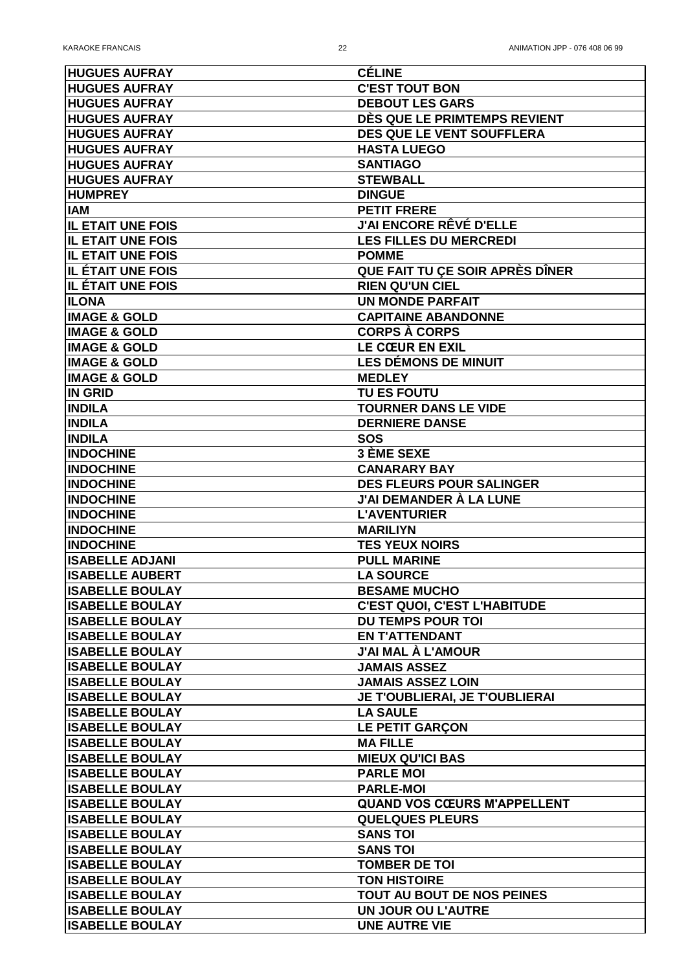| <b>HUGUES AUFRAY</b>                             | <b>CÉLINE</b>                               |
|--------------------------------------------------|---------------------------------------------|
| <b>HUGUES AUFRAY</b>                             | <b>C'EST TOUT BON</b>                       |
| <b>HUGUES AUFRAY</b>                             | <b>DEBOUT LES GARS</b>                      |
| <b>HUGUES AUFRAY</b>                             | DÈS QUE LE PRIMTEMPS REVIENT                |
| <b>HUGUES AUFRAY</b>                             | <b>DES QUE LE VENT SOUFFLERA</b>            |
| <b>HUGUES AUFRAY</b>                             | <b>HASTA LUEGO</b>                          |
| <b>HUGUES AUFRAY</b>                             | <b>SANTIAGO</b>                             |
| <b>HUGUES AUFRAY</b>                             | <b>STEWBALL</b>                             |
| <b>HUMPREY</b>                                   | <b>DINGUE</b>                               |
| <b>IAM</b>                                       | <b>PETIT FRERE</b>                          |
| <b>IL ETAIT UNE FOIS</b>                         | <b>J'AI ENCORE RÊVÉ D'ELLE</b>              |
| <b>IIL ETAIT UNE FOIS</b>                        | <b>LES FILLES DU MERCREDI</b>               |
| <b>IL ETAIT UNE FOIS</b>                         | <b>POMME</b>                                |
| <b>IL ÉTAIT UNE FOIS</b>                         | QUE FAIT TU ÇE SOIR APRÈS DÎNER             |
| <b>IIL ÉTAIT UNE FOIS</b>                        | <b>RIEN QU'UN CIEL</b>                      |
| <b>ILONA</b>                                     | <b>UN MONDE PARFAIT</b>                     |
| <b>IMAGE &amp; GOLD</b>                          | <b>CAPITAINE ABANDONNE</b>                  |
| <b>IMAGE &amp; GOLD</b>                          | <b>CORPS À CORPS</b>                        |
| <b>IMAGE &amp; GOLD</b>                          | <b>LE CŒUR EN EXIL</b>                      |
| <b>IMAGE &amp; GOLD</b>                          | <b>LES DÉMONS DE MINUIT</b>                 |
| <b>IMAGE &amp; GOLD</b>                          | <b>MEDLEY</b>                               |
| <b>IN GRID</b>                                   | <b>TU ES FOUTU</b>                          |
| <b>INDILA</b>                                    | <b>TOURNER DANS LE VIDE</b>                 |
| <b>INDILA</b>                                    | <b>DERNIERE DANSE</b>                       |
| <b>INDILA</b>                                    | <b>SOS</b>                                  |
| <b>INDOCHINE</b>                                 | <b>3 EME SEXE</b>                           |
| <b>INDOCHINE</b>                                 | <b>CANARARY BAY</b>                         |
| <b>INDOCHINE</b>                                 | <b>DES FLEURS POUR SALINGER</b>             |
| <b>INDOCHINE</b>                                 | <b>J'AI DEMANDER À LA LUNE</b>              |
| <b>INDOCHINE</b>                                 | <b>L'AVENTURIER</b>                         |
| <b>INDOCHINE</b>                                 | <b>MARILIYN</b>                             |
| <b>INDOCHINE</b>                                 |                                             |
|                                                  | <b>TES YEUX NOIRS</b><br><b>PULL MARINE</b> |
| <b>ISABELLE ADJANI</b><br><b>ISABELLE AUBERT</b> |                                             |
|                                                  | <b>LA SOURCE</b>                            |
| <b>ISABELLE BOULAY</b>                           | <b>BESAME MUCHO</b>                         |
| <b>ISABELLE BOULAY</b>                           | <b>C'EST QUOI, C'EST L'HABITUDE</b>         |
| <b>ISABELLE BOULAY</b>                           | <b>DU TEMPS POUR TOI</b>                    |
| <b>ISABELLE BOULAY</b>                           | <b>EN T'ATTENDANT</b>                       |
| <b>ISABELLE BOULAY</b>                           | J'AI MAL À L'AMOUR                          |
| <b>ISABELLE BOULAY</b>                           | <b>JAMAIS ASSEZ</b>                         |
| <b>ISABELLE BOULAY</b>                           | <b>JAMAIS ASSEZ LOIN</b>                    |
| <b>ISABELLE BOULAY</b>                           | <b>JE T'OUBLIERAI, JE T'OUBLIERAI</b>       |
| <b>ISABELLE BOULAY</b>                           | <b>LA SAULE</b>                             |
| <b>ISABELLE BOULAY</b>                           | <b>LE PETIT GARÇON</b>                      |
| <b>ISABELLE BOULAY</b>                           | <b>MA FILLE</b>                             |
| <b>ISABELLE BOULAY</b>                           | <b>MIEUX QU'ICI BAS</b>                     |
| <b>ISABELLE BOULAY</b>                           | <b>PARLE MOI</b>                            |
| <b>ISABELLE BOULAY</b>                           | <b>PARLE-MOI</b>                            |
| <b>ISABELLE BOULAY</b>                           | <b>QUAND VOS CŒURS M'APPELLENT</b>          |
| <b>ISABELLE BOULAY</b>                           | <b>QUELQUES PLEURS</b>                      |
| <b>ISABELLE BOULAY</b>                           | <b>SANS TOI</b>                             |
| <b>ISABELLE BOULAY</b>                           | <b>SANS TOI</b>                             |
| <b>ISABELLE BOULAY</b>                           | <b>TOMBER DE TOI</b>                        |
| <b>ISABELLE BOULAY</b>                           | <b>TON HISTOIRE</b>                         |
| <b>ISABELLE BOULAY</b>                           | <b>TOUT AU BOUT DE NOS PEINES</b>           |
| <b>ISABELLE BOULAY</b>                           | <b>UN JOUR OU L'AUTRE</b>                   |
| <b>ISABELLE BOULAY</b>                           | <b>UNE AUTRE VIE</b>                        |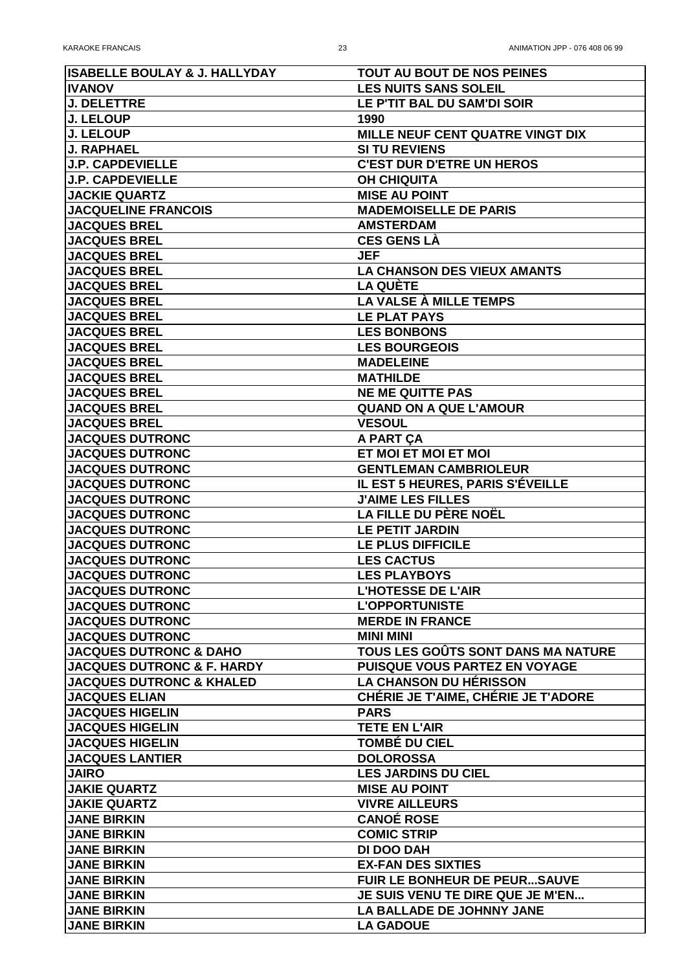| <b>ISABELLE BOULAY &amp; J. HALLYDAY</b> | <b>TOUT AU BOUT DE NOS PEINES</b>       |
|------------------------------------------|-----------------------------------------|
| <b>IIVANOV</b>                           | <b>LES NUITS SANS SOLEIL</b>            |
| <b>J. DELETTRE</b>                       | LE P'TIT BAL DU SAM'DI SOIR             |
| <b>J. LELOUP</b>                         | 1990                                    |
| <b>J. LELOUP</b>                         | MILLE NEUF CENT QUATRE VINGT DIX        |
| <b>J. RAPHAEL</b>                        | <b>SI TU REVIENS</b>                    |
| <b>J.P. CAPDEVIELLE</b>                  | <b>C'EST DUR D'ETRE UN HEROS</b>        |
| <b>J.P. CAPDEVIELLE</b>                  | <b>OH CHIQUITA</b>                      |
| <b>JACKIE QUARTZ</b>                     | <b>MISE AU POINT</b>                    |
| <b>JACQUELINE FRANCOIS</b>               | <b>MADEMOISELLE DE PARIS</b>            |
| <b>JACQUES BREL</b>                      | <b>AMSTERDAM</b>                        |
| <b>JACQUES BREL</b>                      | <b>CES GENS LA</b>                      |
| <b>JACQUES BREL</b>                      | <b>JEF</b>                              |
| <b>JACQUES BREL</b>                      | <b>LA CHANSON DES VIEUX AMANTS</b>      |
| <b>JACQUES BREL</b>                      | <b>LA QUÈTE</b>                         |
| <b>JACQUES BREL</b>                      | LA VALSE À MILLE TEMPS                  |
| <b>JACQUES BREL</b>                      | <b>LE PLAT PAYS</b>                     |
| <b>JACQUES BREL</b>                      | <b>LES BONBONS</b>                      |
| <b>JACQUES BREL</b>                      | <b>LES BOURGEOIS</b>                    |
| <b>JACQUES BREL</b>                      | <b>MADELEINE</b>                        |
| <b>JACQUES BREL</b>                      | <b>MATHILDE</b>                         |
| <b>JACQUES BREL</b>                      | <b>NE ME QUITTE PAS</b>                 |
| <b>JACQUES BREL</b>                      | <b>QUAND ON A QUE L'AMOUR</b>           |
| <b>JACQUES BREL</b>                      | <b>VESOUL</b>                           |
| <b>JACQUES DUTRONC</b>                   | A PART ÇA                               |
| <b>JACQUES DUTRONC</b>                   | ET MOI ET MOI ET MOI                    |
| <b>JACQUES DUTRONC</b>                   | <b>GENTLEMAN CAMBRIOLEUR</b>            |
| <b>JACQUES DUTRONC</b>                   | <b>IL EST 5 HEURES, PARIS S'ÉVEILLE</b> |
| <b>JACQUES DUTRONC</b>                   | <b>J'AIME LES FILLES</b>                |
| <b>JACQUES DUTRONC</b>                   | <b>LA FILLE DU PÈRE NOËL</b>            |
| <b>JACQUES DUTRONC</b>                   | <b>LE PETIT JARDIN</b>                  |
| <b>JACQUES DUTRONC</b>                   | LE PLUS DIFFICILE                       |
| <b>JACQUES DUTRONC</b>                   | <b>LES CACTUS</b>                       |
| <b>JACQUES DUTRONC</b>                   | <b>LES PLAYBOYS</b>                     |
| <b>JACQUES DUTRONC</b>                   | <b>L'HOTESSE DE L'AIR</b>               |
| <b>JACQUES DUTRONC</b>                   | <b>L'OPPORTUNISTE</b>                   |
| <b>JACQUES DUTRONC</b>                   | <b>MERDE IN FRANCE</b>                  |
| <b>JACQUES DUTRONC</b>                   | <b>MINI MINI</b>                        |
| <b>JACQUES DUTRONC &amp; DAHO</b>        | TOUS LES GOÛTS SONT DANS MA NATURE      |
| <b>JACQUES DUTRONC &amp; F. HARDY</b>    | <b>PUISQUE VOUS PARTEZ EN VOYAGE</b>    |
| <b>JACQUES DUTRONC &amp; KHALED</b>      | <b>LA CHANSON DU HÉRISSON</b>           |
| <b>JACQUES ELIAN</b>                     | CHÉRIE JE T'AIME, CHÉRIE JE T'ADORE     |
| <b>JACQUES HIGELIN</b>                   | <b>PARS</b>                             |
| <b>JACQUES HIGELIN</b>                   | <b>TETE EN L'AIR</b>                    |
| <b>JACQUES HIGELIN</b>                   | <b>TOMBÉ DU CIEL</b>                    |
| <b>JACQUES LANTIER</b>                   | <b>DOLOROSSA</b>                        |
| <b>JAIRO</b>                             | <b>LES JARDINS DU CIEL</b>              |
| <b>JAKIE QUARTZ</b>                      | <b>MISE AU POINT</b>                    |
| <b>JAKIE QUARTZ</b>                      | <b>VIVRE AILLEURS</b>                   |
| <b>JANE BIRKIN</b>                       | <b>CANOÉ ROSE</b>                       |
| <b>JANE BIRKIN</b>                       | <b>COMIC STRIP</b>                      |
| <b>JANE BIRKIN</b>                       | DI DOO DAH                              |
| <b>JANE BIRKIN</b>                       | <b>EX-FAN DES SIXTIES</b>               |
| <b>JANE BIRKIN</b>                       | <b>FUIR LE BONHEUR DE PEURSAUVE</b>     |
| <b>JANE BIRKIN</b>                       | JE SUIS VENU TE DIRE QUE JE M'EN        |
| <b>JANE BIRKIN</b>                       |                                         |
| <b>JANE BIRKIN</b>                       | <b>LA BALLADE DE JOHNNY JANE</b>        |
|                                          | <b>LA GADOUE</b>                        |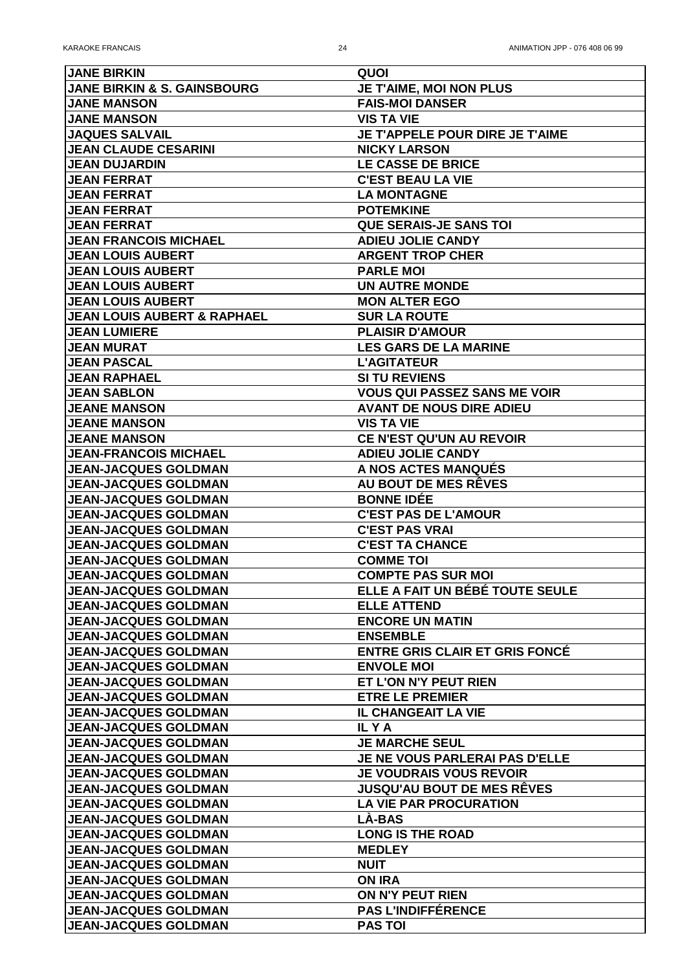| <b>JANE BIRKIN</b>                                         | QUOI                                            |
|------------------------------------------------------------|-------------------------------------------------|
| <b>JANE BIRKIN &amp; S. GAINSBOURG</b>                     | <b>JE T'AIME, MOI NON PLUS</b>                  |
| <b>JANE MANSON</b>                                         | <b>FAIS-MOI DANSER</b>                          |
| <b>JANE MANSON</b>                                         | <b>VIS TA VIE</b>                               |
| <b>JAQUES SALVAIL</b>                                      | <b>JE T'APPELE POUR DIRE JE T'AIME</b>          |
| <b>JEAN CLAUDE CESARINI</b>                                | <b>NICKY LARSON</b>                             |
| <b>JEAN DUJARDIN</b>                                       | LE CASSE DE BRICE                               |
| <b>JEAN FERRAT</b>                                         | <b>C'EST BEAU LA VIE</b>                        |
| <b>JEAN FERRAT</b>                                         | <b>LA MONTAGNE</b>                              |
| <b>JEAN FERRAT</b>                                         | <b>POTEMKINE</b>                                |
| <b>JEAN FERRAT</b>                                         | <b>QUE SERAIS-JE SANS TOI</b>                   |
| <b>JEAN FRANCOIS MICHAEL</b>                               | <b>ADIEU JOLIE CANDY</b>                        |
| <b>JEAN LOUIS AUBERT</b>                                   | <b>ARGENT TROP CHER</b>                         |
| <b>JEAN LOUIS AUBERT</b>                                   | <b>PARLE MOI</b>                                |
| <b>JEAN LOUIS AUBERT</b>                                   | <b>UN AUTRE MONDE</b>                           |
| <b>JEAN LOUIS AUBERT</b>                                   | <b>MON ALTER EGO</b>                            |
| <b>JEAN LOUIS AUBERT &amp; RAPHAEL</b>                     | <b>SUR LA ROUTE</b>                             |
| <b>JEAN LUMIERE</b>                                        | <b>PLAISIR D'AMOUR</b>                          |
| <b>JEAN MURAT</b>                                          | <b>LES GARS DE LA MARINE</b>                    |
| <b>JEAN PASCAL</b>                                         | <b>L'AGITATEUR</b>                              |
| <b>JEAN RAPHAEL</b>                                        | <b>SI TU REVIENS</b>                            |
| <b>JEAN SABLON</b>                                         | <b>VOUS QUI PASSEZ SANS ME VOIR</b>             |
| <b>JEANE MANSON</b>                                        | <b>AVANT DE NOUS DIRE ADIEU</b>                 |
| <b>JEANE MANSON</b>                                        | <b>VIS TA VIE</b>                               |
| <b>JEANE MANSON</b>                                        | <b>CE N'EST QU'UN AU REVOIR</b>                 |
| <b>JEAN-FRANCOIS MICHAEL</b>                               | <b>ADIEU JOLIE CANDY</b>                        |
| <b>JEAN-JACQUES GOLDMAN</b>                                | A NOS ACTES MANQUES                             |
| <b>JEAN-JACQUES GOLDMAN</b>                                | AU BOUT DE MES RÊVES                            |
| <b>JEAN-JACQUES GOLDMAN</b>                                | <b>BONNE IDÉE</b>                               |
| <b>JEAN-JACQUES GOLDMAN</b>                                | <b>C'EST PAS DE L'AMOUR</b>                     |
| <b>JEAN-JACQUES GOLDMAN</b>                                | <b>C'EST PAS VRAI</b>                           |
| <b>JEAN-JACQUES GOLDMAN</b>                                | <b>C'EST TA CHANCE</b>                          |
| <b>JEAN-JACQUES GOLDMAN</b>                                | <b>COMME TOI</b>                                |
| <b>JEAN-JACQUES GOLDMAN</b>                                | <b>COMPTE PAS SUR MOI</b>                       |
| <b>JEAN-JACQUES GOLDMAN</b>                                | ELLE A FAIT UN BÉBÉ TOUTE SEULE                 |
| <b>JEAN-JACQUES GOLDMAN</b>                                | <b>ELLE ATTEND</b>                              |
| <b>JEAN-JACQUES GOLDMAN</b>                                | <b>ENCORE UN MATIN</b>                          |
| <b>JEAN-JACQUES GOLDMAN</b>                                | <b>ENSEMBLE</b>                                 |
| <b>JEAN-JACQUES GOLDMAN</b>                                | <b>ENTRE GRIS CLAIR ET GRIS FONCE</b>           |
| <b>JEAN-JACQUES GOLDMAN</b>                                | <b>ENVOLE MOI</b>                               |
| <b>JEAN-JACQUES GOLDMAN</b><br><b>JEAN-JACQUES GOLDMAN</b> | ET L'ON N'Y PEUT RIEN<br><b>ETRE LE PREMIER</b> |
| <b>JEAN-JACQUES GOLDMAN</b>                                | <b>IL CHANGEAIT LA VIE</b>                      |
| <b>JEAN-JACQUES GOLDMAN</b>                                | IL Y A                                          |
| <b>JEAN-JACQUES GOLDMAN</b>                                | <b>JE MARCHE SEUL</b>                           |
| <b>JEAN-JACQUES GOLDMAN</b>                                | <b>JE NE VOUS PARLERAI PAS D'ELLE</b>           |
| <b>JEAN-JACQUES GOLDMAN</b>                                | <b>JE VOUDRAIS VOUS REVOIR</b>                  |
| <b>JEAN-JACQUES GOLDMAN</b>                                | <b>JUSQU'AU BOUT DE MES RÊVES</b>               |
| <b>JEAN-JACQUES GOLDMAN</b>                                | <b>LA VIE PAR PROCURATION</b>                   |
| <b>JEAN-JACQUES GOLDMAN</b>                                | <b>LA-BAS</b>                                   |
| <b>JEAN-JACQUES GOLDMAN</b>                                | <b>LONG IS THE ROAD</b>                         |
| <b>JEAN-JACQUES GOLDMAN</b>                                | <b>MEDLEY</b>                                   |
| <b>JEAN-JACQUES GOLDMAN</b>                                | <b>NUIT</b>                                     |
| <b>JEAN-JACQUES GOLDMAN</b>                                | <b>ON IRA</b>                                   |
| <b>JEAN-JACQUES GOLDMAN</b>                                | ON N'Y PEUT RIEN                                |
| <b>JEAN-JACQUES GOLDMAN</b>                                | <b>PAS L'INDIFFÉRENCE</b>                       |
| <b>JEAN-JACQUES GOLDMAN</b>                                | <b>PAS TOI</b>                                  |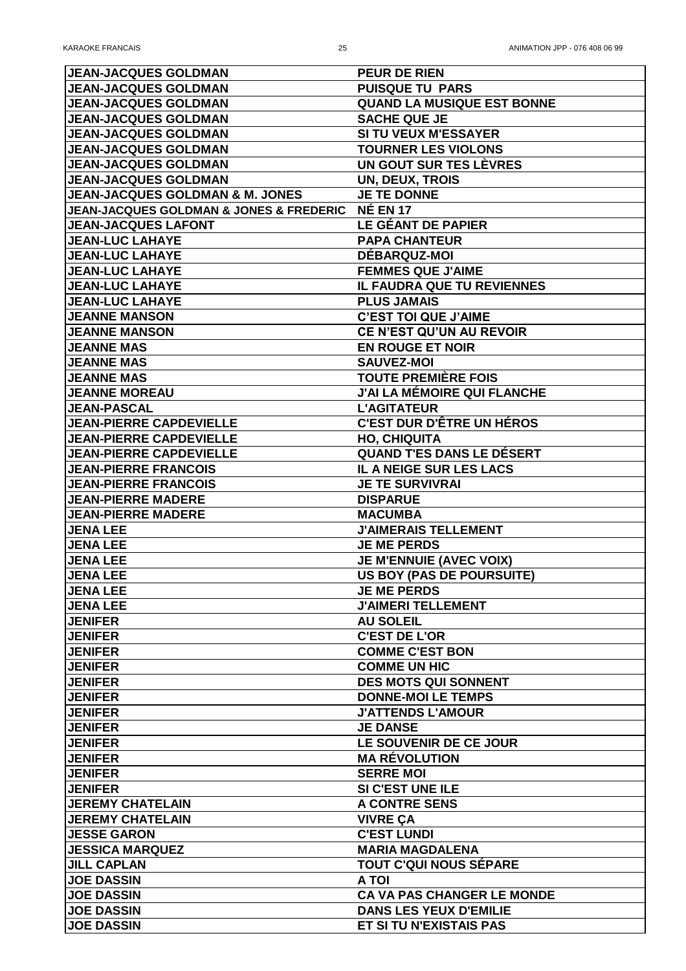| <b>JEAN-JACQUES GOLDMAN</b>                            | <b>PEUR DE RIEN</b>                |
|--------------------------------------------------------|------------------------------------|
| <b>JEAN-JACQUES GOLDMAN</b>                            | <b>PUISQUE TU PARS</b>             |
| <b>JEAN-JACQUES GOLDMAN</b>                            | <b>QUAND LA MUSIQUE EST BONNE</b>  |
| <b>JEAN-JACQUES GOLDMAN</b>                            | <b>SACHE QUE JE</b>                |
| <b>JEAN-JACQUES GOLDMAN</b>                            | <b>SI TU VEUX M'ESSAYER</b>        |
| <b>JEAN-JACQUES GOLDMAN</b>                            | <b>TOURNER LES VIOLONS</b>         |
| <b>JEAN-JACQUES GOLDMAN</b>                            | UN GOUT SUR TES LÈVRES             |
| <b>JEAN-JACQUES GOLDMAN</b>                            | <b>UN, DEUX, TROIS</b>             |
| <b>JEAN-JACQUES GOLDMAN &amp; M. JONES</b>             | <b>JE TE DONNE</b>                 |
| <b>JEAN-JACQUES GOLDMAN &amp; JONES &amp; FREDERIC</b> | <b>NÉ EN 17</b>                    |
| <b>JEAN-JACQUES LAFONT</b>                             | LE GEANT DE PAPIER                 |
| <b>JEAN-LUC LAHAYE</b>                                 | <b>PAPA CHANTEUR</b>               |
| <b>JEAN-LUC LAHAYE</b>                                 | <b>DÉBARQUZ-MOI</b>                |
| <b>JEAN-LUC LAHAYE</b>                                 | <b>FEMMES QUE J'AIME</b>           |
| <b>JEAN-LUC LAHAYE</b>                                 | <b>IL FAUDRA QUE TU REVIENNES</b>  |
| <b>JEAN-LUC LAHAYE</b>                                 | <b>PLUS JAMAIS</b>                 |
| <b>JEANNE MANSON</b>                                   | <b>C'EST TOI QUE J'AIME</b>        |
| <b>JEANNE MANSON</b>                                   | <b>CE N'EST QU'UN AU REVOIR</b>    |
| <b>JEANNE MAS</b>                                      | <b>EN ROUGE ET NOIR</b>            |
| <b>JEANNE MAS</b>                                      | <b>SAUVEZ-MOI</b>                  |
| <b>JEANNE MAS</b>                                      | <b>TOUTE PREMIÈRE FOIS</b>         |
| <b>JEANNE MOREAU</b>                                   | <b>J'AI LA MÉMOIRE QUI FLANCHE</b> |
| <b>JEAN-PASCAL</b>                                     | <b>L'AGITATEUR</b>                 |
| <b>JEAN-PIERRE CAPDEVIELLE</b>                         | <b>C'EST DUR D'ÊTRE UN HÉROS</b>   |
| <b>JEAN-PIERRE CAPDEVIELLE</b>                         | <b>HO, CHIQUITA</b>                |
| <b>JEAN-PIERRE CAPDEVIELLE</b>                         | <b>QUAND T'ES DANS LE DÉSERT</b>   |
| <b>JEAN-PIERRE FRANCOIS</b>                            | <b>IL A NEIGE SUR LES LACS</b>     |
| <b>JEAN-PIERRE FRANCOIS</b>                            | <b>JE TE SURVIVRAI</b>             |
| <b>JEAN-PIERRE MADERE</b>                              | <b>DISPARUE</b>                    |
| <b>JEAN-PIERRE MADERE</b>                              | <b>MACUMBA</b>                     |
| <b>JENA LEE</b>                                        | <b>J'AIMERAIS TELLEMENT</b>        |
| <b>JENA LEE</b>                                        | <b>JE ME PERDS</b>                 |
| <b>JENA LEE</b>                                        | <b>JE M'ENNUIE (AVEC VOIX)</b>     |
| <b>JENA LEE</b>                                        | <b>US BOY (PAS DE POURSUITE)</b>   |
| <b>JENA LEE</b>                                        | <b>JE ME PERDS</b>                 |
| <b>JENA LEE</b>                                        | <b>J'AIMERI TELLEMENT</b>          |
| <b>JENIFER</b>                                         | <b>AU SOLEIL</b>                   |
| <b>JENIFER</b>                                         | <b>C'EST DE L'OR</b>               |
| <b>JENIFER</b>                                         | <b>COMME C'EST BON</b>             |
| <b>JENIFER</b>                                         | <b>COMME UN HIC</b>                |
| <b>JENIFER</b>                                         | <b>DES MOTS QUI SONNENT</b>        |
| <b>JENIFER</b>                                         | <b>DONNE-MOI LE TEMPS</b>          |
| <b>JENIFER</b>                                         | <b>J'ATTENDS L'AMOUR</b>           |
| <b>JENIFER</b>                                         | <b>JE DANSE</b>                    |
| <b>JENIFER</b>                                         | LE SOUVENIR DE CE JOUR             |
| <b>JENIFER</b>                                         | <b>MA RÉVOLUTION</b>               |
| <b>JENIFER</b>                                         | <b>SERRE MOI</b>                   |
| <b>JENIFER</b>                                         | <b>SI C'EST UNE ILE</b>            |
| <b>JEREMY CHATELAIN</b>                                | <b>A CONTRE SENS</b>               |
| <b>JEREMY CHATELAIN</b>                                | <b>VIVRE CA</b>                    |
| <b>JESSE GARON</b>                                     | <b>C'EST LUNDI</b>                 |
| <b>JESSICA MARQUEZ</b>                                 | <b>MARIA MAGDALENA</b>             |
| <b>JILL CAPLAN</b>                                     | <b>TOUT C'QUI NOUS SEPARE</b>      |
| <b>JOE DASSIN</b>                                      | <b>A TOI</b>                       |
| <b>JOE DASSIN</b>                                      | <b>CA VA PAS CHANGER LE MONDE</b>  |
| <b>JOE DASSIN</b>                                      | <b>DANS LES YEUX D'EMILIE</b>      |
|                                                        |                                    |
| <b>JOE DASSIN</b>                                      | ET SI TU N'EXISTAIS PAS            |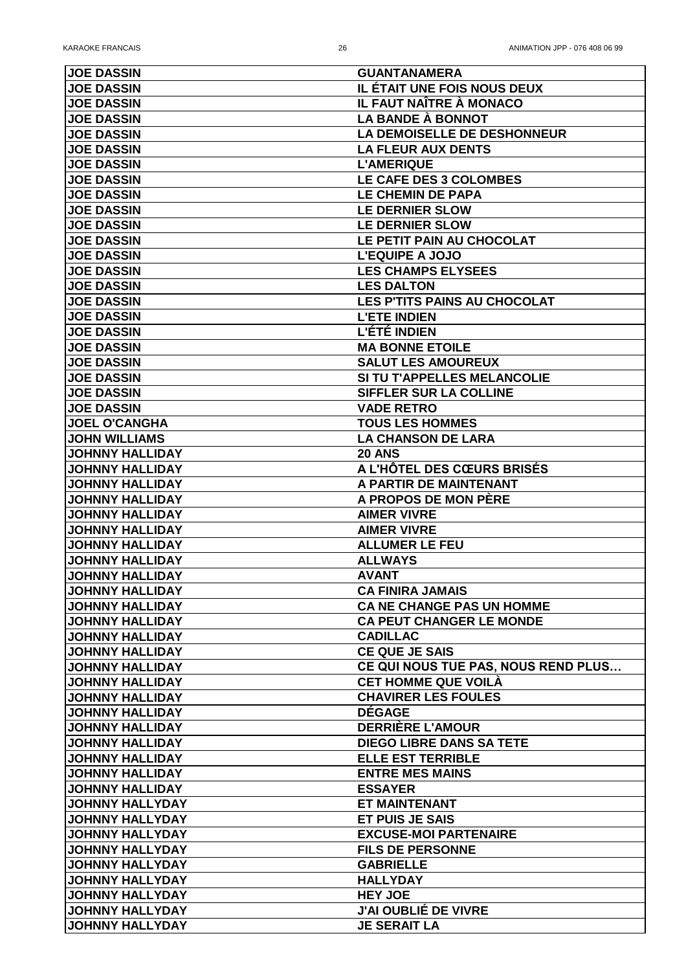| <b>JOE DASSIN</b>      | <b>GUANTANAMERA</b>                 |
|------------------------|-------------------------------------|
| <b>JOE DASSIN</b>      | <b>IL ÉTAIT UNE FOIS NOUS DEUX</b>  |
| <b>JOE DASSIN</b>      | IL FAUT NAÎTRE À MONACO             |
| <b>JOE DASSIN</b>      | <b>LA BANDE À BONNOT</b>            |
| <b>JOE DASSIN</b>      | <b>LA DEMOISELLE DE DESHONNEUR</b>  |
| <b>JOE DASSIN</b>      | <b>LA FLEUR AUX DENTS</b>           |
| <b>JOE DASSIN</b>      | <b>L'AMERIQUE</b>                   |
| <b>JOE DASSIN</b>      | LE CAFE DES 3 COLOMBES              |
| <b>JOE DASSIN</b>      | <b>LE CHEMIN DE PAPA</b>            |
| <b>JOE DASSIN</b>      | <b>LE DERNIER SLOW</b>              |
| <b>JOE DASSIN</b>      | <b>LE DERNIER SLOW</b>              |
| <b>JOE DASSIN</b>      | LE PETIT PAIN AU CHOCOLAT           |
| <b>JOE DASSIN</b>      | <b>L'EQUIPE A JOJO</b>              |
| <b>JOE DASSIN</b>      | <b>LES CHAMPS ELYSEES</b>           |
| <b>JOE DASSIN</b>      | <b>LES DALTON</b>                   |
| <b>JOE DASSIN</b>      | <b>LES P'TITS PAINS AU CHOCOLAT</b> |
| <b>JOE DASSIN</b>      | <b>L'ETE INDIEN</b>                 |
| <b>JOE DASSIN</b>      | <b>L'ÉTÉ INDIEN</b>                 |
| <b>JOE DASSIN</b>      | <b>MA BONNE ETOILE</b>              |
| <b>JOE DASSIN</b>      | <b>SALUT LES AMOUREUX</b>           |
| <b>JOE DASSIN</b>      | SI TU T'APPELLES MELANCOLIE         |
| <b>JOE DASSIN</b>      | <b>SIFFLER SUR LA COLLINE</b>       |
| <b>JOE DASSIN</b>      | <b>VADE RETRO</b>                   |
| <b> JOEL O'CANGHA</b>  | <b>TOUS LES HOMMES</b>              |
| <b>JOHN WILLIAMS</b>   | <b>LA CHANSON DE LARA</b>           |
| <b>JOHNNY HALLIDAY</b> | <b>20 ANS</b>                       |
| <b>JOHNNY HALLIDAY</b> | A L'HÔTEL DES CŒURS BRISÉS          |
| <b>JOHNNY HALLIDAY</b> | A PARTIR DE MAINTENANT              |
| <b>JOHNNY HALLIDAY</b> | A PROPOS DE MON PÈRE                |
| <b>JOHNNY HALLIDAY</b> | <b>AIMER VIVRE</b>                  |
| <b>JOHNNY HALLIDAY</b> | <b>AIMER VIVRE</b>                  |
| <b>JOHNNY HALLIDAY</b> | <b>ALLUMER LE FEU</b>               |
| <b>JOHNNY HALLIDAY</b> | <b>ALLWAYS</b>                      |
| <b>JOHNNY HALLIDAY</b> | <b>AVANT</b>                        |
| <b>JOHNNY HALLIDAY</b> | <b>CA FINIRA JAMAIS</b>             |
| <b>JOHNNY HALLIDAY</b> | <b>CA NE CHANGE PAS UN HOMME</b>    |
| <b>JOHNNY HALLIDAY</b> | <b>CA PEUT CHANGER LE MONDE</b>     |
| <b>JOHNNY HALLIDAY</b> | <b>CADILLAC</b>                     |
| <b>JOHNNY HALLIDAY</b> | <b>CE QUE JE SAIS</b>               |
| <b>JOHNNY HALLIDAY</b> | CE QUI NOUS TUE PAS, NOUS REND PLUS |
| <b>JOHNNY HALLIDAY</b> | <b>CET HOMME QUE VOILA</b>          |
| <b>JOHNNY HALLIDAY</b> | <b>CHAVIRER LES FOULES</b>          |
| <b>JOHNNY HALLIDAY</b> | <b>DÉGAGE</b>                       |
| <b>JOHNNY HALLIDAY</b> | <b>DERRIERE L'AMOUR</b>             |
| <b>JOHNNY HALLIDAY</b> | <b>DIEGO LIBRE DANS SA TETE</b>     |
| <b>JOHNNY HALLIDAY</b> | <b>ELLE EST TERRIBLE</b>            |
| <b>JOHNNY HALLIDAY</b> | <b>ENTRE MES MAINS</b>              |
| <b>JOHNNY HALLIDAY</b> | <b>ESSAYER</b>                      |
| <b>JOHNNY HALLYDAY</b> | <b>ET MAINTENANT</b>                |
| <b>JOHNNY HALLYDAY</b> | <b>ET PUIS JE SAIS</b>              |
| <b>JOHNNY HALLYDAY</b> | <b>EXCUSE-MOI PARTENAIRE</b>        |
| <b>JOHNNY HALLYDAY</b> | <b>FILS DE PERSONNE</b>             |
| <b>JOHNNY HALLYDAY</b> | <b>GABRIELLE</b>                    |
| <b>JOHNNY HALLYDAY</b> | <b>HALLYDAY</b>                     |
| <b>JOHNNY HALLYDAY</b> | <b>HEY JOE</b>                      |
| <b>JOHNNY HALLYDAY</b> | <b>J'AI OUBLIÉ DE VIVRE</b>         |
| <b>JOHNNY HALLYDAY</b> | <b>JE SERAIT LA</b>                 |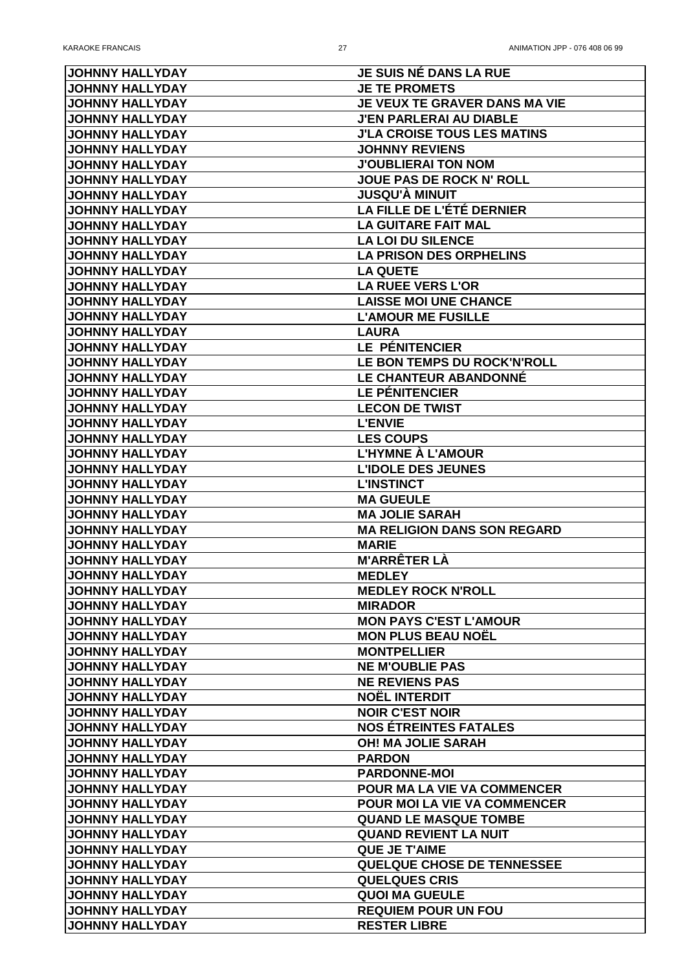| <b>JOHNNY HALLYDAY</b> | <b>JE SUIS NÉ DANS LA RUE</b>                        |
|------------------------|------------------------------------------------------|
| <b>JOHNNY HALLYDAY</b> | <b>JE TE PROMETS</b>                                 |
| <b>JOHNNY HALLYDAY</b> | <b>JE VEUX TE GRAVER DANS MA VIE</b>                 |
| <b>JOHNNY HALLYDAY</b> | <b>J'EN PARLERAI AU DIABLE</b>                       |
| <b>JOHNNY HALLYDAY</b> | <b>J'LA CROISE TOUS LES MATINS</b>                   |
| <b>JOHNNY HALLYDAY</b> | <b>JOHNNY REVIENS</b>                                |
| <b>JOHNNY HALLYDAY</b> | <b>J'OUBLIERAI TON NOM</b>                           |
| <b>JOHNNY HALLYDAY</b> | <b>JOUE PAS DE ROCK N' ROLL</b>                      |
| <b>JOHNNY HALLYDAY</b> | <b>JUSQU'A MINUIT</b>                                |
| <b>JOHNNY HALLYDAY</b> | LA FILLE DE L'ÉTÉ DERNIER                            |
| <b>JOHNNY HALLYDAY</b> | <b>LA GUITARE FAIT MAL</b>                           |
| <b>JOHNNY HALLYDAY</b> | <b>LA LOI DU SILENCE</b>                             |
| <b>JOHNNY HALLYDAY</b> | <b>LA PRISON DES ORPHELINS</b>                       |
| <b>JOHNNY HALLYDAY</b> | <b>LA QUETE</b>                                      |
| <b>JOHNNY HALLYDAY</b> | <b>LA RUEE VERS L'OR</b>                             |
| <b>JOHNNY HALLYDAY</b> | <b>LAISSE MOI UNE CHANCE</b>                         |
| <b>JOHNNY HALLYDAY</b> | <b>L'AMOUR ME FUSILLE</b>                            |
| <b>JOHNNY HALLYDAY</b> | <b>LAURA</b>                                         |
| <b>JOHNNY HALLYDAY</b> | <b>LE PÉNITENCIER</b>                                |
| <b>JOHNNY HALLYDAY</b> | LE BON TEMPS DU ROCK'N'ROLL                          |
| <b>JOHNNY HALLYDAY</b> | <b>LE CHANTEUR ABANDONNÉ</b>                         |
| <b>JOHNNY HALLYDAY</b> | <b>LE PÉNITENCIER</b>                                |
| <b>JOHNNY HALLYDAY</b> | <b>LECON DE TWIST</b>                                |
| <b>JOHNNY HALLYDAY</b> | <b>L'ENVIE</b>                                       |
| <b>JOHNNY HALLYDAY</b> | <b>LES COUPS</b>                                     |
| <b>JOHNNY HALLYDAY</b> | L'HYMNE À L'AMOUR                                    |
| <b>JOHNNY HALLYDAY</b> | <b>L'IDOLE DES JEUNES</b>                            |
| <b>JOHNNY HALLYDAY</b> | <b>L'INSTINCT</b>                                    |
| <b>JOHNNY HALLYDAY</b> |                                                      |
| <b>JOHNNY HALLYDAY</b> | <b>MA GUEULE</b><br><b>MA JOLIE SARAH</b>            |
| <b>JOHNNY HALLYDAY</b> | <b>MA RELIGION DANS SON REGARD</b>                   |
| <b>JOHNNY HALLYDAY</b> | <b>MARIE</b>                                         |
| <b>JOHNNY HALLYDAY</b> | <b>M'ARRÊTER LÀ</b>                                  |
| <b>JOHNNY HALLYDAY</b> | <b>MEDLEY</b>                                        |
| <b>JOHNNY HALLYDAY</b> | <b>MEDLEY ROCK N'ROLL</b>                            |
| <b>JOHNNY HALLYDAY</b> | <b>MIRADOR</b>                                       |
| <b>JOHNNY HALLYDAY</b> | <b>MON PAYS C'EST L'AMOUR</b>                        |
| <b>JOHNNY HALLYDAY</b> | <b>MON PLUS BEAU NOËL</b>                            |
| <b>JOHNNY HALLYDAY</b> | <b>MONTPELLIER</b>                                   |
| <b>JOHNNY HALLYDAY</b> | <b>NE M'OUBLIE PAS</b>                               |
| <b>JOHNNY HALLYDAY</b> | <b>NE REVIENS PAS</b>                                |
| <b>JOHNNY HALLYDAY</b> | <b>NOËL INTERDIT</b>                                 |
| <b>JOHNNY HALLYDAY</b> | <b>NOIR C'EST NOIR</b>                               |
| <b>JOHNNY HALLYDAY</b> | <b>NOS ÉTREINTES FATALES</b>                         |
| JOHNNY HALLYDAY        | <b>OH! MA JOLIE SARAH</b>                            |
| <b>JOHNNY HALLYDAY</b> | <b>PARDON</b>                                        |
| <b>JOHNNY HALLYDAY</b> | <b>PARDONNE-MOI</b>                                  |
| <b>JOHNNY HALLYDAY</b> | <b>POUR MA LA VIE VA COMMENCER</b>                   |
| JOHNNY HALLYDAY        | <b>POUR MOI LA VIE VA COMMENCER</b>                  |
| <b>JOHNNY HALLYDAY</b> | <b>QUAND LE MASQUE TOMBE</b>                         |
| <b>JOHNNY HALLYDAY</b> |                                                      |
| <b>JOHNNY HALLYDAY</b> | <b>QUAND REVIENT LA NUIT</b><br><b>QUE JE T'AIME</b> |
| <b>JOHNNY HALLYDAY</b> | <b>QUELQUE CHOSE DE TENNESSEE</b>                    |
| <b>JOHNNY HALLYDAY</b> |                                                      |
| <b>JOHNNY HALLYDAY</b> | <b>QUELQUES CRIS</b>                                 |
|                        | <b>QUOI MA GUEULE</b>                                |
| <b>JOHNNY HALLYDAY</b> | <b>REQUIEM POUR UN FOU</b>                           |
| <b>JOHNNY HALLYDAY</b> | <b>RESTER LIBRE</b>                                  |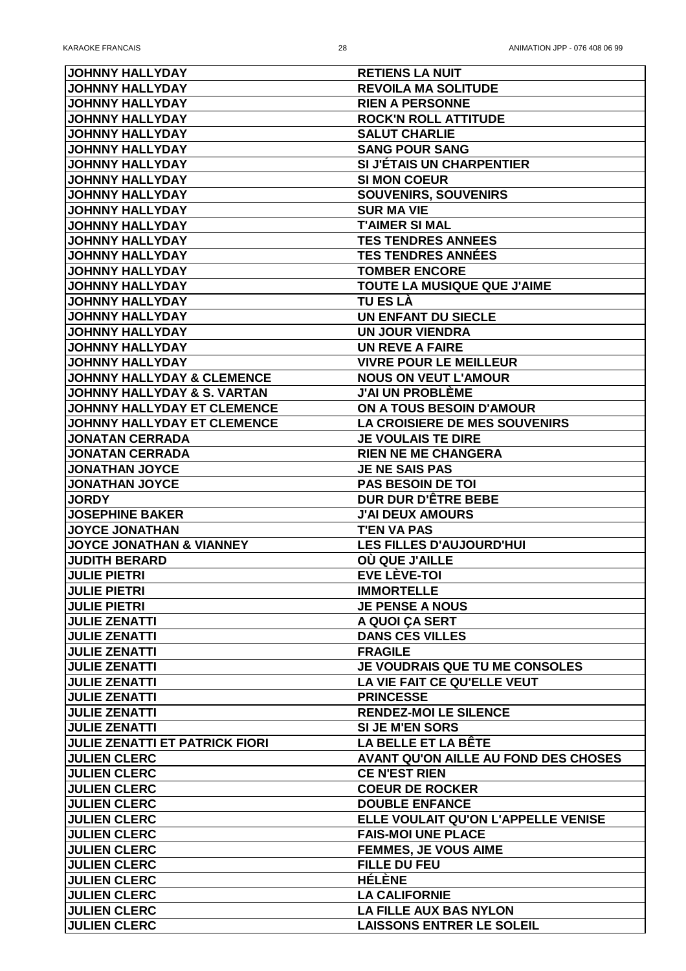| <b>JOHNNY HALLYDAY</b>                 | <b>RETIENS LA NUIT</b>                      |
|----------------------------------------|---------------------------------------------|
| <b>JOHNNY HALLYDAY</b>                 | <b>REVOILA MA SOLITUDE</b>                  |
| <b>JOHNNY HALLYDAY</b>                 | <b>RIEN A PERSONNE</b>                      |
| <b>JOHNNY HALLYDAY</b>                 | <b>ROCK'N ROLL ATTITUDE</b>                 |
| <b>JOHNNY HALLYDAY</b>                 | <b>SALUT CHARLIE</b>                        |
| <b>JOHNNY HALLYDAY</b>                 | <b>SANG POUR SANG</b>                       |
| <b>JOHNNY HALLYDAY</b>                 | SI J'ÉTAIS UN CHARPENTIER                   |
| <b>JOHNNY HALLYDAY</b>                 | <b>SI MON COEUR</b>                         |
| <b>JOHNNY HALLYDAY</b>                 | <b>SOUVENIRS, SOUVENIRS</b>                 |
| <b>JOHNNY HALLYDAY</b>                 | <b>SUR MA VIE</b>                           |
| <b>JOHNNY HALLYDAY</b>                 | <b>T'AIMER SI MAL</b>                       |
| <b>JOHNNY HALLYDAY</b>                 | <b>TES TENDRES ANNEES</b>                   |
| <b>JOHNNY HALLYDAY</b>                 | <b>TES TENDRES ANNÉES</b>                   |
| <b>JOHNNY HALLYDAY</b>                 | <b>TOMBER ENCORE</b>                        |
| <b>JOHNNY HALLYDAY</b>                 | TOUTE LA MUSIQUE QUE J'AIME                 |
| <b>JOHNNY HALLYDAY</b>                 | TU ES LÀ                                    |
| <b>JOHNNY HALLYDAY</b>                 | <b>UN ENFANT DU SIECLE</b>                  |
| <b>JOHNNY HALLYDAY</b>                 | <b>UN JOUR VIENDRA</b>                      |
| <b>JOHNNY HALLYDAY</b>                 | <b>UN REVE A FAIRE</b>                      |
| <b>JOHNNY HALLYDAY</b>                 | <b>VIVRE POUR LE MEILLEUR</b>               |
| <b>JOHNNY HALLYDAY &amp; CLEMENCE</b>  | <b>NOUS ON VEUT L'AMOUR</b>                 |
| <b>JOHNNY HALLYDAY &amp; S. VARTAN</b> | <b>J'AI UN PROBLÈME</b>                     |
| <b>JOHNNY HALLYDAY ET CLEMENCE</b>     | ON A TOUS BESOIN D'AMOUR                    |
| <b>JOHNNY HALLYDAY ET CLEMENCE</b>     | <b>LA CROISIERE DE MES SOUVENIRS</b>        |
| <b>JONATAN CERRADA</b>                 | <b>JE VOULAIS TE DIRE</b>                   |
| <b>JONATAN CERRADA</b>                 | <b>RIEN NE ME CHANGERA</b>                  |
| <b>JONATHAN JOYCE</b>                  | <b>JE NE SAIS PAS</b>                       |
| <b>JONATHAN JOYCE</b>                  | <b>PAS BESOIN DE TOI</b>                    |
| <b>JORDY</b>                           | <b>DUR DUR D'ÊTRE BEBE</b>                  |
| <b>JOSEPHINE BAKER</b>                 | <b>J'AI DEUX AMOURS</b>                     |
| <b>JOYCE JONATHAN</b>                  | <b>T'EN VA PAS</b>                          |
| <b>JOYCE JONATHAN &amp; VIANNEY</b>    | <b>LES FILLES D'AUJOURD'HUI</b>             |
| <b>JUDITH BERARD</b>                   | <b>OU QUE J'AILLE</b>                       |
| <b>JULIE PIETRI</b>                    | <b>EVE LÈVE-TOI</b>                         |
| <b>JULIE PIETRI</b>                    | <b>IMMORTELLE</b>                           |
| <b>JULIE PIETRI</b>                    | <b>JE PENSE A NOUS</b>                      |
| <b>JULIE ZENATTI</b>                   | A QUOI ÇA SERT                              |
| <b>JULIE ZENATTI</b>                   | <b>DANS CES VILLES</b>                      |
| <b>JULIE ZENATTI</b>                   | <b>FRAGILE</b>                              |
| <b>JULIE ZENATTI</b>                   | <b>JE VOUDRAIS QUE TU ME CONSOLES</b>       |
| <b>JULIE ZENATTI</b>                   | LA VIE FAIT CE QU'ELLE VEUT                 |
| <b>JULIE ZENATTI</b>                   | <b>PRINCESSE</b>                            |
| <b>JULIE ZENATTI</b>                   | <b>RENDEZ-MOI LE SILENCE</b>                |
| <b>JULIE ZENATTI</b>                   | <b>SI JE M'EN SORS</b>                      |
| <b>JULIE ZENATTI ET PATRICK FIORI</b>  | <b>LA BELLE ET LA BÊTE</b>                  |
| <b>JULIEN CLERC</b>                    | <b>AVANT QU'ON AILLE AU FOND DES CHOSES</b> |
| <b>JULIEN CLERC</b>                    | <b>CE N'EST RIEN</b>                        |
| <b>JULIEN CLERC</b>                    | <b>COEUR DE ROCKER</b>                      |
| <b>JULIEN CLERC</b>                    | <b>DOUBLE ENFANCE</b>                       |
| <b>JULIEN CLERC</b>                    | ELLE VOULAIT QU'ON L'APPELLE VENISE         |
| <b>JULIEN CLERC</b>                    | <b>FAIS-MOI UNE PLACE</b>                   |
| <b>JULIEN CLERC</b>                    | <b>FEMMES, JE VOUS AIME</b>                 |
| <b>JULIEN CLERC</b>                    | <b>FILLE DU FEU</b>                         |
| <b>JULIEN CLERC</b>                    | <b>HÉLÈNE</b>                               |
| <b>JULIEN CLERC</b>                    | <b>LA CALIFORNIE</b>                        |
| <b>JULIEN CLERC</b>                    | <b>LA FILLE AUX BAS NYLON</b>               |
| <b>JULIEN CLERC</b>                    | <b>LAISSONS ENTRER LE SOLEIL</b>            |
|                                        |                                             |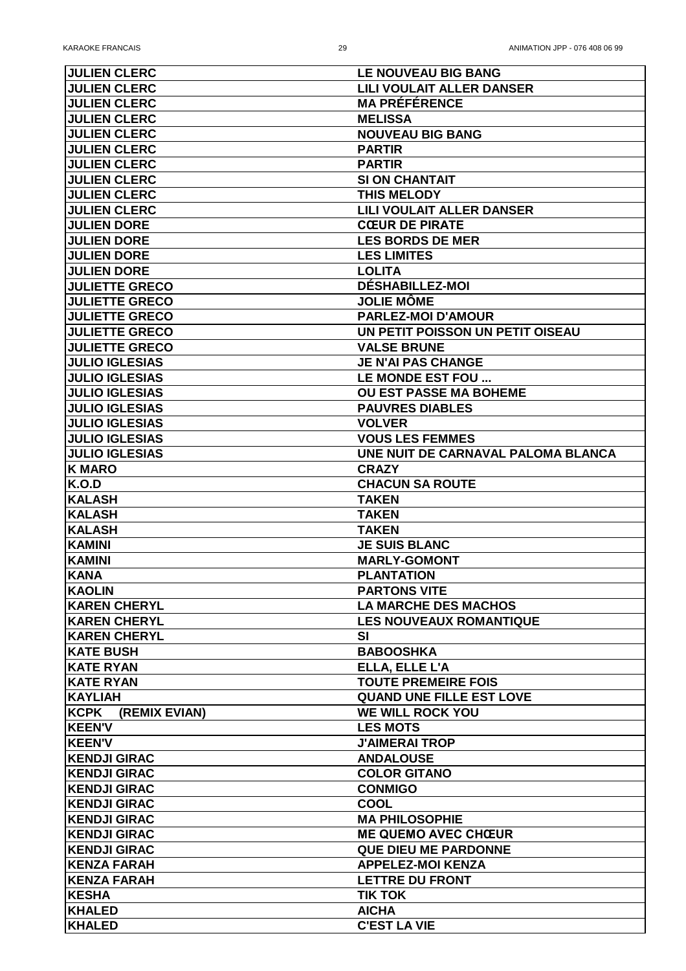| <b>JULIEN CLERC</b><br><b>LILI VOULAIT ALLER DANSER</b><br><b>MA PRÉFÉRENCE</b><br><b>JULIEN CLERC</b><br><b>JULIEN CLERC</b><br><b>MELISSA</b><br><b>JULIEN CLERC</b><br><b>NOUVEAU BIG BANG</b><br><b>JULIEN CLERC</b><br><b>PARTIR</b><br><b>JULIEN CLERC</b><br><b>PARTIR</b><br><b>JULIEN CLERC</b><br><b>SI ON CHANTAIT</b><br><b>JULIEN CLERC</b><br><b>THIS MELODY</b><br><b>JULIEN CLERC</b><br><b>LILI VOULAIT ALLER DANSER</b><br><b>JULIEN DORE</b><br><b>CŒUR DE PIRATE</b><br><b>JULIEN DORE</b><br><b>LES BORDS DE MER</b><br><b>JULIEN DORE</b><br><b>LES LIMITES</b><br><b>JULIEN DORE</b><br><b>LOLITA</b><br><b>JULIETTE GRECO</b><br><b>DÉSHABILLEZ-MOI</b><br><b>JOLIE MÔME</b><br><b>JULIETTE GRECO</b><br><b>JULIETTE GRECO</b><br><b>PARLEZ-MOI D'AMOUR</b><br><b>JULIETTE GRECO</b><br>UN PETIT POISSON UN PETIT OISEAU<br><b>JULIETTE GRECO</b><br><b>VALSE BRUNE</b><br><b>JULIO IGLESIAS</b><br><b>JE N'AI PAS CHANGE</b><br><b>JULIO IGLESIAS</b><br>LE MONDE EST FOU<br><b>OU EST PASSE MA BOHEME</b><br><b>JULIO IGLESIAS</b><br><b>JULIO IGLESIAS</b><br><b>PAUVRES DIABLES</b><br><b>JULIO IGLESIAS</b><br><b>VOLVER</b><br><b>JULIO IGLESIAS</b><br><b>VOUS LES FEMMES</b><br><b>JULIO IGLESIAS</b><br>UNE NUIT DE CARNAVAL PALOMA BLANCA<br><b>K MARO</b><br><b>CRAZY</b><br>K.O.D<br><b>CHACUN SA ROUTE</b><br><b>KALASH</b><br><b>TAKEN</b><br><b>KALASH</b><br><b>TAKEN</b><br><b>KALASH</b><br><b>TAKEN</b><br><b>KAMINI</b><br><b>JE SUIS BLANC</b><br><b>MARLY-GOMONT</b><br><b>KAMINI</b><br><b>KANA</b><br><b>PLANTATION</b><br><b>KAOLIN</b><br><b>PARTONS VITE</b><br><b>KAREN CHERYL</b><br><b>LA MARCHE DES MACHOS</b><br><b>KAREN CHERYL</b><br><b>LES NOUVEAUX ROMANTIQUE</b><br><b>KAREN CHERYL</b><br><b>SI</b><br><b>KATE BUSH</b><br><b>BABOOSHKA</b><br><b>KATE RYAN</b><br>ELLA, ELLE L'A<br><b>TOUTE PREMEIRE FOIS</b><br><b>KATE RYAN</b><br><b>QUAND UNE FILLE EST LOVE</b><br><b>KAYLIAH</b><br><b>KCPK</b><br><b>WE WILL ROCK YOU</b><br>(REMIX EVIAN)<br><b>LES MOTS</b><br><b>KEEN'V</b><br><b>KEEN'V</b><br><b>J'AIMERAI TROP</b><br><b>KENDJI GIRAC</b><br><b>ANDALOUSE</b><br><b>KENDJI GIRAC</b><br><b>COLOR GITANO</b><br><b>KENDJI GIRAC</b><br><b>CONMIGO</b><br><b>KENDJI GIRAC</b><br><b>COOL</b><br><b>KENDJI GIRAC</b><br><b>MA PHILOSOPHIE</b><br><b>KENDJI GIRAC</b><br><b>ME QUEMO AVEC CHŒUR</b><br><b>KENDJI GIRAC</b><br><b>QUE DIEU ME PARDONNE</b><br><b>KENZA FARAH</b><br><b>APPELEZ-MOI KENZA</b><br><b>KENZA FARAH</b><br><b>LETTRE DU FRONT</b><br><b>KESHA</b><br><b>TIK TOK</b><br><b>KHALED</b><br><b>AICHA</b> | <b>JULIEN CLERC</b> | <b>LE NOUVEAU BIG BANG</b> |
|----------------------------------------------------------------------------------------------------------------------------------------------------------------------------------------------------------------------------------------------------------------------------------------------------------------------------------------------------------------------------------------------------------------------------------------------------------------------------------------------------------------------------------------------------------------------------------------------------------------------------------------------------------------------------------------------------------------------------------------------------------------------------------------------------------------------------------------------------------------------------------------------------------------------------------------------------------------------------------------------------------------------------------------------------------------------------------------------------------------------------------------------------------------------------------------------------------------------------------------------------------------------------------------------------------------------------------------------------------------------------------------------------------------------------------------------------------------------------------------------------------------------------------------------------------------------------------------------------------------------------------------------------------------------------------------------------------------------------------------------------------------------------------------------------------------------------------------------------------------------------------------------------------------------------------------------------------------------------------------------------------------------------------------------------------------------------------------------------------------------------------------------------------------------------------------------------------------------------------------------------------------------------------------------------------------------------------------------------------------------------------------------------------------------------------------------------------------------------------------------------------------------------------------------------------------------------------------------------------|---------------------|----------------------------|
|                                                                                                                                                                                                                                                                                                                                                                                                                                                                                                                                                                                                                                                                                                                                                                                                                                                                                                                                                                                                                                                                                                                                                                                                                                                                                                                                                                                                                                                                                                                                                                                                                                                                                                                                                                                                                                                                                                                                                                                                                                                                                                                                                                                                                                                                                                                                                                                                                                                                                                                                                                                                          |                     |                            |
|                                                                                                                                                                                                                                                                                                                                                                                                                                                                                                                                                                                                                                                                                                                                                                                                                                                                                                                                                                                                                                                                                                                                                                                                                                                                                                                                                                                                                                                                                                                                                                                                                                                                                                                                                                                                                                                                                                                                                                                                                                                                                                                                                                                                                                                                                                                                                                                                                                                                                                                                                                                                          |                     |                            |
|                                                                                                                                                                                                                                                                                                                                                                                                                                                                                                                                                                                                                                                                                                                                                                                                                                                                                                                                                                                                                                                                                                                                                                                                                                                                                                                                                                                                                                                                                                                                                                                                                                                                                                                                                                                                                                                                                                                                                                                                                                                                                                                                                                                                                                                                                                                                                                                                                                                                                                                                                                                                          |                     |                            |
|                                                                                                                                                                                                                                                                                                                                                                                                                                                                                                                                                                                                                                                                                                                                                                                                                                                                                                                                                                                                                                                                                                                                                                                                                                                                                                                                                                                                                                                                                                                                                                                                                                                                                                                                                                                                                                                                                                                                                                                                                                                                                                                                                                                                                                                                                                                                                                                                                                                                                                                                                                                                          |                     |                            |
|                                                                                                                                                                                                                                                                                                                                                                                                                                                                                                                                                                                                                                                                                                                                                                                                                                                                                                                                                                                                                                                                                                                                                                                                                                                                                                                                                                                                                                                                                                                                                                                                                                                                                                                                                                                                                                                                                                                                                                                                                                                                                                                                                                                                                                                                                                                                                                                                                                                                                                                                                                                                          |                     |                            |
|                                                                                                                                                                                                                                                                                                                                                                                                                                                                                                                                                                                                                                                                                                                                                                                                                                                                                                                                                                                                                                                                                                                                                                                                                                                                                                                                                                                                                                                                                                                                                                                                                                                                                                                                                                                                                                                                                                                                                                                                                                                                                                                                                                                                                                                                                                                                                                                                                                                                                                                                                                                                          |                     |                            |
|                                                                                                                                                                                                                                                                                                                                                                                                                                                                                                                                                                                                                                                                                                                                                                                                                                                                                                                                                                                                                                                                                                                                                                                                                                                                                                                                                                                                                                                                                                                                                                                                                                                                                                                                                                                                                                                                                                                                                                                                                                                                                                                                                                                                                                                                                                                                                                                                                                                                                                                                                                                                          |                     |                            |
|                                                                                                                                                                                                                                                                                                                                                                                                                                                                                                                                                                                                                                                                                                                                                                                                                                                                                                                                                                                                                                                                                                                                                                                                                                                                                                                                                                                                                                                                                                                                                                                                                                                                                                                                                                                                                                                                                                                                                                                                                                                                                                                                                                                                                                                                                                                                                                                                                                                                                                                                                                                                          |                     |                            |
|                                                                                                                                                                                                                                                                                                                                                                                                                                                                                                                                                                                                                                                                                                                                                                                                                                                                                                                                                                                                                                                                                                                                                                                                                                                                                                                                                                                                                                                                                                                                                                                                                                                                                                                                                                                                                                                                                                                                                                                                                                                                                                                                                                                                                                                                                                                                                                                                                                                                                                                                                                                                          |                     |                            |
|                                                                                                                                                                                                                                                                                                                                                                                                                                                                                                                                                                                                                                                                                                                                                                                                                                                                                                                                                                                                                                                                                                                                                                                                                                                                                                                                                                                                                                                                                                                                                                                                                                                                                                                                                                                                                                                                                                                                                                                                                                                                                                                                                                                                                                                                                                                                                                                                                                                                                                                                                                                                          |                     |                            |
|                                                                                                                                                                                                                                                                                                                                                                                                                                                                                                                                                                                                                                                                                                                                                                                                                                                                                                                                                                                                                                                                                                                                                                                                                                                                                                                                                                                                                                                                                                                                                                                                                                                                                                                                                                                                                                                                                                                                                                                                                                                                                                                                                                                                                                                                                                                                                                                                                                                                                                                                                                                                          |                     |                            |
|                                                                                                                                                                                                                                                                                                                                                                                                                                                                                                                                                                                                                                                                                                                                                                                                                                                                                                                                                                                                                                                                                                                                                                                                                                                                                                                                                                                                                                                                                                                                                                                                                                                                                                                                                                                                                                                                                                                                                                                                                                                                                                                                                                                                                                                                                                                                                                                                                                                                                                                                                                                                          |                     |                            |
|                                                                                                                                                                                                                                                                                                                                                                                                                                                                                                                                                                                                                                                                                                                                                                                                                                                                                                                                                                                                                                                                                                                                                                                                                                                                                                                                                                                                                                                                                                                                                                                                                                                                                                                                                                                                                                                                                                                                                                                                                                                                                                                                                                                                                                                                                                                                                                                                                                                                                                                                                                                                          |                     |                            |
|                                                                                                                                                                                                                                                                                                                                                                                                                                                                                                                                                                                                                                                                                                                                                                                                                                                                                                                                                                                                                                                                                                                                                                                                                                                                                                                                                                                                                                                                                                                                                                                                                                                                                                                                                                                                                                                                                                                                                                                                                                                                                                                                                                                                                                                                                                                                                                                                                                                                                                                                                                                                          |                     |                            |
|                                                                                                                                                                                                                                                                                                                                                                                                                                                                                                                                                                                                                                                                                                                                                                                                                                                                                                                                                                                                                                                                                                                                                                                                                                                                                                                                                                                                                                                                                                                                                                                                                                                                                                                                                                                                                                                                                                                                                                                                                                                                                                                                                                                                                                                                                                                                                                                                                                                                                                                                                                                                          |                     |                            |
|                                                                                                                                                                                                                                                                                                                                                                                                                                                                                                                                                                                                                                                                                                                                                                                                                                                                                                                                                                                                                                                                                                                                                                                                                                                                                                                                                                                                                                                                                                                                                                                                                                                                                                                                                                                                                                                                                                                                                                                                                                                                                                                                                                                                                                                                                                                                                                                                                                                                                                                                                                                                          |                     |                            |
|                                                                                                                                                                                                                                                                                                                                                                                                                                                                                                                                                                                                                                                                                                                                                                                                                                                                                                                                                                                                                                                                                                                                                                                                                                                                                                                                                                                                                                                                                                                                                                                                                                                                                                                                                                                                                                                                                                                                                                                                                                                                                                                                                                                                                                                                                                                                                                                                                                                                                                                                                                                                          |                     |                            |
|                                                                                                                                                                                                                                                                                                                                                                                                                                                                                                                                                                                                                                                                                                                                                                                                                                                                                                                                                                                                                                                                                                                                                                                                                                                                                                                                                                                                                                                                                                                                                                                                                                                                                                                                                                                                                                                                                                                                                                                                                                                                                                                                                                                                                                                                                                                                                                                                                                                                                                                                                                                                          |                     |                            |
|                                                                                                                                                                                                                                                                                                                                                                                                                                                                                                                                                                                                                                                                                                                                                                                                                                                                                                                                                                                                                                                                                                                                                                                                                                                                                                                                                                                                                                                                                                                                                                                                                                                                                                                                                                                                                                                                                                                                                                                                                                                                                                                                                                                                                                                                                                                                                                                                                                                                                                                                                                                                          |                     |                            |
|                                                                                                                                                                                                                                                                                                                                                                                                                                                                                                                                                                                                                                                                                                                                                                                                                                                                                                                                                                                                                                                                                                                                                                                                                                                                                                                                                                                                                                                                                                                                                                                                                                                                                                                                                                                                                                                                                                                                                                                                                                                                                                                                                                                                                                                                                                                                                                                                                                                                                                                                                                                                          |                     |                            |
|                                                                                                                                                                                                                                                                                                                                                                                                                                                                                                                                                                                                                                                                                                                                                                                                                                                                                                                                                                                                                                                                                                                                                                                                                                                                                                                                                                                                                                                                                                                                                                                                                                                                                                                                                                                                                                                                                                                                                                                                                                                                                                                                                                                                                                                                                                                                                                                                                                                                                                                                                                                                          |                     |                            |
|                                                                                                                                                                                                                                                                                                                                                                                                                                                                                                                                                                                                                                                                                                                                                                                                                                                                                                                                                                                                                                                                                                                                                                                                                                                                                                                                                                                                                                                                                                                                                                                                                                                                                                                                                                                                                                                                                                                                                                                                                                                                                                                                                                                                                                                                                                                                                                                                                                                                                                                                                                                                          |                     |                            |
|                                                                                                                                                                                                                                                                                                                                                                                                                                                                                                                                                                                                                                                                                                                                                                                                                                                                                                                                                                                                                                                                                                                                                                                                                                                                                                                                                                                                                                                                                                                                                                                                                                                                                                                                                                                                                                                                                                                                                                                                                                                                                                                                                                                                                                                                                                                                                                                                                                                                                                                                                                                                          |                     |                            |
|                                                                                                                                                                                                                                                                                                                                                                                                                                                                                                                                                                                                                                                                                                                                                                                                                                                                                                                                                                                                                                                                                                                                                                                                                                                                                                                                                                                                                                                                                                                                                                                                                                                                                                                                                                                                                                                                                                                                                                                                                                                                                                                                                                                                                                                                                                                                                                                                                                                                                                                                                                                                          |                     |                            |
|                                                                                                                                                                                                                                                                                                                                                                                                                                                                                                                                                                                                                                                                                                                                                                                                                                                                                                                                                                                                                                                                                                                                                                                                                                                                                                                                                                                                                                                                                                                                                                                                                                                                                                                                                                                                                                                                                                                                                                                                                                                                                                                                                                                                                                                                                                                                                                                                                                                                                                                                                                                                          |                     |                            |
|                                                                                                                                                                                                                                                                                                                                                                                                                                                                                                                                                                                                                                                                                                                                                                                                                                                                                                                                                                                                                                                                                                                                                                                                                                                                                                                                                                                                                                                                                                                                                                                                                                                                                                                                                                                                                                                                                                                                                                                                                                                                                                                                                                                                                                                                                                                                                                                                                                                                                                                                                                                                          |                     |                            |
|                                                                                                                                                                                                                                                                                                                                                                                                                                                                                                                                                                                                                                                                                                                                                                                                                                                                                                                                                                                                                                                                                                                                                                                                                                                                                                                                                                                                                                                                                                                                                                                                                                                                                                                                                                                                                                                                                                                                                                                                                                                                                                                                                                                                                                                                                                                                                                                                                                                                                                                                                                                                          |                     |                            |
|                                                                                                                                                                                                                                                                                                                                                                                                                                                                                                                                                                                                                                                                                                                                                                                                                                                                                                                                                                                                                                                                                                                                                                                                                                                                                                                                                                                                                                                                                                                                                                                                                                                                                                                                                                                                                                                                                                                                                                                                                                                                                                                                                                                                                                                                                                                                                                                                                                                                                                                                                                                                          |                     |                            |
|                                                                                                                                                                                                                                                                                                                                                                                                                                                                                                                                                                                                                                                                                                                                                                                                                                                                                                                                                                                                                                                                                                                                                                                                                                                                                                                                                                                                                                                                                                                                                                                                                                                                                                                                                                                                                                                                                                                                                                                                                                                                                                                                                                                                                                                                                                                                                                                                                                                                                                                                                                                                          |                     |                            |
|                                                                                                                                                                                                                                                                                                                                                                                                                                                                                                                                                                                                                                                                                                                                                                                                                                                                                                                                                                                                                                                                                                                                                                                                                                                                                                                                                                                                                                                                                                                                                                                                                                                                                                                                                                                                                                                                                                                                                                                                                                                                                                                                                                                                                                                                                                                                                                                                                                                                                                                                                                                                          |                     |                            |
|                                                                                                                                                                                                                                                                                                                                                                                                                                                                                                                                                                                                                                                                                                                                                                                                                                                                                                                                                                                                                                                                                                                                                                                                                                                                                                                                                                                                                                                                                                                                                                                                                                                                                                                                                                                                                                                                                                                                                                                                                                                                                                                                                                                                                                                                                                                                                                                                                                                                                                                                                                                                          |                     |                            |
|                                                                                                                                                                                                                                                                                                                                                                                                                                                                                                                                                                                                                                                                                                                                                                                                                                                                                                                                                                                                                                                                                                                                                                                                                                                                                                                                                                                                                                                                                                                                                                                                                                                                                                                                                                                                                                                                                                                                                                                                                                                                                                                                                                                                                                                                                                                                                                                                                                                                                                                                                                                                          |                     |                            |
|                                                                                                                                                                                                                                                                                                                                                                                                                                                                                                                                                                                                                                                                                                                                                                                                                                                                                                                                                                                                                                                                                                                                                                                                                                                                                                                                                                                                                                                                                                                                                                                                                                                                                                                                                                                                                                                                                                                                                                                                                                                                                                                                                                                                                                                                                                                                                                                                                                                                                                                                                                                                          |                     |                            |
|                                                                                                                                                                                                                                                                                                                                                                                                                                                                                                                                                                                                                                                                                                                                                                                                                                                                                                                                                                                                                                                                                                                                                                                                                                                                                                                                                                                                                                                                                                                                                                                                                                                                                                                                                                                                                                                                                                                                                                                                                                                                                                                                                                                                                                                                                                                                                                                                                                                                                                                                                                                                          |                     |                            |
|                                                                                                                                                                                                                                                                                                                                                                                                                                                                                                                                                                                                                                                                                                                                                                                                                                                                                                                                                                                                                                                                                                                                                                                                                                                                                                                                                                                                                                                                                                                                                                                                                                                                                                                                                                                                                                                                                                                                                                                                                                                                                                                                                                                                                                                                                                                                                                                                                                                                                                                                                                                                          |                     |                            |
|                                                                                                                                                                                                                                                                                                                                                                                                                                                                                                                                                                                                                                                                                                                                                                                                                                                                                                                                                                                                                                                                                                                                                                                                                                                                                                                                                                                                                                                                                                                                                                                                                                                                                                                                                                                                                                                                                                                                                                                                                                                                                                                                                                                                                                                                                                                                                                                                                                                                                                                                                                                                          |                     |                            |
|                                                                                                                                                                                                                                                                                                                                                                                                                                                                                                                                                                                                                                                                                                                                                                                                                                                                                                                                                                                                                                                                                                                                                                                                                                                                                                                                                                                                                                                                                                                                                                                                                                                                                                                                                                                                                                                                                                                                                                                                                                                                                                                                                                                                                                                                                                                                                                                                                                                                                                                                                                                                          |                     |                            |
|                                                                                                                                                                                                                                                                                                                                                                                                                                                                                                                                                                                                                                                                                                                                                                                                                                                                                                                                                                                                                                                                                                                                                                                                                                                                                                                                                                                                                                                                                                                                                                                                                                                                                                                                                                                                                                                                                                                                                                                                                                                                                                                                                                                                                                                                                                                                                                                                                                                                                                                                                                                                          |                     |                            |
|                                                                                                                                                                                                                                                                                                                                                                                                                                                                                                                                                                                                                                                                                                                                                                                                                                                                                                                                                                                                                                                                                                                                                                                                                                                                                                                                                                                                                                                                                                                                                                                                                                                                                                                                                                                                                                                                                                                                                                                                                                                                                                                                                                                                                                                                                                                                                                                                                                                                                                                                                                                                          |                     |                            |
|                                                                                                                                                                                                                                                                                                                                                                                                                                                                                                                                                                                                                                                                                                                                                                                                                                                                                                                                                                                                                                                                                                                                                                                                                                                                                                                                                                                                                                                                                                                                                                                                                                                                                                                                                                                                                                                                                                                                                                                                                                                                                                                                                                                                                                                                                                                                                                                                                                                                                                                                                                                                          |                     |                            |
|                                                                                                                                                                                                                                                                                                                                                                                                                                                                                                                                                                                                                                                                                                                                                                                                                                                                                                                                                                                                                                                                                                                                                                                                                                                                                                                                                                                                                                                                                                                                                                                                                                                                                                                                                                                                                                                                                                                                                                                                                                                                                                                                                                                                                                                                                                                                                                                                                                                                                                                                                                                                          |                     |                            |
|                                                                                                                                                                                                                                                                                                                                                                                                                                                                                                                                                                                                                                                                                                                                                                                                                                                                                                                                                                                                                                                                                                                                                                                                                                                                                                                                                                                                                                                                                                                                                                                                                                                                                                                                                                                                                                                                                                                                                                                                                                                                                                                                                                                                                                                                                                                                                                                                                                                                                                                                                                                                          |                     |                            |
|                                                                                                                                                                                                                                                                                                                                                                                                                                                                                                                                                                                                                                                                                                                                                                                                                                                                                                                                                                                                                                                                                                                                                                                                                                                                                                                                                                                                                                                                                                                                                                                                                                                                                                                                                                                                                                                                                                                                                                                                                                                                                                                                                                                                                                                                                                                                                                                                                                                                                                                                                                                                          |                     |                            |
|                                                                                                                                                                                                                                                                                                                                                                                                                                                                                                                                                                                                                                                                                                                                                                                                                                                                                                                                                                                                                                                                                                                                                                                                                                                                                                                                                                                                                                                                                                                                                                                                                                                                                                                                                                                                                                                                                                                                                                                                                                                                                                                                                                                                                                                                                                                                                                                                                                                                                                                                                                                                          |                     |                            |
|                                                                                                                                                                                                                                                                                                                                                                                                                                                                                                                                                                                                                                                                                                                                                                                                                                                                                                                                                                                                                                                                                                                                                                                                                                                                                                                                                                                                                                                                                                                                                                                                                                                                                                                                                                                                                                                                                                                                                                                                                                                                                                                                                                                                                                                                                                                                                                                                                                                                                                                                                                                                          |                     |                            |
|                                                                                                                                                                                                                                                                                                                                                                                                                                                                                                                                                                                                                                                                                                                                                                                                                                                                                                                                                                                                                                                                                                                                                                                                                                                                                                                                                                                                                                                                                                                                                                                                                                                                                                                                                                                                                                                                                                                                                                                                                                                                                                                                                                                                                                                                                                                                                                                                                                                                                                                                                                                                          |                     |                            |
|                                                                                                                                                                                                                                                                                                                                                                                                                                                                                                                                                                                                                                                                                                                                                                                                                                                                                                                                                                                                                                                                                                                                                                                                                                                                                                                                                                                                                                                                                                                                                                                                                                                                                                                                                                                                                                                                                                                                                                                                                                                                                                                                                                                                                                                                                                                                                                                                                                                                                                                                                                                                          |                     |                            |
|                                                                                                                                                                                                                                                                                                                                                                                                                                                                                                                                                                                                                                                                                                                                                                                                                                                                                                                                                                                                                                                                                                                                                                                                                                                                                                                                                                                                                                                                                                                                                                                                                                                                                                                                                                                                                                                                                                                                                                                                                                                                                                                                                                                                                                                                                                                                                                                                                                                                                                                                                                                                          |                     |                            |
|                                                                                                                                                                                                                                                                                                                                                                                                                                                                                                                                                                                                                                                                                                                                                                                                                                                                                                                                                                                                                                                                                                                                                                                                                                                                                                                                                                                                                                                                                                                                                                                                                                                                                                                                                                                                                                                                                                                                                                                                                                                                                                                                                                                                                                                                                                                                                                                                                                                                                                                                                                                                          |                     |                            |
|                                                                                                                                                                                                                                                                                                                                                                                                                                                                                                                                                                                                                                                                                                                                                                                                                                                                                                                                                                                                                                                                                                                                                                                                                                                                                                                                                                                                                                                                                                                                                                                                                                                                                                                                                                                                                                                                                                                                                                                                                                                                                                                                                                                                                                                                                                                                                                                                                                                                                                                                                                                                          |                     |                            |
|                                                                                                                                                                                                                                                                                                                                                                                                                                                                                                                                                                                                                                                                                                                                                                                                                                                                                                                                                                                                                                                                                                                                                                                                                                                                                                                                                                                                                                                                                                                                                                                                                                                                                                                                                                                                                                                                                                                                                                                                                                                                                                                                                                                                                                                                                                                                                                                                                                                                                                                                                                                                          |                     |                            |
|                                                                                                                                                                                                                                                                                                                                                                                                                                                                                                                                                                                                                                                                                                                                                                                                                                                                                                                                                                                                                                                                                                                                                                                                                                                                                                                                                                                                                                                                                                                                                                                                                                                                                                                                                                                                                                                                                                                                                                                                                                                                                                                                                                                                                                                                                                                                                                                                                                                                                                                                                                                                          |                     |                            |
|                                                                                                                                                                                                                                                                                                                                                                                                                                                                                                                                                                                                                                                                                                                                                                                                                                                                                                                                                                                                                                                                                                                                                                                                                                                                                                                                                                                                                                                                                                                                                                                                                                                                                                                                                                                                                                                                                                                                                                                                                                                                                                                                                                                                                                                                                                                                                                                                                                                                                                                                                                                                          |                     |                            |
|                                                                                                                                                                                                                                                                                                                                                                                                                                                                                                                                                                                                                                                                                                                                                                                                                                                                                                                                                                                                                                                                                                                                                                                                                                                                                                                                                                                                                                                                                                                                                                                                                                                                                                                                                                                                                                                                                                                                                                                                                                                                                                                                                                                                                                                                                                                                                                                                                                                                                                                                                                                                          |                     |                            |
|                                                                                                                                                                                                                                                                                                                                                                                                                                                                                                                                                                                                                                                                                                                                                                                                                                                                                                                                                                                                                                                                                                                                                                                                                                                                                                                                                                                                                                                                                                                                                                                                                                                                                                                                                                                                                                                                                                                                                                                                                                                                                                                                                                                                                                                                                                                                                                                                                                                                                                                                                                                                          |                     |                            |
|                                                                                                                                                                                                                                                                                                                                                                                                                                                                                                                                                                                                                                                                                                                                                                                                                                                                                                                                                                                                                                                                                                                                                                                                                                                                                                                                                                                                                                                                                                                                                                                                                                                                                                                                                                                                                                                                                                                                                                                                                                                                                                                                                                                                                                                                                                                                                                                                                                                                                                                                                                                                          | <b>KHALED</b>       | <b>C'EST LA VIE</b>        |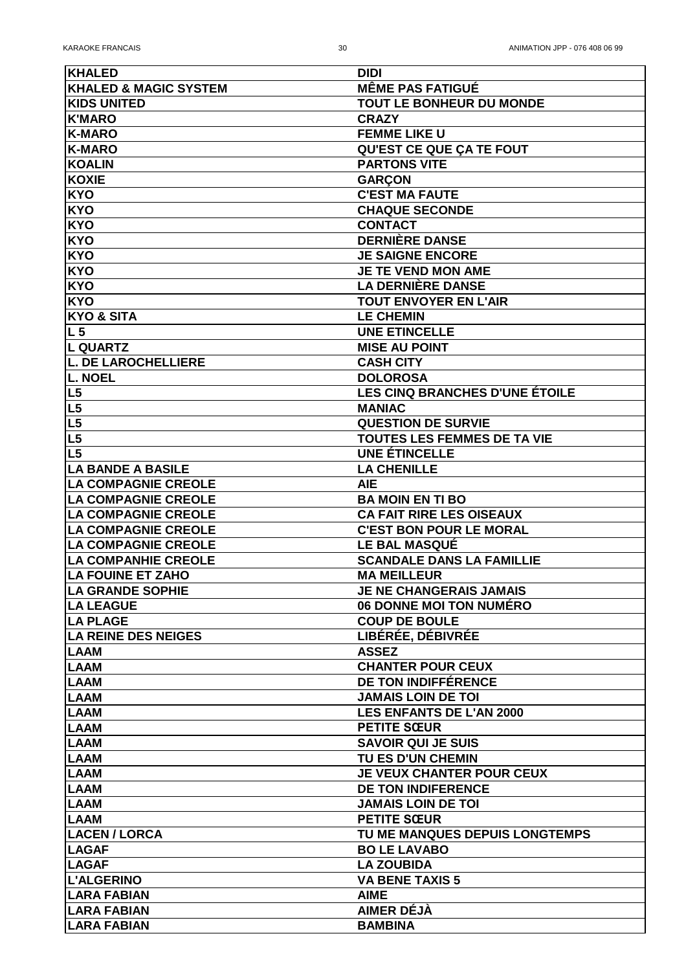| <b>KHALED</b>                    | <b>DIDI</b>                           |
|----------------------------------|---------------------------------------|
| <b>KHALED &amp; MAGIC SYSTEM</b> | <b>MÊME PAS FATIGUÉ</b>               |
| <b>KIDS UNITED</b>               | <b>TOUT LE BONHEUR DU MONDE</b>       |
| <b>K'MARO</b>                    | <b>CRAZY</b>                          |
| <b>K-MARO</b>                    | <b>FEMME LIKE U</b>                   |
| <b>K-MARO</b>                    | QU'EST CE QUE ÇA TE FOUT              |
| <b>KOALIN</b>                    | <b>PARTONS VITE</b>                   |
| <b>KOXIE</b>                     | <b>GARÇON</b>                         |
| <b>KYO</b>                       | <b>C'EST MA FAUTE</b>                 |
| <b>KYO</b>                       | <b>CHAQUE SECONDE</b>                 |
| <b>KYO</b>                       | <b>CONTACT</b>                        |
| <b>KYO</b>                       | <b>DERNIÈRE DANSE</b>                 |
| <b>KYO</b>                       | <b>JE SAIGNE ENCORE</b>               |
| <b>KYO</b>                       | <b>JE TE VEND MON AME</b>             |
| <b>KYO</b>                       | <b>LA DERNIÈRE DANSE</b>              |
| <b>KYO</b>                       | <b>TOUT ENVOYER EN L'AIR</b>          |
| <b>KYO &amp; SITA</b>            | <b>LE CHEMIN</b>                      |
|                                  |                                       |
| L <sub>5</sub>                   | <b>UNE ETINCELLE</b>                  |
| <b>L QUARTZ</b>                  | <b>MISE AU POINT</b>                  |
| <b>L. DE LAROCHELLIERE</b>       | <b>CASH CITY</b>                      |
| <b>L. NOEL</b>                   | <b>DOLOROSA</b>                       |
| L5                               | <b>LES CINQ BRANCHES D'UNE ÉTOILE</b> |
| $\overline{\mathsf{L5}}$         | <b>MANIAC</b>                         |
| L5                               | <b>QUESTION DE SURVIE</b>             |
| L5                               | <b>TOUTES LES FEMMES DE TA VIE</b>    |
| L5                               | <b>UNE ÉTINCELLE</b>                  |
| <b>LA BANDE A BASILE</b>         | <b>LA CHENILLE</b>                    |
| <b>LA COMPAGNIE CREOLE</b>       | <b>AIE</b>                            |
| <b>LA COMPAGNIE CREOLE</b>       | <b>BA MOIN EN TI BO</b>               |
| <b>LA COMPAGNIE CREOLE</b>       | <b>CA FAIT RIRE LES OISEAUX</b>       |
| <b>LA COMPAGNIE CREOLE</b>       | <b>C'EST BON POUR LE MORAL</b>        |
| <b>LA COMPAGNIE CREOLE</b>       | <b>LE BAL MASQUÉ</b>                  |
| <b>LA COMPANHIE CREOLE</b>       | <b>SCANDALE DANS LA FAMILLIE</b>      |
| <b>LA FOUINE ET ZAHO</b>         | <b>MA MEILLEUR</b>                    |
| <b>LA GRANDE SOPHIE</b>          | <b>JE NE CHANGERAIS JAMAIS</b>        |
| <b>LA LEAGUE</b>                 | <b>06 DONNE MOI TON NUMÉRO</b>        |
| <b>LA PLAGE</b>                  | <b>COUP DE BOULE</b>                  |
| <b>LA REINE DES NEIGES</b>       | LIBÉRÉE, DÉBIVRÉE                     |
| <b>LAAM</b>                      | <b>ASSEZ</b>                          |
| <b>LAAM</b>                      | <b>CHANTER POUR CEUX</b>              |
| <b>LAAM</b>                      | <b>DE TON INDIFFÉRENCE</b>            |
| <b>LAAM</b>                      | <b>JAMAIS LOIN DE TOI</b>             |
| <b>LAAM</b>                      | <b>LES ENFANTS DE L'AN 2000</b>       |
| <b>LAAM</b>                      | <b>PETITE SCEUR</b>                   |
| <b>LAAM</b>                      | <b>SAVOIR QUI JE SUIS</b>             |
| <b>LAAM</b>                      | <b>TU ES D'UN CHEMIN</b>              |
| <b>LAAM</b>                      | <b>JE VEUX CHANTER POUR CEUX</b>      |
| <b>LAAM</b>                      | <b>DE TON INDIFERENCE</b>             |
| <b>LAAM</b>                      | <b>JAMAIS LOIN DE TOI</b>             |
| LAAM                             | <b>PETITE SCEUR</b>                   |
| <b>LACEN/LORCA</b>               | TU ME MANQUES DEPUIS LONGTEMPS        |
| <b>LAGAF</b>                     | <b>BO LE LAVABO</b>                   |
| <b>LAGAF</b>                     | <b>LA ZOUBIDA</b>                     |
| <b>L'ALGERINO</b>                | <b>VA BENE TAXIS 5</b>                |
|                                  |                                       |
| <b>LARA FABIAN</b>               | <b>AIME</b>                           |
| <b>LARA FABIAN</b>               | <b>AIMER DÉJÀ</b>                     |
| <b>LARA FABIAN</b>               | <b>BAMBINA</b>                        |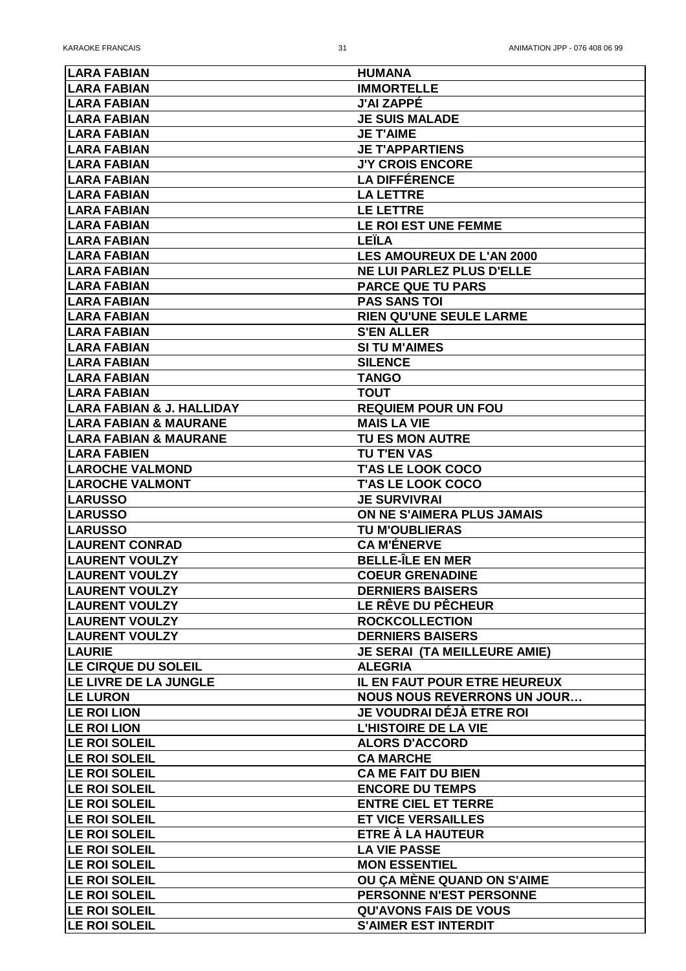| <b>LARA FABIAN</b>           | <b>HUMANA</b>                       |
|------------------------------|-------------------------------------|
| <b>ILARA FABIAN</b>          | <b>IMMORTELLE</b>                   |
| <b>LARA FABIAN</b>           | <b>J'AI ZAPPÉ</b>                   |
| <b>LARA FABIAN</b>           | <b>JE SUIS MALADE</b>               |
| LARA FABIAN                  | <b>JE T'AIME</b>                    |
| <b>LARA FABIAN</b>           | <b>JE T'APPARTIENS</b>              |
| <b>LARA FABIAN</b>           | <b>J'Y CROIS ENCORE</b>             |
| <b>LARA FABIAN</b>           | <b>LA DIFFÉRENCE</b>                |
| <b>LARA FABIAN</b>           | <b>LA LETTRE</b>                    |
| <b>LARA FABIAN</b>           | <b>LE LETTRE</b>                    |
| LARA FABIAN                  | <b>LE ROI EST UNE FEMME</b>         |
| <b>LARA FABIAN</b>           | <b>LEILA</b>                        |
| <b>LARA FABIAN</b>           | <b>LES AMOUREUX DE L'AN 2000</b>    |
| LARA FABIAN                  | <b>NE LUI PARLEZ PLUS D'ELLE</b>    |
| <b>LARA FABIAN</b>           | <b>PARCE QUE TU PARS</b>            |
| <b>LARA FABIAN</b>           | <b>PAS SANS TOI</b>                 |
| LARA FABIAN                  | <b>RIEN QU'UNE SEULE LARME</b>      |
| <b>LARA FABIAN</b>           | <b>S'EN ALLER</b>                   |
| <b>LARA FABIAN</b>           | <b>SI TU M'AIMES</b>                |
| <b>LARA FABIAN</b>           | <b>SILENCE</b>                      |
| <b>LARA FABIAN</b>           | <b>TANGO</b>                        |
| <b>LARA FABIAN</b>           | <b>TOUT</b>                         |
| LARA FABIAN & J. HALLIDAY    | <b>REQUIEM POUR UN FOU</b>          |
| ILARA FABIAN & MAURANE       | <b>MAIS LA VIE</b>                  |
| LARA FABIAN & MAURANE        | <b>TU ES MON AUTRE</b>              |
| <b>LARA FABIEN</b>           | <b>TU T'EN VAS</b>                  |
| <b>LAROCHE VALMOND</b>       | <b>T'AS LE LOOK COCO</b>            |
| <b>LAROCHE VALMONT</b>       | <b>T'AS LE LOOK COCO</b>            |
| <b>LARUSSO</b>               | <b>JE SURVIVRAI</b>                 |
| <b>LARUSSO</b>               | ON NE S'AIMERA PLUS JAMAIS          |
| <b>LARUSSO</b>               | <b>TU M'OUBLIERAS</b>               |
| <b>LAURENT CONRAD</b>        | <b>CA M'ÉNERVE</b>                  |
| <b>LAURENT VOULZY</b>        | <b>BELLE-ÎLE EN MER</b>             |
| <b>LAURENT VOULZY</b>        | <b>COEUR GRENADINE</b>              |
| <b>LAURENT VOULZY</b>        | <b>DERNIERS BAISERS</b>             |
| <b>LAURENT VOULZY</b>        | <b>LE RÊVE DU PÊCHEUR</b>           |
| <b>LAURENT VOULZY</b>        | <b>ROCKCOLLECTION</b>               |
| LAURENT VOULZY               | <b>DERNIERS BAISERS</b>             |
| <b>LAURIE</b>                | <b>JE SERAI (TA MEILLEURE AMIE)</b> |
| <b>LE CIRQUE DU SOLEIL</b>   | <b>ALEGRIA</b>                      |
| <b>LE LIVRE DE LA JUNGLE</b> | IL EN FAUT POUR ETRE HEUREUX        |
| <b>LE LURON</b>              | <b>NOUS NOUS REVERRONS UN JOUR</b>  |
| <b>LE ROI LION</b>           | JE VOUDRAI DÉJÀ ETRE ROI            |
| <b>LE ROI LION</b>           | <b>L'HISTOIRE DE LA VIE</b>         |
| <b>LE ROI SOLEIL</b>         | <b>ALORS D'ACCORD</b>               |
| <b>LE ROI SOLEIL</b>         | <b>CA MARCHE</b>                    |
| <b>LE ROI SOLEIL</b>         | <b>CA ME FAIT DU BIEN</b>           |
| <b>LE ROI SOLEIL</b>         | <b>ENCORE DU TEMPS</b>              |
| <b>LE ROI SOLEIL</b>         | <b>ENTRE CIEL ET TERRE</b>          |
| <b>LE ROI SOLEIL</b>         | <b>ET VICE VERSAILLES</b>           |
| <b>LE ROI SOLEIL</b>         | <b>ETRE À LA HAUTEUR</b>            |
| <b>LE ROI SOLEIL</b>         | <b>LA VIE PASSE</b>                 |
| <b>LE ROI SOLEIL</b>         | <b>MON ESSENTIEL</b>                |
| <b>LE ROI SOLEIL</b>         | OU CA MÈNE QUAND ON S'AIME          |
| <b>LE ROI SOLEIL</b>         | PERSONNE N'EST PERSONNE             |
| <b>LE ROI SOLEIL</b>         | <b>QU'AVONS FAIS DE VOUS</b>        |
| <b>LE ROI SOLEIL</b>         | <b>S'AIMER EST INTERDIT</b>         |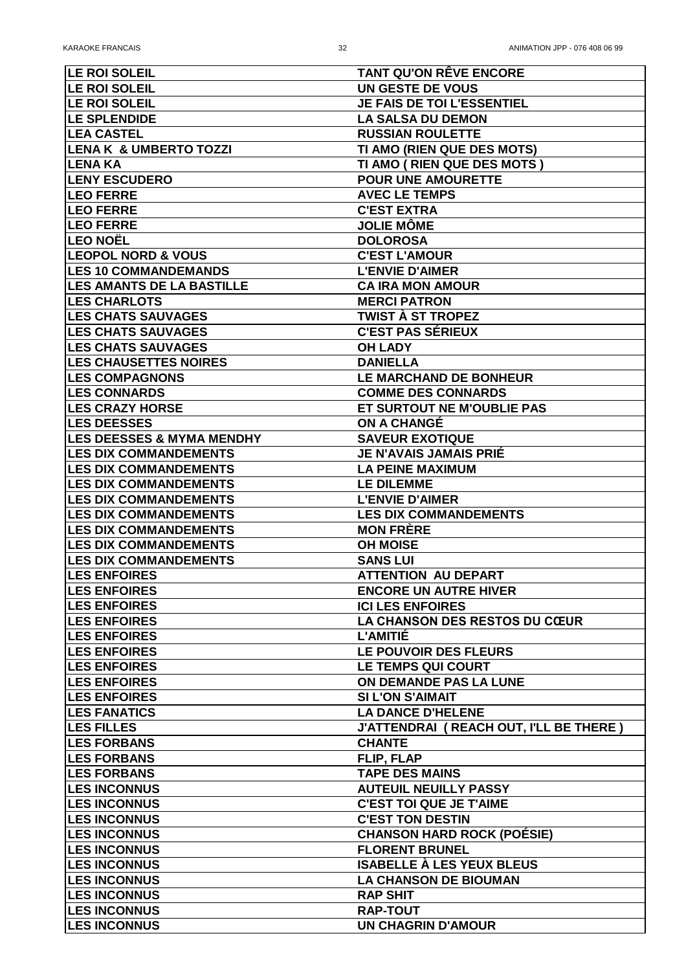| <b>LE ROI SOLEIL</b>                       | <b>TANT QU'ON RÊVE ENCORE</b>                              |
|--------------------------------------------|------------------------------------------------------------|
| <b>LE ROI SOLEIL</b>                       | UN GESTE DE VOUS                                           |
| <b>LE ROI SOLEIL</b>                       | JE FAIS DE TOI L'ESSENTIEL                                 |
| <b>LE SPLENDIDE</b>                        | <b>LA SALSA DU DEMON</b>                                   |
| <b>LEA CASTEL</b>                          | <b>RUSSIAN ROULETTE</b>                                    |
| <b>LENA K &amp; UMBERTO TOZZI</b>          | TI AMO (RIEN QUE DES MOTS)                                 |
| <b>LENA KA</b>                             | <b>TI AMO ( RIEN QUE DES MOTS )</b>                        |
| <b>LENY ESCUDERO</b>                       | <b>POUR UNE AMOURETTE</b>                                  |
| <b>LEO FERRE</b>                           | <b>AVEC LE TEMPS</b>                                       |
| <b>LEO FERRE</b>                           | <b>C'EST EXTRA</b>                                         |
| <b>LEO FERRE</b>                           | <b>JOLIE MÔME</b>                                          |
| <b>LEO NOËL</b>                            | <b>DOLOROSA</b>                                            |
| <b>LEOPOL NORD &amp; VOUS</b>              | <b>C'EST L'AMOUR</b>                                       |
| <b>LES 10 COMMANDEMANDS</b>                | <b>L'ENVIE D'AIMER</b>                                     |
| <b>LES AMANTS DE LA BASTILLE</b>           | <b>CA IRA MON AMOUR</b>                                    |
| <b>LES CHARLOTS</b>                        | <b>MERCI PATRON</b>                                        |
| <b>LES CHATS SAUVAGES</b>                  | TWIST À ST TROPEZ                                          |
| <b>LES CHATS SAUVAGES</b>                  | <b>C'EST PAS SÉRIEUX</b>                                   |
| <b>LES CHATS SAUVAGES</b>                  | <b>OH LADY</b>                                             |
| <b>LES CHAUSETTES NOIRES</b>               | <b>DANIELLA</b>                                            |
| <b>LES COMPAGNONS</b>                      | <b>LE MARCHAND DE BONHEUR</b>                              |
| <b>LES CONNARDS</b>                        | <b>COMME DES CONNARDS</b>                                  |
| <b>LES CRAZY HORSE</b>                     | ET SURTOUT NE M'OUBLIE PAS                                 |
| <b>LES DEESSES</b>                         | ON A CHANGÉ                                                |
| <b>LES DEESSES &amp; MYMA MENDHY</b>       | <b>SAVEUR EXOTIQUE</b>                                     |
| <b>LES DIX COMMANDEMENTS</b>               | JE N'AVAIS JAMAIS PRIÉ                                     |
|                                            |                                                            |
| <b>LES DIX COMMANDEMENTS</b>               | <b>LA PEINE MAXIMUM</b>                                    |
| <b>LES DIX COMMANDEMENTS</b>               | <b>LE DILEMME</b>                                          |
| <b>LES DIX COMMANDEMENTS</b>               | <b>L'ENVIE D'AIMER</b>                                     |
| <b>LES DIX COMMANDEMENTS</b>               | <b>LES DIX COMMANDEMENTS</b>                               |
| <b>LES DIX COMMANDEMENTS</b>               | <b>MON FRÈRE</b>                                           |
| <b>LES DIX COMMANDEMENTS</b>               | <b>OH MOISE</b>                                            |
| <b>LES DIX COMMANDEMENTS</b>               | <b>SANS LUI</b>                                            |
| <b>LES ENFOIRES</b><br><b>LES ENFOIRES</b> | <b>ATTENTION AU DEPART</b><br><b>ENCORE UN AUTRE HIVER</b> |
| <b>LES ENFOIRES</b>                        | <b>ICI LES ENFOIRES</b>                                    |
| <b>LES ENFOIRES</b>                        | <b>LA CHANSON DES RESTOS DU CŒUR</b>                       |
| <b>LES ENFOIRES</b>                        | L'AMITIÉ                                                   |
| <b>LES ENFOIRES</b>                        | LE POUVOIR DES FLEURS                                      |
| <b>LES ENFOIRES</b>                        | <b>LE TEMPS QUI COURT</b>                                  |
| <b>LES ENFOIRES</b>                        | ON DEMANDE PAS LA LUNE                                     |
| <b>LES ENFOIRES</b>                        | <b>SI L'ON S'AIMAIT</b>                                    |
| <b>LES FANATICS</b>                        | <b>LA DANCE D'HELENE</b>                                   |
| <b>LES FILLES</b>                          | <b>J'ATTENDRAI ( REACH OUT, I'LL BE THERE )</b>            |
| <b>LES FORBANS</b>                         | <b>CHANTE</b>                                              |
| <b>LES FORBANS</b>                         | FLIP, FLAP                                                 |
| <b>LES FORBANS</b>                         | <b>TAPE DES MAINS</b>                                      |
| <b>LES INCONNUS</b>                        | <b>AUTEUIL NEUILLY PASSY</b>                               |
| <b>LES INCONNUS</b>                        | <b>C'EST TOI QUE JE T'AIME</b>                             |
| <b>LES INCONNUS</b>                        | <b>C'EST TON DESTIN</b>                                    |
| <b>LES INCONNUS</b>                        | <b>CHANSON HARD ROCK (POESIE)</b>                          |
| <b>LES INCONNUS</b>                        | <b>FLORENT BRUNEL</b>                                      |
| <b>LES INCONNUS</b>                        | <b>ISABELLE À LES YEUX BLEUS</b>                           |
| <b>LES INCONNUS</b>                        | <b>LA CHANSON DE BIOUMAN</b>                               |
| <b>LES INCONNUS</b>                        | <b>RAP SHIT</b>                                            |
| <b>LES INCONNUS</b>                        | <b>RAP-TOUT</b>                                            |
|                                            |                                                            |
| <b>LES INCONNUS</b>                        | <b>UN CHAGRIN D'AMOUR</b>                                  |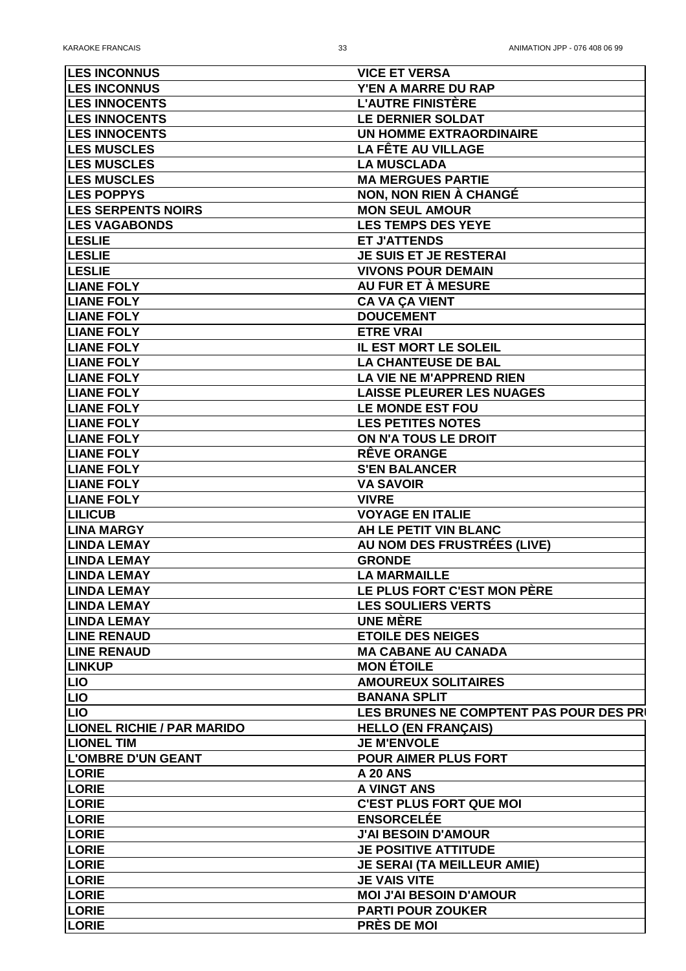| <b>LES INCONNUS</b>               | <b>VICE ET VERSA</b>                    |
|-----------------------------------|-----------------------------------------|
| <b>LES INCONNUS</b>               | <b>Y'EN A MARRE DU RAP</b>              |
| <b>LES INNOCENTS</b>              | <b>L'AUTRE FINISTÈRE</b>                |
| <b>LES INNOCENTS</b>              | <b>LE DERNIER SOLDAT</b>                |
| <b>LES INNOCENTS</b>              | UN HOMME EXTRAORDINAIRE                 |
| <b>LES MUSCLES</b>                | <b>LA FÊTE AU VILLAGE</b>               |
| <b>LES MUSCLES</b>                | <b>LA MUSCLADA</b>                      |
| <b>LES MUSCLES</b>                | <b>MA MERGUES PARTIE</b>                |
| <b>LES POPPYS</b>                 | NON, NON RIEN À CHANGÉ                  |
| <b>LES SERPENTS NOIRS</b>         | <b>MON SEUL AMOUR</b>                   |
| <b>LES VAGABONDS</b>              | <b>LES TEMPS DES YEYE</b>               |
| <b>LESLIE</b>                     | <b>ET J'ATTENDS</b>                     |
| <b>LESLIE</b>                     | <b>JE SUIS ET JE RESTERAI</b>           |
| <b>LESLIE</b>                     | <b>VIVONS POUR DEMAIN</b>               |
| <b>LIANE FOLY</b>                 | AU FUR ET À MESURE                      |
| <b>LIANE FOLY</b>                 | <b>CA VA ÇA VIENT</b>                   |
| <b>LIANE FOLY</b>                 | <b>DOUCEMENT</b>                        |
| <b>LIANE FOLY</b>                 | <b>ETRE VRAI</b>                        |
| <b>LIANE FOLY</b>                 | IL EST MORT LE SOLEIL                   |
| <b>LIANE FOLY</b>                 | <b>LA CHANTEUSE DE BAL</b>              |
| <b>LIANE FOLY</b>                 | <b>LA VIE NE M'APPREND RIEN</b>         |
| <b>LIANE FOLY</b>                 |                                         |
|                                   | <b>LAISSE PLEURER LES NUAGES</b>        |
| <b>LIANE FOLY</b>                 | <b>LE MONDE EST FOU</b>                 |
| <b>LIANE FOLY</b>                 | <b>LES PETITES NOTES</b>                |
| <b>LIANE FOLY</b>                 | ON N'A TOUS LE DROIT                    |
| <b>LIANE FOLY</b>                 | <b>RÊVE ORANGE</b>                      |
| <b>LIANE FOLY</b>                 | <b>S'EN BALANCER</b>                    |
| <b>LIANE FOLY</b>                 | <b>VA SAVOIR</b>                        |
| <b>LIANE FOLY</b>                 | <b>VIVRE</b>                            |
| <b>LILICUB</b>                    | <b>VOYAGE EN ITALIE</b>                 |
| <b>LINA MARGY</b>                 | AH LE PETIT VIN BLANC                   |
| <b>LINDA LEMAY</b>                | AU NOM DES FRUSTRÉES (LIVE)             |
| <b>LINDA LEMAY</b>                | <b>GRONDE</b>                           |
| <b>LINDA LEMAY</b>                | <b>LA MARMAILLE</b>                     |
| <b>LINDA LEMAY</b>                | LE PLUS FORT C'EST MON PERE             |
| <b>LINDA LEMAY</b>                | <b>LES SOULIERS VERTS</b>               |
| <b>LINDA LEMAY</b>                | <b>UNE MÈRE</b>                         |
| <b>LINE RENAUD</b>                | <b>ETOILE DES NEIGES</b>                |
| <b>LINE RENAUD</b>                | <b>MA CABANE AU CANADA</b>              |
| <b>LINKUP</b>                     | <b>MON ÉTOILE</b>                       |
| <b>LIO</b>                        | <b>AMOUREUX SOLITAIRES</b>              |
| <b>LIO</b>                        | <b>BANANA SPLIT</b>                     |
| <b>LIO</b>                        | LES BRUNES NE COMPTENT PAS POUR DES PRI |
| <b>LIONEL RICHIE / PAR MARIDO</b> | <b>HELLO (EN FRANÇAIS)</b>              |
| <b>LIONEL TIM</b>                 | <b>JE M'ENVOLE</b>                      |
| <b>L'OMBRE D'UN GEANT</b>         | <b>POUR AIMER PLUS FORT</b>             |
| <b>LORIE</b>                      | <b>A 20 ANS</b>                         |
| <b>LORIE</b>                      | <b>A VINGT ANS</b>                      |
| <b>LORIE</b>                      | <b>C'EST PLUS FORT QUE MOI</b>          |
| <b>LORIE</b>                      | <b>ENSORCELÉE</b>                       |
| <b>LORIE</b>                      | <b>J'AI BESOIN D'AMOUR</b>              |
| <b>LORIE</b>                      | <b>JE POSITIVE ATTITUDE</b>             |
| <b>LORIE</b>                      | <b>JE SERAI (TA MEILLEUR AMIE)</b>      |
| <b>LORIE</b>                      | <b>JE VAIS VITE</b>                     |
| <b>LORIE</b>                      | <b>MOI J'AI BESOIN D'AMOUR</b>          |
| <b>LORIE</b>                      | <b>PARTI POUR ZOUKER</b>                |
| <b>LORIE</b>                      | <b>PRÈS DE MOI</b>                      |
|                                   |                                         |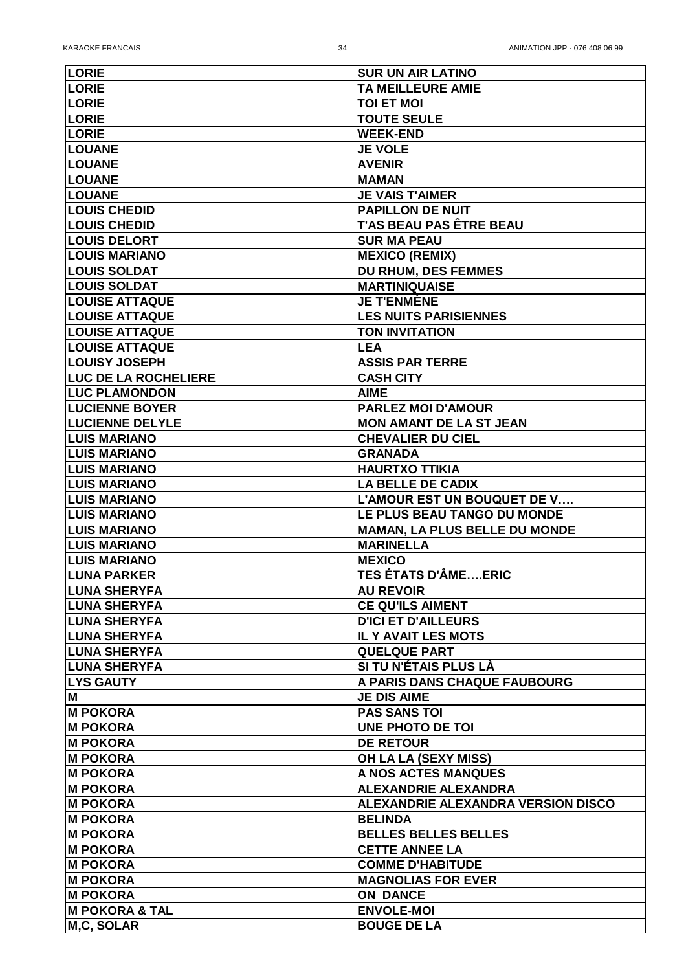| <b>LORIE</b>                | <b>SUR UN AIR LATINO</b>                  |
|-----------------------------|-------------------------------------------|
| <b>LORIE</b>                | <b>TA MEILLEURE AMIE</b>                  |
| <b>LORIE</b>                | <b>TOI ET MOI</b>                         |
| <b>LORIE</b>                | <b>TOUTE SEULE</b>                        |
| <b>LORIE</b>                | <b>WEEK-END</b>                           |
| <b>LOUANE</b>               | <b>JE VOLE</b>                            |
| <b>LOUANE</b>               | <b>AVENIR</b>                             |
| <b>LOUANE</b>               | <b>MAMAN</b>                              |
| <b>LOUANE</b>               | <b>JE VAIS T'AIMER</b>                    |
| <b>LOUIS CHEDID</b>         | <b>PAPILLON DE NUIT</b>                   |
| <b>LOUIS CHEDID</b>         | <b>T'AS BEAU PAS ÊTRE BEAU</b>            |
| <b>LOUIS DELORT</b>         | <b>SUR MA PEAU</b>                        |
| <b>LOUIS MARIANO</b>        | <b>MEXICO (REMIX)</b>                     |
| <b>LOUIS SOLDAT</b>         | <b>DU RHUM, DES FEMMES</b>                |
| <b>LOUIS SOLDAT</b>         | <b>MARTINIQUAISE</b>                      |
| <b>LOUISE ATTAQUE</b>       | <b>JE T'ENMÈNE</b>                        |
| <b>LOUISE ATTAQUE</b>       | <b>LES NUITS PARISIENNES</b>              |
| <b>LOUISE ATTAQUE</b>       | <b>TON INVITATION</b>                     |
| LOUISE ATTAQUE              | <b>LEA</b>                                |
| <b>LOUISY JOSEPH</b>        | <b>ASSIS PAR TERRE</b>                    |
| <b>LUC DE LA ROCHELIERE</b> | <b>CASH CITY</b>                          |
| <b>LUC PLAMONDON</b>        | <b>AIME</b>                               |
| <b>LUCIENNE BOYER</b>       | <b>PARLEZ MOI D'AMOUR</b>                 |
| <b>LUCIENNE DELYLE</b>      | <b>MON AMANT DE LA ST JEAN</b>            |
| <b>LUIS MARIANO</b>         | <b>CHEVALIER DU CIEL</b>                  |
| <b>LUIS MARIANO</b>         | <b>GRANADA</b>                            |
| <b>LUIS MARIANO</b>         | <b>HAURTXO TTIKIA</b>                     |
| <b>LUIS MARIANO</b>         | <b>LA BELLE DE CADIX</b>                  |
| <b>LUIS MARIANO</b>         | <b>L'AMOUR EST UN BOUQUET DE V</b>        |
| <b>LUIS MARIANO</b>         | LE PLUS BEAU TANGO DU MONDE               |
| <b>LUIS MARIANO</b>         |                                           |
| <b>LUIS MARIANO</b>         | <b>MAMAN, LA PLUS BELLE DU MONDE</b>      |
| <b>LUIS MARIANO</b>         | <b>MARINELLA</b><br><b>MEXICO</b>         |
| <b>ILUNA PARKER</b>         | <b>TES ÉTATS D'ÂMEERIC</b>                |
| <b>LUNA SHERYFA</b>         | <b>AU REVOIR</b>                          |
|                             |                                           |
| <b>LUNA SHERYFA</b>         | <b>CE QU'ILS AIMENT</b>                   |
| <b>LUNA SHERYFA</b>         | <b>D'ICI ET D'AILLEURS</b>                |
| <b>LUNA SHERYFA</b>         | <b>IL Y AVAIT LES MOTS</b>                |
| <b>LUNA SHERYFA</b>         | <b>QUELQUE PART</b>                       |
| <b>LUNA SHERYFA</b>         | SI TU N'ÉTAIS PLUS LÀ                     |
| <b>LYS GAUTY</b>            | A PARIS DANS CHAQUE FAUBOURG              |
| M                           | <b>JE DIS AIME</b>                        |
| <b>M POKORA</b>             | <b>PAS SANS TOI</b>                       |
| <b>M POKORA</b>             | <b>UNE PHOTO DE TOI</b>                   |
| <b>M POKORA</b>             | <b>DE RETOUR</b>                          |
| <b>IM POKORA</b>            | <b>OH LA LA (SEXY MISS)</b>               |
| <b>M POKORA</b>             | A NOS ACTES MANQUES                       |
| <b>M POKORA</b>             | <b>ALEXANDRIE ALEXANDRA</b>               |
| <b>M POKORA</b>             | <b>ALEXANDRIE ALEXANDRA VERSION DISCO</b> |
| <b>M POKORA</b>             | <b>BELINDA</b>                            |
| <b>M POKORA</b>             | <b>BELLES BELLES BELLES</b>               |
| <b>M POKORA</b>             | <b>CETTE ANNEE LA</b>                     |
| <b>M POKORA</b>             | <b>COMME D'HABITUDE</b>                   |
| <b>M POKORA</b>             | <b>MAGNOLIAS FOR EVER</b>                 |
| <b>M POKORA</b>             | <b>ON DANCE</b>                           |
| <b>M POKORA &amp; TAL</b>   | <b>ENVOLE-MOI</b>                         |
| <b>M.C. SOLAR</b>           | <b>BOUGE DE LA</b>                        |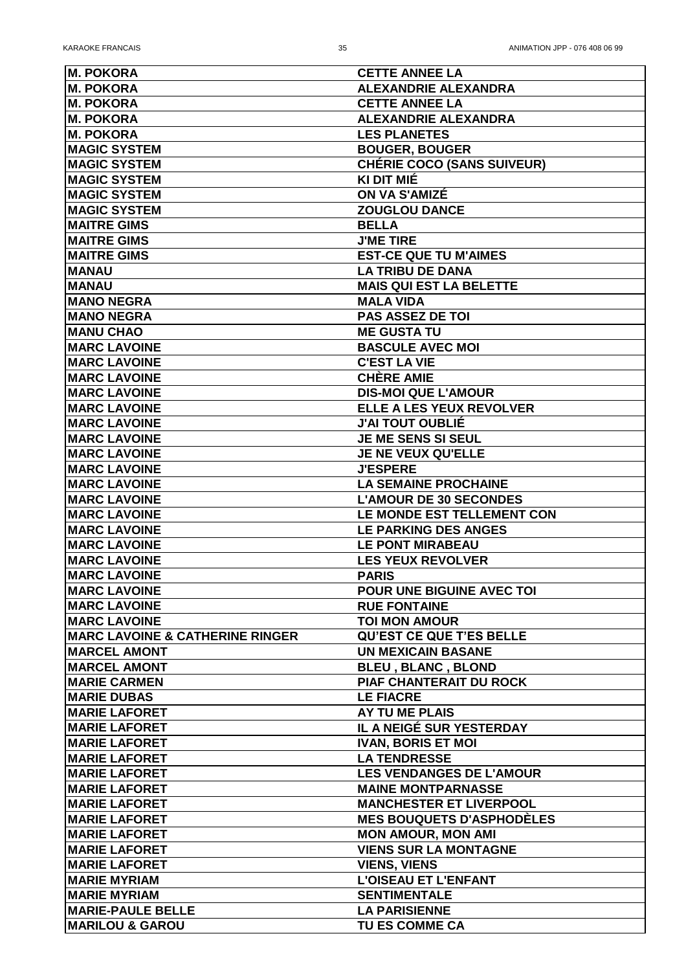| <b>M. POKORA</b>                           | <b>CETTE ANNEE LA</b>             |
|--------------------------------------------|-----------------------------------|
| <b>M. POKORA</b>                           | <b>ALEXANDRIE ALEXANDRA</b>       |
| <b>M. POKORA</b>                           | <b>CETTE ANNEE LA</b>             |
| <b>M. POKORA</b>                           | <b>ALEXANDRIE ALEXANDRA</b>       |
| <b>M. POKORA</b>                           | <b>LES PLANETES</b>               |
| <b>MAGIC SYSTEM</b>                        | <b>BOUGER, BOUGER</b>             |
| <b>MAGIC SYSTEM</b>                        | <b>CHÉRIE COCO (SANS SUIVEUR)</b> |
| <b>IMAGIC SYSTEM</b>                       | KI DIT MIÉ                        |
| <b>MAGIC SYSTEM</b>                        | ON VA S'AMIZE                     |
| <b>MAGIC SYSTEM</b>                        | <b>ZOUGLOU DANCE</b>              |
| <b>MAITRE GIMS</b>                         | <b>BELLA</b>                      |
| <b>MAITRE GIMS</b>                         | <b>J'ME TIRE</b>                  |
| <b>MAITRE GIMS</b>                         | <b>EST-CE QUE TU M'AIMES</b>      |
| <b>MANAU</b>                               | <b>LA TRIBU DE DANA</b>           |
| <b>IMANAU</b>                              | <b>MAIS QUI EST LA BELETTE</b>    |
| <b>MANO NEGRA</b>                          | <b>MALA VIDA</b>                  |
| <b>MANO NEGRA</b>                          | <b>PAS ASSEZ DE TOI</b>           |
| <b>MANU CHAO</b>                           | <b>ME GUSTA TU</b>                |
| <b>MARC LAVOINE</b>                        | <b>BASCULE AVEC MOI</b>           |
| <b>MARC LAVOINE</b>                        | <b>C'EST LA VIE</b>               |
| <b>IMARC LAVOINE</b>                       | <b>CHÈRE AMIE</b>                 |
| <b>MARC LAVOINE</b>                        | <b>DIS-MOI QUE L'AMOUR</b>        |
| <b>MARC LAVOINE</b>                        | <b>ELLE A LES YEUX REVOLVER</b>   |
| <b>IMARC LAVOINE</b>                       | <b>J'AI TOUT OUBLIÉ</b>           |
| <b>MARC LAVOINE</b>                        | JE ME SENS SI SEUL                |
| <b>MARC LAVOINE</b>                        | <b>JE NE VEUX QU'ELLE</b>         |
| <b>IMARC LAVOINE</b>                       | <b>J'ESPERE</b>                   |
| <b>MARC LAVOINE</b>                        | <b>LA SEMAINE PROCHAINE</b>       |
| <b>MARC LAVOINE</b>                        | <b>L'AMOUR DE 30 SECONDES</b>     |
| <b>MARC LAVOINE</b>                        | LE MONDE EST TELLEMENT CON        |
| <b>MARC LAVOINE</b>                        | <b>LE PARKING DES ANGES</b>       |
| <b>MARC LAVOINE</b>                        | <b>LE PONT MIRABEAU</b>           |
| <b>MARC LAVOINE</b>                        | <b>LES YEUX REVOLVER</b>          |
| <b>MARC LAVOINE</b>                        | <b>PARIS</b>                      |
| <b>MARC LAVOINE</b>                        | <b>POUR UNE BIGUINE AVEC TOI</b>  |
| <b>MARC LAVOINE</b>                        | <b>RUE FONTAINE</b>               |
| <b>MARC LAVOINE</b>                        | <b>TOI MON AMOUR</b>              |
| <b>MARC LAVOINE &amp; CATHERINE RINGER</b> | <b>QU'EST CE QUE T'ES BELLE</b>   |
| <b>MARCEL AMONT</b>                        | UN MEXICAIN BASANE                |
| <b>MARCEL AMONT</b>                        | <b>BLEU, BLANC, BLOND</b>         |
| <b>MARIE CARMEN</b>                        | PIAF CHANTERAIT DU ROCK           |
| <b>MARIE DUBAS</b>                         | <b>LE FIACRE</b>                  |
| <b>MARIE LAFORET</b>                       | <b>AY TU ME PLAIS</b>             |
| <b>MARIE LAFORET</b>                       | <b>IL A NEIGÉ SUR YESTERDAY</b>   |
| <b>IMARIE LAFORET</b>                      | <b>IVAN, BORIS ET MOI</b>         |
| <b>MARIE LAFORET</b>                       | <b>LA TENDRESSE</b>               |
| <b>MARIE LAFORET</b>                       | <b>LES VENDANGES DE L'AMOUR</b>   |
| <b>MARIE LAFORET</b>                       | <b>MAINE MONTPARNASSE</b>         |
| <b>MARIE LAFORET</b>                       | <b>MANCHESTER ET LIVERPOOL</b>    |
| <b>MARIE LAFORET</b>                       | <b>MES BOUQUETS D'ASPHODÈLES</b>  |
| <b>MARIE LAFORET</b>                       | <b>MON AMOUR, MON AMI</b>         |
| <b>MARIE LAFORET</b>                       | <b>VIENS SUR LA MONTAGNE</b>      |
| <b>MARIE LAFORET</b>                       | <b>VIENS, VIENS</b>               |
| <b>MARIE MYRIAM</b>                        | <b>L'OISEAU ET L'ENFANT</b>       |
| <b>MARIE MYRIAM</b>                        | <b>SENTIMENTALE</b>               |
| <b>MARIE-PAULE BELLE</b>                   | <b>LA PARISIENNE</b>              |
| <b>MARILOU &amp; GAROU</b>                 | <b>TU ES COMME CA</b>             |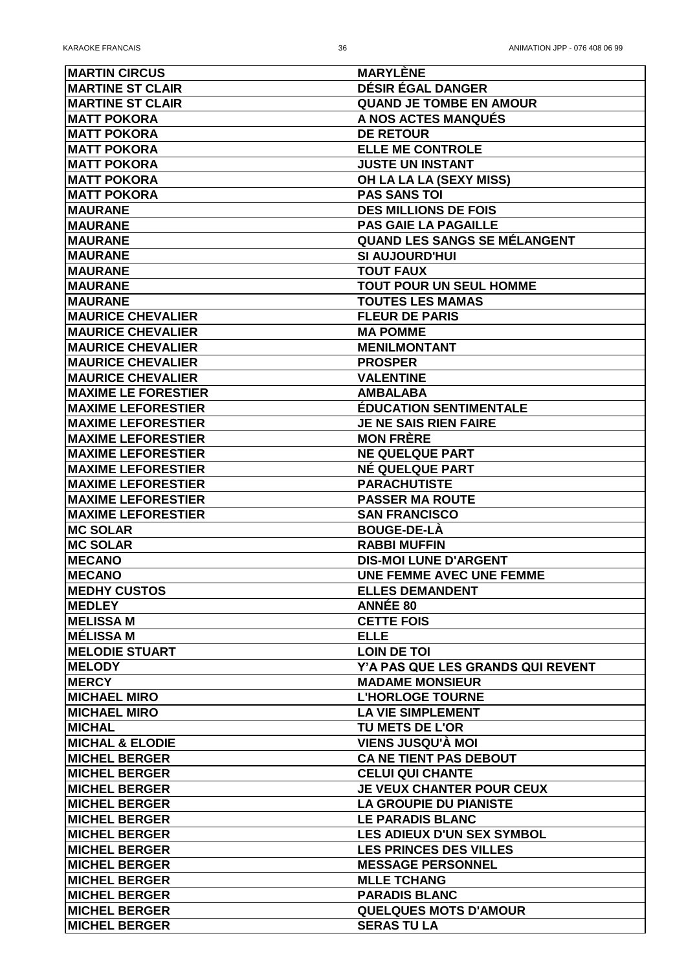| <b>MARTIN CIRCUS</b>       | <b>MARYLÈNE</b>                               |
|----------------------------|-----------------------------------------------|
| <b>MARTINE ST CLAIR</b>    | <b>DÉSIR ÉGAL DANGER</b>                      |
| <b>MARTINE ST CLAIR</b>    | <b>QUAND JE TOMBE EN AMOUR</b>                |
| <b>MATT POKORA</b>         | A NOS ACTES MANQUÉS                           |
| <b>MATT POKORA</b>         | <b>DE RETOUR</b>                              |
| <b>MATT POKORA</b>         | <b>ELLE ME CONTROLE</b>                       |
| <b>MATT POKORA</b>         | <b>JUSTE UN INSTANT</b>                       |
| <b>IMATT POKORA</b>        | <b>OH LA LA LA (SEXY MISS)</b>                |
| <b>MATT POKORA</b>         | <b>PAS SANS TOI</b>                           |
| <b>MAURANE</b>             | <b>DES MILLIONS DE FOIS</b>                   |
| <b>MAURANE</b>             | <b>PAS GAIE LA PAGAILLE</b>                   |
| <b>MAURANE</b>             | <b>QUAND LES SANGS SE MÉLANGENT</b>           |
| <b>MAURANE</b>             | <b>SI AUJOURD'HUI</b>                         |
| <b>MAURANE</b>             | <b>TOUT FAUX</b>                              |
| <b>MAURANE</b>             | <b>TOUT POUR UN SEUL HOMME</b>                |
| <b>MAURANE</b>             | <b>TOUTES LES MAMAS</b>                       |
| <b>MAURICE CHEVALIER</b>   | <b>FLEUR DE PARIS</b>                         |
| <b>MAURICE CHEVALIER</b>   | <b>MA POMME</b>                               |
| <b>MAURICE CHEVALIER</b>   | <b>MENILMONTANT</b>                           |
| <b>MAURICE CHEVALIER</b>   | <b>PROSPER</b>                                |
| <b>MAURICE CHEVALIER</b>   | <b>VALENTINE</b>                              |
| <b>MAXIME LE FORESTIER</b> | <b>AMBALABA</b>                               |
| <b>MAXIME LEFORESTIER</b>  | <b>ÉDUCATION SENTIMENTALE</b>                 |
| <b>MAXIME LEFORESTIER</b>  | <b>JE NE SAIS RIEN FAIRE</b>                  |
| <b>MAXIME LEFORESTIER</b>  | <b>MON FRERE</b>                              |
| <b>MAXIME LEFORESTIER</b>  | <b>NE QUELQUE PART</b>                        |
| <b>MAXIME LEFORESTIER</b>  | <b>NÉ QUELQUE PART</b>                        |
|                            |                                               |
| <b>MAXIME LEFORESTIER</b>  | <b>PARACHUTISTE</b><br><b>PASSER MA ROUTE</b> |
| <b>MAXIME LEFORESTIER</b>  |                                               |
| <b>MAXIME LEFORESTIER</b>  | <b>SAN FRANCISCO</b>                          |
| <b>MC SOLAR</b>            | <b>BOUGE-DE-LA</b>                            |
| <b>MC SOLAR</b>            | <b>RABBI MUFFIN</b>                           |
| <b>MECANO</b>              | <b>DIS-MOI LUNE D'ARGENT</b>                  |
| <b>IMECANO</b>             | <b>UNE FEMME AVEC UNE FEMME</b>               |
| <b>IMEDHY CUSTOS</b>       | <b>ELLES DEMANDENT</b>                        |
| <b>MEDLEY</b>              | <b>ANNÉE 80</b>                               |
| <b>MELISSA M</b>           | <b>CETTE FOIS</b>                             |
| <b>IMÉLISSA M</b>          | <b>ELLE</b>                                   |
| <b>MELODIE STUART</b>      | <b>LOIN DE TOI</b>                            |
| <b>MELODY</b>              | <b>Y'A PAS QUE LES GRANDS QUI REVENT</b>      |
| <b>IMERCY</b>              | <b>MADAME MONSIEUR</b>                        |
| <b>MICHAEL MIRO</b>        | <b>L'HORLOGE TOURNE</b>                       |
| <b>MICHAEL MIRO</b>        | <b>LA VIE SIMPLEMENT</b>                      |
| <b>MICHAL</b>              | <b>TU METS DE L'OR</b>                        |
| <b>MICHAL &amp; ELODIE</b> | <b>VIENS JUSQU'À MOI</b>                      |
| <b>MICHEL BERGER</b>       | <b>CA NE TIENT PAS DEBOUT</b>                 |
| <b>MICHEL BERGER</b>       | <b>CELUI QUI CHANTE</b>                       |
| <b>MICHEL BERGER</b>       | <b>JE VEUX CHANTER POUR CEUX</b>              |
| <b>MICHEL BERGER</b>       | <b>LA GROUPIE DU PIANISTE</b>                 |
| <b>MICHEL BERGER</b>       | <b>LE PARADIS BLANC</b>                       |
| <b>MICHEL BERGER</b>       | <b>LES ADIEUX D'UN SEX SYMBOL</b>             |
| <b>MICHEL BERGER</b>       | <b>LES PRINCES DES VILLES</b>                 |
| <b>MICHEL BERGER</b>       | <b>MESSAGE PERSONNEL</b>                      |
| <b>MICHEL BERGER</b>       | <b>MLLE TCHANG</b>                            |
| <b>MICHEL BERGER</b>       | <b>PARADIS BLANC</b>                          |
| <b>MICHEL BERGER</b>       | <b>QUELQUES MOTS D'AMOUR</b>                  |
| <b>MICHEL BERGER</b>       | <b>SERAS TU LA</b>                            |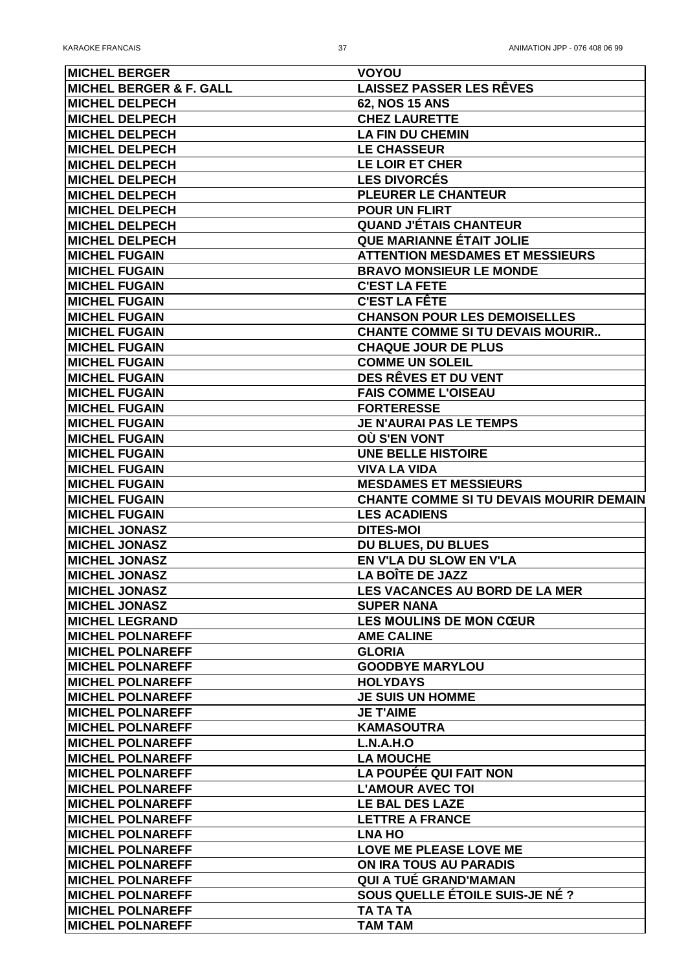| <b>MICHEL BERGER</b>                                | <b>VOYOU</b>                                      |
|-----------------------------------------------------|---------------------------------------------------|
| <b>MICHEL BERGER &amp; F. GALL</b>                  | <b>LAISSEZ PASSER LES RÊVES</b>                   |
| <b>MICHEL DELPECH</b>                               | <b>62, NOS 15 ANS</b>                             |
| <b>MICHEL DELPECH</b>                               | <b>CHEZ LAURETTE</b>                              |
| <b>MICHEL DELPECH</b>                               | <b>LA FIN DU CHEMIN</b>                           |
| <b>MICHEL DELPECH</b>                               | <b>LE CHASSEUR</b>                                |
| <b>MICHEL DELPECH</b>                               | <b>LE LOIR ET CHER</b>                            |
| <b>MICHEL DELPECH</b>                               | <b>LES DIVORCÉS</b>                               |
| <b>MICHEL DELPECH</b>                               | <b>PLEURER LE CHANTEUR</b>                        |
| <b>MICHEL DELPECH</b>                               | <b>POUR UN FLIRT</b>                              |
| <b>MICHEL DELPECH</b>                               | <b>QUAND J'ÉTAIS CHANTEUR</b>                     |
| <b>MICHEL DELPECH</b>                               | <b>QUE MARIANNE ÉTAIT JOLIE</b>                   |
| <b>MICHEL FUGAIN</b>                                | <b>ATTENTION MESDAMES ET MESSIEURS</b>            |
| <b>MICHEL FUGAIN</b>                                | <b>BRAVO MONSIEUR LE MONDE</b>                    |
| <b>MICHEL FUGAIN</b>                                | <b>C'EST LA FETE</b>                              |
| <b>MICHEL FUGAIN</b>                                | <b>C'EST LA FÊTE</b>                              |
| <b>MICHEL FUGAIN</b>                                | <b>CHANSON POUR LES DEMOISELLES</b>               |
| <b>MICHEL FUGAIN</b>                                | <b>CHANTE COMME SI TU DEVAIS MOURIR</b>           |
| <b>MICHEL FUGAIN</b>                                | <b>CHAQUE JOUR DE PLUS</b>                        |
| <b>MICHEL FUGAIN</b>                                | <b>COMME UN SOLEIL</b>                            |
| <b>MICHEL FUGAIN</b>                                | DES RÊVES ET DU VENT                              |
| <b>MICHEL FUGAIN</b>                                | <b>FAIS COMME L'OISEAU</b>                        |
| <b>MICHEL FUGAIN</b>                                | <b>FORTERESSE</b>                                 |
| <b>IMICHEL FUGAIN</b>                               | <b>JE N'AURAI PAS LE TEMPS</b>                    |
| <b>IMICHEL FUGAIN</b>                               | OÙ S'EN VONT                                      |
| <b>MICHEL FUGAIN</b>                                | <b>UNE BELLE HISTOIRE</b>                         |
| <b>IMICHEL FUGAIN</b>                               | <b>VIVA LA VIDA</b>                               |
| <b>MICHEL FUGAIN</b>                                | <b>MESDAMES ET MESSIEURS</b>                      |
| <b>MICHEL FUGAIN</b>                                | <b>CHANTE COMME SI TU DEVAIS MOURIR DEMAIN</b>    |
| <b>IMICHEL FUGAIN</b>                               | <b>LES ACADIENS</b>                               |
| <b>MICHEL JONASZ</b>                                | <b>DITES-MOI</b>                                  |
| <b>MICHEL JONASZ</b>                                | <b>DU BLUES, DU BLUES</b>                         |
| <b>MICHEL JONASZ</b>                                | EN V'LA DU SLOW EN V'LA                           |
| <b>MICHEL JONASZ</b>                                | <b>LA BOÏTE DE JAZZ</b>                           |
| <b>MICHEL JONASZ</b>                                | LES VACANCES AU BORD DE LA MER                    |
| <b>MICHEL JONASZ</b>                                | <b>SUPER NANA</b>                                 |
| <b>MICHEL LEGRAND</b>                               | <b>LES MOULINS DE MON CŒUR</b>                    |
| <b>MICHEL POLNAREFF</b>                             | <b>AME CALINE</b>                                 |
| <b>MICHEL POLNAREFF</b>                             | <b>GLORIA</b>                                     |
| <b>MICHEL POLNAREFF</b>                             | <b>GOODBYE MARYLOU</b>                            |
| <b>MICHEL POLNAREFF</b>                             | <b>HOLYDAYS</b>                                   |
| <b>MICHEL POLNAREFF</b>                             | <b>JE SUIS UN HOMME</b>                           |
| <b>MICHEL POLNAREFF</b>                             | <b>JE T'AIME</b>                                  |
| <b>MICHEL POLNAREFF</b>                             | <b>KAMASOUTRA</b>                                 |
| <b>IMICHEL POLNAREFF</b>                            | L.N.A.H.O                                         |
| <b>MICHEL POLNAREFF</b><br><b>IMICHEL POLNAREFF</b> | <b>LA MOUCHE</b>                                  |
|                                                     | <b>LA POUPÉE QUI FAIT NON</b>                     |
| <b>MICHEL POLNAREFF</b><br><b>MICHEL POLNAREFF</b>  | <b>L'AMOUR AVEC TOI</b><br><b>LE BAL DES LAZE</b> |
| <b>MICHEL POLNAREFF</b>                             | <b>LETTRE A FRANCE</b>                            |
| <b>MICHEL POLNAREFF</b>                             | LNA HO                                            |
| <b>MICHEL POLNAREFF</b>                             | <b>LOVE ME PLEASE LOVE ME</b>                     |
| <b>MICHEL POLNAREFF</b>                             | ON IRA TOUS AU PARADIS                            |
| <b>MICHEL POLNAREFF</b>                             | QUI A TUÉ GRAND'MAMAN                             |
| <b>MICHEL POLNAREFF</b>                             | SOUS QUELLE ÉTOILE SUIS-JE NÉ ?                   |
| <b>MICHEL POLNAREFF</b>                             | TA TA TA                                          |
| <b>MICHEL POLNAREFF</b>                             | <b>TAM TAM</b>                                    |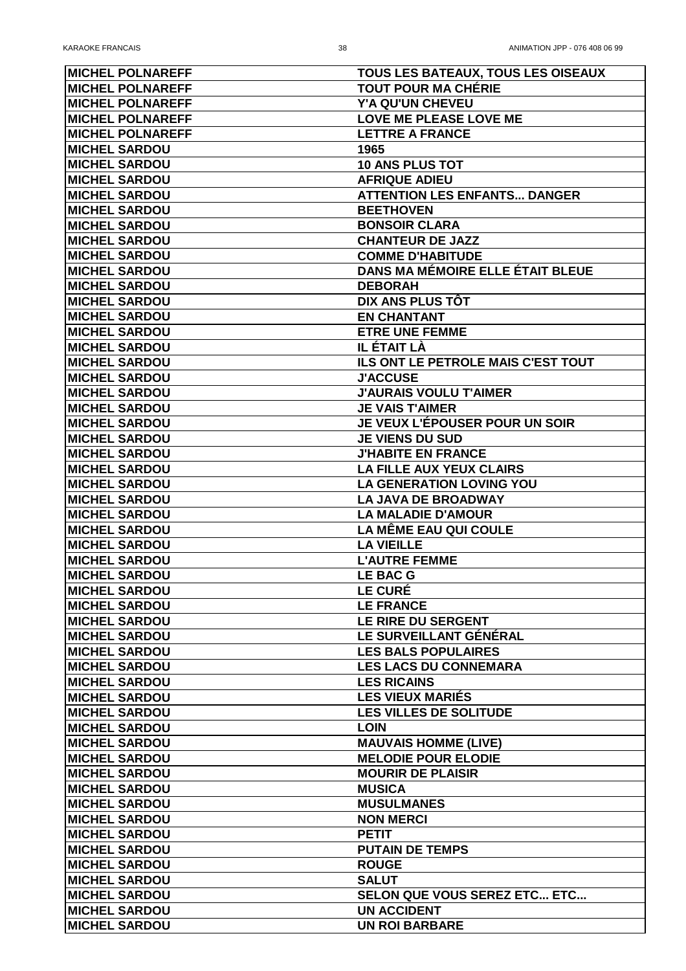| <b>MICHEL POLNAREFF</b> | <b>TOUS LES BATEAUX, TOUS LES OISEAUX</b> |
|-------------------------|-------------------------------------------|
| <b>MICHEL POLNAREFF</b> | <b>TOUT POUR MA CHÉRIE</b>                |
| <b>MICHEL POLNAREFF</b> | <b>Y'A QU'UN CHEVEU</b>                   |
| <b>MICHEL POLNAREFF</b> | <b>LOVE ME PLEASE LOVE ME</b>             |
| <b>MICHEL POLNAREFF</b> | <b>LETTRE A FRANCE</b>                    |
| <b>MICHEL SARDOU</b>    | 1965                                      |
| <b>MICHEL SARDOU</b>    | <b>10 ANS PLUS TOT</b>                    |
| <b>MICHEL SARDOU</b>    | <b>AFRIQUE ADIEU</b>                      |
| <b>MICHEL SARDOU</b>    | <b>ATTENTION LES ENFANTS DANGER</b>       |
| <b>MICHEL SARDOU</b>    | <b>BEETHOVEN</b>                          |
| <b>MICHEL SARDOU</b>    | <b>BONSOIR CLARA</b>                      |
| <b>MICHEL SARDOU</b>    | <b>CHANTEUR DE JAZZ</b>                   |
| <b>MICHEL SARDOU</b>    | <b>COMME D'HABITUDE</b>                   |
| <b>MICHEL SARDOU</b>    | <b>DANS MA MÉMOIRE ELLE ÉTAIT BLEUE</b>   |
| <b>MICHEL SARDOU</b>    | <b>DEBORAH</b>                            |
| <b>MICHEL SARDOU</b>    | DIX ANS PLUS TÖT                          |
| <b>MICHEL SARDOU</b>    | <b>EN CHANTANT</b>                        |
| <b>MICHEL SARDOU</b>    | <b>ETRE UNE FEMME</b>                     |
| <b>MICHEL SARDOU</b>    | IL ÉTAIT LÀ                               |
| <b>MICHEL SARDOU</b>    | <b>ILS ONT LE PETROLE MAIS C'EST TOUT</b> |
| <b>MICHEL SARDOU</b>    | <b>J'ACCUSE</b>                           |
| <b>MICHEL SARDOU</b>    | <b>J'AURAIS VOULU T'AIMER</b>             |
| <b>MICHEL SARDOU</b>    | <b>JE VAIS T'AIMER</b>                    |
| <b>MICHEL SARDOU</b>    | JE VEUX L'ÉPOUSER POUR UN SOIR            |
| <b>MICHEL SARDOU</b>    | <b>JE VIENS DU SUD</b>                    |
| <b>MICHEL SARDOU</b>    | <b>J'HABITE EN FRANCE</b>                 |
| <b>MICHEL SARDOU</b>    | <b>LA FILLE AUX YEUX CLAIRS</b>           |
| <b>MICHEL SARDOU</b>    | <b>LA GENERATION LOVING YOU</b>           |
| <b>MICHEL SARDOU</b>    | <b>LA JAVA DE BROADWAY</b>                |
| <b>MICHEL SARDOU</b>    | <b>LA MALADIE D'AMOUR</b>                 |
| <b>MICHEL SARDOU</b>    | <b>LA MÊME EAU QUI COULE</b>              |
| <b>MICHEL SARDOU</b>    | <b>LA VIEILLE</b>                         |
| <b>MICHEL SARDOU</b>    | <b>L'AUTRE FEMME</b>                      |
| <b>MICHEL SARDOU</b>    | <b>LE BAC G</b>                           |
| <b>MICHEL SARDOU</b>    | <b>LE CURÉ</b>                            |
| <b>MICHEL SARDOU</b>    | <b>LE FRANCE</b>                          |
| <b>MICHEL SARDOU</b>    | <b>LE RIRE DU SERGENT</b>                 |
| <b>MICHEL SARDOU</b>    | LE SURVEILLANT GÉNÉRAL                    |
| <b>MICHEL SARDOU</b>    | <b>LES BALS POPULAIRES</b>                |
| <b>MICHEL SARDOU</b>    | <b>LES LACS DU CONNEMARA</b>              |
| <b>MICHEL SARDOU</b>    | <b>LES RICAINS</b>                        |
| <b>MICHEL SARDOU</b>    | <b>LES VIEUX MARIÉS</b>                   |
| <b>MICHEL SARDOU</b>    | <b>LES VILLES DE SOLITUDE</b>             |
| <b>MICHEL SARDOU</b>    | <b>LOIN</b>                               |
| <b>IMICHEL SARDOU</b>   | <b>MAUVAIS HOMME (LIVE)</b>               |
| <b>MICHEL SARDOU</b>    | <b>MELODIE POUR ELODIE</b>                |
| <b>MICHEL SARDOU</b>    | <b>MOURIR DE PLAISIR</b>                  |
| <b>MICHEL SARDOU</b>    | <b>MUSICA</b>                             |
| <b>MICHEL SARDOU</b>    | <b>MUSULMANES</b>                         |
| <b>MICHEL SARDOU</b>    | <b>NON MERCI</b>                          |
| <b>MICHEL SARDOU</b>    | <b>PETIT</b>                              |
| <b>MICHEL SARDOU</b>    | <b>PUTAIN DE TEMPS</b>                    |
| <b>MICHEL SARDOU</b>    | <b>ROUGE</b>                              |
| <b>MICHEL SARDOU</b>    | <b>SALUT</b>                              |
| <b>MICHEL SARDOU</b>    | <b>SELON QUE VOUS SEREZ ETC ETC</b>       |
| <b>MICHEL SARDOU</b>    | <b>UN ACCIDENT</b>                        |
| <b>MICHEL SARDOU</b>    | <b>UN ROI BARBARE</b>                     |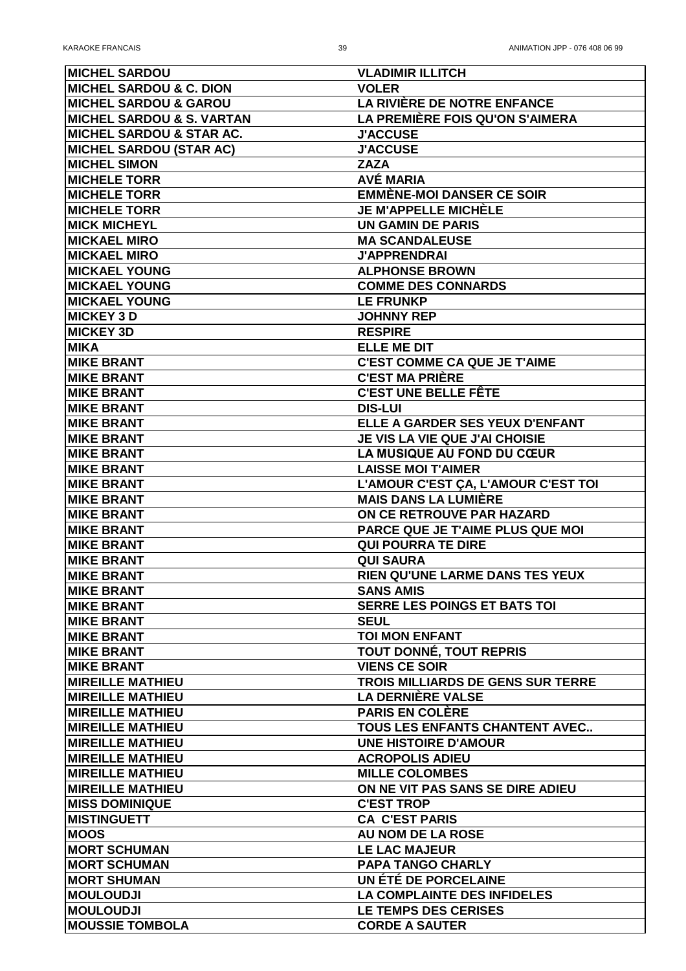| <b>IMICHEL SARDOU</b>                | <b>VLADIMIR ILLITCH</b>                |
|--------------------------------------|----------------------------------------|
| <b> MICHEL SARDOU &amp; C. DION</b>  | <b>VOLER</b>                           |
| <b>MICHEL SARDOU &amp; GAROU</b>     | <b>LA RIVIÈRE DE NOTRE ENFANCE</b>     |
| <b>MICHEL SARDOU &amp; S. VARTAN</b> | <b>LA PREMIÈRE FOIS QU'ON S'AIMERA</b> |
| <b>MICHEL SARDOU &amp; STAR AC.</b>  | <b>J'ACCUSE</b>                        |
| <b>MICHEL SARDOU (STAR AC)</b>       | <b>J'ACCUSE</b>                        |
| <b>MICHEL SIMON</b>                  | <b>ZAZA</b>                            |
| <b>MICHELE TORR</b>                  | <b>AVÉ MARIA</b>                       |
| <b>MICHELE TORR</b>                  | <b>EMMÈNE-MOI DANSER CE SOIR</b>       |
| <b>MICHELE TORR</b>                  | <b>JE M'APPELLE MICHÈLE</b>            |
| <b>MICK MICHEYL</b>                  | <b>UN GAMIN DE PARIS</b>               |
| <b>MICKAEL MIRO</b>                  | <b>MA SCANDALEUSE</b>                  |
| <b>IMICKAEL MIRO</b>                 | <b>J'APPRENDRAI</b>                    |
| <b>IMICKAEL YOUNG</b>                | <b>ALPHONSE BROWN</b>                  |
| <b>MICKAEL YOUNG</b>                 | <b>COMME DES CONNARDS</b>              |
| <b>MICKAEL YOUNG</b>                 | <b>LE FRUNKP</b>                       |
| <b>MICKEY 3 D</b>                    | <b>JOHNNY REP</b>                      |
| <b>MICKEY 3D</b>                     | <b>RESPIRE</b>                         |
| <b>MIKA</b>                          | <b>ELLE ME DIT</b>                     |
| <b>MIKE BRANT</b>                    | <b>C'EST COMME CA QUE JE T'AIME</b>    |
| <b>MIKE BRANT</b>                    | <b>C'EST MA PRIÈRE</b>                 |
| <b>MIKE BRANT</b>                    | <b>C'EST UNE BELLE FÊTE</b>            |
| IMIKE BRANT                          | <b>DIS-LUI</b>                         |
| <b>MIKE BRANT</b>                    | ELLE A GARDER SES YEUX D'ENFANT        |
| <b>IMIKE BRANT</b>                   | <b>JE VIS LA VIE QUE J'AI CHOISIE</b>  |
| <b>IMIKE BRANT</b>                   | LA MUSIQUE AU FOND DU CŒUR             |
| <b>MIKE BRANT</b>                    | <b>LAISSE MOI T'AIMER</b>              |
| <b>MIKE BRANT</b>                    | L'AMOUR C'EST ÇA, L'AMOUR C'EST TOI    |
| <b>MIKE BRANT</b>                    | <b>MAIS DANS LA LUMIÈRE</b>            |
| <b>MIKE BRANT</b>                    | ON CE RETROUVE PAR HAZARD              |
| <b>MIKE BRANT</b>                    | PARCE QUE JE T'AIME PLUS QUE MOI       |
| <b>IMIKE BRANT</b>                   | <b>QUI POURRA TE DIRE</b>              |
| <b>MIKE BRANT</b>                    | <b>QUI SAURA</b>                       |
| <b>IMIKE BRANT</b>                   | <b>RIEN QU'UNE LARME DANS TES YEUX</b> |
| <b>IMIKE BRANT</b>                   | <b>SANS AMIS</b>                       |
| <b>MIKE BRANT</b>                    | <b>SERRE LES POINGS ET BATS TOI</b>    |
| <b>IMIKE BRANT</b>                   | <b>SEUL</b>                            |
| <b>MIKE BRANT</b>                    | <b>TOI MON ENFANT</b>                  |
| <b>MIKE BRANT</b>                    | <b>TOUT DONNÉ, TOUT REPRIS</b>         |
| <b>MIKE BRANT</b>                    | <b>VIENS CE SOIR</b>                   |
| <b>IMIREILLE MATHIEU</b>             | TROIS MILLIARDS DE GENS SUR TERRE      |
| <b>IMIREILLE MATHIEU</b>             | <b>LA DERNIÈRE VALSE</b>               |
| <b>IMIREILLE MATHIEU</b>             | <b>PARIS EN COLÈRE</b>                 |
| <b>IMIREILLE MATHIEU</b>             | TOUS LES ENFANTS CHANTENT AVEC         |
| <b>IMIREILLE MATHIEU</b>             | <b>UNE HISTOIRE D'AMOUR</b>            |
| <b>IMIREILLE MATHIEU</b>             | <b>ACROPOLIS ADIEU</b>                 |
| <b>IMIREILLE MATHIEU</b>             | <b>MILLE COLOMBES</b>                  |
| <b>MIREILLE MATHIEU</b>              | ON NE VIT PAS SANS SE DIRE ADIEU       |
| <b>IMISS DOMINIQUE</b>               | <b>C'EST TROP</b>                      |
| <b>MISTINGUETT</b>                   | <b>CA C'EST PARIS</b>                  |
| <b>MOOS</b>                          | <b>AU NOM DE LA ROSE</b>               |
| <b>IMORT SCHUMAN</b>                 | <b>LE LAC MAJEUR</b>                   |
| <b>IMORT SCHUMAN</b>                 | <b>PAPA TANGO CHARLY</b>               |
| <b>MORT SHUMAN</b>                   | UN ÉTÉ DE PORCELAINE                   |
| <b>MOULOUDJI</b>                     | <b>LA COMPLAINTE DES INFIDELES</b>     |
| <b>MOULOUDJI</b>                     | <b>LE TEMPS DES CERISES</b>            |
| <b>MOUSSIE TOMBOLA</b>               | <b>CORDE A SAUTER</b>                  |
|                                      |                                        |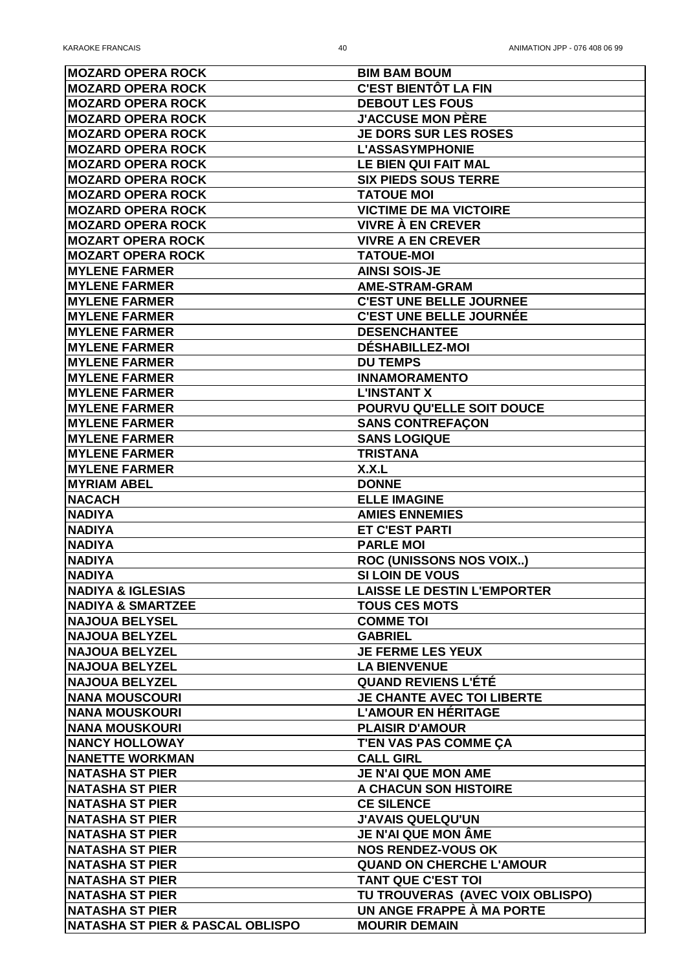| <b>MOZARD OPERA ROCK</b>                    | <b>BIM BAM BOUM</b>                |
|---------------------------------------------|------------------------------------|
| <b>MOZARD OPERA ROCK</b>                    | <b>C'EST BIENTÔT LA FIN</b>        |
| <b>MOZARD OPERA ROCK</b>                    | <b>DEBOUT LES FOUS</b>             |
| <b>MOZARD OPERA ROCK</b>                    | <b>J'ACCUSE MON PÈRE</b>           |
| <b>MOZARD OPERA ROCK</b>                    | <b>JE DORS SUR LES ROSES</b>       |
| <b>MOZARD OPERA ROCK</b>                    | <b>L'ASSASYMPHONIE</b>             |
| <b>MOZARD OPERA ROCK</b>                    | LE BIEN QUI FAIT MAL               |
| <b>MOZARD OPERA ROCK</b>                    | <b>SIX PIEDS SOUS TERRE</b>        |
| <b>MOZARD OPERA ROCK</b>                    | <b>TATOUE MOI</b>                  |
| <b>MOZARD OPERA ROCK</b>                    | <b>VICTIME DE MA VICTOIRE</b>      |
| <b>MOZARD OPERA ROCK</b>                    | <b>VIVRE À EN CREVER</b>           |
| <b>MOZART OPERA ROCK</b>                    | <b>VIVRE A EN CREVER</b>           |
| <b>MOZART OPERA ROCK</b>                    | <b>TATOUE-MOI</b>                  |
| <b>MYLENE FARMER</b>                        | <b>AINSI SOIS-JE</b>               |
| <b>MYLENE FARMER</b>                        | <b>AME-STRAM-GRAM</b>              |
| <b>MYLENE FARMER</b>                        | <b>C'EST UNE BELLE JOURNEE</b>     |
| <b>MYLENE FARMER</b>                        | <b>C'EST UNE BELLE JOURNÉE</b>     |
| <b>MYLENE FARMER</b>                        | <b>DESENCHANTEE</b>                |
| <b>MYLENE FARMER</b>                        | <b>DÉSHABILLEZ-MOI</b>             |
| <b>MYLENE FARMER</b>                        | <b>DU TEMPS</b>                    |
| <b>MYLENE FARMER</b>                        | <b>INNAMORAMENTO</b>               |
| <b>MYLENE FARMER</b>                        | <b>L'INSTANT X</b>                 |
| <b>IMYLENE FARMER</b>                       | POURVU QU'ELLE SOIT DOUCE          |
| <b>IMYLENE FARMER</b>                       | <b>SANS CONTREFAÇON</b>            |
| <b>MYLENE FARMER</b>                        | <b>SANS LOGIQUE</b>                |
| <b>IMYLENE FARMER</b>                       |                                    |
|                                             | <b>TRISTANA</b>                    |
| <b>IMYLENE FARMER</b>                       | X.X.L<br><b>DONNE</b>              |
| <b>MYRIAM ABEL</b>                          |                                    |
| <b>NACACH</b>                               | <b>ELLE IMAGINE</b>                |
| <b>NADIYA</b><br><b>NADIYA</b>              | <b>AMIES ENNEMIES</b>              |
|                                             | <b>ET C'EST PARTI</b>              |
| <b>INADIYA</b>                              | <b>PARLE MOI</b>                   |
| <b>NADIYA</b>                               | <b>ROC (UNISSONS NOS VOIX)</b>     |
| <b>NADIYA</b>                               | <b>SI LOIN DE VOUS</b>             |
| <b>NADIYA &amp; IGLESIAS</b>                | <b>LAISSE LE DESTIN L'EMPORTER</b> |
| <b>NADIYA &amp; SMARTZEE</b>                | <b>TOUS CES MOTS</b>               |
| <b>NAJOUA BELYSEL</b>                       | <b>COMME TOI</b>                   |
| <b>NAJOUA BELYZEL</b>                       | <b>GABRIEL</b>                     |
| <b>NAJOUA BELYZEL</b>                       | <b>JE FERME LES YEUX</b>           |
| <b>NAJOUA BELYZEL</b>                       | <b>LA BIENVENUE</b>                |
| <b>NAJOUA BELYZEL</b>                       | <b>QUAND REVIENS L'ÉTÉ</b>         |
| <b>NANA MOUSCOURI</b>                       | <b>JE CHANTE AVEC TOI LIBERTE</b>  |
| <b>NANA MOUSKOURI</b>                       | <b>L'AMOUR EN HÉRITAGE</b>         |
| <b>NANA MOUSKOURI</b>                       | <b>PLAISIR D'AMOUR</b>             |
| <b>NANCY HOLLOWAY</b>                       | <b>T'EN VAS PAS COMME ÇA</b>       |
| <b>NANETTE WORKMAN</b>                      | <b>CALL GIRL</b>                   |
| <b>NATASHA ST PIER</b>                      | <b>JE N'AI QUE MON AME</b>         |
| <b>NATASHA ST PIER</b>                      | <b>A CHACUN SON HISTOIRE</b>       |
| <b>NATASHA ST PIER</b>                      | <b>CE SILENCE</b>                  |
| <b>NATASHA ST PIER</b>                      | <b>J'AVAIS QUELQU'UN</b>           |
| <b>NATASHA ST PIER</b>                      | <b>JE N'AI QUE MON ÂME</b>         |
| <b>NATASHA ST PIER</b>                      | <b>NOS RENDEZ-VOUS OK</b>          |
| <b>NATASHA ST PIER</b>                      | <b>QUAND ON CHERCHE L'AMOUR</b>    |
| <b>NATASHA ST PIER</b>                      | <b>TANT QUE C'EST TOI</b>          |
| <b>NATASHA ST PIER</b>                      | TU TROUVERAS (AVEC VOIX OBLISPO)   |
| <b>NATASHA ST PIER</b>                      | UN ANGE FRAPPE À MA PORTE          |
| <b>NATASHA ST PIER &amp; PASCAL OBLISPO</b> | <b>MOURIR DEMAIN</b>               |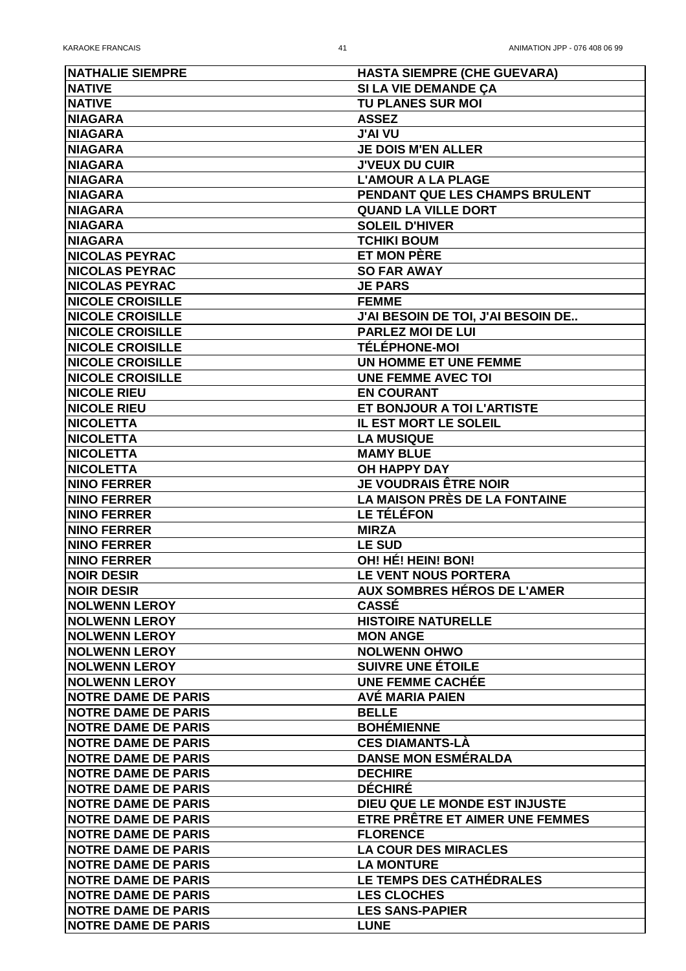| <b>NATHALIE SIEMPRE</b>    | <b>HASTA SIEMPRE (CHE GUEVARA)</b>        |
|----------------------------|-------------------------------------------|
| <b>NATIVE</b>              | SI LA VIE DEMANDE ÇA                      |
| <b>NATIVE</b>              | <b>TU PLANES SUR MOI</b>                  |
| <b>NIAGARA</b>             | <b>ASSEZ</b>                              |
| <b>NIAGARA</b>             | <b>J'AI VU</b>                            |
| <b>NIAGARA</b>             | <b>JE DOIS M'EN ALLER</b>                 |
| <b>NIAGARA</b>             | <b>J'VEUX DU CUIR</b>                     |
| <b>NIAGARA</b>             | <b>L'AMOUR A LA PLAGE</b>                 |
| <b>NIAGARA</b>             | PENDANT QUE LES CHAMPS BRULENT            |
| <b>NIAGARA</b>             | <b>QUAND LA VILLE DORT</b>                |
| <b>NIAGARA</b>             | <b>SOLEIL D'HIVER</b>                     |
| <b>NIAGARA</b>             | <b>TCHIKI BOUM</b>                        |
| <b>NICOLAS PEYRAC</b>      | <b>ET MON PÈRE</b>                        |
| <b>NICOLAS PEYRAC</b>      | <b>SO FAR AWAY</b>                        |
| <b>NICOLAS PEYRAC</b>      | <b>JE PARS</b>                            |
| <b>NICOLE CROISILLE</b>    | <b>FEMME</b>                              |
| <b>NICOLE CROISILLE</b>    | <b>J'AI BESOIN DE TOI, J'AI BESOIN DE</b> |
| <b>NICOLE CROISILLE</b>    | <b>PARLEZ MOI DE LUI</b>                  |
| <b>NICOLE CROISILLE</b>    | <b>TÉLÉPHONE-MOI</b>                      |
| <b>NICOLE CROISILLE</b>    | <b>UN HOMME ET UNE FEMME</b>              |
| <b>NICOLE CROISILLE</b>    | <b>UNE FEMME AVEC TOI</b>                 |
| <b>NICOLE RIEU</b>         | <b>EN COURANT</b>                         |
| <b>NICOLE RIEU</b>         | ET BONJOUR A TOI L'ARTISTE                |
| <b>NICOLETTA</b>           | IL EST MORT LE SOLEIL                     |
| <b>NICOLETTA</b>           | <b>LA MUSIQUE</b>                         |
| <b>NICOLETTA</b>           | <b>MAMY BLUE</b>                          |
| <b>NICOLETTA</b>           | <b>OH HAPPY DAY</b>                       |
| <b>NINO FERRER</b>         | <b>JE VOUDRAIS ÊTRE NOIR</b>              |
| <b>NINO FERRER</b>         | <b>LA MAISON PRÈS DE LA FONTAINE</b>      |
| <b>NINO FERRER</b>         | <b>LE TÉLÉFON</b>                         |
| <b>NINO FERRER</b>         | <b>MIRZA</b>                              |
| <b>NINO FERRER</b>         | <b>LE SUD</b>                             |
| <b>NINO FERRER</b>         | <b>OH! HÉ! HEIN! BON!</b>                 |
| <b>NOIR DESIR</b>          | LE VENT NOUS PORTERA                      |
| <b>NOIR DESIR</b>          | <b>AUX SOMBRES HÉROS DE L'AMER</b>        |
| <b>NOLWENN LEROY</b>       | <b>CASSE</b>                              |
| <b>NOLWENN LEROY</b>       | <b>HISTOIRE NATURELLE</b>                 |
| <b>NOLWENN LEROY</b>       | <b>MON ANGE</b>                           |
| <b>NOLWENN LEROY</b>       | <b>NOLWENN OHWO</b>                       |
| <b>NOLWENN LEROY</b>       | <b>SUIVRE UNE ÉTOILE</b>                  |
| <b>NOLWENN LEROY</b>       | <b>UNE FEMME CACHÉE</b>                   |
| <b>NOTRE DAME DE PARIS</b> | <b>AVÉ MARIA PAIEN</b>                    |
| <b>NOTRE DAME DE PARIS</b> | <b>BELLE</b>                              |
| <b>NOTRE DAME DE PARIS</b> | <b>BOHEMIENNE</b>                         |
| <b>NOTRE DAME DE PARIS</b> | <b>CES DIAMANTS-LA</b>                    |
| <b>NOTRE DAME DE PARIS</b> | <b>DANSE MON ESMÉRALDA</b>                |
| <b>NOTRE DAME DE PARIS</b> | <b>DECHIRE</b>                            |
| <b>NOTRE DAME DE PARIS</b> | <b>DÉCHIRÉ</b>                            |
| <b>NOTRE DAME DE PARIS</b> | <b>DIEU QUE LE MONDE EST INJUSTE</b>      |
| <b>NOTRE DAME DE PARIS</b> | ETRE PRÊTRE ET AIMER UNE FEMMES           |
| <b>NOTRE DAME DE PARIS</b> | <b>FLORENCE</b>                           |
| <b>NOTRE DAME DE PARIS</b> | <b>LA COUR DES MIRACLES</b>               |
| <b>NOTRE DAME DE PARIS</b> | <b>LA MONTURE</b>                         |
| <b>NOTRE DAME DE PARIS</b> | <b>LE TEMPS DES CATHÉDRALES</b>           |
| <b>NOTRE DAME DE PARIS</b> | <b>LES CLOCHES</b>                        |
| <b>NOTRE DAME DE PARIS</b> | <b>LES SANS-PAPIER</b>                    |
| <b>NOTRE DAME DE PARIS</b> | <b>LUNE</b>                               |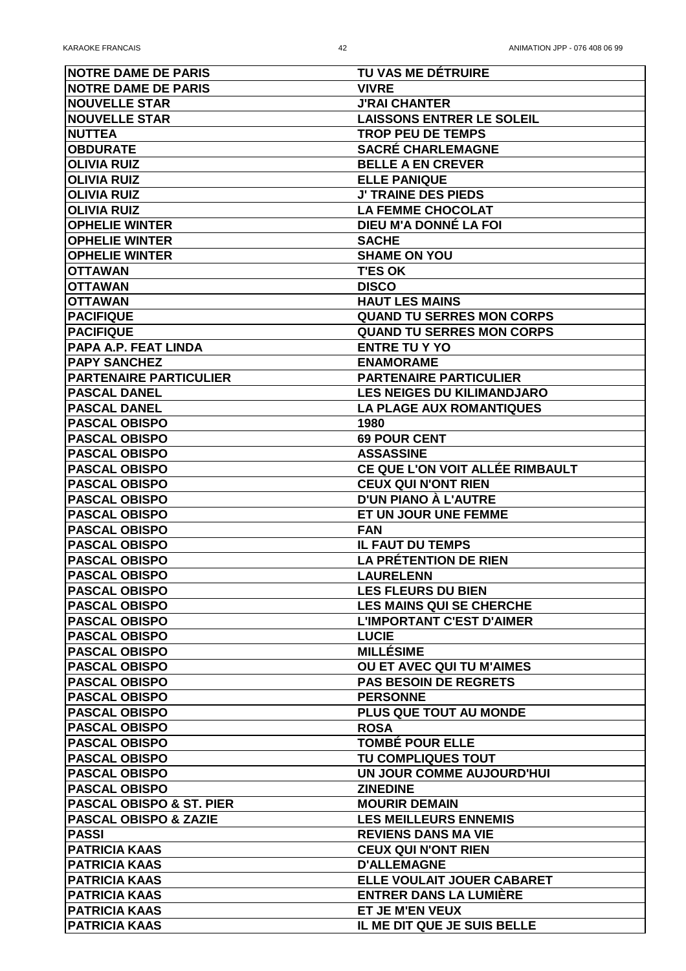| <b>NOTRE DAME DE PARIS</b>          | <b>TU VAS ME DÉTRUIRE</b>         |
|-------------------------------------|-----------------------------------|
| <b>NOTRE DAME DE PARIS</b>          | <b>VIVRE</b>                      |
| <b>NOUVELLE STAR</b>                | <b>J'RAI CHANTER</b>              |
| <b>NOUVELLE STAR</b>                | <b>LAISSONS ENTRER LE SOLEIL</b>  |
| <b>NUTTEA</b>                       | <b>TROP PEU DE TEMPS</b>          |
| <b>OBDURATE</b>                     | <b>SACRÉ CHARLEMAGNE</b>          |
| <b>OLIVIA RUIZ</b>                  | <b>BELLE A EN CREVER</b>          |
| <b>OLIVIA RUIZ</b>                  | <b>ELLE PANIQUE</b>               |
| <b>OLIVIA RUIZ</b>                  | <b>J' TRAINE DES PIEDS</b>        |
| <b>OLIVIA RUIZ</b>                  | <b>LA FEMME CHOCOLAT</b>          |
| <b>OPHELIE WINTER</b>               | DIEU M'A DONNÉ LA FOI             |
| <b>OPHELIE WINTER</b>               | <b>SACHE</b>                      |
| <b>OPHELIE WINTER</b>               | <b>SHAME ON YOU</b>               |
| <b>OTTAWAN</b>                      | <b>T'ES OK</b>                    |
| <b>OTTAWAN</b>                      | <b>DISCO</b>                      |
| <b>OTTAWAN</b>                      | <b>HAUT LES MAINS</b>             |
| <b>PACIFIQUE</b>                    | <b>QUAND TU SERRES MON CORPS</b>  |
| <b>PACIFIQUE</b>                    | <b>QUAND TU SERRES MON CORPS</b>  |
| <b>PAPA A.P. FEAT LINDA</b>         | <b>ENTRE TU Y YO</b>              |
| <b>PAPY SANCHEZ</b>                 | <b>ENAMORAME</b>                  |
| <b>PARTENAIRE PARTICULIER</b>       | <b>PARTENAIRE PARTICULIER</b>     |
| <b>PASCAL DANEL</b>                 | <b>LES NEIGES DU KILIMANDJARO</b> |
| <b> PASCAL DANEL</b>                | <b>LA PLAGE AUX ROMANTIQUES</b>   |
| <b>PASCAL OBISPO</b>                | 1980                              |
| <b>PASCAL OBISPO</b>                |                                   |
|                                     | <b>69 POUR CENT</b>               |
| <b>PASCAL OBISPO</b>                | <b>ASSASSINE</b>                  |
| <b>PASCAL OBISPO</b>                | CE QUE L'ON VOIT ALLÉE RIMBAULT   |
| <b>PASCAL OBISPO</b>                | <b>CEUX QUI N'ONT RIEN</b>        |
| <b>PASCAL OBISPO</b>                | D'UN PIANO À L'AUTRE              |
| <b>PASCAL OBISPO</b>                | ET UN JOUR UNE FEMME              |
| <b>PASCAL OBISPO</b>                | <b>FAN</b>                        |
| <b>PASCAL OBISPO</b>                | <b>IL FAUT DU TEMPS</b>           |
| <b>PASCAL OBISPO</b>                | <b>LA PRÉTENTION DE RIEN</b>      |
| <b>PASCAL OBISPO</b>                | <b>LAURELENN</b>                  |
| <b>PASCAL OBISPO</b>                | <b>LES FLEURS DU BIEN</b>         |
| <b>PASCAL OBISPO</b>                | <b>LES MAINS QUI SE CHERCHE</b>   |
| <b>PASCAL OBISPO</b>                | <b>L'IMPORTANT C'EST D'AIMER</b>  |
| <b>PASCAL OBISPO</b>                | <b>LUCIE</b>                      |
| <b>PASCAL OBISPO</b>                | <b>MILLÉSIME</b>                  |
| <b>PASCAL OBISPO</b>                | OU ET AVEC QUI TU M'AIMES         |
| <b>PASCAL OBISPO</b>                | <b>PAS BESOIN DE REGRETS</b>      |
| <b>PASCAL OBISPO</b>                | <b>PERSONNE</b>                   |
| <b>PASCAL OBISPO</b>                | PLUS QUE TOUT AU MONDE            |
| <b>PASCAL OBISPO</b>                | <b>ROSA</b>                       |
| <b>PASCAL OBISPO</b>                | <b>TOMBÉ POUR ELLE</b>            |
| <b>PASCAL OBISPO</b>                | <b>TU COMPLIQUES TOUT</b>         |
| <b>PASCAL OBISPO</b>                | UN JOUR COMME AUJOURD'HUI         |
| <b>PASCAL OBISPO</b>                | <b>ZINEDINE</b>                   |
| <b>PASCAL OBISPO &amp; ST. PIER</b> | <b>MOURIR DEMAIN</b>              |
| <b>PASCAL OBISPO &amp; ZAZIE</b>    | <b>LES MEILLEURS ENNEMIS</b>      |
| <b>PASSI</b>                        | <b>REVIENS DANS MA VIE</b>        |
| <b>PATRICIA KAAS</b>                | <b>CEUX QUI N'ONT RIEN</b>        |
| <b>PATRICIA KAAS</b>                | <b>D'ALLEMAGNE</b>                |
| <b>PATRICIA KAAS</b>                | <b>ELLE VOULAIT JOUER CABARET</b> |
| <b>PATRICIA KAAS</b>                | <b>ENTRER DANS LA LUMIÈRE</b>     |
| <b>PATRICIA KAAS</b>                | <b>ET JE M'EN VEUX</b>            |
| <b>PATRICIA KAAS</b>                | IL ME DIT QUE JE SUIS BELLE       |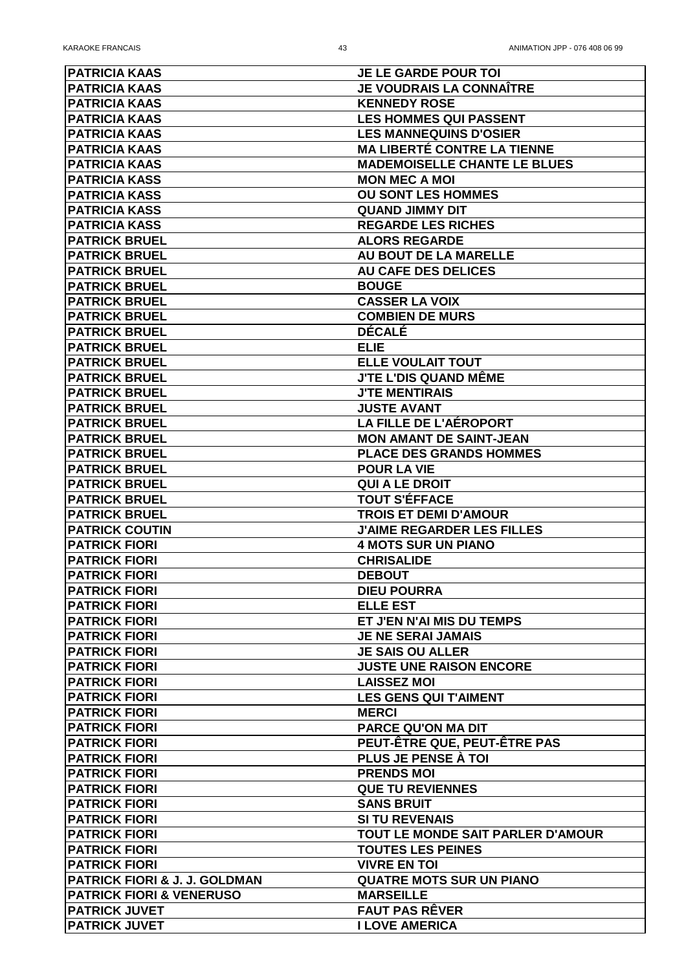| <b>PATRICIA KAAS</b>                     | <b>JE LE GARDE POUR TOI</b>         |
|------------------------------------------|-------------------------------------|
| <b>PATRICIA KAAS</b>                     | <b>JE VOUDRAIS LA CONNAÎTRE</b>     |
|                                          |                                     |
| <b>PATRICIA KAAS</b>                     | <b>KENNEDY ROSE</b>                 |
| <b>PATRICIA KAAS</b>                     | <b>LES HOMMES QUI PASSENT</b>       |
| <b>PATRICIA KAAS</b>                     | <b>LES MANNEQUINS D'OSIER</b>       |
| <b>PATRICIA KAAS</b>                     | <b>MA LIBERTÉ CONTRE LA TIENNE</b>  |
| <b>PATRICIA KAAS</b>                     | <b>MADEMOISELLE CHANTE LE BLUES</b> |
| <b>PATRICIA KASS</b>                     | <b>MON MEC A MOI</b>                |
| <b>PATRICIA KASS</b>                     | <b>OU SONT LES HOMMES</b>           |
| <b>PATRICIA KASS</b>                     | <b>QUAND JIMMY DIT</b>              |
| <b>PATRICIA KASS</b>                     | <b>REGARDE LES RICHES</b>           |
| <b>PATRICK BRUEL</b>                     | <b>ALORS REGARDE</b>                |
| <b>PATRICK BRUEL</b>                     | <b>AU BOUT DE LA MARELLE</b>        |
| <b>PATRICK BRUEL</b>                     | <b>AU CAFE DES DELICES</b>          |
| <b>PATRICK BRUEL</b>                     | <b>BOUGE</b>                        |
| <b>PATRICK BRUEL</b>                     | <b>CASSER LA VOIX</b>               |
| <b>PATRICK BRUEL</b>                     | <b>COMBIEN DE MURS</b>              |
| <b>PATRICK BRUEL</b>                     | <b>DÉCALÉ</b>                       |
| <b>PATRICK BRUEL</b>                     | <b>ELIE</b>                         |
| <b>PATRICK BRUEL</b>                     | <b>ELLE VOULAIT TOUT</b>            |
| <b>PATRICK BRUEL</b>                     | <b>J'TE L'DIS QUAND MÊME</b>        |
| <b>PATRICK BRUEL</b>                     | <b>J'TE MENTIRAIS</b>               |
| <b> PATRICK BRUEL</b>                    | <b>JUSTE AVANT</b>                  |
| <b>PATRICK BRUEL</b>                     | <b>LA FILLE DE L'AÉROPORT</b>       |
| <b>PATRICK BRUEL</b>                     | <b>MON AMANT DE SAINT-JEAN</b>      |
| <b>PATRICK BRUEL</b>                     | <b>PLACE DES GRANDS HOMMES</b>      |
| <b>PATRICK BRUEL</b>                     | <b>POUR LA VIE</b>                  |
| <b>PATRICK BRUEL</b>                     | <b>QUI A LE DROIT</b>               |
| <b>PATRICK BRUEL</b>                     | <b>TOUT S'ÉFFACE</b>                |
| <b>PATRICK BRUEL</b>                     | <b>TROIS ET DEMI D'AMOUR</b>        |
| <b>PATRICK COUTIN</b>                    | <b>J'AIME REGARDER LES FILLES</b>   |
| <b>PATRICK FIORI</b>                     | <b>4 MOTS SUR UN PIANO</b>          |
| <b>PATRICK FIORI</b>                     | <b>CHRISALIDE</b>                   |
| <b>PATRICK FIORI</b>                     | <b>DEBOUT</b>                       |
| <b>PATRICK FIORI</b>                     | <b>DIEU POURRA</b>                  |
| <b>PATRICK FIORI</b>                     | <b>ELLE EST</b>                     |
| <b>PATRICK FIORI</b>                     |                                     |
|                                          | ET J'EN N'AI MIS DU TEMPS           |
| <b>PATRICK FIORI</b>                     | <b>JE NE SERAI JAMAIS</b>           |
| <b>PATRICK FIORI</b>                     | <b>JE SAIS OU ALLER</b>             |
| <b>PATRICK FIORI</b>                     | <b>JUSTE UNE RAISON ENCORE</b>      |
| <b>PATRICK FIORI</b>                     | <b>LAISSEZ MOI</b>                  |
| <b>PATRICK FIORI</b>                     | <b>LES GENS QUI T'AIMENT</b>        |
| <b>PATRICK FIORI</b>                     | <b>MERCI</b>                        |
| <b>PATRICK FIORI</b>                     | <b>PARCE QU'ON MA DIT</b>           |
| <b>PATRICK FIORI</b>                     | <b>PEUT-ÊTRE QUE, PEUT-ÊTRE PAS</b> |
| <b>PATRICK FIORI</b>                     | <b>PLUS JE PENSE À TOI</b>          |
| <b>PATRICK FIORI</b>                     | <b>PRENDS MOI</b>                   |
| <b>PATRICK FIORI</b>                     | <b>QUE TU REVIENNES</b>             |
| <b>PATRICK FIORI</b>                     | <b>SANS BRUIT</b>                   |
| <b>PATRICK FIORI</b>                     | <b>SI TU REVENAIS</b>               |
| <b>PATRICK FIORI</b>                     | TOUT LE MONDE SAIT PARLER D'AMOUR   |
| <b>PATRICK FIORI</b>                     | <b>TOUTES LES PEINES</b>            |
| <b>PATRICK FIORI</b>                     | <b>VIVRE EN TOI</b>                 |
| <b>PATRICK FIORI &amp; J. J. GOLDMAN</b> | <b>QUATRE MOTS SUR UN PIANO</b>     |
| <b>PATRICK FIORI &amp; VENERUSO</b>      | <b>MARSEILLE</b>                    |
| <b>PATRICK JUVET</b>                     | <b>FAUT PAS RÊVER</b>               |
| <b>PATRICK JUVET</b>                     | <b>I LOVE AMERICA</b>               |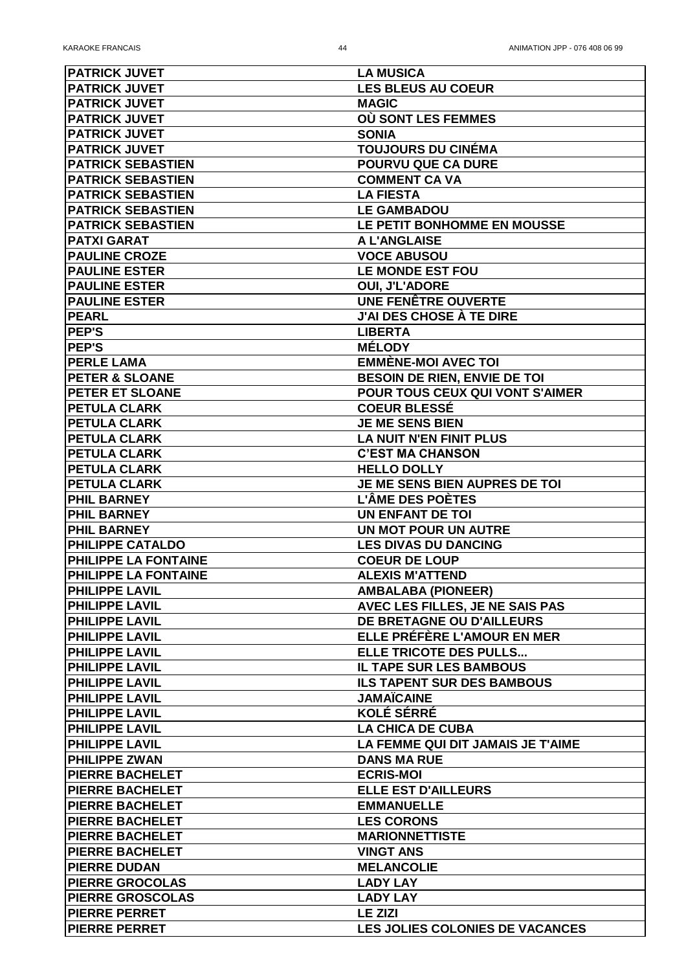| <b>PATRICK JUVET</b>        | <b>LA MUSICA</b>                       |
|-----------------------------|----------------------------------------|
| <b>PATRICK JUVET</b>        | <b>LES BLEUS AU COEUR</b>              |
| <b>PATRICK JUVET</b>        | <b>MAGIC</b>                           |
| <b>PATRICK JUVET</b>        | OÙ SONT LES FEMMES                     |
| <b>PATRICK JUVET</b>        | <b>SONIA</b>                           |
| <b>PATRICK JUVET</b>        | <b>TOUJOURS DU CINÉMA</b>              |
| <b>PATRICK SEBASTIEN</b>    | <b>POURVU QUE CA DURE</b>              |
| <b>PATRICK SEBASTIEN</b>    | <b>COMMENT CA VA</b>                   |
| <b>PATRICK SEBASTIEN</b>    | <b>LA FIESTA</b>                       |
| <b>PATRICK SEBASTIEN</b>    | <b>LE GAMBADOU</b>                     |
| <b>PATRICK SEBASTIEN</b>    | <b>LE PETIT BONHOMME EN MOUSSE</b>     |
| <b>PATXI GARAT</b>          | <b>A L'ANGLAISE</b>                    |
| <b>PAULINE CROZE</b>        | <b>VOCE ABUSOU</b>                     |
| <b>PAULINE ESTER</b>        | <b>LE MONDE EST FOU</b>                |
| <b>PAULINE ESTER</b>        | <b>OUI, J'L'ADORE</b>                  |
| <b>PAULINE ESTER</b>        | <b>UNE FENÊTRE OUVERTE</b>             |
| <b>PEARL</b>                | <b>J'AI DES CHOSE À TE DIRE</b>        |
| PEP'S                       | <b>LIBERTA</b>                         |
| PEP'S                       | <b>MÉLODY</b>                          |
| <b>PERLE LAMA</b>           | <b>EMMÈNE-MOI AVEC TOI</b>             |
| <b>PETER &amp; SLOANE</b>   | <b>BESOIN DE RIEN, ENVIE DE TOI</b>    |
| <b>PETER ET SLOANE</b>      | <b>POUR TOUS CEUX QUI VONT S'AIMER</b> |
| <b>PETULA CLARK</b>         | <b>COEUR BLESSÉ</b>                    |
| <b>PETULA CLARK</b>         | <b>JE ME SENS BIEN</b>                 |
| <b>PETULA CLARK</b>         | <b>LA NUIT N'EN FINIT PLUS</b>         |
| <b>PETULA CLARK</b>         | <b>C'EST MA CHANSON</b>                |
| <b>PETULA CLARK</b>         | <b>HELLO DOLLY</b>                     |
| <b>PETULA CLARK</b>         | <b>JE ME SENS BIEN AUPRES DE TOI</b>   |
| <b>PHIL BARNEY</b>          | <b>L'ÂME DES POÈTES</b>                |
| <b>PHIL BARNEY</b>          | <b>UN ENFANT DE TOI</b>                |
| <b>PHIL BARNEY</b>          | <b>UN MOT POUR UN AUTRE</b>            |
| <b>PHILIPPE CATALDO</b>     | <b>LES DIVAS DU DANCING</b>            |
| <b>PHILIPPE LA FONTAINE</b> | <b>COEUR DE LOUP</b>                   |
| <b>PHILIPPE LA FONTAINE</b> | <b>ALEXIS M'ATTEND</b>                 |
| <b>PHILIPPE LAVIL</b>       | <b>AMBALABA (PIONEER)</b>              |
| <b>PHILIPPE LAVIL</b>       | AVEC LES FILLES, JE NE SAIS PAS        |
| <b>PHILIPPE LAVIL</b>       | DE BRETAGNE OU D'AILLEURS              |
| <b>PHILIPPE LAVIL</b>       | ELLE PRÉFÈRE L'AMOUR EN MER            |
| <b>PHILIPPE LAVIL</b>       | <b>ELLE TRICOTE DES PULLS</b>          |
| <b>PHILIPPE LAVIL</b>       | <b>IL TAPE SUR LES BAMBOUS</b>         |
| <b>PHILIPPE LAVIL</b>       | <b>ILS TAPENT SUR DES BAMBOUS</b>      |
| <b>PHILIPPE LAVIL</b>       | <b>JAMAÏCAINE</b>                      |
| <b>PHILIPPE LAVIL</b>       | <b>KOLÉ SÉRRÉ</b>                      |
| <b>PHILIPPE LAVIL</b>       | <b>LA CHICA DE CUBA</b>                |
| <b>PHILIPPE LAVIL</b>       | LA FEMME QUI DIT JAMAIS JE T'AIME      |
| <b>PHILIPPE ZWAN</b>        | <b>DANS MA RUE</b>                     |
| <b>PIERRE BACHELET</b>      | <b>ECRIS-MOI</b>                       |
| <b>PIERRE BACHELET</b>      | <b>ELLE EST D'AILLEURS</b>             |
| <b>PIERRE BACHELET</b>      | <b>EMMANUELLE</b>                      |
| <b>PIERRE BACHELET</b>      | <b>LES CORONS</b>                      |
| <b>PIERRE BACHELET</b>      | <b>MARIONNETTISTE</b>                  |
| <b>PIERRE BACHELET</b>      | <b>VINGT ANS</b>                       |
| <b>PIERRE DUDAN</b>         | <b>MELANCOLIE</b>                      |
| <b>PIERRE GROCOLAS</b>      | <b>LADY LAY</b>                        |
| <b>PIERRE GROSCOLAS</b>     | <b>LADY LAY</b>                        |
| <b>PIERRE PERRET</b>        | <b>LE ZIZI</b>                         |
| <b>PIERRE PERRET</b>        | <b>LES JOLIES COLONIES DE VACANCES</b> |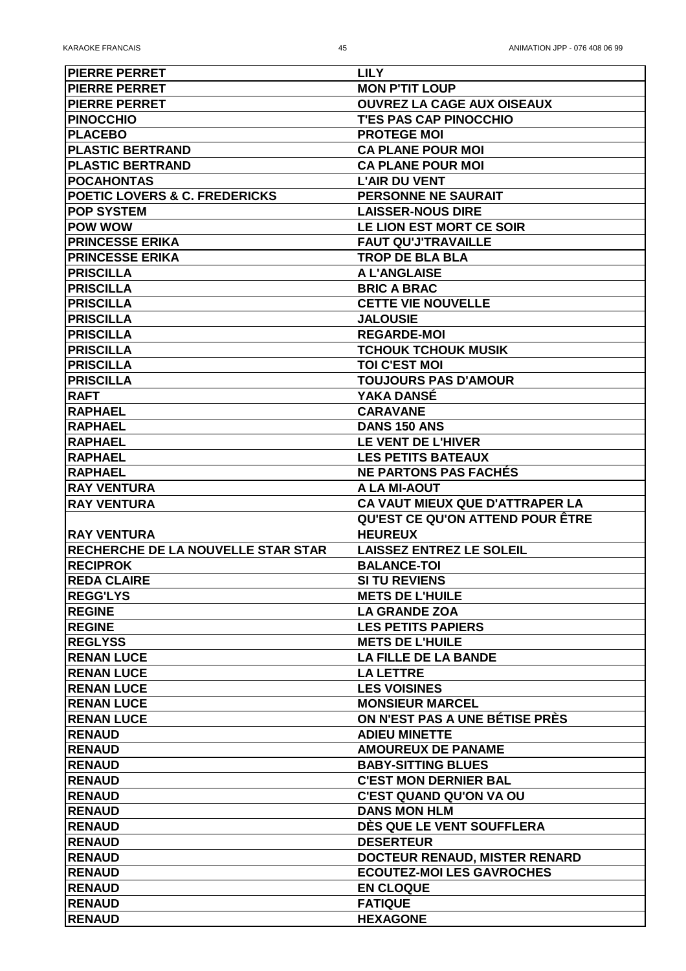| <b>PIERRE PERRET</b>                                         | <b>LILY</b>                                           |
|--------------------------------------------------------------|-------------------------------------------------------|
| <b>PIERRE PERRET</b>                                         | <b>MON P'TIT LOUP</b>                                 |
| <b>PIERRE PERRET</b>                                         | <b>OUVREZ LA CAGE AUX OISEAUX</b>                     |
| <b>PINOCCHIO</b>                                             | <b>T'ES PAS CAP PINOCCHIO</b>                         |
| <b>PLACEBO</b>                                               | <b>PROTEGE MOI</b>                                    |
| <b>PLASTIC BERTRAND</b>                                      | <b>CA PLANE POUR MOI</b>                              |
| <b>PLASTIC BERTRAND</b>                                      | <b>CA PLANE POUR MOI</b>                              |
| <b>POCAHONTAS</b>                                            | <b>L'AIR DU VENT</b>                                  |
| <b>POETIC LOVERS &amp; C. FREDERICKS</b>                     | <b>PERSONNE NE SAURAIT</b>                            |
| <b>POP SYSTEM</b>                                            | <b>LAISSER-NOUS DIRE</b>                              |
| <b>POW WOW</b>                                               | LE LION EST MORT CE SOIR                              |
| <b>PRINCESSE ERIKA</b>                                       | <b>FAUT QU'J'TRAVAILLE</b>                            |
| <b>PRINCESSE ERIKA</b>                                       | <b>TROP DE BLA BLA</b>                                |
| <b>PRISCILLA</b>                                             | <b>A L'ANGLAISE</b>                                   |
| <b>PRISCILLA</b>                                             | <b>BRIC A BRAC</b>                                    |
| <b>PRISCILLA</b>                                             | <b>CETTE VIE NOUVELLE</b>                             |
| <b>PRISCILLA</b>                                             | <b>JALOUSIE</b>                                       |
| <b>PRISCILLA</b>                                             | <b>REGARDE-MOI</b>                                    |
| <b>PRISCILLA</b>                                             | <b>TCHOUK TCHOUK MUSIK</b>                            |
| <b>PRISCILLA</b>                                             | <b>TOI C'EST MOI</b>                                  |
| <b>PRISCILLA</b>                                             | <b>TOUJOURS PAS D'AMOUR</b>                           |
| <b>RAFT</b>                                                  | <b>YAKA DANSE</b>                                     |
| <b>RAPHAEL</b>                                               |                                                       |
| <b>RAPHAEL</b>                                               | <b>CARAVANE</b><br><b>DANS 150 ANS</b>                |
| <b>RAPHAEL</b>                                               | LE VENT DE L'HIVER                                    |
| <b>RAPHAEL</b>                                               | <b>LES PETITS BATEAUX</b>                             |
|                                                              | <b>NE PARTONS PAS FACHÉS</b>                          |
| <b>RAPHAEL</b><br><b>RAY VENTURA</b>                         | A LA MI-AOUT                                          |
|                                                              |                                                       |
| <b>RAY VENTURA</b>                                           | CA VAUT MIEUX QUE D'ATTRAPER LA                       |
| <b>RAY VENTURA</b>                                           | <b>QU'EST CE QU'ON ATTEND POUR ÊTRE</b>               |
|                                                              | <b>HEUREUX</b>                                        |
| <b>RECHERCHE DE LA NOUVELLE STAR STAR</b><br><b>RECIPROK</b> | <b>LAISSEZ ENTREZ LE SOLEIL</b><br><b>BALANCE-TOI</b> |
| <b>REDA CLAIRE</b>                                           | <b>SI TU REVIENS</b>                                  |
|                                                              |                                                       |
| <b>REGG'LYS</b>                                              | <b>METS DE L'HUILE</b>                                |
| <b>REGINE</b>                                                | <b>LA GRANDE ZOA</b>                                  |
| <b>REGINE</b>                                                | <b>LES PETITS PAPIERS</b>                             |
| <b>REGLYSS</b>                                               | <b>METS DE L'HUILE</b>                                |
| <b>RENAN LUCE</b>                                            | <b>LA FILLE DE LA BANDE</b>                           |
| <b>RENAN LUCE</b>                                            | <b>LA LETTRE</b>                                      |
| <b>RENAN LUCE</b>                                            | <b>LES VOISINES</b>                                   |
| <b>RENAN LUCE</b>                                            | <b>MONSIEUR MARCEL</b>                                |
| <b>RENAN LUCE</b>                                            | ON N'EST PAS A UNE BÉTISE PRÈS                        |
| <b>RENAUD</b>                                                |                                                       |
|                                                              | <b>ADIEU MINETTE</b>                                  |
| <b>RENAUD</b>                                                | <b>AMOUREUX DE PANAME</b>                             |
| <b>RENAUD</b>                                                | <b>BABY-SITTING BLUES</b>                             |
| <b>RENAUD</b>                                                | <b>C'EST MON DERNIER BAL</b>                          |
| <b>RENAUD</b>                                                | <b>C'EST QUAND QU'ON VA OU</b>                        |
| <b>RENAUD</b>                                                | <b>DANS MON HLM</b>                                   |
| <b>RENAUD</b>                                                | DÈS QUE LE VENT SOUFFLERA                             |
| <b>RENAUD</b>                                                | <b>DESERTEUR</b>                                      |
| <b>RENAUD</b>                                                | <b>DOCTEUR RENAUD, MISTER RENARD</b>                  |
| <b>RENAUD</b>                                                | <b>ECOUTEZ-MOI LES GAVROCHES</b>                      |
| <b>RENAUD</b>                                                | <b>EN CLOQUE</b>                                      |
| <b>RENAUD</b><br><b>RENAUD</b>                               | <b>FATIQUE</b><br><b>HEXAGONE</b>                     |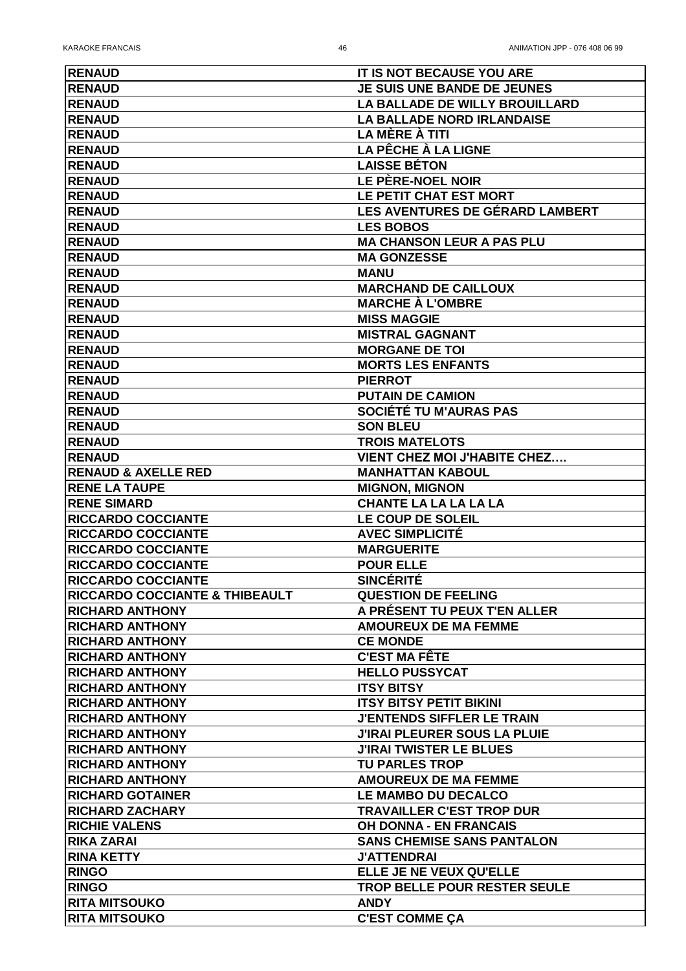| <b>RENAUD</b>                             | <b>IT IS NOT BECAUSE YOU ARE</b>       |
|-------------------------------------------|----------------------------------------|
| <b>RENAUD</b>                             | <b>JE SUIS UNE BANDE DE JEUNES</b>     |
| <b>RENAUD</b>                             | LA BALLADE DE WILLY BROUILLARD         |
| <b>RENAUD</b>                             | <b>LA BALLADE NORD IRLANDAISE</b>      |
| <b>RENAUD</b>                             | LA MÈRE À TITI                         |
| <b>RENAUD</b>                             | <b>LA PÊCHE À LA LIGNE</b>             |
|                                           |                                        |
| <b>RENAUD</b>                             | <b>LAISSE BÉTON</b>                    |
| <b>RENAUD</b>                             | LE PÈRE-NOEL NOIR                      |
| <b>RENAUD</b>                             | <b>LE PETIT CHAT EST MORT</b>          |
| <b>RENAUD</b>                             | <b>LES AVENTURES DE GÉRARD LAMBERT</b> |
| <b>RENAUD</b>                             | <b>LES BOBOS</b>                       |
| <b>RENAUD</b>                             | <b>MA CHANSON LEUR A PAS PLU</b>       |
| <b>RENAUD</b>                             | <b>MA GONZESSE</b>                     |
| <b>RENAUD</b>                             | <b>MANU</b>                            |
| <b>RENAUD</b>                             | <b>MARCHAND DE CAILLOUX</b>            |
| <b>RENAUD</b>                             | <b>MARCHE À L'OMBRE</b>                |
| <b>RENAUD</b>                             | <b>MISS MAGGIE</b>                     |
| <b>RENAUD</b>                             | <b>MISTRAL GAGNANT</b>                 |
| <b>RENAUD</b>                             | <b>MORGANE DE TOI</b>                  |
| <b>RENAUD</b>                             | <b>MORTS LES ENFANTS</b>               |
| <b>RENAUD</b>                             | <b>PIERROT</b>                         |
| <b>RENAUD</b>                             | <b>PUTAIN DE CAMION</b>                |
| <b>RENAUD</b>                             | <b>SOCIÉTÉ TU M'AURAS PAS</b>          |
| <b>RENAUD</b>                             | <b>SON BLEU</b>                        |
| <b>RENAUD</b>                             | <b>TROIS MATELOTS</b>                  |
| <b>RENAUD</b>                             | <b>VIENT CHEZ MOI J'HABITE CHEZ</b>    |
| <b>RENAUD &amp; AXELLE RED</b>            | <b>MANHATTAN KABOUL</b>                |
| <b>RENE LA TAUPE</b>                      | <b>MIGNON, MIGNON</b>                  |
| <b>RENE SIMARD</b>                        | <b>CHANTE LA LA LA LA LA</b>           |
| <b>RICCARDO COCCIANTE</b>                 | LE COUP DE SOLEIL                      |
| <b>RICCARDO COCCIANTE</b>                 | <b>AVEC SIMPLICITÉ</b>                 |
| <b>RICCARDO COCCIANTE</b>                 | <b>MARGUERITE</b>                      |
| <b>RICCARDO COCCIANTE</b>                 | <b>POUR ELLE</b>                       |
| <b>RICCARDO COCCIANTE</b>                 | <b>SINCÉRITÉ</b>                       |
| <b>RICCARDO COCCIANTE &amp; THIBEAULT</b> | <b>QUESTION DE FEELING</b>             |
| <b>RICHARD ANTHONY</b>                    | A PRESENT TU PEUX T'EN ALLER           |
| <b>RICHARD ANTHONY</b>                    | <b>AMOUREUX DE MA FEMME</b>            |
| <b>RICHARD ANTHONY</b>                    | <b>CE MONDE</b>                        |
| <b>RICHARD ANTHONY</b>                    | <b>C'EST MA FÊTE</b>                   |
| <b>RICHARD ANTHONY</b>                    | <b>HELLO PUSSYCAT</b>                  |
| <b>RICHARD ANTHONY</b>                    | <b>ITSY BITSY</b>                      |
| <b>RICHARD ANTHONY</b>                    | <b>ITSY BITSY PETIT BIKINI</b>         |
| <b>RICHARD ANTHONY</b>                    | <b>J'ENTENDS SIFFLER LE TRAIN</b>      |
| <b>RICHARD ANTHONY</b>                    | <b>J'IRAI PLEURER SOUS LA PLUIE</b>    |
| <b>RICHARD ANTHONY</b>                    | <b>J'IRAI TWISTER LE BLUES</b>         |
| <b>RICHARD ANTHONY</b>                    | <b>TU PARLES TROP</b>                  |
|                                           |                                        |
| <b>RICHARD ANTHONY</b>                    | <b>AMOUREUX DE MA FEMME</b>            |
| <b>RICHARD GOTAINER</b>                   | LE MAMBO DU DECALCO                    |
| <b>RICHARD ZACHARY</b>                    | <b>TRAVAILLER C'EST TROP DUR</b>       |
| <b>RICHIE VALENS</b>                      | <b>OH DONNA - EN FRANCAIS</b>          |
| <b>RIKA ZARAI</b>                         | <b>SANS CHEMISE SANS PANTALON</b>      |
| <b>RINA KETTY</b>                         | <b>J'ATTENDRAI</b>                     |
| <b>RINGO</b>                              | ELLE JE NE VEUX QU'ELLE                |
| <b>RINGO</b>                              | <b>TROP BELLE POUR RESTER SEULE</b>    |
| <b>RITA MITSOUKO</b>                      | <b>ANDY</b>                            |
| <b>RITA MITSOUKO</b>                      | <b>C'EST COMME ÇA</b>                  |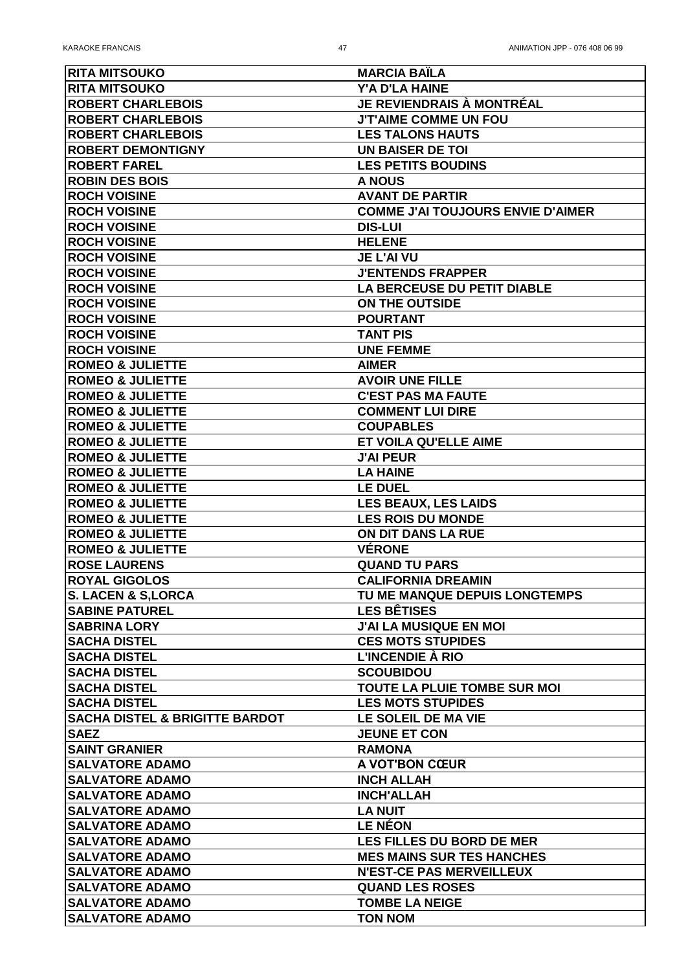| <b>RITA MITSOUKO</b>                      | <b>MARCIA BAILA</b>                      |
|-------------------------------------------|------------------------------------------|
| <b>RITA MITSOUKO</b>                      | <b>Y'A D'LA HAINE</b>                    |
| <b>ROBERT CHARLEBOIS</b>                  | JE REVIENDRAIS À MONTRÉAL                |
| <b>ROBERT CHARLEBOIS</b>                  | <b>J'T'AIME COMME UN FOU</b>             |
| <b>ROBERT CHARLEBOIS</b>                  | <b>LES TALONS HAUTS</b>                  |
| <b>ROBERT DEMONTIGNY</b>                  | <b>UN BAISER DE TOI</b>                  |
| <b>ROBERT FAREL</b>                       | <b>LES PETITS BOUDINS</b>                |
| <b>ROBIN DES BOIS</b>                     | <b>A NOUS</b>                            |
| <b>ROCH VOISINE</b>                       | <b>AVANT DE PARTIR</b>                   |
| <b>ROCH VOISINE</b>                       | <b>COMME J'AI TOUJOURS ENVIE D'AIMER</b> |
| <b>ROCH VOISINE</b>                       | <b>DIS-LUI</b>                           |
| <b>ROCH VOISINE</b>                       | <b>HELENE</b>                            |
| <b>ROCH VOISINE</b>                       | <b>JE L'AI VU</b>                        |
| <b>ROCH VOISINE</b>                       | <b>J'ENTENDS FRAPPER</b>                 |
| <b>ROCH VOISINE</b>                       | <b>LA BERCEUSE DU PETIT DIABLE</b>       |
| <b>ROCH VOISINE</b>                       | ON THE OUTSIDE                           |
| <b>ROCH VOISINE</b>                       | <b>POURTANT</b>                          |
| <b>ROCH VOISINE</b>                       | <b>TANT PIS</b>                          |
| <b>ROCH VOISINE</b>                       | <b>UNE FEMME</b>                         |
| <b>ROMEO &amp; JULIETTE</b>               | <b>AIMER</b>                             |
| <b>ROMEO &amp; JULIETTE</b>               | <b>AVOIR UNE FILLE</b>                   |
| <b>ROMEO &amp; JULIETTE</b>               | <b>C'EST PAS MA FAUTE</b>                |
| <b>ROMEO &amp; JULIETTE</b>               | <b>COMMENT LUI DIRE</b>                  |
| <b>ROMEO &amp; JULIETTE</b>               | <b>COUPABLES</b>                         |
| <b>ROMEO &amp; JULIETTE</b>               | ET VOILA QU'ELLE AIME                    |
| <b>ROMEO &amp; JULIETTE</b>               | <b>J'AI PEUR</b>                         |
| <b>ROMEO &amp; JULIETTE</b>               | <b>LA HAINE</b>                          |
| <b>ROMEO &amp; JULIETTE</b>               | <b>LE DUEL</b>                           |
| <b>ROMEO &amp; JULIETTE</b>               | <b>LES BEAUX, LES LAIDS</b>              |
| <b>ROMEO &amp; JULIETTE</b>               | <b>LES ROIS DU MONDE</b>                 |
| <b>ROMEO &amp; JULIETTE</b>               | ON DIT DANS LA RUE                       |
| <b>ROMEO &amp; JULIETTE</b>               | <b>VERONE</b>                            |
| <b>ROSE LAURENS</b>                       | <b>QUAND TU PARS</b>                     |
| <b>ROYAL GIGOLOS</b>                      | <b>CALIFORNIA DREAMIN</b>                |
| <b>S. LACEN &amp; S,LORCA</b>             | TU ME MANQUE DEPUIS LONGTEMPS            |
| <b>SABINE PATUREL</b>                     | <b>LES BÊTISES</b>                       |
| <b>SABRINA LORY</b>                       | <b>J'AI LA MUSIQUE EN MOI</b>            |
| <b>SACHA DISTEL</b>                       | <b>CES MOTS STUPIDES</b>                 |
| <b>SACHA DISTEL</b>                       | <b>L'INCENDIE À RIO</b>                  |
| <b>SACHA DISTEL</b>                       | <b>SCOUBIDOU</b>                         |
| <b>SACHA DISTEL</b>                       | <b>TOUTE LA PLUIE TOMBE SUR MOI</b>      |
| <b>SACHA DISTEL</b>                       | <b>LES MOTS STUPIDES</b>                 |
| <b>SACHA DISTEL &amp; BRIGITTE BARDOT</b> | LE SOLEIL DE MA VIE                      |
| <b>SAEZ</b>                               | <b>JEUNE ET CON</b>                      |
| <b>SAINT GRANIER</b>                      | <b>RAMONA</b>                            |
| <b>SALVATORE ADAMO</b>                    | <b>A VOT'BON CŒUR</b>                    |
| <b>SALVATORE ADAMO</b>                    | <b>INCH ALLAH</b>                        |
| <b>SALVATORE ADAMO</b>                    | <b>INCH'ALLAH</b>                        |
| <b>SALVATORE ADAMO</b>                    | <b>LA NUIT</b>                           |
| <b>SALVATORE ADAMO</b>                    | <b>LE NÉON</b>                           |
| <b>SALVATORE ADAMO</b>                    | <b>LES FILLES DU BORD DE MER</b>         |
| <b>SALVATORE ADAMO</b>                    | <b>MES MAINS SUR TES HANCHES</b>         |
| <b>SALVATORE ADAMO</b>                    | <b>N'EST-CE PAS MERVEILLEUX</b>          |
| <b>SALVATORE ADAMO</b>                    | <b>QUAND LES ROSES</b>                   |
| <b>SALVATORE ADAMO</b>                    | <b>TOMBE LA NEIGE</b>                    |
| <b>SALVATORE ADAMO</b>                    | <b>TON NOM</b>                           |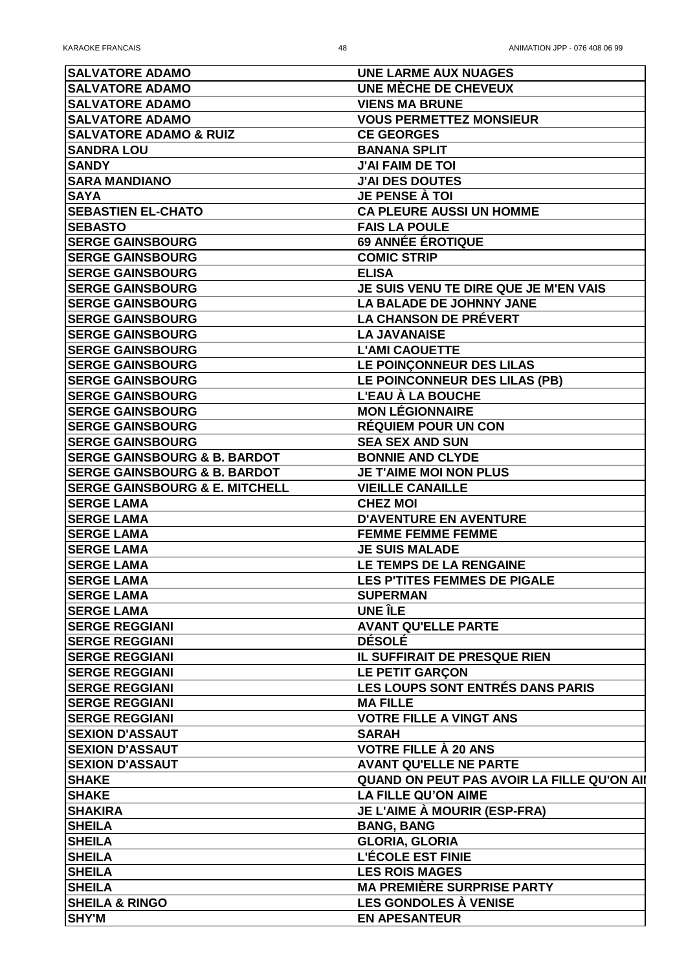| <b>SALVATORE ADAMO</b>                    | <b>UNE LARME AUX NUAGES</b>                  |
|-------------------------------------------|----------------------------------------------|
| <b>SALVATORE ADAMO</b>                    | UNE MÈCHE DE CHEVEUX                         |
| <b>SALVATORE ADAMO</b>                    | <b>VIENS MA BRUNE</b>                        |
| <b>SALVATORE ADAMO</b>                    | <b>VOUS PERMETTEZ MONSIEUR</b>               |
| <b>SALVATORE ADAMO &amp; RUIZ</b>         | <b>CE GEORGES</b>                            |
| <b>SANDRA LOU</b>                         | <b>BANANA SPLIT</b>                          |
| <b>SANDY</b>                              | <b>J'AI FAIM DE TOI</b>                      |
| <b>SARA MANDIANO</b>                      | <b>J'AI DES DOUTES</b>                       |
| <b>SAYA</b>                               | <b>JE PENSE À TOI</b>                        |
| <b>SEBASTIEN EL-CHATO</b>                 | <b>CA PLEURE AUSSI UN HOMME</b>              |
| <b>SEBASTO</b>                            | <b>FAIS LA POULE</b>                         |
| <b>SERGE GAINSBOURG</b>                   | <b>69 ANNÉE ÉROTIQUE</b>                     |
| <b>SERGE GAINSBOURG</b>                   | <b>COMIC STRIP</b>                           |
| <b>SERGE GAINSBOURG</b>                   | <b>ELISA</b>                                 |
| <b>SERGE GAINSBOURG</b>                   | <b>JE SUIS VENU TE DIRE QUE JE M'EN VAIS</b> |
| <b>SERGE GAINSBOURG</b>                   | <b>LA BALADE DE JOHNNY JANE</b>              |
| <b>SERGE GAINSBOURG</b>                   | <b>LA CHANSON DE PRÉVERT</b>                 |
| <b>SERGE GAINSBOURG</b>                   | <b>LA JAVANAISE</b>                          |
| <b>SERGE GAINSBOURG</b>                   | <b>L'AMI CAOUETTE</b>                        |
| <b>SERGE GAINSBOURG</b>                   | LE POINCONNEUR DES LILAS                     |
| <b>SERGE GAINSBOURG</b>                   | LE POINCONNEUR DES LILAS (PB)                |
| <b>SERGE GAINSBOURG</b>                   | <b>L'EAU À LA BOUCHE</b>                     |
| <b>SERGE GAINSBOURG</b>                   | <b>MON LÉGIONNAIRE</b>                       |
| <b>SERGE GAINSBOURG</b>                   | <b>REQUIEM POUR UN CON</b>                   |
| <b>SERGE GAINSBOURG</b>                   | <b>SEA SEX AND SUN</b>                       |
|                                           | <b>BONNIE AND CLYDE</b>                      |
| <b>SERGE GAINSBOURG &amp; B. BARDOT</b>   |                                              |
| <b>SERGE GAINSBOURG &amp; B. BARDOT</b>   | <b>JE T'AIME MOI NON PLUS</b>                |
| <b>SERGE GAINSBOURG &amp; E. MITCHELL</b> | <b>VIEILLE CANAILLE</b>                      |
| <b>SERGE LAMA</b>                         | <b>CHEZ MOI</b>                              |
| <b>SERGE LAMA</b>                         | <b>D'AVENTURE EN AVENTURE</b>                |
| <b>SERGE LAMA</b>                         | <b>FEMME FEMME FEMME</b>                     |
| <b>SERGE LAMA</b>                         | <b>JE SUIS MALADE</b>                        |
| <b>SERGE LAMA</b>                         | LE TEMPS DE LA RENGAINE                      |
| <b>SERGE LAMA</b>                         | <b>LES P'TITES FEMMES DE PIGALE</b>          |
| <b>SERGE LAMA</b>                         | <b>SUPERMAN</b>                              |
| <b>SERGE LAMA</b>                         | UNE ÎLE                                      |
| <b>SERGE REGGIANI</b>                     |                                              |
|                                           | <b>AVANT QU'ELLE PARTE</b>                   |
| <b>SERGE REGGIANI</b>                     | <b>DESOLE</b>                                |
| <b>SERGE REGGIANI</b>                     | <b>IL SUFFIRAIT DE PRESQUE RIEN</b>          |
| <b>SERGE REGGIANI</b>                     | <b>LE PETIT GARÇON</b>                       |
| <b>SERGE REGGIANI</b>                     | <b>LES LOUPS SONT ENTRÉS DANS PARIS</b>      |
| <b>SERGE REGGIANI</b>                     | <b>MA FILLE</b>                              |
| <b>SERGE REGGIANI</b>                     | <b>VOTRE FILLE A VINGT ANS</b>               |
| <b>SEXION D'ASSAUT</b>                    | <b>SARAH</b>                                 |
| <b>SEXION D'ASSAUT</b>                    | <b>VOTRE FILLE À 20 ANS</b>                  |
| <b>SEXION D'ASSAUT</b>                    | <b>AVANT QU'ELLE NE PARTE</b>                |
| <b>SHAKE</b>                              | QUAND ON PEUT PAS AVOIR LA FILLE QU'ON AII   |
| <b>SHAKE</b>                              | <b>LA FILLE QU'ON AIME</b>                   |
| <b>SHAKIRA</b>                            | <b>JE L'AIME À MOURIR (ESP-FRA)</b>          |
| <b>SHEILA</b>                             | <b>BANG, BANG</b>                            |
| <b>SHEILA</b>                             | <b>GLORIA, GLORIA</b>                        |
| <b>SHEILA</b>                             | <b>L'ÉCOLE EST FINIE</b>                     |
| <b>SHEILA</b>                             | <b>LES ROIS MAGES</b>                        |
| <b>SHEILA</b>                             | <b>MA PREMIÈRE SURPRISE PARTY</b>            |
| <b>SHEILA &amp; RINGO</b>                 | <b>LES GONDOLES À VENISE</b>                 |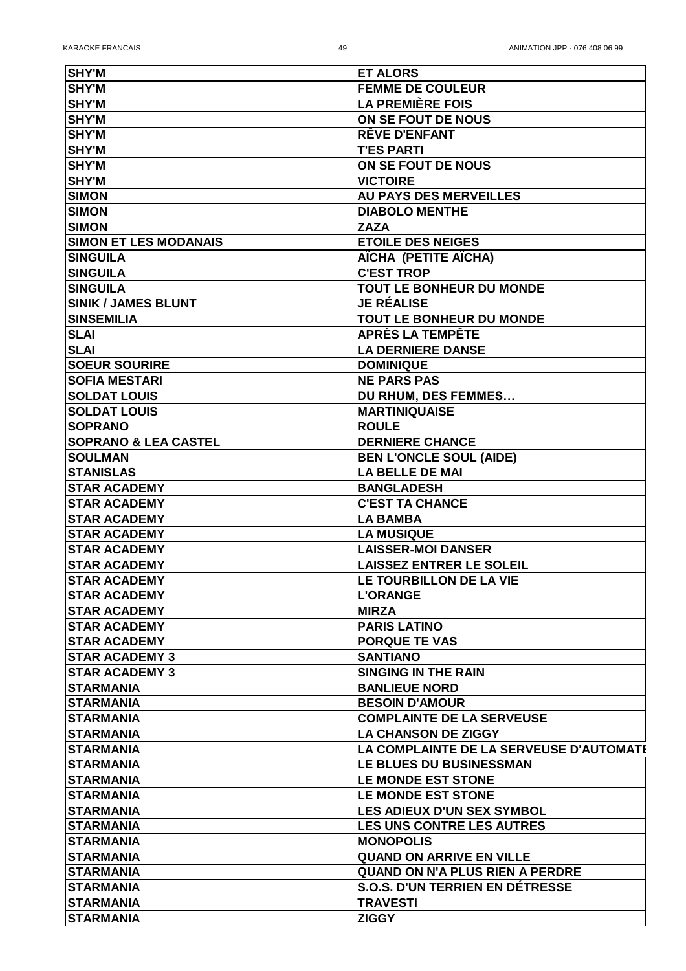| <b>SHY'M</b>                    | <b>ET ALORS</b>                         |
|---------------------------------|-----------------------------------------|
| <b>SHY'M</b>                    | <b>FEMME DE COULEUR</b>                 |
| <b>SHY'M</b>                    | <b>LA PREMIÈRE FOIS</b>                 |
| <b>SHY'M</b>                    | ON SE FOUT DE NOUS                      |
| <b>SHY'M</b>                    | <b>RÊVE D'ENFANT</b>                    |
| <b>SHY'M</b>                    | <b>T'ES PARTI</b>                       |
| <b>SHY'M</b>                    | ON SE FOUT DE NOUS                      |
| <b>SHY'M</b>                    | <b>VICTOIRE</b>                         |
| <b>SIMON</b>                    | <b>AU PAYS DES MERVEILLES</b>           |
| <b>SIMON</b>                    | <b>DIABOLO MENTHE</b>                   |
| <b>SIMON</b>                    | <b>ZAZA</b>                             |
| <b>SIMON ET LES MODANAIS</b>    | <b>ETOILE DES NEIGES</b>                |
| <b>SINGUILA</b>                 | AÏCHA (PETITE AÏCHA)                    |
| <b>SINGUILA</b>                 | <b>C'EST TROP</b>                       |
| <b>SINGUILA</b>                 | <b>TOUT LE BONHEUR DU MONDE</b>         |
| <b>SINIK / JAMES BLUNT</b>      | <b>JE RÉALISE</b>                       |
| <b>SINSEMILIA</b>               | <b>TOUT LE BONHEUR DU MONDE</b>         |
| <b>SLAI</b>                     | <b>APRÈS LA TEMPÊTE</b>                 |
| <b>SLAI</b>                     | <b>LA DERNIERE DANSE</b>                |
| <b>SOEUR SOURIRE</b>            | <b>DOMINIQUE</b>                        |
| <b>SOFIA MESTARI</b>            | <b>NE PARS PAS</b>                      |
| <b>SOLDAT LOUIS</b>             | <b>DU RHUM, DES FEMMES</b>              |
| <b>SOLDAT LOUIS</b>             | <b>MARTINIQUAISE</b>                    |
| <b>SOPRANO</b>                  | <b>ROULE</b>                            |
| <b>SOPRANO &amp; LEA CASTEL</b> | <b>DERNIERE CHANCE</b>                  |
| <b>SOULMAN</b>                  | <b>BEN L'ONCLE SOUL (AIDE)</b>          |
| <b>STANISLAS</b>                | <b>LA BELLE DE MAI</b>                  |
| <b>STAR ACADEMY</b>             | <b>BANGLADESH</b>                       |
| <b>STAR ACADEMY</b>             | <b>C'EST TA CHANCE</b>                  |
| <b>STAR ACADEMY</b>             | <b>LA BAMBA</b>                         |
| <b>STAR ACADEMY</b>             | <b>LA MUSIQUE</b>                       |
| <b>STAR ACADEMY</b>             | <b>LAISSER-MOI DANSER</b>               |
| <b>STAR ACADEMY</b>             | <b>LAISSEZ ENTRER LE SOLEIL</b>         |
| <b>STAR ACADEMY</b>             | LE TOURBILLON DE LA VIE                 |
| <b>STAR ACADEMY</b>             | <b>L'ORANGE</b>                         |
| <b>STAR ACADEMY</b>             | <b>MIRZA</b>                            |
| <b>STAR ACADEMY</b>             | <b>PARIS LATINO</b>                     |
| <b>STAR ACADEMY</b>             | <b>PORQUE TE VAS</b>                    |
| <b>STAR ACADEMY 3</b>           | <b>SANTIANO</b>                         |
| <b>STAR ACADEMY 3</b>           | <b>SINGING IN THE RAIN</b>              |
| <b>STARMANIA</b>                | <b>BANLIEUE NORD</b>                    |
| <b>STARMANIA</b>                | <b>BESOIN D'AMOUR</b>                   |
| <b>STARMANIA</b>                | <b>COMPLAINTE DE LA SERVEUSE</b>        |
| <b>STARMANIA</b>                | <b>LA CHANSON DE ZIGGY</b>              |
| <b>STARMANIA</b>                | LA COMPLAINTE DE LA SERVEUSE D'AUTOMATI |
| <b>STARMANIA</b>                | LE BLUES DU BUSINESSMAN                 |
| <b>STARMANIA</b>                | <b>LE MONDE EST STONE</b>               |
| <b>STARMANIA</b>                | LE MONDE EST STONE                      |
| <b>STARMANIA</b>                | <b>LES ADIEUX D'UN SEX SYMBOL</b>       |
| <b>STARMANIA</b>                | <b>LES UNS CONTRE LES AUTRES</b>        |
| <b>STARMANIA</b>                | <b>MONOPOLIS</b>                        |
| <b>STARMANIA</b>                | <b>QUAND ON ARRIVE EN VILLE</b>         |
| <b>STARMANIA</b>                | <b>QUAND ON N'A PLUS RIEN A PERDRE</b>  |
| <b>STARMANIA</b>                | <b>S.O.S. D'UN TERRIEN EN DÉTRESSE</b>  |
| <b>STARMANIA</b>                | <b>TRAVESTI</b>                         |
| <b>STARMANIA</b>                | <b>ZIGGY</b>                            |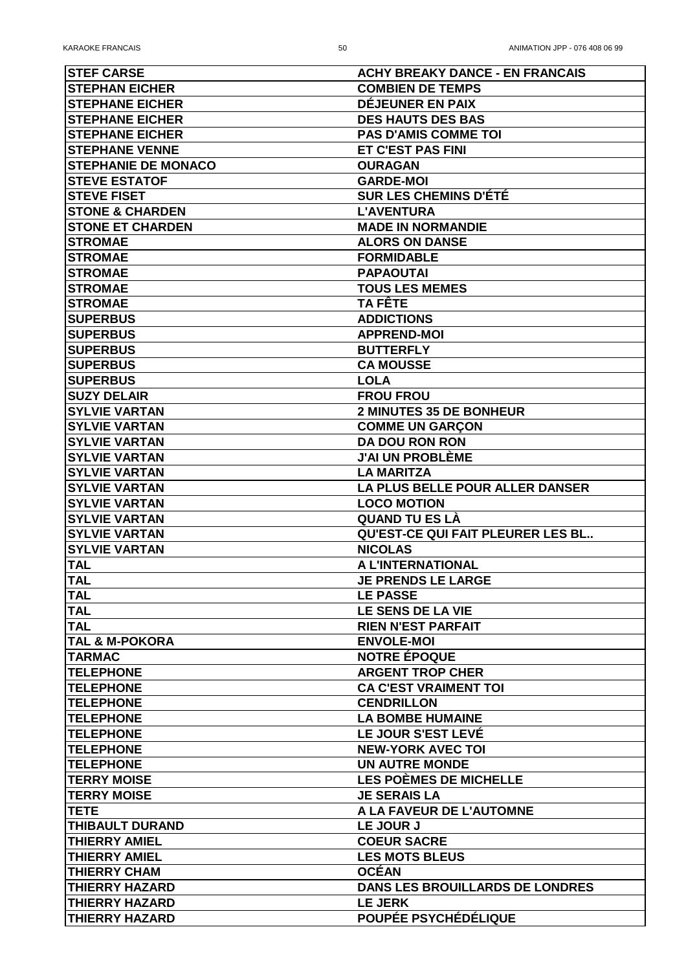| <b>STEF CARSE</b>          | <b>ACHY BREAKY DANCE - EN FRANCAIS</b>   |
|----------------------------|------------------------------------------|
| <b>STEPHAN EICHER</b>      | <b>COMBIEN DE TEMPS</b>                  |
| <b>STEPHANE EICHER</b>     | <b>DEJEUNER EN PAIX</b>                  |
| <b>STEPHANE EICHER</b>     | <b>DES HAUTS DES BAS</b>                 |
| <b>STEPHANE EICHER</b>     | <b>PAS D'AMIS COMME TOI</b>              |
| <b>STEPHANE VENNE</b>      | <b>ET C'EST PAS FINI</b>                 |
| <b>STEPHANIE DE MONACO</b> | <b>OURAGAN</b>                           |
| <b>STEVE ESTATOF</b>       | <b>GARDE-MOI</b>                         |
| <b>STEVE FISET</b>         | <b>SUR LES CHEMINS D'ÊTÉ</b>             |
| <b>STONE &amp; CHARDEN</b> | <b>L'AVENTURA</b>                        |
| <b>STONE ET CHARDEN</b>    | <b>MADE IN NORMANDIE</b>                 |
| <b>STROMAE</b>             | <b>ALORS ON DANSE</b>                    |
| <b>STROMAE</b>             | <b>FORMIDABLE</b>                        |
| <b>STROMAE</b>             | <b>PAPAOUTAI</b>                         |
| <b>STROMAE</b>             | <b>TOUS LES MEMES</b>                    |
| <b>STROMAE</b>             | TA FÊTE                                  |
| <b>SUPERBUS</b>            | <b>ADDICTIONS</b>                        |
| <b>SUPERBUS</b>            | <b>APPREND-MOI</b>                       |
| <b>SUPERBUS</b>            | <b>BUTTERFLY</b>                         |
| <b>SUPERBUS</b>            | <b>CA MOUSSE</b>                         |
| <b>SUPERBUS</b>            | <b>LOLA</b>                              |
| <b>SUZY DELAIR</b>         | <b>FROU FROU</b>                         |
| <b>SYLVIE VARTAN</b>       | <b>2 MINUTES 35 DE BONHEUR</b>           |
| <b>SYLVIE VARTAN</b>       | <b>COMME UN GARÇON</b>                   |
| <b>SYLVIE VARTAN</b>       | <b>DA DOU RON RON</b>                    |
| <b>SYLVIE VARTAN</b>       | <b>J'AI UN PROBLÈME</b>                  |
| <b>SYLVIE VARTAN</b>       | <b>LA MARITZA</b>                        |
| <b>SYLVIE VARTAN</b>       | LA PLUS BELLE POUR ALLER DANSER          |
| <b>SYLVIE VARTAN</b>       | <b>LOCO MOTION</b>                       |
| <b>SYLVIE VARTAN</b>       | <b>QUAND TU ES LA</b>                    |
| <b>SYLVIE VARTAN</b>       | <b>QU'EST-CE QUI FAIT PLEURER LES BL</b> |
| <b>SYLVIE VARTAN</b>       | <b>NICOLAS</b>                           |
| <b>TAL</b>                 | A L'INTERNATIONAL                        |
| <b>TAL</b>                 | <b>JE PRENDS LE LARGE</b>                |
| <b>TAL</b>                 | <b>LE PASSE</b>                          |
| <b>TAL</b>                 | <b>LE SENS DE LA VIE</b>                 |
| <b>TAL</b>                 | <b>RIEN N'EST PARFAIT</b>                |
| <b>TAL &amp; M-POKORA</b>  | <b>ENVOLE-MOI</b>                        |
| <b>TARMAC</b>              | <b>NOTRE ÉPOQUE</b>                      |
| <b>TELEPHONE</b>           | <b>ARGENT TROP CHER</b>                  |
| <b>TELEPHONE</b>           | <b>CA C'EST VRAIMENT TOI</b>             |
| <b>TELEPHONE</b>           | <b>CENDRILLON</b>                        |
| <b>TELEPHONE</b>           | <b>LA BOMBE HUMAINE</b>                  |
| <b>TELEPHONE</b>           | <b>LE JOUR S'EST LEVÉ</b>                |
| <b>TELEPHONE</b>           | <b>NEW-YORK AVEC TOI</b>                 |
| <b>TELEPHONE</b>           | <b>UN AUTRE MONDE</b>                    |
| <b>ITERRY MOISE</b>        | <b>LES POÈMES DE MICHELLE</b>            |
| <b>TERRY MOISE</b>         | <b>JE SERAIS LA</b>                      |
| <b>ITETE</b>               | A LA FAVEUR DE L'AUTOMNE                 |
| <b>THIBAULT DURAND</b>     | LE JOUR J                                |
| <b>THIERRY AMIEL</b>       | <b>COEUR SACRE</b>                       |
| <b>THIERRY AMIEL</b>       | <b>LES MOTS BLEUS</b>                    |
| <b>THIERRY CHAM</b>        | <b>OCÉAN</b>                             |
| <b>THIERRY HAZARD</b>      | <b>DANS LES BROUILLARDS DE LONDRES</b>   |
| <b>THIERRY HAZARD</b>      | <b>LE JERK</b>                           |
| <b>THIERRY HAZARD</b>      | <b>POUPÉE PSYCHÉDÉLIQUE</b>              |
|                            |                                          |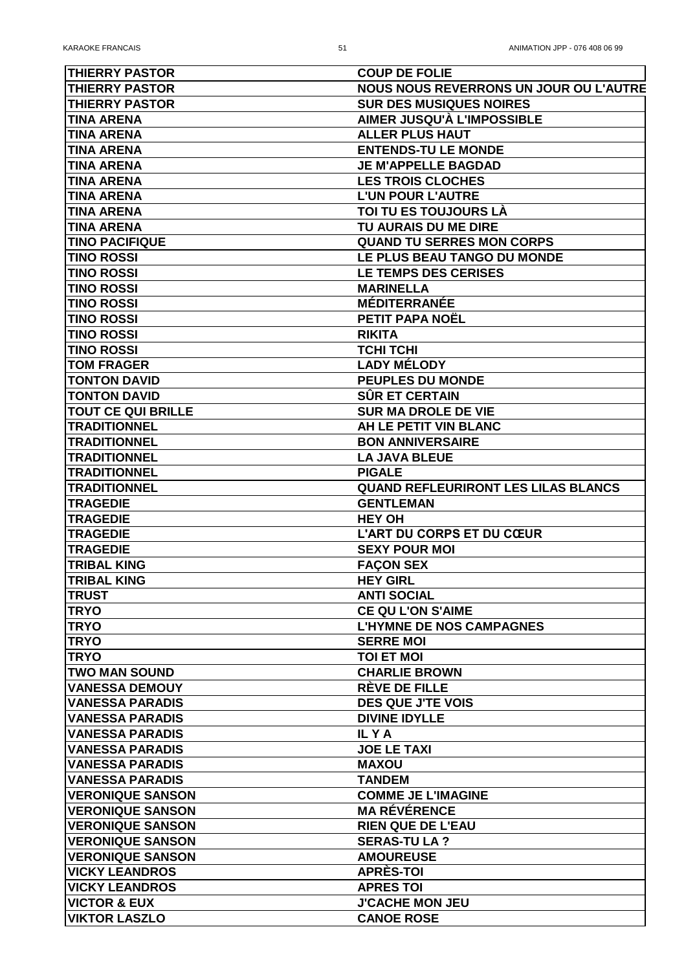| <b>THIERRY PASTOR</b>                           | <b>COUP DE FOLIE</b>                          |
|-------------------------------------------------|-----------------------------------------------|
| <b>THIERRY PASTOR</b>                           | <b>NOUS NOUS REVERRONS UN JOUR OU L'AUTRE</b> |
| <b>THIERRY PASTOR</b>                           | <b>SUR DES MUSIQUES NOIRES</b>                |
| <b>TINA ARENA</b>                               | AIMER JUSQU'À L'IMPOSSIBLE                    |
| <b>TINA ARENA</b>                               | <b>ALLER PLUS HAUT</b>                        |
| <b>TINA ARENA</b>                               | <b>ENTENDS-TU LE MONDE</b>                    |
| <b>TINA ARENA</b>                               | <b>JE M'APPELLE BAGDAD</b>                    |
| <b>TINA ARENA</b>                               | <b>LES TROIS CLOCHES</b>                      |
| <b>TINA ARENA</b>                               | <b>L'UN POUR L'AUTRE</b>                      |
| <b>TINA ARENA</b>                               | <b>TOI TU ES TOUJOURS LÀ</b>                  |
| <b>TINA ARENA</b>                               | TU AURAIS DU ME DIRE                          |
| <b>TINO PACIFIQUE</b>                           | <b>QUAND TU SERRES MON CORPS</b>              |
| <b>TINO ROSSI</b>                               | LE PLUS BEAU TANGO DU MONDE                   |
| <b>TINO ROSSI</b>                               | <b>LE TEMPS DES CERISES</b>                   |
| <b>TINO ROSSI</b>                               | <b>MARINELLA</b>                              |
| <b>TINO ROSSI</b>                               | <b>MÉDITERRANÉE</b>                           |
| <b>TINO ROSSI</b>                               | PETIT PAPA NOËL                               |
| <b>TINO ROSSI</b>                               | <b>RIKITA</b>                                 |
| <b>TINO ROSSI</b>                               | <b>TCHI TCHI</b>                              |
| <b>TOM FRAGER</b>                               | <b>LADY MÉLODY</b>                            |
| <b>TONTON DAVID</b>                             | <b>PEUPLES DU MONDE</b>                       |
| <b>TONTON DAVID</b>                             | <b>SÜR ET CERTAIN</b>                         |
| <b>TOUT CE QUI BRILLE</b>                       | <b>SUR MA DROLE DE VIE</b>                    |
| <b>TRADITIONNEL</b>                             | AH LE PETIT VIN BLANC                         |
| <b>TRADITIONNEL</b>                             | <b>BON ANNIVERSAIRE</b>                       |
| <b>TRADITIONNEL</b>                             | <b>LA JAVA BLEUE</b>                          |
| <b>TRADITIONNEL</b>                             | <b>PIGALE</b>                                 |
| <b>TRADITIONNEL</b>                             | <b>QUAND REFLEURIRONT LES LILAS BLANCS</b>    |
| <b>TRAGEDIE</b>                                 | <b>GENTLEMAN</b>                              |
|                                                 |                                               |
|                                                 |                                               |
| <b>TRAGEDIE</b>                                 | <b>HEY OH</b>                                 |
| <b>TRAGEDIE</b>                                 | <b>L'ART DU CORPS ET DU CŒUR</b>              |
| <b>TRAGEDIE</b>                                 | <b>SEXY POUR MOI</b>                          |
| <b>TRIBAL KING</b>                              | <b>FAÇON SEX</b>                              |
| <b>TRIBAL KING</b>                              | <b>HEY GIRL</b>                               |
| <b>TRUST</b>                                    | <b>ANTI SOCIAL</b>                            |
| <b>ITRYO</b>                                    | <b>CE QU L'ON S'AIME</b>                      |
| <b>TRYO</b>                                     | <b>L'HYMNE DE NOS CAMPAGNES</b>               |
| <b>TRYO</b>                                     | <b>SERRE MOI</b>                              |
| <b>TRYO</b>                                     | <b>TOI ET MOI</b>                             |
| <b>TWO MAN SOUND</b>                            | <b>CHARLIE BROWN</b>                          |
| <b>VANESSA DEMOUY</b>                           | <b>REVE DE FILLE</b>                          |
| <b>VANESSA PARADIS</b>                          | <b>DES QUE J'TE VOIS</b>                      |
| <b>VANESSA PARADIS</b>                          | <b>DIVINE IDYLLE</b>                          |
| <b>VANESSA PARADIS</b>                          | IL Y A                                        |
| <b>VANESSA PARADIS</b>                          | <b>JOE LE TAXI</b>                            |
| <b>VANESSA PARADIS</b>                          | <b>MAXOU</b>                                  |
| <b>VANESSA PARADIS</b>                          | <b>TANDEM</b>                                 |
| <b>VERONIQUE SANSON</b>                         | <b>COMME JE L'IMAGINE</b>                     |
| <b>VERONIQUE SANSON</b>                         | <b>MA RÉVÉRENCE</b>                           |
| <b>VERONIQUE SANSON</b>                         | <b>RIEN QUE DE L'EAU</b>                      |
| <b>VERONIQUE SANSON</b>                         | <b>SERAS-TU LA ?</b>                          |
| <b>VERONIQUE SANSON</b>                         | <b>AMOUREUSE</b>                              |
| <b>VICKY LEANDROS</b>                           | <b>APRÈS-TOI</b>                              |
| <b>VICKY LEANDROS</b>                           | <b>APRES TOI</b>                              |
| <b>VICTOR &amp; EUX</b><br><b>VIKTOR LASZLO</b> | <b>J'CACHE MON JEU</b><br><b>CANOE ROSE</b>   |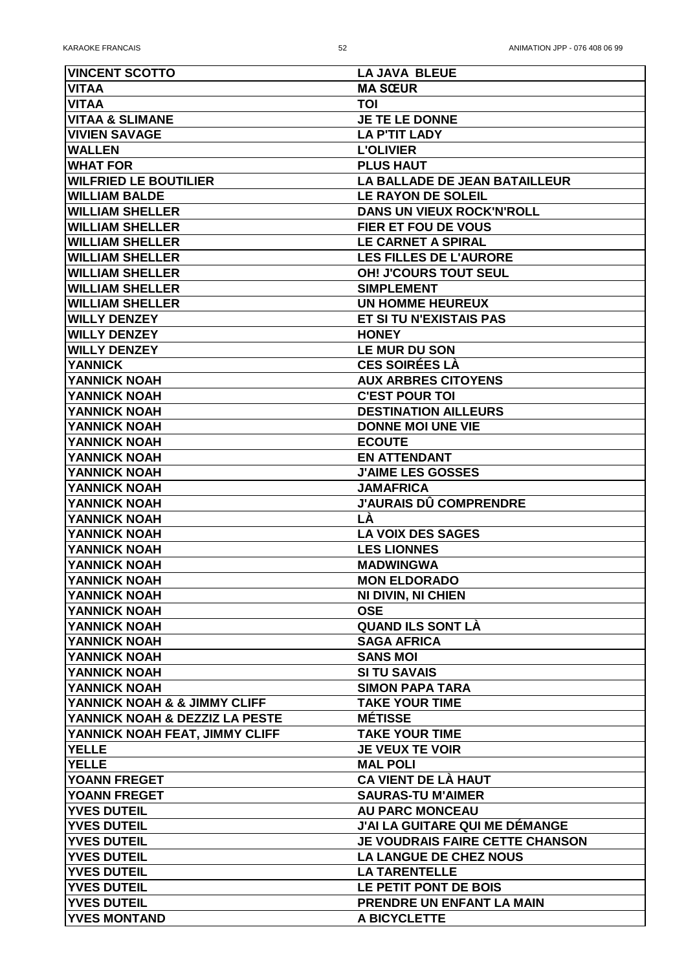| <b>VINCENT SCOTTO</b>          | <b>LA JAVA BLEUE</b>                   |
|--------------------------------|----------------------------------------|
| <b>VITAA</b>                   | <b>MA SCEUR</b>                        |
| <b>VITAA</b>                   | <b>TOI</b>                             |
| <b>VITAA &amp; SLIMANE</b>     | <b>JE TE LE DONNE</b>                  |
| <b>VIVIEN SAVAGE</b>           | <b>LA P'TIT LADY</b>                   |
| <b>WALLEN</b>                  | <b>L'OLIVIER</b>                       |
| <b>WHAT FOR</b>                | <b>PLUS HAUT</b>                       |
| <b>WILFRIED LE BOUTILIER</b>   | <b>LA BALLADE DE JEAN BATAILLEUR</b>   |
| <b>WILLIAM BALDE</b>           | <b>LE RAYON DE SOLEIL</b>              |
| <b>WILLIAM SHELLER</b>         | <b>DANS UN VIEUX ROCK'N'ROLL</b>       |
| <b>WILLIAM SHELLER</b>         | <b>FIER ET FOU DE VOUS</b>             |
| <b>WILLIAM SHELLER</b>         | <b>LE CARNET A SPIRAL</b>              |
| <b>WILLIAM SHELLER</b>         | <b>LES FILLES DE L'AURORE</b>          |
| <b>WILLIAM SHELLER</b>         | <b>OH! J'COURS TOUT SEUL</b>           |
| <b>WILLIAM SHELLER</b>         | <b>SIMPLEMENT</b>                      |
| <b>WILLIAM SHELLER</b>         | <b>UN HOMME HEUREUX</b>                |
| <b>WILLY DENZEY</b>            | ET SI TU N'EXISTAIS PAS                |
| <b>WILLY DENZEY</b>            | <b>HONEY</b>                           |
| <b>WILLY DENZEY</b>            | <b>LE MUR DU SON</b>                   |
| <b>YANNICK</b>                 | <b>CES SOIRÉES LÀ</b>                  |
| YANNICK NOAH                   | <b>AUX ARBRES CITOYENS</b>             |
| <b>YANNICK NOAH</b>            | <b>C'EST POUR TOI</b>                  |
| YANNICK NOAH                   | <b>DESTINATION AILLEURS</b>            |
| YANNICK NOAH                   | <b>DONNE MOI UNE VIE</b>               |
| <b>YANNICK NOAH</b>            | <b>ECOUTE</b>                          |
| <b>YANNICK NOAH</b>            | <b>EN ATTENDANT</b>                    |
| <b>YANNICK NOAH</b>            | <b>J'AIME LES GOSSES</b>               |
| <b>YANNICK NOAH</b>            | <b>JAMAFRICA</b>                       |
| <b>YANNICK NOAH</b>            | <b>J'AURAIS DU COMPRENDRE</b>          |
| <b>YANNICK NOAH</b>            | LA                                     |
| <b>YANNICK NOAH</b>            | <b>LA VOIX DES SAGES</b>               |
| <b>YANNICK NOAH</b>            | <b>LES LIONNES</b>                     |
| <b>YANNICK NOAH</b>            | <b>MADWINGWA</b>                       |
| <b>YANNICK NOAH</b>            | <b>MON ELDORADO</b>                    |
| <b>YANNICK NOAH</b>            | <b>NI DIVIN, NI CHIEN</b>              |
| <b>YANNICK NOAH</b>            | <b>OSE</b>                             |
| <b>YANNICK NOAH</b>            | <b>QUAND ILS SONT LA</b>               |
| <b>YANNICK NOAH</b>            | <b>SAGA AFRICA</b>                     |
| <b>YANNICK NOAH</b>            | <b>SANS MOI</b>                        |
| <b>YANNICK NOAH</b>            | <b>SI TU SAVAIS</b>                    |
| <b>YANNICK NOAH</b>            | <b>SIMON PAPA TARA</b>                 |
| YANNICK NOAH & & JIMMY CLIFF   | <b>TAKE YOUR TIME</b>                  |
| YANNICK NOAH & DEZZIZ LA PESTE | <b>MÉTISSE</b>                         |
| YANNICK NOAH FEAT, JIMMY CLIFF | <b>TAKE YOUR TIME</b>                  |
| <b>YELLE</b>                   | <b>JE VEUX TE VOIR</b>                 |
| <b>YELLE</b>                   | <b>MAL POLI</b>                        |
| <b>YOANN FREGET</b>            | <b>CA VIENT DE LA HAUT</b>             |
| <b>YOANN FREGET</b>            | <b>SAURAS-TU M'AIMER</b>               |
| <b>YVES DUTEIL</b>             | <b>AU PARC MONCEAU</b>                 |
| <b>YVES DUTEIL</b>             | J'AI LA GUITARE QUI ME DÉMANGE         |
| <b>YVES DUTEIL</b>             | <b>JE VOUDRAIS FAIRE CETTE CHANSON</b> |
| <b>YVES DUTEIL</b>             | <b>LA LANGUE DE CHEZ NOUS</b>          |
| <b>YVES DUTEIL</b>             | <b>LA TARENTELLE</b>                   |
| <b>YVES DUTEIL</b>             | LE PETIT PONT DE BOIS                  |
| <b>YVES DUTEIL</b>             | <b>PRENDRE UN ENFANT LA MAIN</b>       |
| <b>YVES MONTAND</b>            | A BICYCLETTE                           |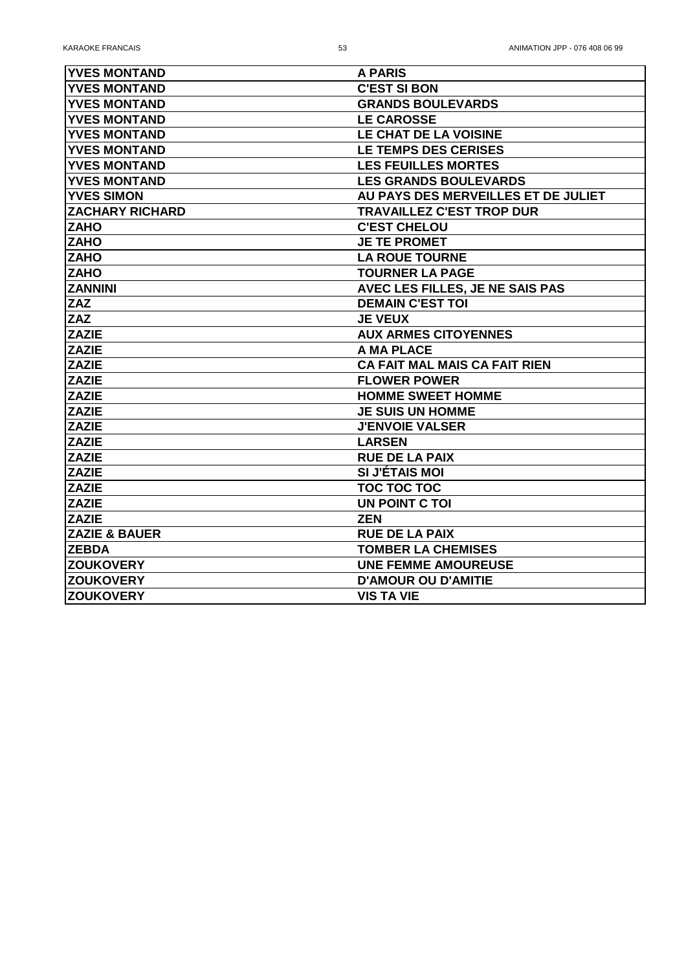| <b>IYVES MONTAND</b>      | <b>A PARIS</b>                       |
|---------------------------|--------------------------------------|
| <b>YVES MONTAND</b>       | <b>C'EST SI BON</b>                  |
| <b>YVES MONTAND</b>       | <b>GRANDS BOULEVARDS</b>             |
| <b>YVES MONTAND</b>       | <b>LE CAROSSE</b>                    |
|                           |                                      |
| <b>YVES MONTAND</b>       | <b>LE CHAT DE LA VOISINE</b>         |
| <b>YVES MONTAND</b>       | <b>LE TEMPS DES CERISES</b>          |
| <b>YVES MONTAND</b>       | <b>LES FEUILLES MORTES</b>           |
| <b>YVES MONTAND</b>       | <b>LES GRANDS BOULEVARDS</b>         |
| <b>YVES SIMON</b>         | AU PAYS DES MERVEILLES ET DE JULIET  |
| <b>ZACHARY RICHARD</b>    | <b>TRAVAILLEZ C'EST TROP DUR</b>     |
| <b>ZAHO</b>               | <b>C'EST CHELOU</b>                  |
| <b>ZAHO</b>               | <b>JE TE PROMET</b>                  |
| <b>ZAHO</b>               | <b>LA ROUE TOURNE</b>                |
| <b>ZAHO</b>               | <b>TOURNER LA PAGE</b>               |
| <b>ZANNINI</b>            | AVEC LES FILLES, JE NE SAIS PAS      |
| <b>ZAZ</b>                | <b>DEMAIN C'EST TOI</b>              |
| <b>ZAZ</b>                | <b>JE VEUX</b>                       |
| <b>ZAZIE</b>              | <b>AUX ARMES CITOYENNES</b>          |
| <b>ZAZIE</b>              | A MA PLACE                           |
| <b>ZAZIE</b>              | <b>CA FAIT MAL MAIS CA FAIT RIEN</b> |
| <b>ZAZIE</b>              | <b>FLOWER POWER</b>                  |
| <b>ZAZIE</b>              | <b>HOMME SWEET HOMME</b>             |
| <b>ZAZIE</b>              | <b>JE SUIS UN HOMME</b>              |
| <b>ZAZIE</b>              | <b>J'ENVOIE VALSER</b>               |
| <b>ZAZIE</b>              | <b>LARSEN</b>                        |
| <b>ZAZIE</b>              | <b>RUE DE LA PAIX</b>                |
| <b>ZAZIE</b>              | <b>SI J'ÉTAIS MOI</b>                |
| <b>ZAZIE</b>              | <b>TOC TOC TOC</b>                   |
| <b>ZAZIE</b>              | UN POINT C TOI                       |
| <b>ZAZIE</b>              | <b>ZEN</b>                           |
| <b>IZAZIE &amp; BAUER</b> | <b>RUE DE LA PAIX</b>                |
| <b>IZEBDA</b>             | <b>TOMBER LA CHEMISES</b>            |
| <b>ZOUKOVERY</b>          | <b>UNE FEMME AMOUREUSE</b>           |
| <b>ZOUKOVERY</b>          | <b>D'AMOUR OU D'AMITIE</b>           |
| <b>ZOUKOVERY</b>          | <b>VIS TA VIE</b>                    |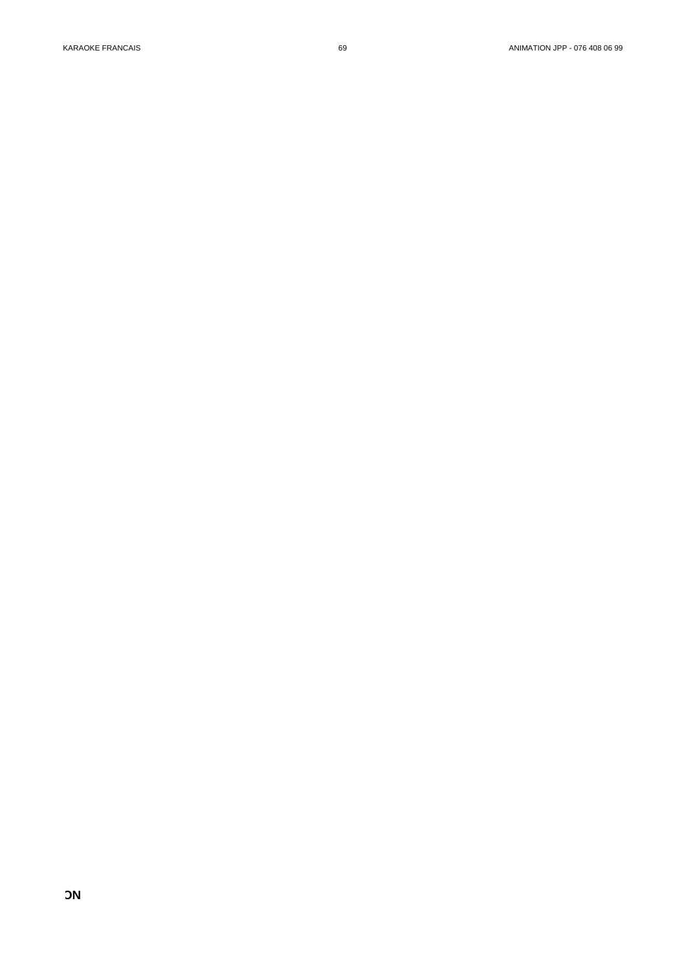$\mathsf{Q}$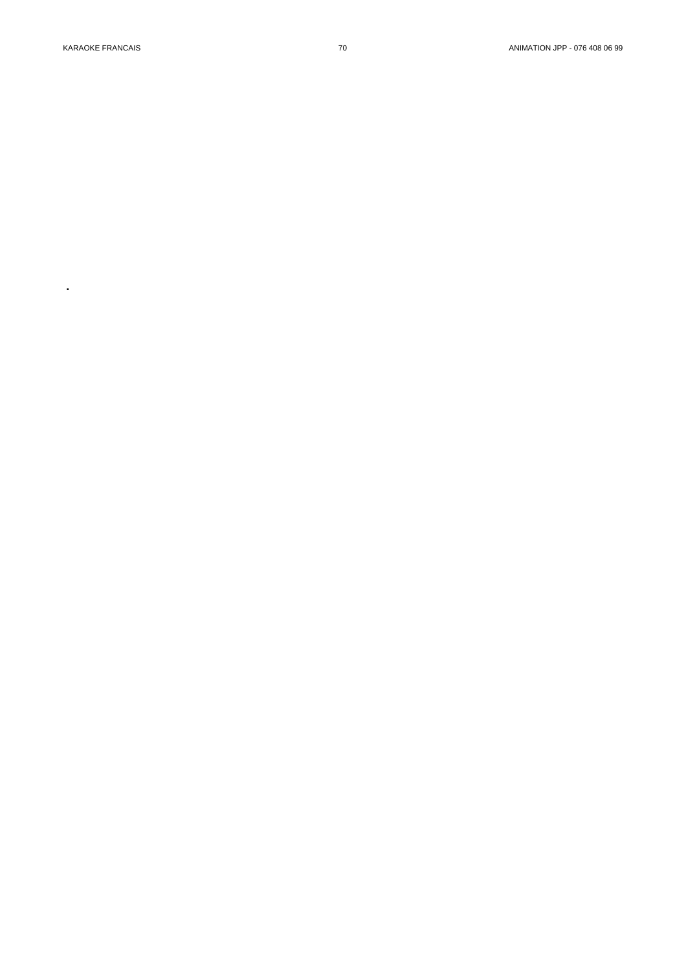**KARAOKE FRANCAIS** 

 $\mathbf{u}$  .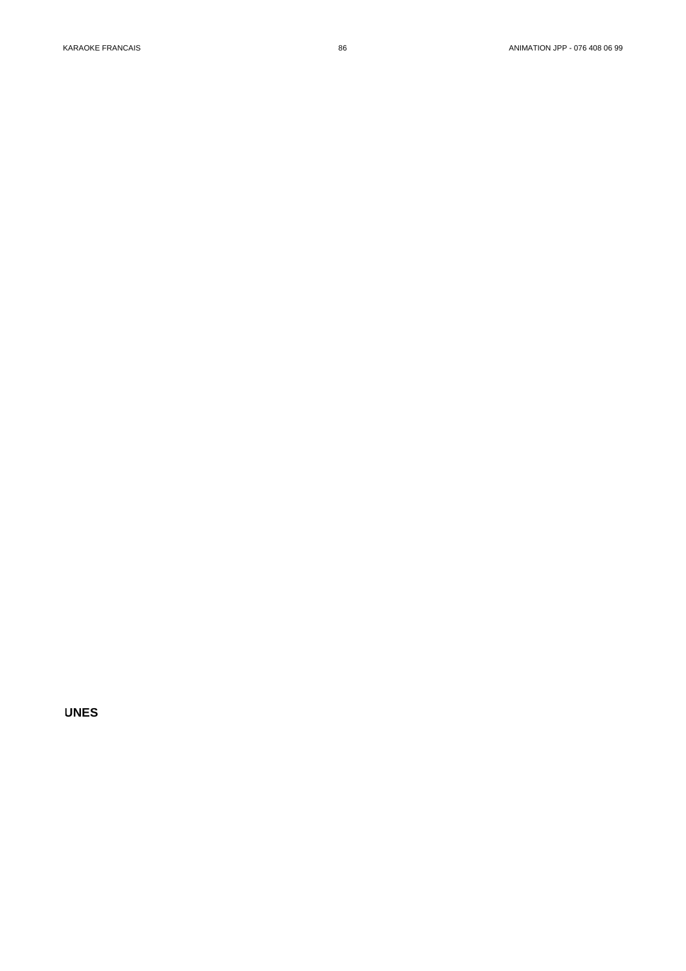## **LINES**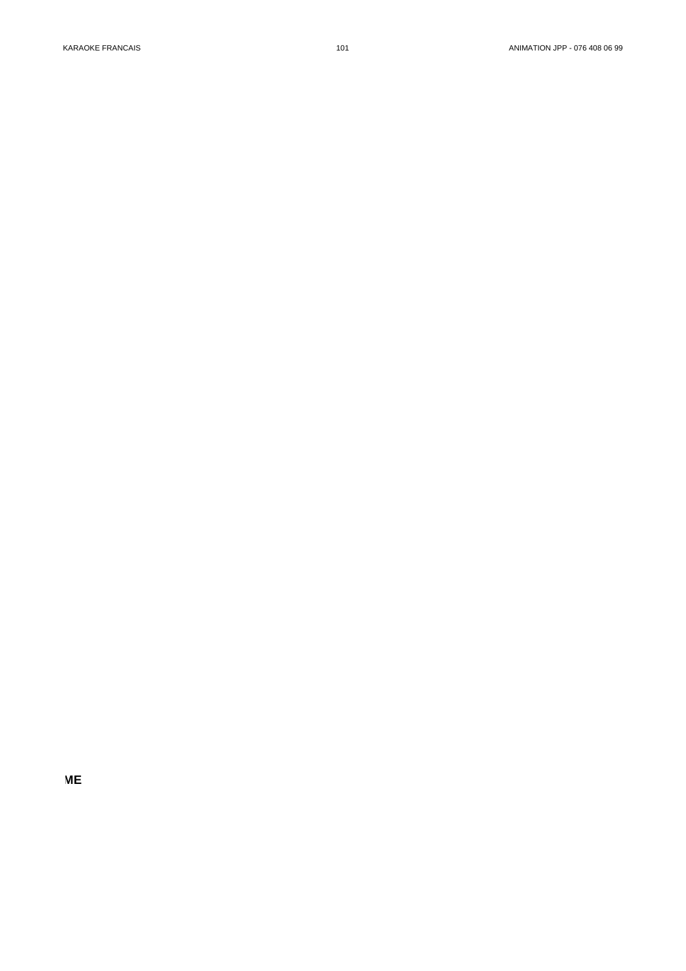**DESERVED PROPERTY**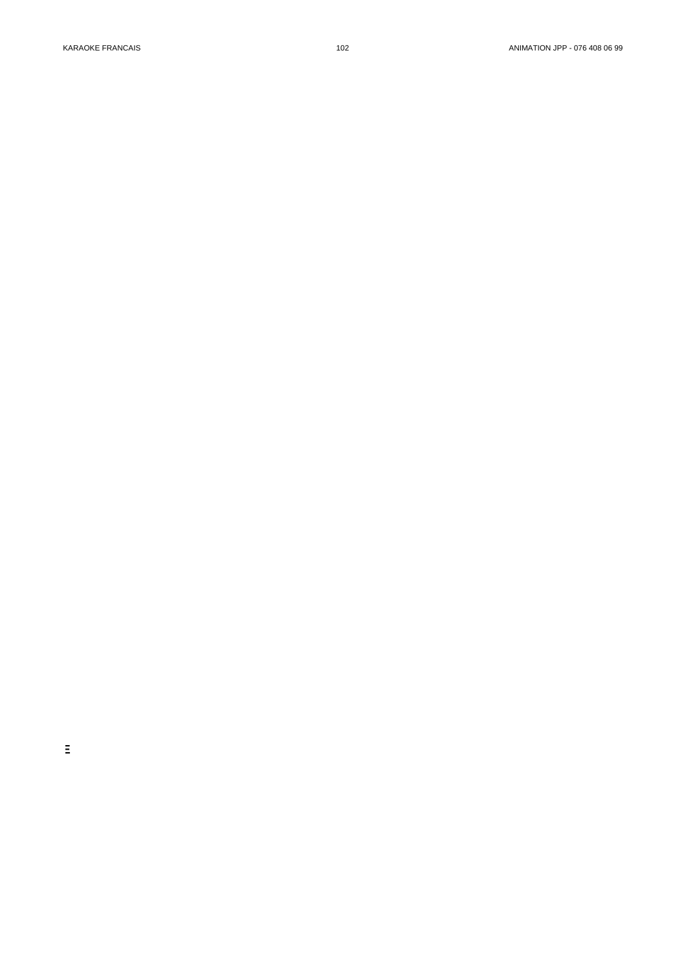- 
- **LA COMPLAINTE DE LA SERVEUSE D'AUTOMATE**
	-